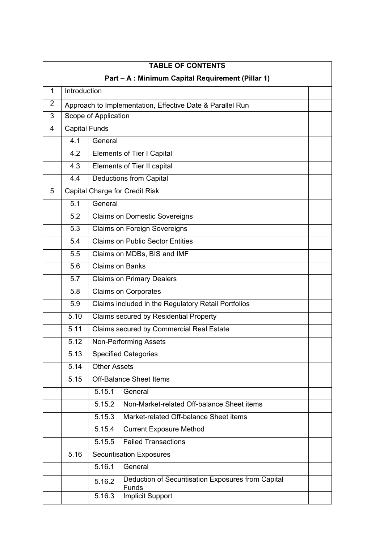|                | <b>TABLE OF CONTENTS</b>                          |                                         |                                                             |  |  |  |  |  |  |
|----------------|---------------------------------------------------|-----------------------------------------|-------------------------------------------------------------|--|--|--|--|--|--|
|                | Part - A : Minimum Capital Requirement (Pillar 1) |                                         |                                                             |  |  |  |  |  |  |
| 1              | Introduction                                      |                                         |                                                             |  |  |  |  |  |  |
| $\overline{2}$ |                                                   |                                         | Approach to Implementation, Effective Date & Parallel Run   |  |  |  |  |  |  |
| 3              | Scope of Application                              |                                         |                                                             |  |  |  |  |  |  |
| 4              | <b>Capital Funds</b>                              |                                         |                                                             |  |  |  |  |  |  |
|                | 4.1                                               | General                                 |                                                             |  |  |  |  |  |  |
|                | 4.2                                               | <b>Elements of Tier I Capital</b>       |                                                             |  |  |  |  |  |  |
|                | 4.3                                               |                                         | Elements of Tier II capital                                 |  |  |  |  |  |  |
|                | 4.4                                               |                                         | <b>Deductions from Capital</b>                              |  |  |  |  |  |  |
| 5              |                                                   |                                         | <b>Capital Charge for Credit Risk</b>                       |  |  |  |  |  |  |
|                | 5.1                                               | General                                 |                                                             |  |  |  |  |  |  |
|                | 5.2                                               |                                         | <b>Claims on Domestic Sovereigns</b>                        |  |  |  |  |  |  |
|                | 5.3                                               | <b>Claims on Foreign Sovereigns</b>     |                                                             |  |  |  |  |  |  |
|                | 5.4                                               | <b>Claims on Public Sector Entities</b> |                                                             |  |  |  |  |  |  |
|                | 5.5                                               | Claims on MDBs, BIS and IMF             |                                                             |  |  |  |  |  |  |
|                | 5.6                                               | <b>Claims on Banks</b>                  |                                                             |  |  |  |  |  |  |
|                | 5.7                                               | <b>Claims on Primary Dealers</b>        |                                                             |  |  |  |  |  |  |
|                | 5.8                                               |                                         | <b>Claims on Corporates</b>                                 |  |  |  |  |  |  |
|                | 5.9                                               |                                         | Claims included in the Regulatory Retail Portfolios         |  |  |  |  |  |  |
|                | 5.10                                              |                                         | Claims secured by Residential Property                      |  |  |  |  |  |  |
|                | 5.11                                              |                                         | Claims secured by Commercial Real Estate                    |  |  |  |  |  |  |
|                | 5.12                                              |                                         | <b>Non-Performing Assets</b>                                |  |  |  |  |  |  |
|                | 5.13                                              |                                         | <b>Specified Categories</b>                                 |  |  |  |  |  |  |
|                | 5.14                                              | <b>Other Assets</b>                     |                                                             |  |  |  |  |  |  |
|                | 5.15                                              |                                         | <b>Off-Balance Sheet Items</b>                              |  |  |  |  |  |  |
|                |                                                   | 5.15.1                                  | General                                                     |  |  |  |  |  |  |
|                |                                                   | 5.15.2                                  | Non-Market-related Off-balance Sheet items                  |  |  |  |  |  |  |
|                |                                                   | 5.15.3                                  | Market-related Off-balance Sheet items                      |  |  |  |  |  |  |
|                |                                                   | 5.15.4                                  | <b>Current Exposure Method</b>                              |  |  |  |  |  |  |
|                |                                                   | 5.15.5                                  | <b>Failed Transactions</b>                                  |  |  |  |  |  |  |
|                | 5.16                                              |                                         | <b>Securitisation Exposures</b>                             |  |  |  |  |  |  |
|                |                                                   | 5.16.1                                  | General                                                     |  |  |  |  |  |  |
|                |                                                   | 5.16.2                                  | Deduction of Securitisation Exposures from Capital<br>Funds |  |  |  |  |  |  |
|                |                                                   | 5.16.3                                  | <b>Implicit Support</b>                                     |  |  |  |  |  |  |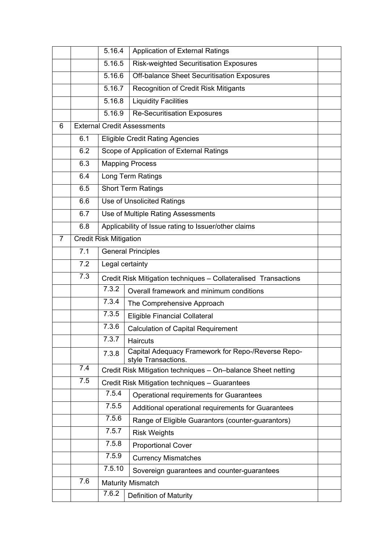|   |     | 5.16.4                                                          | <b>Application of External Ratings</b>                                    |  |  |  |  |  |  |
|---|-----|-----------------------------------------------------------------|---------------------------------------------------------------------------|--|--|--|--|--|--|
|   |     | 5.16.5                                                          | <b>Risk-weighted Securitisation Exposures</b>                             |  |  |  |  |  |  |
|   |     | 5.16.6                                                          | Off-balance Sheet Securitisation Exposures                                |  |  |  |  |  |  |
|   |     | 5.16.7                                                          | <b>Recognition of Credit Risk Mitigants</b>                               |  |  |  |  |  |  |
|   |     | 5.16.8                                                          | <b>Liquidity Facilities</b>                                               |  |  |  |  |  |  |
|   |     | 5.16.9                                                          | <b>Re-Securitisation Exposures</b>                                        |  |  |  |  |  |  |
| 6 |     |                                                                 | <b>External Credit Assessments</b>                                        |  |  |  |  |  |  |
|   | 6.1 |                                                                 | <b>Eligible Credit Rating Agencies</b>                                    |  |  |  |  |  |  |
|   | 6.2 |                                                                 | Scope of Application of External Ratings                                  |  |  |  |  |  |  |
|   | 6.3 |                                                                 | <b>Mapping Process</b>                                                    |  |  |  |  |  |  |
|   | 6.4 |                                                                 | Long Term Ratings                                                         |  |  |  |  |  |  |
|   | 6.5 |                                                                 | <b>Short Term Ratings</b>                                                 |  |  |  |  |  |  |
|   | 6.6 |                                                                 | <b>Use of Unsolicited Ratings</b>                                         |  |  |  |  |  |  |
|   | 6.7 |                                                                 | Use of Multiple Rating Assessments                                        |  |  |  |  |  |  |
|   | 6.8 | Applicability of Issue rating to Issuer/other claims            |                                                                           |  |  |  |  |  |  |
| 7 |     | <b>Credit Risk Mitigation</b>                                   |                                                                           |  |  |  |  |  |  |
|   | 7.1 |                                                                 | <b>General Principles</b>                                                 |  |  |  |  |  |  |
|   | 7.2 | Legal certainty                                                 |                                                                           |  |  |  |  |  |  |
|   | 7.3 | Credit Risk Mitigation techniques - Collateralised Transactions |                                                                           |  |  |  |  |  |  |
|   |     | 7.3.2                                                           | Overall framework and minimum conditions                                  |  |  |  |  |  |  |
|   |     | 7.3.4                                                           | The Comprehensive Approach                                                |  |  |  |  |  |  |
|   |     | 7.3.5                                                           | <b>Eligible Financial Collateral</b>                                      |  |  |  |  |  |  |
|   |     | 7.3.6                                                           | <b>Calculation of Capital Requirement</b>                                 |  |  |  |  |  |  |
|   |     | $\overline{7.3.7}$                                              | <b>Haircuts</b>                                                           |  |  |  |  |  |  |
|   |     | 7.3.8                                                           | Capital Adequacy Framework for Repo-/Reverse Repo-<br>style Transactions. |  |  |  |  |  |  |
|   | 7.4 |                                                                 | Credit Risk Mitigation techniques - On-balance Sheet netting              |  |  |  |  |  |  |
|   | 7.5 |                                                                 | Credit Risk Mitigation techniques - Guarantees                            |  |  |  |  |  |  |
|   |     | 7.5.4                                                           | Operational requirements for Guarantees                                   |  |  |  |  |  |  |
|   |     | 7.5.5                                                           | Additional operational requirements for Guarantees                        |  |  |  |  |  |  |
|   |     | 7.5.6                                                           | Range of Eligible Guarantors (counter-guarantors)                         |  |  |  |  |  |  |
|   |     | 7.5.7                                                           | <b>Risk Weights</b>                                                       |  |  |  |  |  |  |
|   |     | 7.5.8                                                           | <b>Proportional Cover</b>                                                 |  |  |  |  |  |  |
|   |     | 7.5.9                                                           | <b>Currency Mismatches</b>                                                |  |  |  |  |  |  |
|   |     | 7.5.10                                                          | Sovereign guarantees and counter-guarantees                               |  |  |  |  |  |  |
|   | 7.6 |                                                                 | <b>Maturity Mismatch</b>                                                  |  |  |  |  |  |  |
|   |     | 7.6.2                                                           | Definition of Maturity                                                    |  |  |  |  |  |  |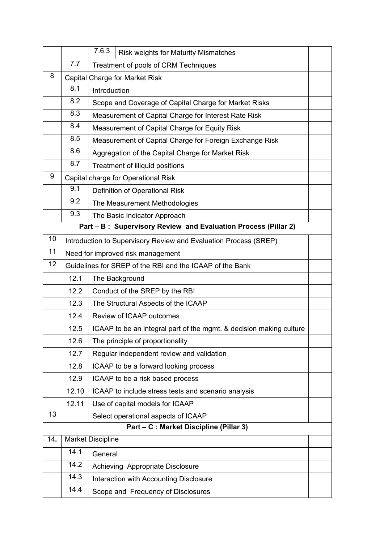|     |                                                                  | 7.6.3<br>Risk weights for Maturity Mismatches                       |  |  |  |  |  |  |
|-----|------------------------------------------------------------------|---------------------------------------------------------------------|--|--|--|--|--|--|
|     | 7.7                                                              | Treatment of pools of CRM Techniques                                |  |  |  |  |  |  |
| 8   |                                                                  | <b>Capital Charge for Market Risk</b>                               |  |  |  |  |  |  |
|     | 8.1                                                              | Introduction                                                        |  |  |  |  |  |  |
|     | 8.2                                                              | Scope and Coverage of Capital Charge for Market Risks               |  |  |  |  |  |  |
|     | 8.3                                                              | Measurement of Capital Charge for Interest Rate Risk                |  |  |  |  |  |  |
|     | 8.4                                                              | Measurement of Capital Charge for Equity Risk                       |  |  |  |  |  |  |
|     | 8.5                                                              | Measurement of Capital Charge for Foreign Exchange Risk             |  |  |  |  |  |  |
|     | 8.6                                                              | Aggregation of the Capital Charge for Market Risk                   |  |  |  |  |  |  |
|     | 8.7                                                              | Treatment of illiquid positions                                     |  |  |  |  |  |  |
| 9   |                                                                  | Capital charge for Operational Risk                                 |  |  |  |  |  |  |
|     | 9.1                                                              | Definition of Operational Risk                                      |  |  |  |  |  |  |
|     | 9.2                                                              | The Measurement Methodologies                                       |  |  |  |  |  |  |
|     | 9.3                                                              | The Basic Indicator Approach                                        |  |  |  |  |  |  |
|     | Part - B: Supervisory Review and Evaluation Process (Pillar 2)   |                                                                     |  |  |  |  |  |  |
| 10  | Introduction to Supervisory Review and Evaluation Process (SREP) |                                                                     |  |  |  |  |  |  |
| 11  |                                                                  | Need for improved risk management                                   |  |  |  |  |  |  |
| 12  | Guidelines for SREP of the RBI and the ICAAP of the Bank         |                                                                     |  |  |  |  |  |  |
|     | 12.1                                                             | The Background                                                      |  |  |  |  |  |  |
|     | 12.2                                                             | Conduct of the SREP by the RBI                                      |  |  |  |  |  |  |
|     | 12.3                                                             | The Structural Aspects of the ICAAP                                 |  |  |  |  |  |  |
|     | 12.4                                                             | Review of ICAAP outcomes                                            |  |  |  |  |  |  |
|     | 12.5                                                             | ICAAP to be an integral part of the mgmt. & decision making culture |  |  |  |  |  |  |
|     | 12.6                                                             | The principle of proportionality                                    |  |  |  |  |  |  |
|     | 12.7                                                             | Regular independent review and validation                           |  |  |  |  |  |  |
|     | 12.8                                                             | ICAAP to be a forward looking process                               |  |  |  |  |  |  |
|     | 12.9                                                             | ICAAP to be a risk based process                                    |  |  |  |  |  |  |
|     | 12.10                                                            | ICAAP to include stress tests and scenario analysis                 |  |  |  |  |  |  |
|     | 12.11                                                            | Use of capital models for ICAAP                                     |  |  |  |  |  |  |
| 13  |                                                                  | Select operational aspects of ICAAP                                 |  |  |  |  |  |  |
|     |                                                                  | Part – C : Market Discipline (Pillar 3)                             |  |  |  |  |  |  |
| 14. |                                                                  | <b>Market Discipline</b>                                            |  |  |  |  |  |  |
|     | 14.1                                                             | General                                                             |  |  |  |  |  |  |
|     | 14.2                                                             | Achieving Appropriate Disclosure                                    |  |  |  |  |  |  |
|     | 14.3                                                             | Interaction with Accounting Disclosure                              |  |  |  |  |  |  |
|     | 14.4                                                             | Scope and Frequency of Disclosures                                  |  |  |  |  |  |  |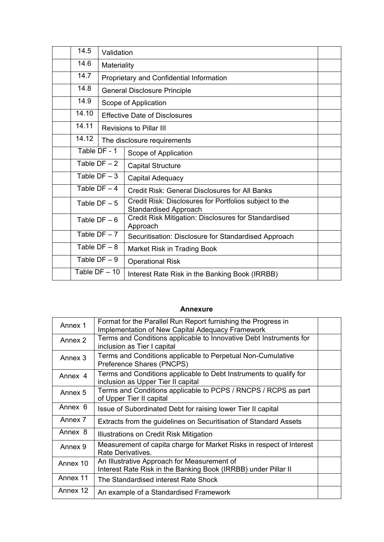| 14.5                                          |             | Validation                                                                             |  |  |  |  |
|-----------------------------------------------|-------------|----------------------------------------------------------------------------------------|--|--|--|--|
| 14.6                                          | Materiality |                                                                                        |  |  |  |  |
| 14.7                                          |             | Proprietary and Confidential Information                                               |  |  |  |  |
| 14.8                                          |             | <b>General Disclosure Principle</b>                                                    |  |  |  |  |
| 14.9                                          |             | Scope of Application                                                                   |  |  |  |  |
| 14.10<br><b>Effective Date of Disclosures</b> |             |                                                                                        |  |  |  |  |
| 14.11<br><b>Revisions to Pillar III</b>       |             |                                                                                        |  |  |  |  |
| 14.12                                         |             | The disclosure requirements                                                            |  |  |  |  |
| Table DF - 1                                  |             | Scope of Application                                                                   |  |  |  |  |
| Table $DF - 2$                                |             | <b>Capital Structure</b>                                                               |  |  |  |  |
| Table $DF - 3$                                |             | Capital Adequacy                                                                       |  |  |  |  |
| Table $DF - 4$                                |             | Credit Risk: General Disclosures for All Banks                                         |  |  |  |  |
| Table $DF - 5$                                |             | Credit Risk: Disclosures for Portfolios subject to the<br><b>Standardised Approach</b> |  |  |  |  |
| Table $DF - 6$                                |             | Credit Risk Mitigation: Disclosures for Standardised<br>Approach                       |  |  |  |  |
| Table $DF - 7$                                |             | Securitisation: Disclosure for Standardised Approach                                   |  |  |  |  |
| Table $DF - 8$                                |             | Market Risk in Trading Book                                                            |  |  |  |  |
| Table $DF - 9$                                |             | <b>Operational Risk</b>                                                                |  |  |  |  |
| Table $DF - 10$                               |             | Interest Rate Risk in the Banking Book (IRRBB)                                         |  |  |  |  |

# **Annexure**

| Annex 1  | Format for the Parallel Run Report furnishing the Progress in<br>Implementation of New Capital Adequacy Framework |  |
|----------|-------------------------------------------------------------------------------------------------------------------|--|
| Annex 2  | Terms and Conditions applicable to Innovative Debt Instruments for<br>inclusion as Tier I capital                 |  |
| Annex 3  | Terms and Conditions applicable to Perpetual Non-Cumulative<br>Preference Shares (PNCPS)                          |  |
| Annex 4  | Terms and Conditions applicable to Debt Instruments to qualify for<br>inclusion as Upper Tier II capital          |  |
| Annex 5  | Terms and Conditions applicable to PCPS / RNCPS / RCPS as part<br>of Upper Tier II capital                        |  |
| Annex 6  | Issue of Subordinated Debt for raising lower Tier II capital                                                      |  |
| Annex 7  | Extracts from the guidelines on Securitisation of Standard Assets                                                 |  |
| Annex 8  | Illustrations on Credit Risk Mitigation                                                                           |  |
| Annex 9  | Measurement of capita charge for Market Risks in respect of Interest<br>Rate Derivatives.                         |  |
| Annex 10 | An Illustrative Approach for Measurement of<br>Interest Rate Risk in the Banking Book (IRRBB) under Pillar II     |  |
| Annex 11 | The Standardised interest Rate Shock                                                                              |  |
| Annex 12 | An example of a Standardised Framework                                                                            |  |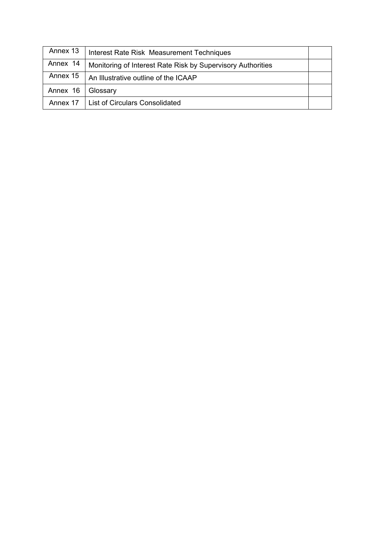| Annex 13 | Interest Rate Risk Measurement Techniques                   |  |
|----------|-------------------------------------------------------------|--|
| Annex 14 | Monitoring of Interest Rate Risk by Supervisory Authorities |  |
| Annex 15 | An Illustrative outline of the ICAAP                        |  |
| Annex 16 | Glossary                                                    |  |
|          | Annex 17   List of Circulars Consolidated                   |  |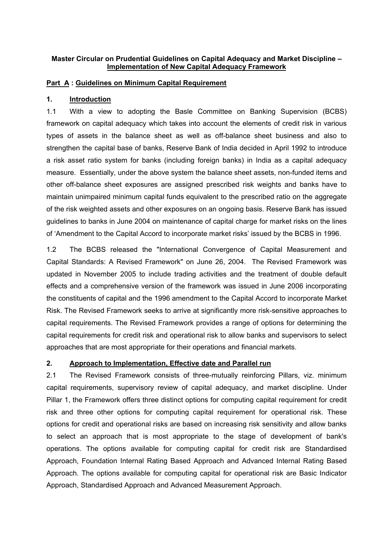#### **Master Circular on Prudential Guidelines on Capital Adequacy and Market Discipline – Implementation of New Capital Adequacy Framework**

#### **Part A : Guidelines on Minimum Capital Requirement**

#### **1. Introduction**

1.1 With a view to adopting the Basle Committee on Banking Supervision (BCBS) framework on capital adequacy which takes into account the elements of credit risk in various types of assets in the balance sheet as well as off-balance sheet business and also to strengthen the capital base of banks, Reserve Bank of India decided in April 1992 to introduce a risk asset ratio system for banks (including foreign banks) in India as a capital adequacy measure. Essentially, under the above system the balance sheet assets, non-funded items and other off-balance sheet exposures are assigned prescribed risk weights and banks have to maintain unimpaired minimum capital funds equivalent to the prescribed ratio on the aggregate of the risk weighted assets and other exposures on an ongoing basis. Reserve Bank has issued guidelines to banks in June 2004 on maintenance of capital charge for market risks on the lines of 'Amendment to the Capital Accord to incorporate market risks' issued by the BCBS in 1996.

1.2 The BCBS released the "International Convergence of Capital Measurement and Capital Standards: A Revised Framework" on June 26, 2004. The Revised Framework was updated in November 2005 to include trading activities and the treatment of double default effects and a comprehensive version of the framework was issued in June 2006 incorporating the constituents of capital and the 1996 amendment to the Capital Accord to incorporate Market Risk. The Revised Framework seeks to arrive at significantly more risk-sensitive approaches to capital requirements. The Revised Framework provides a range of options for determining the capital requirements for credit risk and operational risk to allow banks and supervisors to select approaches that are most appropriate for their operations and financial markets.

## **2. Approach to Implementation, Effective date and Parallel run**

2.1 The Revised Framework consists of three-mutually reinforcing Pillars, viz. minimum capital requirements, supervisory review of capital adequacy, and market discipline. Under Pillar 1, the Framework offers three distinct options for computing capital requirement for credit risk and three other options for computing capital requirement for operational risk. These options for credit and operational risks are based on increasing risk sensitivity and allow banks to select an approach that is most appropriate to the stage of development of bank's operations. The options available for computing capital for credit risk are Standardised Approach, Foundation Internal Rating Based Approach and Advanced Internal Rating Based Approach. The options available for computing capital for operational risk are Basic Indicator Approach, Standardised Approach and Advanced Measurement Approach.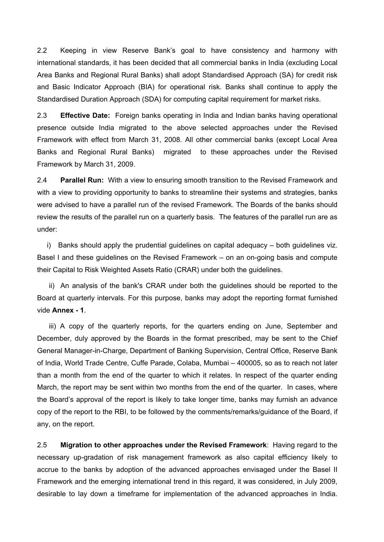2.2 Keeping in view Reserve Bank's goal to have consistency and harmony with international standards, it has been decided that all commercial banks in India (excluding Local Area Banks and Regional Rural Banks) shall adopt Standardised Approach (SA) for credit risk and Basic Indicator Approach (BIA) for operational risk. Banks shall continue to apply the Standardised Duration Approach (SDA) for computing capital requirement for market risks.

2.3 **Effective Date:** Foreign banks operating in India and Indian banks having operational presence outside India migrated to the above selected approaches under the Revised Framework with effect from March 31, 2008. All other commercial banks (except Local Area Banks and Regional Rural Banks) migrated to these approaches under the Revised Framework by March 31, 2009.

2.4 **Parallel Run:** With a view to ensuring smooth transition to the Revised Framework and with a view to providing opportunity to banks to streamline their systems and strategies, banks were advised to have a parallel run of the revised Framework. The Boards of the banks should review the results of the parallel run on a quarterly basis. The features of the parallel run are as under:

 i) Banks should apply the prudential guidelines on capital adequacy – both guidelines viz. Basel I and these guidelines on the Revised Framework – on an on-going basis and compute their Capital to Risk Weighted Assets Ratio (CRAR) under both the guidelines.

 ii) An analysis of the bank's CRAR under both the guidelines should be reported to the Board at quarterly intervals. For this purpose, banks may adopt the reporting format furnished vide **Annex - 1**.

 iii) A copy of the quarterly reports, for the quarters ending on June, September and December, duly approved by the Boards in the format prescribed, may be sent to the Chief General Manager-in-Charge, Department of Banking Supervision, Central Office, Reserve Bank of India, World Trade Centre, Cuffe Parade, Colaba, Mumbai – 400005, so as to reach not later than a month from the end of the quarter to which it relates. In respect of the quarter ending March, the report may be sent within two months from the end of the quarter. In cases, where the Board's approval of the report is likely to take longer time, banks may furnish an advance copy of the report to the RBI, to be followed by the comments/remarks/guidance of the Board, if any, on the report.

2.5 **Migration to other approaches under the Revised Framework**: Having regard to the necessary up-gradation of risk management framework as also capital efficiency likely to accrue to the banks by adoption of the advanced approaches envisaged under the Basel II Framework and the emerging international trend in this regard, it was considered, in July 2009, desirable to lay down a timeframe for implementation of the advanced approaches in India.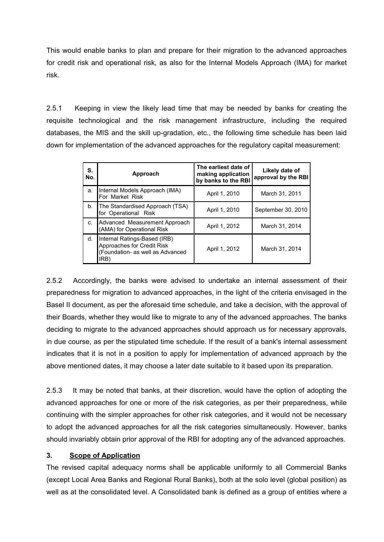This would enable banks to plan and prepare for their migration to the advanced approaches for credit risk and operational risk, as also for the Internal Models Approach (IMA) for market risk.

2.5.1 Keeping in view the likely lead time that may be needed by banks for creating the requisite technological and the risk management infrastructure, including the required databases, the MIS and the skill up-gradation, etc., the following time schedule has been laid down for implementation of the advanced approaches for the regulatory capital measurement:

| S.<br>No. | Approach                                                                                               | The earliest date of<br>making application<br>by banks to the RBI | Likely date of<br>approval by the RBI |
|-----------|--------------------------------------------------------------------------------------------------------|-------------------------------------------------------------------|---------------------------------------|
| a.        | Internal Models Approach (IMA)<br>For Market Risk                                                      | April 1, 2010                                                     | March 31, 2011                        |
| b.        | The Standardised Approach (TSA)<br>for Operational Risk                                                | April 1, 2010                                                     | September 30, 2010                    |
| c.        | Advanced Measurement Approach<br>(AMA) for Operational Risk                                            | April 1, 2012                                                     | March 31, 2014                        |
| d.        | Internal Ratings-Based (IRB)<br>Approaches for Credit Risk<br>(Foundation- as well as Advanced<br>IRB) | April 1, 2012                                                     | March 31, 2014                        |

2.5.2 Accordingly, the banks were advised to undertake an internal assessment of their preparedness for migration to advanced approaches, in the light of the criteria envisaged in the Basel II document, as per the aforesaid time schedule, and take a decision, with the approval of their Boards, whether they would like to migrate to any of the advanced approaches. The banks deciding to migrate to the advanced approaches should approach us for necessary approvals, in due course, as per the stipulated time schedule. If the result of a bank's internal assessment indicates that it is not in a position to apply for implementation of advanced approach by the above mentioned dates, it may choose a later date suitable to it based upon its preparation.

2.5.3 It may be noted that banks, at their discretion, would have the option of adopting the advanced approaches for one or more of the risk categories, as per their preparedness, while continuing with the simpler approaches for other risk categories, and it would not be necessary to adopt the advanced approaches for all the risk categories simultaneously. However, banks should invariably obtain prior approval of the RBI for adopting any of the advanced approaches.

## **3. Scope of Application**

The revised capital adequacy norms shall be applicable uniformly to all Commercial Banks (except Local Area Banks and Regional Rural Banks), both at the solo level (global position) as well as at the consolidated level. A Consolidated bank is defined as a group of entities where a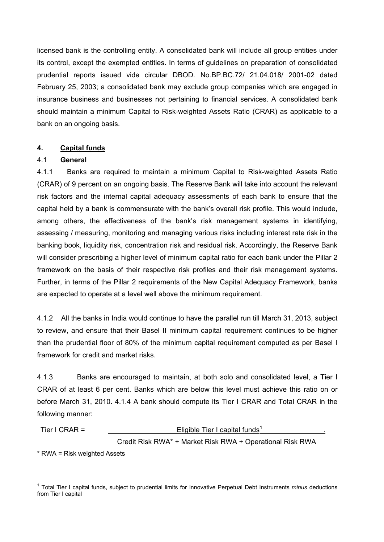licensed bank is the controlling entity. A consolidated bank will include all group entities under its control, except the exempted entities. In terms of guidelines on preparation of consolidated prudential reports issued vide circular DBOD. No.BP.BC.72/ 21.04.018/ 2001-02 dated February 25, 2003; a consolidated bank may exclude group companies which are engaged in insurance business and businesses not pertaining to financial services. A consolidated bank should maintain a minimum Capital to Risk-weighted Assets Ratio (CRAR) as applicable to a bank on an ongoing basis.

#### **4. Capital funds**

#### 4.1 **General**

4.1.1 Banks are required to maintain a minimum Capital to Risk-weighted Assets Ratio (CRAR) of 9 percent on an ongoing basis. The Reserve Bank will take into account the relevant risk factors and the internal capital adequacy assessments of each bank to ensure that the capital held by a bank is commensurate with the bank's overall risk profile. This would include, among others, the effectiveness of the bank's risk management systems in identifying, assessing / measuring, monitoring and managing various risks including interest rate risk in the banking book, liquidity risk, concentration risk and residual risk. Accordingly, the Reserve Bank will consider prescribing a higher level of minimum capital ratio for each bank under the Pillar 2 framework on the basis of their respective risk profiles and their risk management systems. Further, in terms of the Pillar 2 requirements of the New Capital Adequacy Framework, banks are expected to operate at a level well above the minimum requirement.

4.1.2 All the banks in India would continue to have the parallel run till March 31, 2013, subject to review, and ensure that their Basel II minimum capital requirement continues to be higher than the prudential floor of 80% of the minimum capital requirement computed as per Basel I framework for credit and market risks.

4.1.3 Banks are encouraged to maintain, at both solo and consolidated level, a Tier I CRAR of at least 6 per cent. Banks which are below this level must achieve this ratio on or before March 31, 2010. 4.1.4 A bank should compute its Tier I CRAR and Total CRAR in the following manner:

l

Tier I CRAR =  $Eligible$  Tier I capital funds<sup>[1](#page-8-0)</sup>

.

Credit Risk RWA\* + Market Risk RWA + Operational Risk RWA

\* RWA = Risk weighted Assets

<span id="page-8-0"></span><sup>1</sup> Total Tier I capital funds, subject to prudential limits for Innovative Perpetual Debt Instruments *minus* deductions from Tier I capital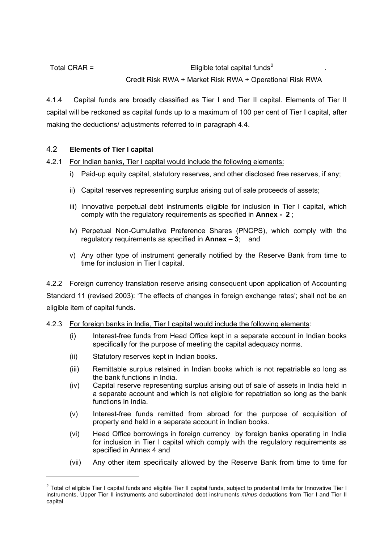1

Total CRAR =  $E$  Eligible total capital funds<sup>[2](#page-9-0)</sup> .

# Credit Risk RWA + Market Risk RWA + Operational Risk RWA

4.1.4 Capital funds are broadly classified as Tier I and Tier II capital. Elements of Tier II capital will be reckoned as capital funds up to a maximum of 100 per cent of Tier I capital, after making the deductions/ adjustments referred to in paragraph 4.4.

# 4.2 **Elements of Tier I capital**

4.2.1 For Indian banks, Tier I capital would include the following elements:

- i) Paid-up equity capital, statutory reserves, and other disclosed free reserves, if any;
- ii) Capital reserves representing surplus arising out of sale proceeds of assets;
- iii) Innovative perpetual debt instruments eligible for inclusion in Tier I capital, which comply with the regulatory requirements as specified in **Annex - 2** ;
- iv) Perpetual Non-Cumulative Preference Shares (PNCPS), which comply with the regulatory requirements as specified in **Annex – 3**; and
- v) Any other type of instrument generally notified by the Reserve Bank from time to time for inclusion in Tier I capital.

4.2.2 Foreign currency translation reserve arising consequent upon application of Accounting Standard 11 (revised 2003): 'The effects of changes in foreign exchange rates'; shall not be an eligible item of capital funds.

## 4.2.3 For foreign banks in India, Tier I capital would include the following elements:

- (i) Interest-free funds from Head Office kept in a separate account in Indian books specifically for the purpose of meeting the capital adequacy norms.
- (ii) Statutory reserves kept in Indian books.
- (iii) Remittable surplus retained in Indian books which is not repatriable so long as the bank functions in India.
- (iv) Capital reserve representing surplus arising out of sale of assets in India held in a separate account and which is not eligible for repatriation so long as the bank functions in India.
- (v) Interest-free funds remitted from abroad for the purpose of acquisition of property and held in a separate account in Indian books.
- (vi) Head Office borrowings in foreign currency by foreign banks operating in India for inclusion in Tier I capital which comply with the regulatory requirements as specified in Annex 4 and
- (vii) Any other item specifically allowed by the Reserve Bank from time to time for

<span id="page-9-0"></span> $^2$  Total of eligible Tier I capital funds and eligible Tier II capital funds, subject to prudential limits for Innovative Tier I instruments, Upper Tier II instruments and subordinated debt instruments *minus* deductions from Tier I and Tier II capital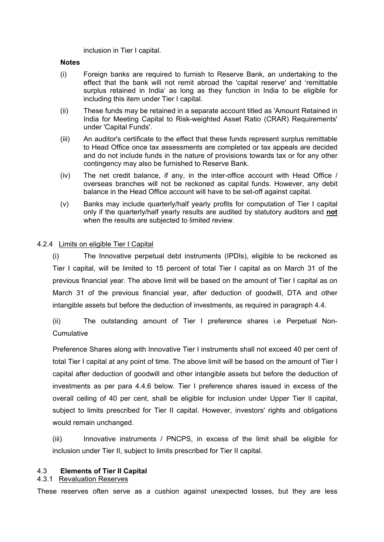inclusion in Tier I capital.

#### **Notes**

- (i) Foreign banks are required to furnish to Reserve Bank, an undertaking to the effect that the bank will not remit abroad the 'capital reserve' and 'remittable surplus retained in India' as long as they function in India to be eligible for including this item under Tier I capital.
- (ii) These funds may be retained in a separate account titled as 'Amount Retained in India for Meeting Capital to Risk-weighted Asset Ratio (CRAR) Requirements' under 'Capital Funds'.
- (iii) An auditor's certificate to the effect that these funds represent surplus remittable to Head Office once tax assessments are completed or tax appeals are decided and do not include funds in the nature of provisions towards tax or for any other contingency may also be furnished to Reserve Bank.
- (iv) The net credit balance, if any, in the inter-office account with Head Office / overseas branches will not be reckoned as capital funds. However, any debit balance in the Head Office account will have to be set-off against capital.
- (v) Banks may include quarterly/half yearly profits for computation of Tier I capital only if the quarterly/half yearly results are audited by statutory auditors and **not** when the results are subjected to limited review.

#### 4.2.4 Limits on eligible Tier I Capital

(i) The Innovative perpetual debt instruments (IPDIs), eligible to be reckoned as Tier I capital, will be limited to 15 percent of total Tier I capital as on March 31 of the previous financial year. The above limit will be based on the amount of Tier I capital as on March 31 of the previous financial year, after deduction of goodwill, DTA and other intangible assets but before the deduction of investments, as required in paragraph 4.4.

(ii) The outstanding amount of Tier I preference shares i.e Perpetual Non-**Cumulative** 

Preference Shares along with Innovative Tier I instruments shall not exceed 40 per cent of total Tier I capital at any point of time. The above limit will be based on the amount of Tier I capital after deduction of goodwill and other intangible assets but before the deduction of investments as per para 4.4.6 below. Tier I preference shares issued in excess of the overall ceiling of 40 per cent, shall be eligible for inclusion under Upper Tier II capital, subject to limits prescribed for Tier II capital. However, investors' rights and obligations would remain unchanged.

(iii) Innovative instruments / PNCPS, in excess of the limit shall be eligible for inclusion under Tier II, subject to limits prescribed for Tier II capital.

## 4.3 **Elements of Tier II Capital**

#### 4.3.1 Revaluation Reserves

These reserves often serve as a cushion against unexpected losses, but they are less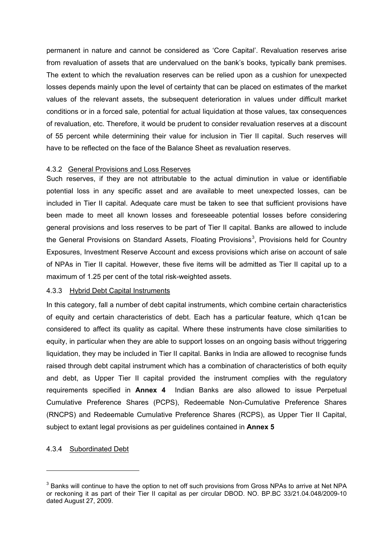permanent in nature and cannot be considered as 'Core Capital'. Revaluation reserves arise from revaluation of assets that are undervalued on the bank's books, typically bank premises. The extent to which the revaluation reserves can be relied upon as a cushion for unexpected losses depends mainly upon the level of certainty that can be placed on estimates of the market values of the relevant assets, the subsequent deterioration in values under difficult market conditions or in a forced sale, potential for actual liquidation at those values, tax consequences of revaluation, etc. Therefore, it would be prudent to consider revaluation reserves at a discount of 55 percent while determining their value for inclusion in Tier II capital. Such reserves will have to be reflected on the face of the Balance Sheet as revaluation reserves.

#### 4.3.2 General Provisions and Loss Reserves

Such reserves, if they are not attributable to the actual diminution in value or identifiable potential loss in any specific asset and are available to meet unexpected losses, can be included in Tier II capital. Adequate care must be taken to see that sufficient provisions have been made to meet all known losses and foreseeable potential losses before considering general provisions and loss reserves to be part of Tier II capital. Banks are allowed to include the General Provisions on Standard Assets, Floating Provisions<sup>[3](#page-11-0)</sup>, Provisions held for Country Exposures, Investment Reserve Account and excess provisions which arise on account of sale of NPAs in Tier II capital. However, these five items will be admitted as Tier II capital up to a maximum of 1.25 per cent of the total risk-weighted assets.

## 4.3.3 Hybrid Debt Capital Instruments

In this category, fall a number of debt capital instruments, which combine certain characteristics of equity and certain characteristics of debt. Each has a particular feature, which q1can be considered to affect its quality as capital. Where these instruments have close similarities to equity, in particular when they are able to support losses on an ongoing basis without triggering liquidation, they may be included in Tier II capital. Banks in India are allowed to recognise funds raised through debt capital instrument which has a combination of characteristics of both equity and debt, as Upper Tier II capital provided the instrument complies with the regulatory requirements specified in **Annex 4** Indian Banks are also allowed to issue Perpetual Cumulative Preference Shares (PCPS), Redeemable Non-Cumulative Preference Shares (RNCPS) and Redeemable Cumulative Preference Shares (RCPS), as Upper Tier II Capital, subject to extant legal provisions as per guidelines contained in **Annex 5**

## 4.3.4 Subordinated Debt

1

<span id="page-11-0"></span> $3$  Banks will continue to have the option to net off such provisions from Gross NPAs to arrive at Net NPA or reckoning it as part of their Tier II capital as per circular DBOD. NO. BP.BC 33/21.04.048/2009-10 dated August 27, 2009.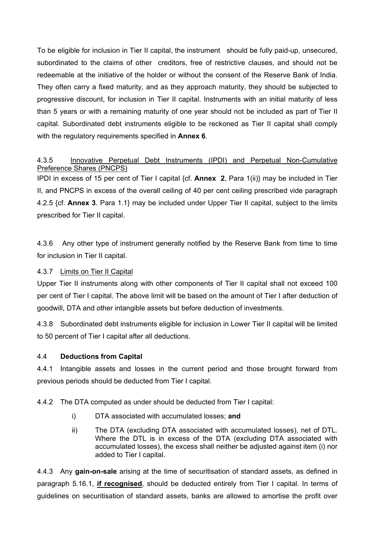To be eligible for inclusion in Tier II capital, the instrument should be fully paid-up, unsecured, subordinated to the claims of other creditors, free of restrictive clauses, and should not be redeemable at the initiative of the holder or without the consent of the Reserve Bank of India. They often carry a fixed maturity, and as they approach maturity, they should be subjected to progressive discount, for inclusion in Tier II capital. Instruments with an initial maturity of less than 5 years or with a remaining maturity of one year should not be included as part of Tier II capital. Subordinated debt instruments eligible to be reckoned as Tier II capital shall comply with the regulatory requirements specified in **Annex 6**.

## 4.3.5 Innovative Perpetual Debt Instruments (IPDI) and Perpetual Non-Cumulative Preference Shares (PNCPS)

IPDI in excess of 15 per cent of Tier I capital {cf. **Annex 2**, Para 1(ii)} may be included in Tier II, and PNCPS in excess of the overall ceiling of 40 per cent ceiling prescribed vide paragraph 4.2.5 {cf. **Annex 3**. Para 1.1} may be included under Upper Tier II capital, subject to the limits prescribed for Tier II capital.

4.3.6 Any other type of instrument generally notified by the Reserve Bank from time to time for inclusion in Tier II capital.

## 4.3.7 Limits on Tier II Capital

Upper Tier II instruments along with other components of Tier II capital shall not exceed 100 per cent of Tier I capital. The above limit will be based on the amount of Tier I after deduction of goodwill, DTA and other intangible assets but before deduction of investments.

4.3.8 Subordinated debt instruments eligible for inclusion in Lower Tier II capital will be limited to 50 percent of Tier I capital after all deductions.

## 4.4 **Deductions from Capital**

4.4.1 Intangible assets and losses in the current period and those brought forward from previous periods should be deducted from Tier I capital.

4.4.2 The DTA computed as under should be deducted from Tier I capital:

- i) DTA associated with accumulated losses; **and**
- ii) The DTA (excluding DTA associated with accumulated losses), net of DTL. Where the DTL is in excess of the DTA (excluding DTA associated with accumulated losses), the excess shall neither be adjusted against item (i) nor added to Tier I capital.

4.4.3 Any **gain-on-sale** arising at the time of securitisation of standard assets, as defined in paragraph 5.16.1, **if recognised**, should be deducted entirely from Tier I capital. In terms of guidelines on securitisation of standard assets, banks are allowed to amortise the profit over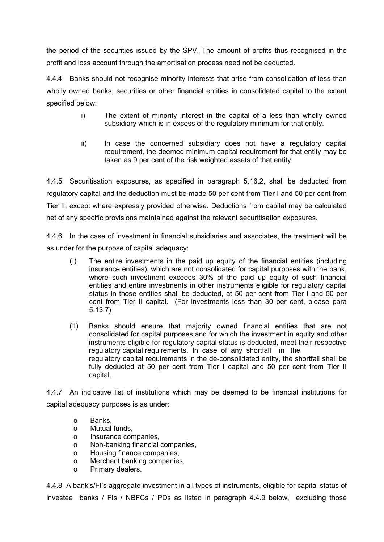the period of the securities issued by the SPV. The amount of profits thus recognised in the profit and loss account through the amortisation process need not be deducted.

4.4.4 Banks should not recognise minority interests that arise from consolidation of less than wholly owned banks, securities or other financial entities in consolidated capital to the extent specified below:

- i) The extent of minority interest in the capital of a less than wholly owned subsidiary which is in excess of the regulatory minimum for that entity.
- ii) In case the concerned subsidiary does not have a regulatory capital requirement, the deemed minimum capital requirement for that entity may be taken as 9 per cent of the risk weighted assets of that entity.

4.4.5 Securitisation exposures, as specified in paragraph 5.16.2, shall be deducted from regulatory capital and the deduction must be made 50 per cent from Tier I and 50 per cent from Tier II, except where expressly provided otherwise. Deductions from capital may be calculated net of any specific provisions maintained against the relevant securitisation exposures.

4.4.6 In the case of investment in financial subsidiaries and associates, the treatment will be as under for the purpose of capital adequacy:

- (i) The entire investments in the paid up equity of the financial entities (including insurance entities), which are not consolidated for capital purposes with the bank, where such investment exceeds 30% of the paid up equity of such financial entities and entire investments in other instruments eligible for regulatory capital status in those entities shall be deducted, at 50 per cent from Tier I and 50 per cent from Tier II capital. (For investments less than 30 per cent, please para 5.13.7)
- (ii) Banks should ensure that majority owned financial entities that are not consolidated for capital purposes and for which the investment in equity and other instruments eligible for regulatory capital status is deducted, meet their respective regulatory capital requirements. In case of any shortfall in the regulatory capital requirements in the de-consolidated entity, the shortfall shall be fully deducted at 50 per cent from Tier I capital and 50 per cent from Tier II capital.

4.4.7 An indicative list of institutions which may be deemed to be financial institutions for capital adequacy purposes is as under:

- o Banks,
- o Mutual funds,
- o Insurance companies,
- o Non-banking financial companies,
- o Housing finance companies,
- o Merchant banking companies,
- o Primary dealers.

4.4.8 A bank's/FI's aggregate investment in all types of instruments, eligible for capital status of investee banks / FIs / NBFCs / PDs as listed in paragraph 4.4.9 below, excluding those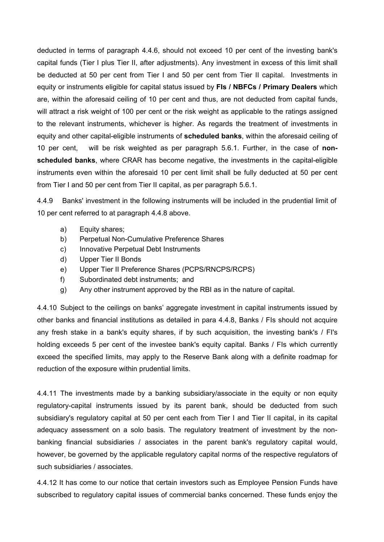deducted in terms of paragraph 4.4.6, should not exceed 10 per cent of the investing bank's capital funds (Tier I plus Tier II, after adjustments). Any investment in excess of this limit shall be deducted at 50 per cent from Tier I and 50 per cent from Tier II capital. Investments in equity or instruments eligible for capital status issued by **FIs / NBFCs / Primary Dealers** which are, within the aforesaid ceiling of 10 per cent and thus, are not deducted from capital funds, will attract a risk weight of 100 per cent or the risk weight as applicable to the ratings assigned to the relevant instruments, whichever is higher. As regards the treatment of investments in equity and other capital-eligible instruments of **scheduled banks**, within the aforesaid ceiling of 10 per cent, will be risk weighted as per paragraph 5.6.1. Further, in the case of **nonscheduled banks**, where CRAR has become negative, the investments in the capital-eligible instruments even within the aforesaid 10 per cent limit shall be fully deducted at 50 per cent from Tier I and 50 per cent from Tier II capital, as per paragraph 5.6.1.

4.4.9 Banks' investment in the following instruments will be included in the prudential limit of 10 per cent referred to at paragraph 4.4.8 above.

- a) Equity shares;
- b) Perpetual Non-Cumulative Preference Shares
- c) Innovative Perpetual Debt Instruments
- d) Upper Tier II Bonds
- e) Upper Tier II Preference Shares (PCPS/RNCPS/RCPS)
- f) Subordinated debt instruments; and
- g) Any other instrument approved by the RBI as in the nature of capital.

4.4.10 Subject to the ceilings on banks' aggregate investment in capital instruments issued by other banks and financial institutions as detailed in para 4.4.8, Banks / FIs should not acquire any fresh stake in a bank's equity shares, if by such acquisition, the investing bank's / FI's holding exceeds 5 per cent of the investee bank's equity capital. Banks / FIs which currently exceed the specified limits, may apply to the Reserve Bank along with a definite roadmap for reduction of the exposure within prudential limits.

4.4.11 The investments made by a banking subsidiary/associate in the equity or non equity regulatory-capital instruments issued by its parent bank, should be deducted from such subsidiary's regulatory capital at 50 per cent each from Tier I and Tier II capital, in its capital adequacy assessment on a solo basis. The regulatory treatment of investment by the nonbanking financial subsidiaries / associates in the parent bank's regulatory capital would, however, be governed by the applicable regulatory capital norms of the respective regulators of such subsidiaries / associates.

4.4.12 It has come to our notice that certain investors such as Employee Pension Funds have subscribed to regulatory capital issues of commercial banks concerned. These funds enjoy the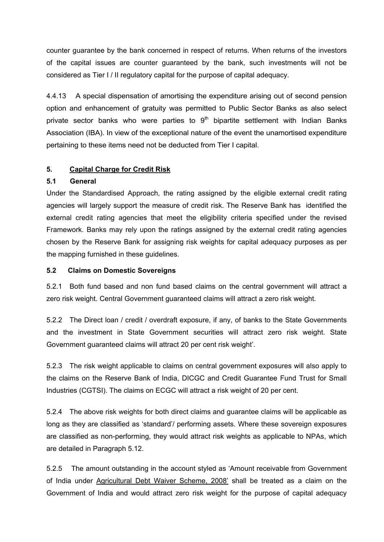counter guarantee by the bank concerned in respect of returns. When returns of the investors of the capital issues are counter guaranteed by the bank, such investments will not be considered as Tier I / II regulatory capital for the purpose of capital adequacy.

4.4.13 A special dispensation of amortising the expenditure arising out of second pension option and enhancement of gratuity was permitted to Public Sector Banks as also select private sector banks who were parties to  $9<sup>th</sup>$  bipartite settlement with Indian Banks Association (IBA). In view of the exceptional nature of the event the unamortised expenditure pertaining to these items need not be deducted from Tier I capital.

## **5. Capital Charge for Credit Risk**

## **5.1 General**

Under the Standardised Approach, the rating assigned by the eligible external credit rating agencies will largely support the measure of credit risk. The Reserve Bank has identified the external credit rating agencies that meet the eligibility criteria specified under the revised Framework. Banks may rely upon the ratings assigned by the external credit rating agencies chosen by the Reserve Bank for assigning risk weights for capital adequacy purposes as per the mapping furnished in these guidelines.

# **5.2 Claims on Domestic Sovereigns**

5.2.1 Both fund based and non fund based claims on the central government will attract a zero risk weight. Central Government guaranteed claims will attract a zero risk weight.

5.2.2 The Direct loan / credit / overdraft exposure, if any, of banks to the State Governments and the investment in State Government securities will attract zero risk weight. State Government guaranteed claims will attract 20 per cent risk weight'.

5.2.3 The risk weight applicable to claims on central government exposures will also apply to the claims on the Reserve Bank of India, DICGC and Credit Guarantee Fund Trust for Small Industries (CGTSI). The claims on ECGC will attract a risk weight of 20 per cent.

5.2.4 The above risk weights for both direct claims and guarantee claims will be applicable as long as they are classified as 'standard'/ performing assets. Where these sovereign exposures are classified as non-performing, they would attract risk weights as applicable to NPAs, which are detailed in Paragraph 5.12.

5.2.5 The amount outstanding in the account styled as 'Amount receivable from Government of India under Agricultural Debt Waiver Scheme, 2008' shall be treated as a claim on the Government of India and would attract zero risk weight for the purpose of capital adequacy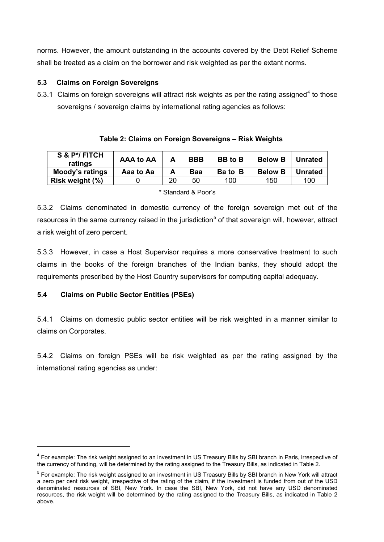norms. However, the amount outstanding in the accounts covered by the Debt Relief Scheme shall be treated as a claim on the borrower and risk weighted as per the extant norms.

#### **5.3 Claims on Foreign Sovereigns**

5.3.1 Claims on foreign sovereigns will attract risk weights as per the rating assigned<sup>[4](#page-16-0)</sup> to those sovereigns / sovereign claims by international rating agencies as follows:

| S & P <sup>*</sup> / FITCH<br>ratings | <b>AAA to AA</b> |  | <b>BBB</b> | <b>BB</b> to B | <b>Below B</b> | Unrated        |
|---------------------------------------|------------------|--|------------|----------------|----------------|----------------|
| Moody's ratings                       | Aaa to Aa        |  | Baa        | Ba to B        | <b>Below B</b> | <b>Unrated</b> |
| Risk weight (%)                       |                  |  | 50         | 100            | 150            | 100            |

#### **Table 2: Claims on Foreign Sovereigns – Risk Weights**

#### \* Standard & Poor's

5.3.2 Claims denominated in domestic currency of the foreign sovereign met out of the resources in the same currency raised in the jurisdiction<sup>[5](#page-16-1)</sup> of that sovereign will, however, attract a risk weight of zero percent.

5.3.3 However, in case a Host Supervisor requires a more conservative treatment to such claims in the books of the foreign branches of the Indian banks, they should adopt the requirements prescribed by the Host Country supervisors for computing capital adequacy.

## **5.4 Claims on Public Sector Entities (PSEs)**

l

5.4.1 Claims on domestic public sector entities will be risk weighted in a manner similar to claims on Corporates.

5.4.2 Claims on foreign PSEs will be risk weighted as per the rating assigned by the international rating agencies as under:

<span id="page-16-0"></span><sup>&</sup>lt;sup>4</sup> For example: The risk weight assigned to an investment in US Treasury Bills by SBI branch in Paris, irrespective of the currency of funding, will be determined by the rating assigned to the Treasury Bills, as indicated in Table 2.

<span id="page-16-1"></span><sup>&</sup>lt;sup>5</sup> For example: The risk weight assigned to an investment in US Treasury Bills by SBI branch in New York will attract a zero per cent risk weight, irrespective of the rating of the claim, if the investment is funded from out of the USD denominated resources of SBI, New York. In case the SBI, New York, did not have any USD denominated resources, the risk weight will be determined by the rating assigned to the Treasury Bills, as indicated in Table 2 above.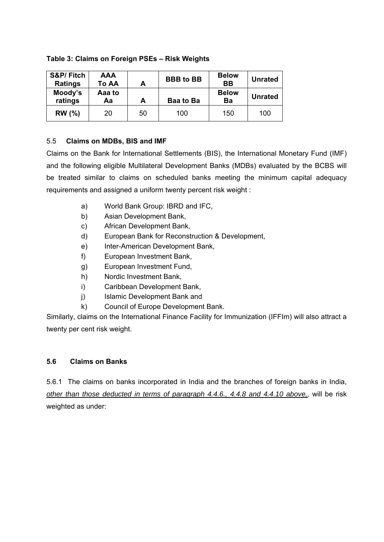| S&P/Fitch<br><b>Ratings</b> | <b>AAA</b><br><b>To AA</b> | Α  | <b>BBB</b> to BB | <b>Below</b><br>BB | <b>Unrated</b> |
|-----------------------------|----------------------------|----|------------------|--------------------|----------------|
| Moody's<br>ratings          | Aaa to<br>Аa               | А  | <b>Baa to Ba</b> | <b>Below</b><br>Ba | <b>Unrated</b> |
| <b>RW (%)</b>               | 20                         | 50 | 100              | 150                | 100            |

**Table 3: Claims on Foreign PSEs – Risk Weights** 

# 5.5 **Claims on MDBs, BIS and IMF**

Claims on the Bank for International Settlements (BIS), the International Monetary Fund (IMF) and the following eligible Multilateral Development Banks (MDBs) evaluated by the BCBS will be treated similar to claims on scheduled banks meeting the minimum capital adequacy requirements and assigned a uniform twenty percent risk weight :

- a) World Bank Group: IBRD and IFC,
- b) Asian Development Bank,
- c) African Development Bank,
- d) European Bank for Reconstruction & Development,
- e) Inter-American Development Bank,
- f) European Investment Bank,
- g) European Investment Fund,
- h) Nordic Investment Bank,
- i) Caribbean Development Bank,
- j) Islamic Development Bank and
- k) Council of Europe Development Bank.

Similarly, claims on the International Finance Facility for Immunization (IFFIm) will also attract a twenty per cent risk weight.

# **5.6 Claims on Banks**

5.6.1 The claims on banks incorporated in India and the branches of foreign banks in India, *other than those deducted in terms of paragraph 4.4.6., 4.4.8 and 4.4.10 above,,* will be risk weighted as under: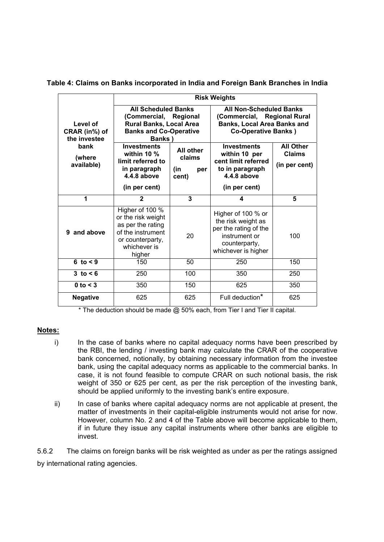|  | Table 4: Claims on Banks incorporated in India and Foreign Bank Branches in India |  |  |  |
|--|-----------------------------------------------------------------------------------|--|--|--|
|  |                                                                                   |  |  |  |

|                                           | <b>Risk Weights</b>                                                                                                              |                                                   |                                                                                                                                   |                                                    |  |  |  |
|-------------------------------------------|----------------------------------------------------------------------------------------------------------------------------------|---------------------------------------------------|-----------------------------------------------------------------------------------------------------------------------------------|----------------------------------------------------|--|--|--|
| Level of<br>CRAR (in%) of<br>the investee | <b>All Scheduled Banks</b><br>(Commercial, Regional<br><b>Rural Banks, Local Area</b><br><b>Banks and Co-Operative</b><br>Banks) |                                                   | <b>All Non-Scheduled Banks</b><br>(Commercial, Regional Rural<br><b>Banks, Local Area Banks and</b><br><b>Co-Operative Banks)</b> |                                                    |  |  |  |
| bank<br>(where<br>available)              | Investments<br>within 10 $\%$<br>limit referred to<br>in paragraph<br>4.4.8 above                                                | <b>All other</b><br>claims<br>(in<br>per<br>cent) | <b>Investments</b><br>within 10 per<br>cent limit referred<br>to in paragraph<br>4.4.8 above                                      | <b>All Other</b><br><b>Claims</b><br>(in per cent) |  |  |  |
|                                           | (in per cent)                                                                                                                    |                                                   | (in per cent)                                                                                                                     |                                                    |  |  |  |
| 1                                         | $\mathbf{2}$                                                                                                                     | 3                                                 | 4                                                                                                                                 | 5                                                  |  |  |  |
| 9 and above                               | Higher of 100 %<br>or the risk weight<br>as per the rating<br>of the instrument<br>or counterparty,<br>whichever is<br>higher    | 20                                                | Higher of 100 % or<br>the risk weight as<br>per the rating of the<br>instrument or<br>counterparty,<br>whichever is higher        | 100                                                |  |  |  |
| $6 \text{ to } 9$                         | 150                                                                                                                              | 50                                                | 250                                                                                                                               | 150                                                |  |  |  |
| $3 \text{ to } 6$                         | 250                                                                                                                              | 100                                               | 350                                                                                                                               | 250                                                |  |  |  |
| 0 to $<$ 3                                | 350                                                                                                                              | 150                                               | 625                                                                                                                               | 350                                                |  |  |  |
| <b>Negative</b>                           | 625                                                                                                                              | 625                                               | Full deduction*                                                                                                                   | 625                                                |  |  |  |

\* The deduction should be made @ 50% each, from Tier I and Tier II capital.

## **Notes:**

- i) In the case of banks where no capital adequacy norms have been prescribed by the RBI, the lending / investing bank may calculate the CRAR of the cooperative bank concerned, notionally, by obtaining necessary information from the investee bank, using the capital adequacy norms as applicable to the commercial banks. In case, it is not found feasible to compute CRAR on such notional basis, the risk weight of 350 or 625 per cent, as per the risk perception of the investing bank, should be applied uniformly to the investing bank's entire exposure.
- ii) In case of banks where capital adequacy norms are not applicable at present, the matter of investments in their capital-eligible instruments would not arise for now. However, column No. 2 and 4 of the Table above will become applicable to them, if in future they issue any capital instruments where other banks are eligible to invest.

5.6.2 The claims on foreign banks will be risk weighted as under as per the ratings assigned by international rating agencies.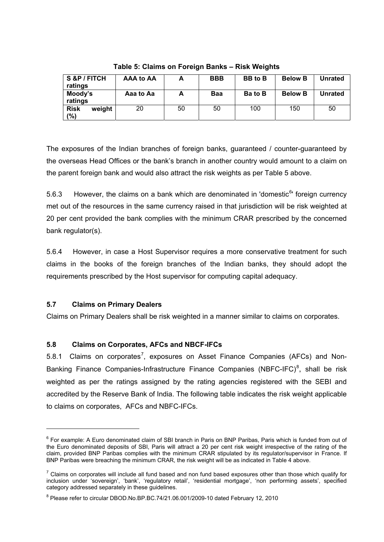| S &P / FITCH<br>ratings      | AAA to AA |    | <b>BBB</b> | <b>BB</b> to <b>B</b> | <b>Below B</b> | <b>Unrated</b> |
|------------------------------|-----------|----|------------|-----------------------|----------------|----------------|
| Moody's<br>ratings           | Aaa to Aa | А  | Baa        | <b>Bato B</b>         | <b>Below B</b> | <b>Unrated</b> |
| <b>Risk</b><br>weight<br>(%) | 20        | 50 | 50         | 100                   | 150            | 50             |

**Table 5: Claims on Foreign Banks – Risk Weights** 

The exposures of the Indian branches of foreign banks, guaranteed / counter-guaranteed by the overseas Head Offices or the bank's branch in another country would amount to a claim on the parent foreign bank and would also attract the risk weights as per Table 5 above.

5.[6](#page-19-0).3 However, the claims on a bank which are denominated in 'domestic $<sup>6</sup>$ ' foreign currency</sup> met out of the resources in the same currency raised in that jurisdiction will be risk weighted at 20 per cent provided the bank complies with the minimum CRAR prescribed by the concerned bank regulator(s).

5.6.4 However, in case a Host Supervisor requires a more conservative treatment for such claims in the books of the foreign branches of the Indian banks, they should adopt the requirements prescribed by the Host supervisor for computing capital adequacy.

## **5.7 Claims on Primary Dealers**

1

Claims on Primary Dealers shall be risk weighted in a manner similar to claims on corporates.

# **5.8 Claims on Corporates, AFCs and NBCF-IFCs**

5.8.1 Claims on corporates<sup>[7](#page-19-1)</sup>, exposures on Asset Finance Companies (AFCs) and Non-Banking Finance Companies-Infrastructure Finance Companies (NBFC-IFC) $^8$  $^8$ , shall be risk weighted as per the ratings assigned by the rating agencies registered with the SEBI and accredited by the Reserve Bank of India. The following table indicates the risk weight applicable to claims on corporates, AFCs and NBFC-IFCs.

<span id="page-19-0"></span><sup>&</sup>lt;sup>6</sup> For example: A Euro denominated claim of SBI branch in Paris on BNP Paribas, Paris which is funded from out of the Euro denominated deposits of SBI, Paris will attract a 20 per cent risk weight irrespective of the rating of the claim, provided BNP Paribas complies with the minimum CRAR stipulated by its regulator/supervisor in France. If BNP Paribas were breaching the minimum CRAR, the risk weight will be as indicated in Table 4 above.

<span id="page-19-1"></span> $<sup>7</sup>$  Claims on corporates will include all fund based and non fund based exposures other than those which qualify for</sup> inclusion under 'sovereign', 'bank', 'regulatory retail', 'residential mortgage', 'non performing assets', specified category addressed separately in these guidelines.

<span id="page-19-2"></span><sup>&</sup>lt;sup>8</sup> Please refer to circular DBOD.No.BP.BC.74/21.06.001/2009-10 dated February 12, 2010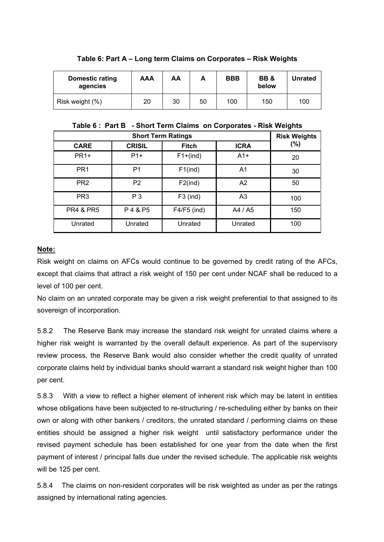| Domestic rating<br>agencies | AAA | AA | Α  | <b>BBB</b> | <b>BB&amp;</b><br>below | <b>Unrated</b> |
|-----------------------------|-----|----|----|------------|-------------------------|----------------|
| Risk weight (%)             | 20  | 30 | 50 | 100        | 150                     | 100            |

**Table 6: Part A – Long term Claims on Corporates – Risk Weights** 

**Table 6 : Part B - Short Term Claims on Corporates - Risk Weights**

|                      | <b>Risk Weights</b> |               |                |        |
|----------------------|---------------------|---------------|----------------|--------|
| <b>CARE</b>          | <b>CRISIL</b>       | <b>Fitch</b>  | <b>ICRA</b>    | $(\%)$ |
| PR <sub>1+</sub>     | $P1+$               | $F1+(ind)$    | $A1+$          | 20     |
| PR <sub>1</sub>      | P <sub>1</sub>      | $F1$ (ind)    | A <sub>1</sub> | 30     |
| PR <sub>2</sub>      | P <sub>2</sub>      | $F2$ (ind)    | A2             | 50     |
| PR <sub>3</sub>      | P <sub>3</sub>      | $F3$ (ind)    | A <sub>3</sub> | 100    |
| <b>PR4 &amp; PR5</b> | P 4 & P5            | $F4/F5$ (ind) | A4 / A5        | 150    |
| Unrated              | Unrated             | Unrated       | Unrated        | 100    |

## **Note:**

Risk weight on claims on AFCs would continue to be governed by credit rating of the AFCs, except that claims that attract a risk weight of 150 per cent under NCAF shall be reduced to a level of 100 per cent.

No claim on an unrated corporate may be given a risk weight preferential to that assigned to its sovereign of incorporation.

5.8.2 The Reserve Bank may increase the standard risk weight for unrated claims where a higher risk weight is warranted by the overall default experience. As part of the supervisory review process, the Reserve Bank would also consider whether the credit quality of unrated corporate claims held by individual banks should warrant a standard risk weight higher than 100 per cent.

5.8.3 With a view to reflect a higher element of inherent risk which may be latent in entities whose obligations have been subjected to re-structuring / re-scheduling either by banks on their own or along with other bankers / creditors, the unrated standard / performing claims on these entities should be assigned a higher risk weight until satisfactory performance under the revised payment schedule has been established for one year from the date when the first payment of interest / principal falls due under the revised schedule. The applicable risk weights will be 125 per cent.

5.8.4 The claims on non-resident corporates will be risk weighted as under as per the ratings assigned by international rating agencies.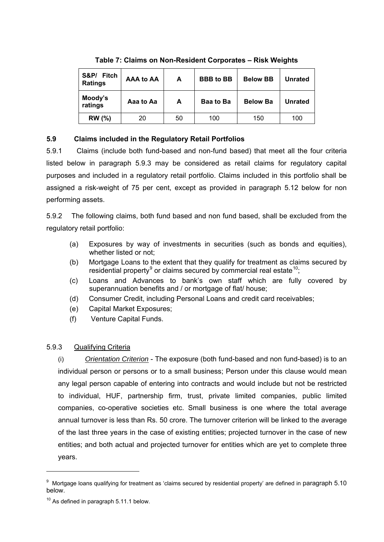| <b>S&amp;P/</b><br><b>Fitch</b><br><b>Ratings</b> | AAA to AA | A  | <b>BBB</b> to BB | <b>Below BB</b> | <b>Unrated</b> |
|---------------------------------------------------|-----------|----|------------------|-----------------|----------------|
| Moody's<br>ratings                                | Aaa to Aa | A  | <b>Baa to Ba</b> | <b>Below Ba</b> | <b>Unrated</b> |
| <b>RW</b> (%)                                     | 20        | 50 | 100              | 150             | 100            |

**Table 7: Claims on Non-Resident Corporates – Risk Weights** 

## **5.9 Claims included in the Regulatory Retail Portfolios**

5.9.1 Claims (include both fund-based and non-fund based) that meet all the four criteria listed below in paragraph 5.9.3 may be considered as retail claims for regulatory capital purposes and included in a regulatory retail portfolio. Claims included in this portfolio shall be assigned a risk-weight of 75 per cent, except as provided in paragraph 5.12 below for non performing assets.

5.9.2 The following claims, both fund based and non fund based, shall be excluded from the regulatory retail portfolio:

- (a) Exposures by way of investments in securities (such as bonds and equities), whether listed or not;
- (b) Mortgage Loans to the extent that they qualify for treatment as claims secured by residential property<sup>[9](#page-21-0)</sup> or claims secured by commercial real estate<sup>[1](#page-21-1)0</sup>;
- (c) Loans and Advances to bank's own staff which are fully covered by superannuation benefits and / or mortgage of flat/ house:
- (d) Consumer Credit, including Personal Loans and credit card receivables;
- (e) Capital Market Exposures;
- (f) Venture Capital Funds.

## 5.9.3 Qualifying Criteria

(i) *Orientation Criterion* - The exposure (both fund-based and non fund-based) is to an individual person or persons or to a small business; Person under this clause would mean any legal person capable of entering into contracts and would include but not be restricted to individual, HUF, partnership firm, trust, private limited companies, public limited companies, co-operative societies etc. Small business is one where the total average annual turnover is less than Rs. 50 crore. The turnover criterion will be linked to the average of the last three years in the case of existing entities; projected turnover in the case of new entities; and both actual and projected turnover for entities which are yet to complete three years.

1

<span id="page-21-0"></span><sup>&</sup>lt;sup>9</sup> Mortgage loans qualifying for treatment as 'claims secured by residential property' are defined in paragraph 5.10 below.

<span id="page-21-1"></span><sup>&</sup>lt;sup>10</sup> As defined in paragraph 5.11.1 below.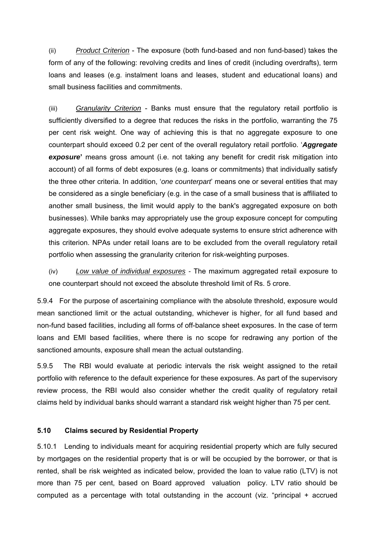(ii) *Product Criterion* - The exposure (both fund-based and non fund-based) takes the form of any of the following: revolving credits and lines of credit (including overdrafts), term loans and leases (e.g. instalment loans and leases, student and educational loans) and small business facilities and commitments.

(iii) *Granularity Criterion* - Banks must ensure that the regulatory retail portfolio is sufficiently diversified to a degree that reduces the risks in the portfolio, warranting the 75 per cent risk weight. One way of achieving this is that no aggregate exposure to one counterpart should exceed 0.2 per cent of the overall regulatory retail portfolio. '*Aggregate exposure***'** means gross amount (i.e. not taking any benefit for credit risk mitigation into account) of all forms of debt exposures (e.g. loans or commitments) that individually satisfy the three other criteria. In addition, '*one counterpart*' means one or several entities that may be considered as a single beneficiary (e.g. in the case of a small business that is affiliated to another small business, the limit would apply to the bank's aggregated exposure on both businesses). While banks may appropriately use the group exposure concept for computing aggregate exposures, they should evolve adequate systems to ensure strict adherence with this criterion. NPAs under retail loans are to be excluded from the overall regulatory retail portfolio when assessing the granularity criterion for risk-weighting purposes.

(iv) *Low value of individual exposures -* The maximum aggregated retail exposure to one counterpart should not exceed the absolute threshold limit of Rs. 5 crore.

5.9.4 For the purpose of ascertaining compliance with the absolute threshold, exposure would mean sanctioned limit or the actual outstanding, whichever is higher, for all fund based and non-fund based facilities, including all forms of off-balance sheet exposures. In the case of term loans and EMI based facilities, where there is no scope for redrawing any portion of the sanctioned amounts, exposure shall mean the actual outstanding.

5.9.5 The RBI would evaluate at periodic intervals the risk weight assigned to the retail portfolio with reference to the default experience for these exposures. As part of the supervisory review process, the RBI would also consider whether the credit quality of regulatory retail claims held by individual banks should warrant a standard risk weight higher than 75 per cent.

#### **5.10 Claims secured by Residential Property**

5.10.1 Lending to individuals meant for acquiring residential property which are fully secured by mortgages on the residential property that is or will be occupied by the borrower, or that is rented, shall be risk weighted as indicated below, provided the loan to value ratio (LTV) is not more than 75 per cent, based on Board approved valuation policy. LTV ratio should be computed as a percentage with total outstanding in the account (viz. "principal + accrued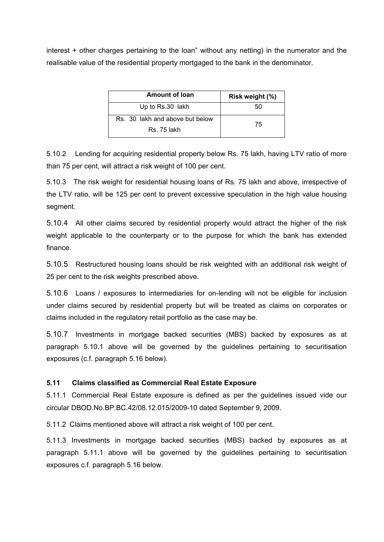interest + other charges pertaining to the loan" without any netting) in the numerator and the realisable value of the residential property mortgaged to the bank in the denominator.

| Amount of Ioan                  | Risk weight (%) |
|---------------------------------|-----------------|
| Up to Rs.30 lakh                | 50              |
| Rs. 30 lakh and above but below | 75              |
| Rs. 75 lakh                     |                 |

5.10.2 Lending for acquiring residential property below Rs. 75 lakh, having LTV ratio of more than 75 per cent, will attract a risk weight of 100 per cent.

5.10.3 The risk weight for residential housing loans of Rs. 75 lakh and above, irrespective of the LTV ratio, will be 125 per cent to prevent excessive speculation in the high value housing segment.

5.10.4 All other claims secured by residential property would attract the higher of the risk weight applicable to the counterparty or to the purpose for which the bank has extended finance.

5.10.5 Restructured housing loans should be risk weighted with an additional risk weight of 25 per cent to the risk weights prescribed above.

5.10.6 Loans / exposures to intermediaries for on-lending will not be eligible for inclusion under claims secured by residential property but will be treated as claims on corporates or claims included in the regulatory retail portfolio as the case may be.

5.10.7 Investments in mortgage backed securities (MBS) backed by exposures as at paragraph 5.10.1 above will be governed by the guidelines pertaining to securitisation exposures (c.f. paragraph 5.16 below).

#### **5.11 Claims classified as Commercial Real Estate Exposure**

5.11.1 Commercial Real Estate exposure is defined as per the guidelines issued vide our circular DBOD.No.BP.BC.42/08.12.015/2009-10 dated September 9, 2009.

5.11.2 Claims mentioned above will attract a risk weight of 100 per cent.

5.11.3 Investments in mortgage backed securities (MBS) backed by exposures as at paragraph 5.11.1 above will be governed by the guidelines pertaining to securitisation exposures c.f. paragraph 5.16 below.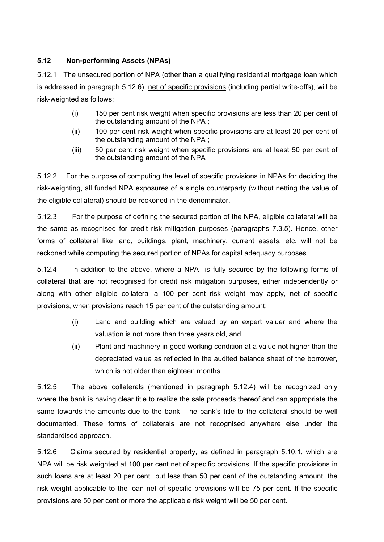## **5.12 Non-performing Assets (NPAs)**

5.12.1 The unsecured portion of NPA (other than a qualifying residential mortgage loan which is addressed in paragraph 5.12.6), net of specific provisions (including partial write-offs), will be risk-weighted as follows:

- (i) 150 per cent risk weight when specific provisions are less than 20 per cent of the outstanding amount of the NPA ;
- (ii) 100 per cent risk weight when specific provisions are at least 20 per cent of the outstanding amount of the NPA ;
- (iii) 50 per cent risk weight when specific provisions are at least 50 per cent of the outstanding amount of the NPA

5.12.2 For the purpose of computing the level of specific provisions in NPAs for deciding the risk-weighting, all funded NPA exposures of a single counterparty (without netting the value of the eligible collateral) should be reckoned in the denominator.

5.12.3 For the purpose of defining the secured portion of the NPA, eligible collateral will be the same as recognised for credit risk mitigation purposes (paragraphs 7.3.5). Hence, other forms of collateral like land, buildings, plant, machinery, current assets, etc. will not be reckoned while computing the secured portion of NPAs for capital adequacy purposes.

5.12.4 In addition to the above, where a NPA is fully secured by the following forms of collateral that are not recognised for credit risk mitigation purposes, either independently or along with other eligible collateral a 100 per cent risk weight may apply, net of specific provisions, when provisions reach 15 per cent of the outstanding amount:

- (i) Land and building which are valued by an expert valuer and where the valuation is not more than three years old, and
- (ii) Plant and machinery in good working condition at a value not higher than the depreciated value as reflected in the audited balance sheet of the borrower, which is not older than eighteen months.

5.12.5 The above collaterals (mentioned in paragraph 5.12.4) will be recognized only where the bank is having clear title to realize the sale proceeds thereof and can appropriate the same towards the amounts due to the bank. The bank's title to the collateral should be well documented. These forms of collaterals are not recognised anywhere else under the standardised approach.

5.12.6 Claims secured by residential property, as defined in paragraph 5.10.1, which are NPA will be risk weighted at 100 per cent net of specific provisions. If the specific provisions in such loans are at least 20 per cent but less than 50 per cent of the outstanding amount, the risk weight applicable to the loan net of specific provisions will be 75 per cent. If the specific provisions are 50 per cent or more the applicable risk weight will be 50 per cent.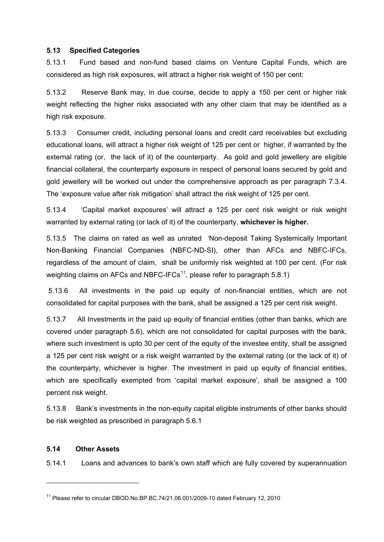#### **5.13 Specified Categories**

5.13.1 Fund based and non-fund based claims on Venture Capital Funds, which are considered as high risk exposures, will attract a higher risk weight of 150 per cent:

5.13.2 Reserve Bank may, in due course, decide to apply a 150 per cent or higher risk weight reflecting the higher risks associated with any other claim that may be identified as a high risk exposure.

5.13.3 Consumer credit, including personal loans and credit card receivables but excluding educational loans, will attract a higher risk weight of 125 per cent or higher, if warranted by the external rating (or, the lack of it) of the counterparty. As gold and gold jewellery are eligible financial collateral, the counterparty exposure in respect of personal loans secured by gold and gold jewellery will be worked out under the comprehensive approach as per paragraph 7.3.4. The 'exposure value after risk mitigation' shall attract the risk weight of 125 per cent.

5.13.4 'Capital market exposures' will attract a 125 per cent risk weight or risk weight warranted by external rating (or lack of it) of the counterparty, **whichever is higher.** 

5.13.5 The claims on rated as well as unrated 'Non-deposit Taking Systemically Important Non-Banking Financial Companies (NBFC-ND-SI), other than AFCs and NBFC-IFCs, regardless of the amount of claim, shall be uniformly risk weighted at 100 per cent. (For risk weighting claims on AFCs and NBFC-IFCs<sup>[1](#page-25-0)1</sup>, please refer to paragraph 5.8.1)

 5.13.6 All investments in the paid up equity of non-financial entities, which are not consolidated for capital purposes with the bank, shall be assigned a 125 per cent risk weight.

5.13.7 All Investments in the paid up equity of financial entities (other than banks, which are covered under paragraph 5.6), which are not consolidated for capital purposes with the bank, where such investment is upto 30 per cent of the equity of the investee entity, shall be assigned a 125 per cent risk weight or a risk weight warranted by the external rating (or the lack of it) of the counterparty, whichever is higher. The investment in paid up equity of financial entities, which are specifically exempted from 'capital market exposure', shall be assigned a 100 percent risk weight.

5.13.8 Bank's investments in the non-equity capital eligible instruments of other banks should be risk weighted as prescribed in paragraph 5.6.1

## **5.14 Other Assets**

1

5.14.1 Loans and advances to bank's own staff which are fully covered by superannuation

<span id="page-25-0"></span><sup>&</sup>lt;sup>11</sup> Please refer to circular DBOD.No.BP.BC.74/21.06.001/2009-10 dated February 12, 2010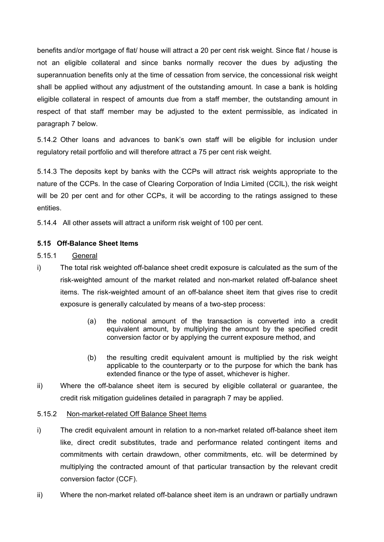benefits and/or mortgage of flat/ house will attract a 20 per cent risk weight. Since flat / house is not an eligible collateral and since banks normally recover the dues by adjusting the superannuation benefits only at the time of cessation from service, the concessional risk weight shall be applied without any adjustment of the outstanding amount. In case a bank is holding eligible collateral in respect of amounts due from a staff member, the outstanding amount in respect of that staff member may be adjusted to the extent permissible, as indicated in paragraph 7 below.

5.14.2 Other loans and advances to bank's own staff will be eligible for inclusion under regulatory retail portfolio and will therefore attract a 75 per cent risk weight.

5.14.3 The deposits kept by banks with the CCPs will attract risk weights appropriate to the nature of the CCPs. In the case of Clearing Corporation of India Limited (CCIL), the risk weight will be 20 per cent and for other CCPs, it will be according to the ratings assigned to these entities.

5.14.4 All other assets will attract a uniform risk weight of 100 per cent.

## **5.15 Off-Balance Sheet Items**

#### 5.15.1 General

- i) The total risk weighted off-balance sheet credit exposure is calculated as the sum of the risk-weighted amount of the market related and non-market related off-balance sheet items. The risk-weighted amount of an off-balance sheet item that gives rise to credit exposure is generally calculated by means of a two-step process:
	- (a) the notional amount of the transaction is converted into a credit equivalent amount, by multiplying the amount by the specified credit conversion factor or by applying the current exposure method, and
	- (b) the resulting credit equivalent amount is multiplied by the risk weight applicable to the counterparty or to the purpose for which the bank has extended finance or the type of asset, whichever is higher.
- ii) Where the off-balance sheet item is secured by eligible collateral or guarantee, the credit risk mitigation guidelines detailed in paragraph 7 may be applied.

#### 5.15.2 Non-market-related Off Balance Sheet Items

- i) The credit equivalent amount in relation to a non-market related off-balance sheet item like, direct credit substitutes, trade and performance related contingent items and commitments with certain drawdown, other commitments, etc. will be determined by multiplying the contracted amount of that particular transaction by the relevant credit conversion factor (CCF).
- ii) Where the non-market related off-balance sheet item is an undrawn or partially undrawn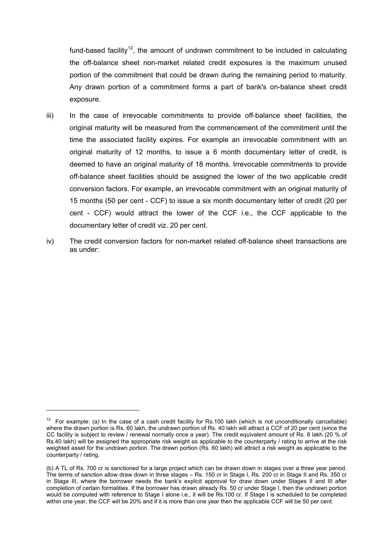fund-based facility<sup>[1](#page-27-0)2</sup>, the amount of undrawn commitment to be included in calculating the off-balance sheet non-market related credit exposures is the maximum unused portion of the commitment that could be drawn during the remaining period to maturity. Any drawn portion of a commitment forms a part of bank's on-balance sheet credit exposure.

- iii) In the case of irrevocable commitments to provide off-balance sheet facilities, the original maturity will be measured from the commencement of the commitment until the time the associated facility expires. For example an irrevocable commitment with an original maturity of 12 months, to issue a 6 month documentary letter of credit, is deemed to have an original maturity of 18 months. Irrevocable commitments to provide off-balance sheet facilities should be assigned the lower of the two applicable credit conversion factors. For example, an irrevocable commitment with an original maturity of 15 months (50 per cent - CCF) to issue a six month documentary letter of credit (20 per cent - CCF) would attract the lower of the CCF i.e., the CCF applicable to the documentary letter of credit viz. 20 per cent.
- iv) The credit conversion factors for non-market related off-balance sheet transactions are as under:

1

<span id="page-27-0"></span><sup>&</sup>lt;sup>12</sup> For example: (a) In the case of a cash credit facility for Rs.100 lakh (which is not unconditionally cancellable) where the drawn portion is Rs. 60 lakh, the undrawn portion of Rs. 40 lakh will attract a CCF of 20 per cent (since the CC facility is subject to review / renewal normally once a year). The credit equivalent amount of Rs. 8 lakh (20 % of Rs.40 lakh) will be assigned the appropriate risk weight as applicable to the counterparty / rating to arrive at the risk weighted asset for the undrawn portion. The drawn portion (Rs. 60 lakh) will attract a risk weight as applicable to the counterparty / rating.

<sup>(</sup>b) A TL of Rs. 700 cr is sanctioned for a large project which can be drawn down in stages over a three year period. The terms of sanction allow draw down in three stages – Rs. 150 cr in Stage I, Rs. 200 cr in Stage II and Rs. 350 cr in Stage III, where the borrower needs the bank's explicit approval for draw down under Stages II and III after completion of certain formalities. If the borrower has drawn already Rs. 50 cr under Stage I, then the undrawn portion would be computed with reference to Stage I alone i.e., it will be Rs.100 cr. If Stage I is scheduled to be completed within one year, the CCF will be 20% and if it is more than one year then the applicable CCF will be 50 per cent.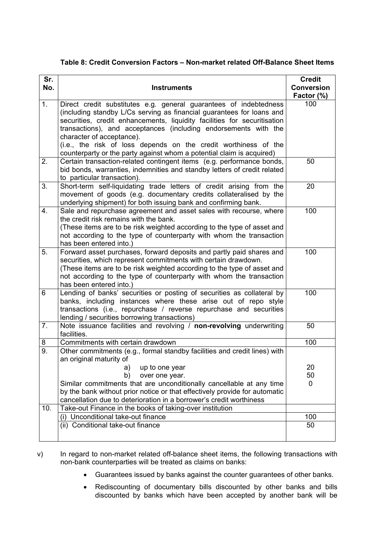| Sr. |                                                                                                                                                   | <b>Credit</b>     |
|-----|---------------------------------------------------------------------------------------------------------------------------------------------------|-------------------|
| No. | <b>Instruments</b>                                                                                                                                | <b>Conversion</b> |
| 1.  | Direct credit substitutes e.g. general guarantees of indebtedness                                                                                 | Factor (%)<br>100 |
|     | (including standby L/Cs serving as financial guarantees for loans and                                                                             |                   |
|     | securities, credit enhancements, liquidity facilities for securitisation                                                                          |                   |
|     | transactions), and acceptances (including endorsements with the                                                                                   |                   |
|     | character of acceptance).                                                                                                                         |                   |
|     | (i.e., the risk of loss depends on the credit worthiness of the                                                                                   |                   |
|     | counterparty or the party against whom a potential claim is acquired)                                                                             |                   |
| 2.  | Certain transaction-related contingent items (e.g. performance bonds,                                                                             | 50                |
|     | bid bonds, warranties, indemnities and standby letters of credit related                                                                          |                   |
|     | to particular transaction).                                                                                                                       |                   |
| 3.  | Short-term self-liquidating trade letters of credit arising from the<br>movement of goods (e.g. documentary credits collateralised by the         | 20                |
|     | underlying shipment) for both issuing bank and confirming bank.                                                                                   |                   |
| 4.  | Sale and repurchase agreement and asset sales with recourse, where                                                                                | 100               |
|     | the credit risk remains with the bank.                                                                                                            |                   |
|     | (These items are to be risk weighted according to the type of asset and                                                                           |                   |
|     | not according to the type of counterparty with whom the transaction                                                                               |                   |
|     | has been entered into.)                                                                                                                           |                   |
| 5.  | Forward asset purchases, forward deposits and partly paid shares and                                                                              | 100               |
|     | securities, which represent commitments with certain drawdown.<br>(These items are to be risk weighted according to the type of asset and         |                   |
|     | not according to the type of counterparty with whom the transaction                                                                               |                   |
|     | has been entered into.)                                                                                                                           |                   |
| 6   | Lending of banks' securities or posting of securities as collateral by                                                                            | 100               |
|     | banks, including instances where these arise out of repo style                                                                                    |                   |
|     | transactions (i.e., repurchase / reverse repurchase and securities                                                                                |                   |
|     | lending / securities borrowing transactions)                                                                                                      |                   |
| 7.  | Note issuance facilities and revolving / non-revolving underwriting<br>facilities.                                                                | 50                |
| 8   | Commitments with certain drawdown                                                                                                                 | 100               |
| 9.  | Other commitments (e.g., formal standby facilities and credit lines) with                                                                         |                   |
|     | an original maturity of                                                                                                                           |                   |
|     | up to one year<br>a)                                                                                                                              | 20                |
|     | b)<br>over one year.                                                                                                                              | 50                |
|     | Similar commitments that are unconditionally cancellable at any time                                                                              | $\Omega$          |
|     | by the bank without prior notice or that effectively provide for automatic<br>cancellation due to deterioration in a borrower's credit worthiness |                   |
| 10. | Take-out Finance in the books of taking-over institution                                                                                          |                   |
|     | (i) Unconditional take-out finance                                                                                                                | 100               |
|     | (ii) Conditional take-out finance                                                                                                                 | 50                |
|     |                                                                                                                                                   |                   |

## **Table 8: Credit Conversion Factors – Non-market related Off-Balance Sheet Items**

v) In regard to non-market related off-balance sheet items, the following transactions with non-bank counterparties will be treated as claims on banks:

 $\mathbf{I}$ 

- Guarantees issued by banks against the counter guarantees of other banks.
- Rediscounting of documentary bills discounted by other banks and bills discounted by banks which have been accepted by another bank will be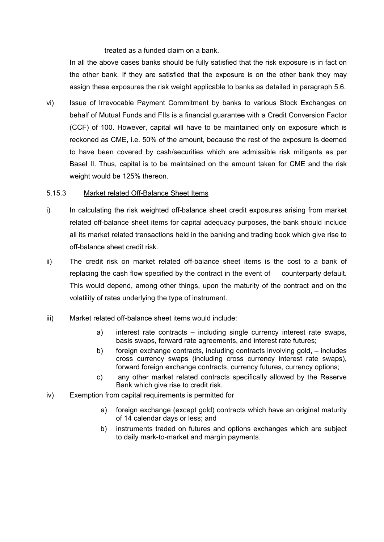treated as a funded claim on a bank.

In all the above cases banks should be fully satisfied that the risk exposure is in fact on the other bank. If they are satisfied that the exposure is on the other bank they may assign these exposures the risk weight applicable to banks as detailed in paragraph 5.6.

vi) Issue of Irrevocable Payment Commitment by banks to various Stock Exchanges on behalf of Mutual Funds and FIIs is a financial guarantee with a Credit Conversion Factor (CCF) of 100. However, capital will have to be maintained only on exposure which is reckoned as CME, i.e. 50% of the amount, because the rest of the exposure is deemed to have been covered by cash/securities which are admissible risk mitigants as per Basel II. Thus, capital is to be maintained on the amount taken for CME and the risk weight would be 125% thereon.

#### 5.15.3 Market related Off-Balance Sheet Items

- i) In calculating the risk weighted off-balance sheet credit exposures arising from market related off-balance sheet items for capital adequacy purposes, the bank should include all its market related transactions held in the banking and trading book which give rise to off-balance sheet credit risk.
- ii) The credit risk on market related off-balance sheet items is the cost to a bank of replacing the cash flow specified by the contract in the event of counterparty default. This would depend, among other things, upon the maturity of the contract and on the volatility of rates underlying the type of instrument.
- iii) Market related off-balance sheet items would include:
	- a) interest rate contracts including single currency interest rate swaps, basis swaps, forward rate agreements, and interest rate futures;
	- b) foreign exchange contracts, including contracts involving gold, includes cross currency swaps (including cross currency interest rate swaps), forward foreign exchange contracts, currency futures, currency options;
	- c) any other market related contracts specifically allowed by the Reserve Bank which give rise to credit risk.
- iv) Exemption from capital requirements is permitted for
	- a) foreign exchange (except gold) contracts which have an original maturity of 14 calendar days or less; and
	- b) instruments traded on futures and options exchanges which are subject to daily mark-to-market and margin payments.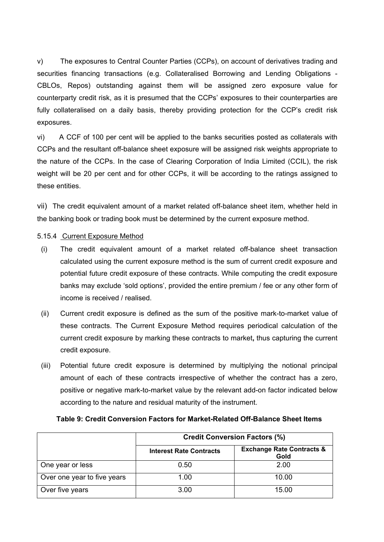v) The exposures to Central Counter Parties (CCPs), on account of derivatives trading and securities financing transactions (e.g. Collateralised Borrowing and Lending Obligations - CBLOs, Repos) outstanding against them will be assigned zero exposure value for counterparty credit risk, as it is presumed that the CCPs' exposures to their counterparties are fully collateralised on a daily basis, thereby providing protection for the CCP's credit risk exposures.

vi) A CCF of 100 per cent will be applied to the banks securities posted as collaterals with CCPs and the resultant off-balance sheet exposure will be assigned risk weights appropriate to the nature of the CCPs. In the case of Clearing Corporation of India Limited (CCIL), the risk weight will be 20 per cent and for other CCPs, it will be according to the ratings assigned to these entities.

vii) The credit equivalent amount of a market related off-balance sheet item, whether held in the banking book or trading book must be determined by the current exposure method.

#### 5.15.4 Current Exposure Method

- (i) The credit equivalent amount of a market related off-balance sheet transaction calculated using the current exposure method is the sum of current credit exposure and potential future credit exposure of these contracts. While computing the credit exposure banks may exclude 'sold options', provided the entire premium / fee or any other form of income is received / realised.
- (ii) Current credit exposure is defined as the sum of the positive mark-to-market value of these contracts. The Current Exposure Method requires periodical calculation of the current credit exposure by marking these contracts to market**,** thus capturing the current credit exposure.
- (iii) Potential future credit exposure is determined by multiplying the notional principal amount of each of these contracts irrespective of whether the contract has a zero, positive or negative mark-to-market value by the relevant add-on factor indicated below according to the nature and residual maturity of the instrument.

|                             | <b>Credit Conversion Factors (%)</b> |                                              |  |
|-----------------------------|--------------------------------------|----------------------------------------------|--|
|                             | <b>Interest Rate Contracts</b>       | <b>Exchange Rate Contracts &amp;</b><br>Gold |  |
| One year or less            | 0.50                                 | 2.00                                         |  |
| Over one year to five years | 1.00                                 | 10.00                                        |  |
| Over five years             | 3.00                                 | 15.00                                        |  |

#### **Table 9: Credit Conversion Factors for Market-Related Off-Balance Sheet Items**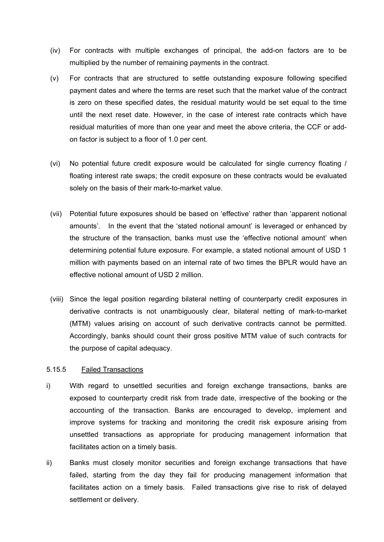- (iv) For contracts with multiple exchanges of principal, the add-on factors are to be multiplied by the number of remaining payments in the contract.
- (v) For contracts that are structured to settle outstanding exposure following specified payment dates and where the terms are reset such that the market value of the contract is zero on these specified dates, the residual maturity would be set equal to the time until the next reset date. However, in the case of interest rate contracts which have residual maturities of more than one year and meet the above criteria, the CCF or addon factor is subject to a floor of 1.0 per cent.
- (vi) No potential future credit exposure would be calculated for single currency floating / floating interest rate swaps; the credit exposure on these contracts would be evaluated solely on the basis of their mark-to-market value.
- (vii) Potential future exposures should be based on 'effective' rather than 'apparent notional amounts'. In the event that the 'stated notional amount' is leveraged or enhanced by the structure of the transaction, banks must use the 'effective notional amount' when determining potential future exposure. For example, a stated notional amount of USD 1 million with payments based on an internal rate of two times the BPLR would have an effective notional amount of USD 2 million.
- (viii) Since the legal position regarding bilateral netting of counterparty credit exposures in derivative contracts is not unambiguously clear, bilateral netting of mark-to-market (MTM) values arising on account of such derivative contracts cannot be permitted. Accordingly, banks should count their gross positive MTM value of such contracts for the purpose of capital adequacy.

#### 5.15.5 Failed Transactions

- i) With regard to unsettled securities and foreign exchange transactions, banks are exposed to counterparty credit risk from trade date, irrespective of the booking or the accounting of the transaction. Banks are encouraged to develop, implement and improve systems for tracking and monitoring the credit risk exposure arising from unsettled transactions as appropriate for producing management information that facilitates action on a timely basis.
- ii) Banks must closely monitor securities and foreign exchange transactions that have failed, starting from the day they fail for producing management information that facilitates action on a timely basis. Failed transactions give rise to risk of delayed settlement or delivery.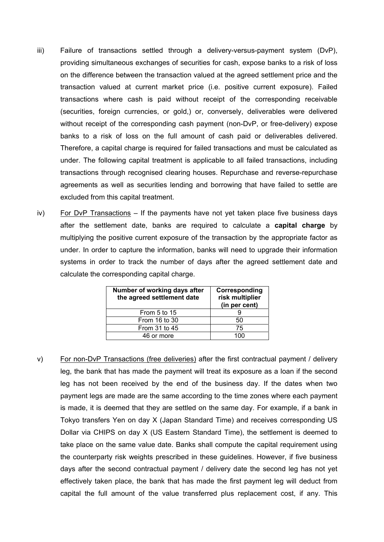- iii) Failure of transactions settled through a delivery-versus-payment system (DvP), providing simultaneous exchanges of securities for cash, expose banks to a risk of loss on the difference between the transaction valued at the agreed settlement price and the transaction valued at current market price (i.e. positive current exposure). Failed transactions where cash is paid without receipt of the corresponding receivable (securities, foreign currencies, or gold,) or, conversely, deliverables were delivered without receipt of the corresponding cash payment (non-DvP, or free-delivery) expose banks to a risk of loss on the full amount of cash paid or deliverables delivered. Therefore, a capital charge is required for failed transactions and must be calculated as under. The following capital treatment is applicable to all failed transactions, including transactions through recognised clearing houses. Repurchase and reverse-repurchase agreements as well as securities lending and borrowing that have failed to settle are excluded from this capital treatment.
- iv) For DvP Transactions  $-$  If the payments have not yet taken place five business days after the settlement date, banks are required to calculate a **capital charge** by multiplying the positive current exposure of the transaction by the appropriate factor as under. In order to capture the information, banks will need to upgrade their information systems in order to track the number of days after the agreed settlement date and calculate the corresponding capital charge.

| Number of working days after<br>the agreed settlement date | Corresponding<br>risk multiplier<br>(in per cent) |  |
|------------------------------------------------------------|---------------------------------------------------|--|
| From $5$ to $15$                                           |                                                   |  |
| From 16 to 30                                              | 50                                                |  |
| From 31 to 45                                              | 75                                                |  |
| 46 or more                                                 | 100                                               |  |

v) For non-DvP Transactions (free deliveries) after the first contractual payment / delivery leg, the bank that has made the payment will treat its exposure as a loan if the second leg has not been received by the end of the business day. If the dates when two payment legs are made are the same according to the time zones where each payment is made, it is deemed that they are settled on the same day. For example, if a bank in Tokyo transfers Yen on day X (Japan Standard Time) and receives corresponding US Dollar via CHIPS on day X (US Eastern Standard Time), the settlement is deemed to take place on the same value date. Banks shall compute the capital requirement using the counterparty risk weights prescribed in these guidelines. However, if five business days after the second contractual payment / delivery date the second leg has not yet effectively taken place, the bank that has made the first payment leg will deduct from capital the full amount of the value transferred plus replacement cost, if any. This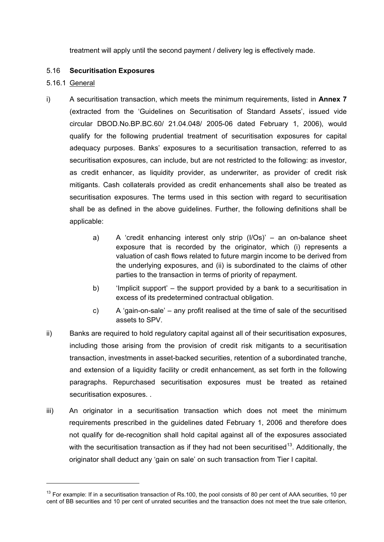treatment will apply until the second payment / delivery leg is effectively made.

#### 5.16 **Securitisation Exposures**

#### 5.16.1 General

1

- i) A securitisation transaction, which meets the minimum requirements, listed in **Annex 7** (extracted from the 'Guidelines on Securitisation of Standard Assets', issued vide circular DBOD.No.BP.BC.60/ 21.04.048/ 2005-06 dated February 1, 2006), would qualify for the following prudential treatment of securitisation exposures for capital adequacy purposes. Banks' exposures to a securitisation transaction, referred to as securitisation exposures, can include, but are not restricted to the following: as investor, as credit enhancer, as liquidity provider, as underwriter, as provider of credit risk mitigants. Cash collaterals provided as credit enhancements shall also be treated as securitisation exposures. The terms used in this section with regard to securitisation shall be as defined in the above guidelines. Further, the following definitions shall be applicable:
	- a) A 'credit enhancing interest only strip (I/Os)' an on-balance sheet exposure that is recorded by the originator, which (i) represents a valuation of cash flows related to future margin income to be derived from the underlying exposures, and (ii) is subordinated to the claims of other parties to the transaction in terms of priority of repayment.
	- b) 'Implicit support' the support provided by a bank to a securitisation in excess of its predetermined contractual obligation.
	- c) A 'gain-on-sale' any profit realised at the time of sale of the securitised assets to SPV.
- ii) Banks are required to hold regulatory capital against all of their securitisation exposures, including those arising from the provision of credit risk mitigants to a securitisation transaction, investments in asset-backed securities, retention of a subordinated tranche, and extension of a liquidity facility or credit enhancement, as set forth in the following paragraphs. Repurchased securitisation exposures must be treated as retained securitisation exposures. .
- iii) An originator in a securitisation transaction which does not meet the minimum requirements prescribed in the guidelines dated February 1, 2006 and therefore does not qualify for de-recognition shall hold capital against all of the exposures associated with the securitisation transaction as if they had not been securitised<sup>[1](#page-33-0)3</sup>. Additionally, the originator shall deduct any 'gain on sale' on such transaction from Tier I capital.

<span id="page-33-0"></span><sup>&</sup>lt;sup>13</sup> For example: If in a securitisation transaction of Rs.100, the pool consists of 80 per cent of AAA securities, 10 per cent of BB securities and 10 per cent of unrated securities and the transaction does not meet the true sale criterion,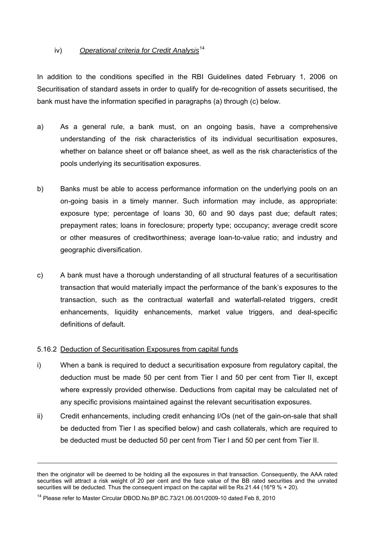#### iv) *Operational criteria for Credit Analysis*[1](#page-34-0)4

In addition to the conditions specified in the RBI Guidelines dated February 1, 2006 on Securitisation of standard assets in order to qualify for de-recognition of assets securitised, the bank must have the information specified in paragraphs (a) through (c) below.

- a) As a general rule, a bank must, on an ongoing basis, have a comprehensive understanding of the risk characteristics of its individual securitisation exposures, whether on balance sheet or off balance sheet, as well as the risk characteristics of the pools underlying its securitisation exposures.
- b) Banks must be able to access performance information on the underlying pools on an on-going basis in a timely manner. Such information may include, as appropriate: exposure type; percentage of loans 30, 60 and 90 days past due; default rates; prepayment rates; loans in foreclosure; property type; occupancy; average credit score or other measures of creditworthiness; average loan-to-value ratio; and industry and geographic diversification.
- c) A bank must have a thorough understanding of all structural features of a securitisation transaction that would materially impact the performance of the bank's exposures to the transaction, such as the contractual waterfall and waterfall-related triggers, credit enhancements, liquidity enhancements, market value triggers, and deal-specific definitions of default.

#### 5.16.2 Deduction of Securitisation Exposures from capital funds

1

- i) When a bank is required to deduct a securitisation exposure from regulatory capital, the deduction must be made 50 per cent from Tier I and 50 per cent from Tier II, except where expressly provided otherwise. Deductions from capital may be calculated net of any specific provisions maintained against the relevant securitisation exposures.
- ii) Credit enhancements, including credit enhancing I/Os (net of the gain-on-sale that shall be deducted from Tier I as specified below) and cash collaterals, which are required to be deducted must be deducted 50 per cent from Tier I and 50 per cent from Tier II.

then the originator will be deemed to be holding all the exposures in that transaction. Consequently, the AAA rated securities will attract a risk weight of 20 per cent and the face value of the BB rated securities and the unrated securities will be deducted. Thus the consequent impact on the capital will be Rs.21.44 (16\*9 % + 20).

<span id="page-34-0"></span><sup>14</sup> Please refer to Master Circular DBOD.No.BP.BC.73/21.06.001/2009-10 dated Feb 8, 2010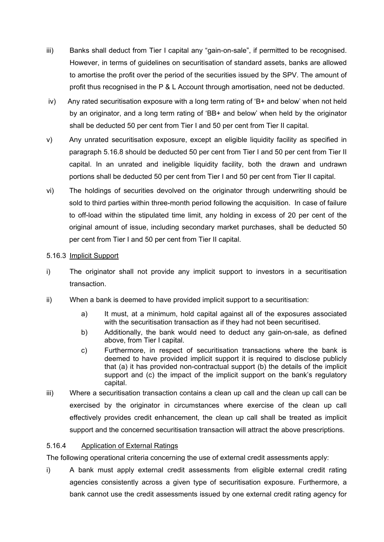- iii) Banks shall deduct from Tier I capital any "gain-on-sale", if permitted to be recognised. However, in terms of guidelines on securitisation of standard assets, banks are allowed to amortise the profit over the period of the securities issued by the SPV. The amount of profit thus recognised in the P & L Account through amortisation, need not be deducted.
- iv) Any rated securitisation exposure with a long term rating of 'B+ and below' when not held by an originator, and a long term rating of 'BB+ and below' when held by the originator shall be deducted 50 per cent from Tier I and 50 per cent from Tier II capital.
- v) Any unrated securitisation exposure, except an eligible liquidity facility as specified in paragraph 5.16.8 should be deducted 50 per cent from Tier I and 50 per cent from Tier II capital. In an unrated and ineligible liquidity facility, both the drawn and undrawn portions shall be deducted 50 per cent from Tier I and 50 per cent from Tier II capital.
- vi) The holdings of securities devolved on the originator through underwriting should be sold to third parties within three-month period following the acquisition. In case of failure to off-load within the stipulated time limit, any holding in excess of 20 per cent of the original amount of issue, including secondary market purchases, shall be deducted 50 per cent from Tier I and 50 per cent from Tier II capital.

#### 5.16.3 Implicit Support

- i) The originator shall not provide any implicit support to investors in a securitisation transaction.
- ii) When a bank is deemed to have provided implicit support to a securitisation:
	- a) It must, at a minimum, hold capital against all of the exposures associated with the securitisation transaction as if they had not been securitised.
	- b) Additionally, the bank would need to deduct any gain-on-sale, as defined above, from Tier I capital.
	- c) Furthermore, in respect of securitisation transactions where the bank is deemed to have provided implicit support it is required to disclose publicly that (a) it has provided non-contractual support (b) the details of the implicit support and (c) the impact of the implicit support on the bank's regulatory capital.
- iii) Where a securitisation transaction contains a clean up call and the clean up call can be exercised by the originator in circumstances where exercise of the clean up call effectively provides credit enhancement, the clean up call shall be treated as implicit support and the concerned securitisation transaction will attract the above prescriptions.

## 5.16.4 Application of External Ratings

The following operational criteria concerning the use of external credit assessments apply:

i) A bank must apply external credit assessments from eligible external credit rating agencies consistently across a given type of securitisation exposure. Furthermore, a bank cannot use the credit assessments issued by one external credit rating agency for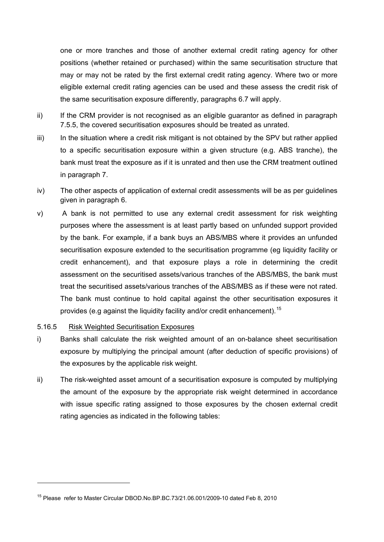one or more tranches and those of another external credit rating agency for other positions (whether retained or purchased) within the same securitisation structure that may or may not be rated by the first external credit rating agency. Where two or more eligible external credit rating agencies can be used and these assess the credit risk of the same securitisation exposure differently, paragraphs 6.7 will apply.

- ii) If the CRM provider is not recognised as an eligible guarantor as defined in paragraph 7.5.5, the covered securitisation exposures should be treated as unrated.
- iii) In the situation where a credit risk mitigant is not obtained by the SPV but rather applied to a specific securitisation exposure within a given structure (e.g. ABS tranche), the bank must treat the exposure as if it is unrated and then use the CRM treatment outlined in paragraph 7.
- iv) The other aspects of application of external credit assessments will be as per guidelines given in paragraph 6.
- v) A bank is not permitted to use any external credit assessment for risk weighting purposes where the assessment is at least partly based on unfunded support provided by the bank. For example, if a bank buys an ABS/MBS where it provides an unfunded securitisation exposure extended to the securitisation programme (eg liquidity facility or credit enhancement), and that exposure plays a role in determining the credit assessment on the securitised assets/various tranches of the ABS/MBS, the bank must treat the securitised assets/various tranches of the ABS/MBS as if these were not rated. The bank must continue to hold capital against the other securitisation exposures it provides (e.g against the liquidity facility and/or credit enhancement).<sup>[1](#page-36-0)5</sup>

#### 5.16.5 Risk Weighted Securitisation Exposures

l

- i) Banks shall calculate the risk weighted amount of an on-balance sheet securitisation exposure by multiplying the principal amount (after deduction of specific provisions) of the exposures by the applicable risk weight.
- ii) The risk-weighted asset amount of a securitisation exposure is computed by multiplying the amount of the exposure by the appropriate risk weight determined in accordance with issue specific rating assigned to those exposures by the chosen external credit rating agencies as indicated in the following tables:

<span id="page-36-0"></span><sup>&</sup>lt;sup>15</sup> Please refer to Master Circular DBOD.No.BP.BC.73/21.06.001/2009-10 dated Feb 8, 2010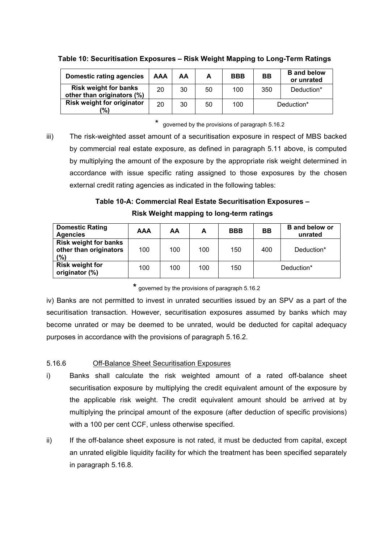| <b>Domestic rating agencies</b>                            | AAA | AA |    | <b>BBB</b> | <b>BB</b> | <b>B</b> and below<br>or unrated |
|------------------------------------------------------------|-----|----|----|------------|-----------|----------------------------------|
| <b>Risk weight for banks</b><br>other than originators (%) | 20  | 30 | 50 | 100        | 350       | Deduction*                       |
| <b>Risk weight for originator</b><br>'%)                   | 20  | 30 | 50 | 100        |           | Deduction*                       |

### **Table 10: Securitisation Exposures – Risk Weight Mapping to Long-Term Ratings**

\* governed by the provisions of paragraph 5.16.2

iii) The risk-weighted asset amount of a securitisation exposure in respect of MBS backed by commercial real estate exposure, as defined in paragraph 5.11 above, is computed by multiplying the amount of the exposure by the appropriate risk weight determined in accordance with issue specific rating assigned to those exposures by the chosen external credit rating agencies as indicated in the following tables:

**Table 10-A: Commercial Real Estate Securitisation Exposures – Risk Weight mapping to long-term ratings** 

| <b>Domestic Rating</b><br><b>Agencies</b>                     | <b>AAA</b> | AA  | А   | <b>BBB</b> | <b>BB</b>  | <b>B</b> and below or<br>unrated |
|---------------------------------------------------------------|------------|-----|-----|------------|------------|----------------------------------|
| <b>Risk weight for banks</b><br>other than originators<br>(%) | 100        | 100 | 100 | 150        | 400        | Deduction*                       |
| <b>Risk weight for</b><br>originator (%)                      | 100        | 100 | 100 | 150        | Deduction* |                                  |

**\*** governed by the provisions of paragraph 5.16.2

iv) Banks are not permitted to invest in unrated securities issued by an SPV as a part of the securitisation transaction. However, securitisation exposures assumed by banks which may become unrated or may be deemed to be unrated, would be deducted for capital adequacy purposes in accordance with the provisions of paragraph 5.16.2.

# 5.16.6 Off-Balance Sheet Securitisation Exposures

- i) Banks shall calculate the risk weighted amount of a rated off-balance sheet securitisation exposure by multiplying the credit equivalent amount of the exposure by the applicable risk weight. The credit equivalent amount should be arrived at by multiplying the principal amount of the exposure (after deduction of specific provisions) with a 100 per cent CCF, unless otherwise specified.
- ii) If the off-balance sheet exposure is not rated, it must be deducted from capital, except an unrated eligible liquidity facility for which the treatment has been specified separately in paragraph 5.16.8.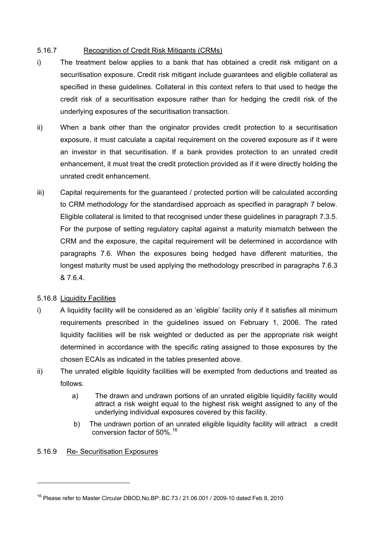## 5.16.7 Recognition of Credit Risk Mitigants (CRMs)

- i) The treatment below applies to a bank that has obtained a credit risk mitigant on a securitisation exposure. Credit risk mitigant include guarantees and eligible collateral as specified in these guidelines. Collateral in this context refers to that used to hedge the credit risk of a securitisation exposure rather than for hedging the credit risk of the underlying exposures of the securitisation transaction.
- ii) When a bank other than the originator provides credit protection to a securitisation exposure, it must calculate a capital requirement on the covered exposure as if it were an investor in that securitisation. If a bank provides protection to an unrated credit enhancement, it must treat the credit protection provided as if it were directly holding the unrated credit enhancement.
- iii) Capital requirements for the guaranteed / protected portion will be calculated according to CRM methodology for the standardised approach as specified in paragraph 7 below. Eligible collateral is limited to that recognised under these guidelines in paragraph 7.3.5. For the purpose of setting regulatory capital against a maturity mismatch between the CRM and the exposure, the capital requirement will be determined in accordance with paragraphs 7.6. When the exposures being hedged have different maturities, the longest maturity must be used applying the methodology prescribed in paragraphs 7.6.3 & 7.6.4.

### 5.16.8 Liquidity Facilities

- i) A liquidity facility will be considered as an 'eligible' facility only if it satisfies all minimum requirements prescribed in the guidelines issued on February 1, 2006. The rated liquidity facilities will be risk weighted or deducted as per the appropriate risk weight determined in accordance with the specific rating assigned to those exposures by the chosen ECAIs as indicated in the tables presented above.
- ii) The unrated eligible liquidity facilities will be exempted from deductions and treated as follows.
	- a) The drawn and undrawn portions of an unrated eligible liquidity facility would attract a risk weight equal to the highest risk weight assigned to any of the underlying individual exposures covered by this facility.
	- b) The undrawn portion of an unrated eligible liquidity facility will attract a credit conversion factor of 50%.<sup>[1](#page-38-0)6</sup>

### 5.16.9 Re- Securitisation Exposures

l

<span id="page-38-0"></span><sup>&</sup>lt;sup>16</sup> Please refer to Master Circular DBOD, No.BP:.BC.73 / 21.06.001 / 2009-10 dated Feb 8, 2010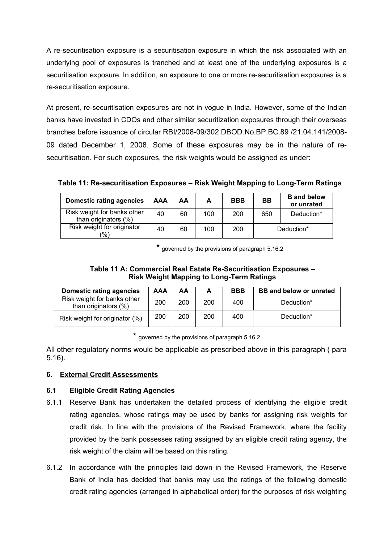A re-securitisation exposure is a securitisation exposure in which the risk associated with an underlying pool of exposures is tranched and at least one of the underlying exposures is a securitisation exposure. In addition, an exposure to one or more re-securitisation exposures is a re-securitisation exposure.

At present, re-securitisation exposures are not in vogue in India. However, some of the Indian banks have invested in CDOs and other similar securitization exposures through their overseas branches before issuance of circular RBI/2008-09/302.DBOD.No.BP.BC.89 /21.04.141/2008- 09 dated December 1, 2008. Some of these exposures may be in the nature of resecuritisation. For such exposures, the risk weights would be assigned as under:

**Table 11: Re-securitisation Exposures – Risk Weight Mapping to Long-Term Ratings** 

| <b>Domestic rating agencies</b>                     | AAA | AA |     | <b>BBB</b> | <b>BB</b> | <b>B</b> and below<br>or unrated |
|-----------------------------------------------------|-----|----|-----|------------|-----------|----------------------------------|
| Risk weight for banks other<br>than originators (%) | 40  | 60 | 100 | 200        | 650       | Deduction*                       |
| Risk weight for originator<br>(%)                   | 40  | 60 | 100 | 200        |           | Deduction*                       |

\* governed by the provisions of paragraph 5.16.2

## **Table 11 A: Commercial Real Estate Re-Securitisation Exposures – Risk Weight Mapping to Long-Term Ratings**

| Domestic rating agencies                            | AAA | AA  | А   | <b>BBB</b> | <b>BB</b> and below or unrated |
|-----------------------------------------------------|-----|-----|-----|------------|--------------------------------|
| Risk weight for banks other<br>than originators (%) | 200 | 200 | 200 | 400        | Deduction*                     |
| Risk weight for originator (%)                      | 200 | 200 | 200 | 400        | Deduction*                     |

\* governed by the provisions of paragraph 5.16.2

All other regulatory norms would be applicable as prescribed above in this paragraph ( para 5.16).

# **6. External Credit Assessments**

# **6.1 Eligible Credit Rating Agencies**

- 6.1.1 Reserve Bank has undertaken the detailed process of identifying the eligible credit rating agencies, whose ratings may be used by banks for assigning risk weights for credit risk. In line with the provisions of the Revised Framework, where the facility provided by the bank possesses rating assigned by an eligible credit rating agency, the risk weight of the claim will be based on this rating.
- 6.1.2 In accordance with the principles laid down in the Revised Framework, the Reserve Bank of India has decided that banks may use the ratings of the following domestic credit rating agencies (arranged in alphabetical order) for the purposes of risk weighting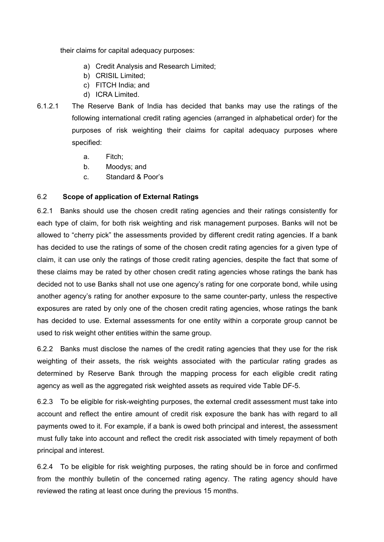their claims for capital adequacy purposes:

- a) Credit Analysis and Research Limited;
- b) CRISIL Limited;
- c) FITCH India; and
- d) ICRA Limited.
- 6.1.2.1 The Reserve Bank of India has decided that banks may use the ratings of the following international credit rating agencies (arranged in alphabetical order) for the purposes of risk weighting their claims for capital adequacy purposes where specified:
	- a. Fitch;
	- b. Moodys; and
	- c. Standard & Poor's

## 6.2 **Scope of application of External Ratings**

6.2.1 Banks should use the chosen credit rating agencies and their ratings consistently for each type of claim, for both risk weighting and risk management purposes. Banks will not be allowed to "cherry pick" the assessments provided by different credit rating agencies. If a bank has decided to use the ratings of some of the chosen credit rating agencies for a given type of claim, it can use only the ratings of those credit rating agencies, despite the fact that some of these claims may be rated by other chosen credit rating agencies whose ratings the bank has decided not to use Banks shall not use one agency's rating for one corporate bond, while using another agency's rating for another exposure to the same counter-party, unless the respective exposures are rated by only one of the chosen credit rating agencies, whose ratings the bank has decided to use. External assessments for one entity within a corporate group cannot be used to risk weight other entities within the same group.

6.2.2 Banks must disclose the names of the credit rating agencies that they use for the risk weighting of their assets, the risk weights associated with the particular rating grades as determined by Reserve Bank through the mapping process for each eligible credit rating agency as well as the aggregated risk weighted assets as required vide Table DF-5.

6.2.3 To be eligible for risk-weighting purposes, the external credit assessment must take into account and reflect the entire amount of credit risk exposure the bank has with regard to all payments owed to it. For example, if a bank is owed both principal and interest, the assessment must fully take into account and reflect the credit risk associated with timely repayment of both principal and interest.

6.2.4 To be eligible for risk weighting purposes, the rating should be in force and confirmed from the monthly bulletin of the concerned rating agency. The rating agency should have reviewed the rating at least once during the previous 15 months.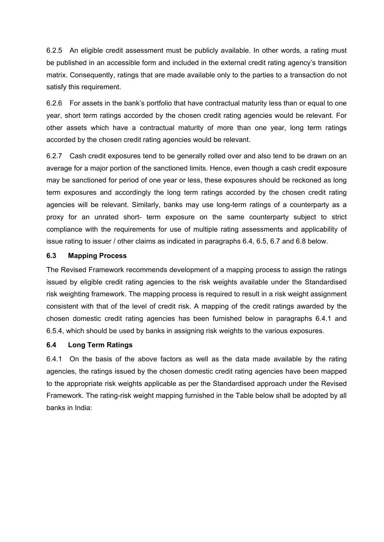6.2.5 An eligible credit assessment must be publicly available. In other words, a rating must be published in an accessible form and included in the external credit rating agency's transition matrix. Consequently, ratings that are made available only to the parties to a transaction do not satisfy this requirement.

6.2.6 For assets in the bank's portfolio that have contractual maturity less than or equal to one year, short term ratings accorded by the chosen credit rating agencies would be relevant. For other assets which have a contractual maturity of more than one year, long term ratings accorded by the chosen credit rating agencies would be relevant.

6.2.7 Cash credit exposures tend to be generally rolled over and also tend to be drawn on an average for a major portion of the sanctioned limits. Hence, even though a cash credit exposure may be sanctioned for period of one year or less, these exposures should be reckoned as long term exposures and accordingly the long term ratings accorded by the chosen credit rating agencies will be relevant. Similarly, banks may use long-term ratings of a counterparty as a proxy for an unrated short- term exposure on the same counterparty subject to strict compliance with the requirements for use of multiple rating assessments and applicability of issue rating to issuer / other claims as indicated in paragraphs 6.4, 6.5, 6.7 and 6.8 below.

### **6.3 Mapping Process**

The Revised Framework recommends development of a mapping process to assign the ratings issued by eligible credit rating agencies to the risk weights available under the Standardised risk weighting framework. The mapping process is required to result in a risk weight assignment consistent with that of the level of credit risk. A mapping of the credit ratings awarded by the chosen domestic credit rating agencies has been furnished below in paragraphs 6.4.1 and 6.5.4, which should be used by banks in assigning risk weights to the various exposures.

# **6.4 Long Term Ratings**

6.4.1 On the basis of the above factors as well as the data made available by the rating agencies, the ratings issued by the chosen domestic credit rating agencies have been mapped to the appropriate risk weights applicable as per the Standardised approach under the Revised Framework. The rating-risk weight mapping furnished in the Table below shall be adopted by all banks in India: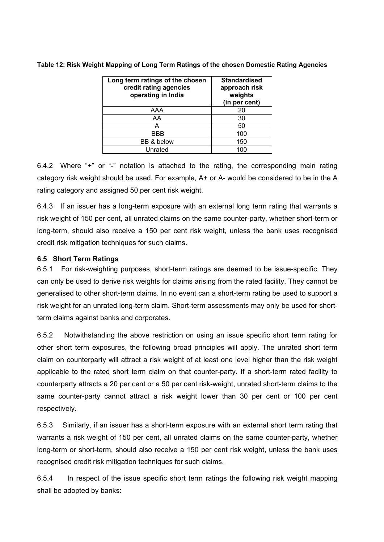| Long term ratings of the chosen<br>credit rating agencies<br>operating in India | <b>Standardised</b><br>approach risk<br>weights<br>(in per cent) |
|---------------------------------------------------------------------------------|------------------------------------------------------------------|
| AAA                                                                             | 20                                                               |
| AA                                                                              | 30                                                               |
| A                                                                               | 50                                                               |
| <b>BBB</b>                                                                      | 100                                                              |
| BB & below                                                                      | 150                                                              |
| Unrated                                                                         |                                                                  |

**Table 12: Risk Weight Mapping of Long Term Ratings of the chosen Domestic Rating Agencies** 

6.4.2 Where "+" or "-" notation is attached to the rating, the corresponding main rating category risk weight should be used. For example, A+ or A- would be considered to be in the A rating category and assigned 50 per cent risk weight.

6.4.3 If an issuer has a long-term exposure with an external long term rating that warrants a risk weight of 150 per cent, all unrated claims on the same counter-party, whether short-term or long-term, should also receive a 150 per cent risk weight, unless the bank uses recognised credit risk mitigation techniques for such claims.

# **6.5 Short Term Ratings**

6.5.1 For risk-weighting purposes, short-term ratings are deemed to be issue-specific. They can only be used to derive risk weights for claims arising from the rated facility. They cannot be generalised to other short-term claims. In no event can a short-term rating be used to support a risk weight for an unrated long-term claim. Short-term assessments may only be used for shortterm claims against banks and corporates.

6.5.2 Notwithstanding the above restriction on using an issue specific short term rating for other short term exposures, the following broad principles will apply. The unrated short term claim on counterparty will attract a risk weight of at least one level higher than the risk weight applicable to the rated short term claim on that counter-party. If a short-term rated facility to counterparty attracts a 20 per cent or a 50 per cent risk-weight, unrated short-term claims to the same counter-party cannot attract a risk weight lower than 30 per cent or 100 per cent respectively.

6.5.3 Similarly, if an issuer has a short-term exposure with an external short term rating that warrants a risk weight of 150 per cent, all unrated claims on the same counter-party, whether long-term or short-term, should also receive a 150 per cent risk weight, unless the bank uses recognised credit risk mitigation techniques for such claims.

6.5.4 In respect of the issue specific short term ratings the following risk weight mapping shall be adopted by banks: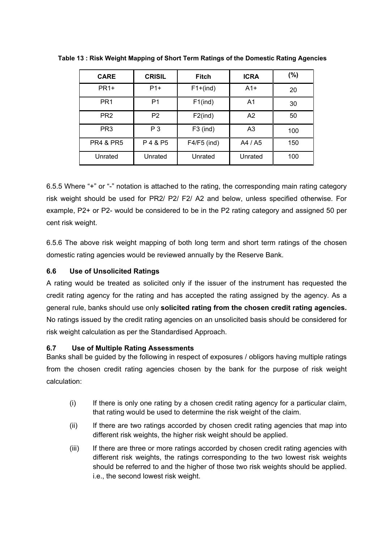| <b>CARE</b>          | <b>CRISIL</b>  | <b>Fitch</b> | <b>ICRA</b>    | (%) |
|----------------------|----------------|--------------|----------------|-----|
| PR <sub>1+</sub>     | $P1+$          | $F1+(ind)$   | $A1+$          | 20  |
| PR <sub>1</sub>      | P <sub>1</sub> | $F1$ (ind)   | A <sub>1</sub> | 30  |
| PR <sub>2</sub>      | P <sub>2</sub> | $F2$ (ind)   | A2             | 50  |
| PR <sub>3</sub>      | P <sub>3</sub> | $F3$ (ind)   | A3             | 100 |
| <b>PR4 &amp; PR5</b> | P 4 & P 5      | F4/F5 (ind)  | A4 / A5        | 150 |
| Unrated              | Unrated        | Unrated      | Unrated        | 100 |

**Table 13 : Risk Weight Mapping of Short Term Ratings of the Domestic Rating Agencies** 

6.5.5 Where "+" or "-" notation is attached to the rating, the corresponding main rating category risk weight should be used for PR2/ P2/ F2/ A2 and below, unless specified otherwise. For example, P2+ or P2- would be considered to be in the P2 rating category and assigned 50 per cent risk weight.

6.5.6 The above risk weight mapping of both long term and short term ratings of the chosen domestic rating agencies would be reviewed annually by the Reserve Bank.

# **6.6 Use of Unsolicited Ratings**

A rating would be treated as solicited only if the issuer of the instrument has requested the credit rating agency for the rating and has accepted the rating assigned by the agency. As a general rule, banks should use only **solicited rating from the chosen credit rating agencies.**  No ratings issued by the credit rating agencies on an unsolicited basis should be considered for risk weight calculation as per the Standardised Approach.

# **6.7 Use of Multiple Rating Assessments**

Banks shall be guided by the following in respect of exposures / obligors having multiple ratings from the chosen credit rating agencies chosen by the bank for the purpose of risk weight calculation:

- (i) If there is only one rating by a chosen credit rating agency for a particular claim, that rating would be used to determine the risk weight of the claim.
- (ii) If there are two ratings accorded by chosen credit rating agencies that map into different risk weights, the higher risk weight should be applied.
- (iii) If there are three or more ratings accorded by chosen credit rating agencies with different risk weights, the ratings corresponding to the two lowest risk weights should be referred to and the higher of those two risk weights should be applied. i.e., the second lowest risk weight.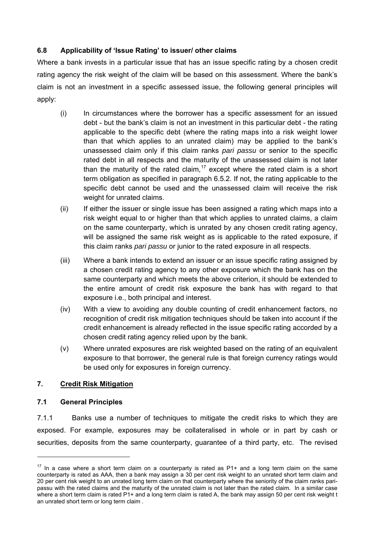# **6.8 Applicability of 'Issue Rating' to issuer/ other claims**

Where a bank invests in a particular issue that has an issue specific rating by a chosen credit rating agency the risk weight of the claim will be based on this assessment. Where the bank's claim is not an investment in a specific assessed issue, the following general principles will apply:

- (i) In circumstances where the borrower has a specific assessment for an issued debt - but the bank's claim is not an investment in this particular debt - the rating applicable to the specific debt (where the rating maps into a risk weight lower than that which applies to an unrated claim) may be applied to the bank's unassessed claim only if this claim ranks *pari passu* or senior to the specific rated debt in all respects and the maturity of the unassessed claim is not later than the maturity of the rated claim,  $17$  except where the rated claim is a short term obligation as specified in paragraph 6.5.2. If not, the rating applicable to the specific debt cannot be used and the unassessed claim will receive the risk weight for unrated claims.
- (ii) If either the issuer or single issue has been assigned a rating which maps into a risk weight equal to or higher than that which applies to unrated claims, a claim on the same counterparty, which is unrated by any chosen credit rating agency, will be assigned the same risk weight as is applicable to the rated exposure, if this claim ranks *pari passu* or junior to the rated exposure in all respects.
- (iii) Where a bank intends to extend an issuer or an issue specific rating assigned by a chosen credit rating agency to any other exposure which the bank has on the same counterparty and which meets the above criterion, it should be extended to the entire amount of credit risk exposure the bank has with regard to that exposure i.e., both principal and interest.
- (iv) With a view to avoiding any double counting of credit enhancement factors, no recognition of credit risk mitigation techniques should be taken into account if the credit enhancement is already reflected in the issue specific rating accorded by a chosen credit rating agency relied upon by the bank.
- (v) Where unrated exposures are risk weighted based on the rating of an equivalent exposure to that borrower, the general rule is that foreign currency ratings would be used only for exposures in foreign currency.

# **7. Credit Risk Mitigation**

# **7.1 General Principles**

l

7.1.1 Banks use a number of techniques to mitigate the credit risks to which they are exposed. For example, exposures may be collateralised in whole or in part by cash or securities, deposits from the same counterparty, guarantee of a third party, etc. The revised

<span id="page-44-0"></span> $17$  In a case where a short term claim on a counterparty is rated as P1+ and a long term claim on the same counterparty is rated as AAA, then a bank may assign a 30 per cent risk weight to an unrated short term claim and 20 per cent risk weight to an unrated long term claim on that counterparty where the seniority of the claim ranks paripassu with the rated claims and the maturity of the unrated claim is not later than the rated claim. In a similar case where a short term claim is rated P1+ and a long term claim is rated A, the bank may assign 50 per cent risk weight t an unrated short term or long term claim .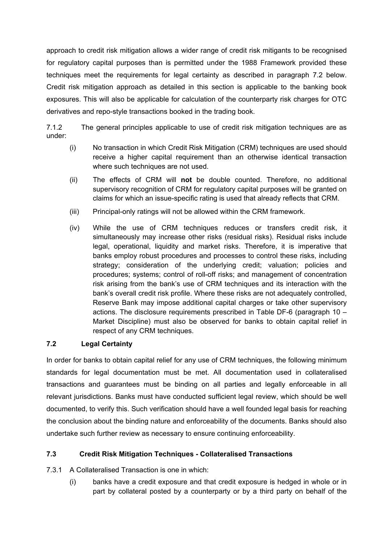approach to credit risk mitigation allows a wider range of credit risk mitigants to be recognised for regulatory capital purposes than is permitted under the 1988 Framework provided these techniques meet the requirements for legal certainty as described in paragraph 7.2 below. Credit risk mitigation approach as detailed in this section is applicable to the banking book exposures. This will also be applicable for calculation of the counterparty risk charges for OTC derivatives and repo-style transactions booked in the trading book.

7.1.2 The general principles applicable to use of credit risk mitigation techniques are as under:

- (i) No transaction in which Credit Risk Mitigation (CRM) techniques are used should receive a higher capital requirement than an otherwise identical transaction where such techniques are not used.
- (ii) The effects of CRM will **not** be double counted. Therefore, no additional supervisory recognition of CRM for regulatory capital purposes will be granted on claims for which an issue-specific rating is used that already reflects that CRM.
- (iii) Principal-only ratings will not be allowed within the CRM framework.
- (iv) While the use of CRM techniques reduces or transfers credit risk, it simultaneously may increase other risks (residual risks). Residual risks include legal, operational, liquidity and market risks. Therefore, it is imperative that banks employ robust procedures and processes to control these risks, including strategy; consideration of the underlying credit; valuation; policies and procedures; systems; control of roll-off risks; and management of concentration risk arising from the bank's use of CRM techniques and its interaction with the bank's overall credit risk profile. Where these risks are not adequately controlled, Reserve Bank may impose additional capital charges or take other supervisory actions. The disclosure requirements prescribed in Table DF-6 (paragraph 10 – Market Discipline) must also be observed for banks to obtain capital relief in respect of any CRM techniques.

# **7.2 Legal Certainty**

In order for banks to obtain capital relief for any use of CRM techniques, the following minimum standards for legal documentation must be met. All documentation used in collateralised transactions and guarantees must be binding on all parties and legally enforceable in all relevant jurisdictions. Banks must have conducted sufficient legal review, which should be well documented, to verify this. Such verification should have a well founded legal basis for reaching the conclusion about the binding nature and enforceability of the documents. Banks should also undertake such further review as necessary to ensure continuing enforceability.

# **7.3 Credit Risk Mitigation Techniques - Collateralised Transactions**

7.3.1 A Collateralised Transaction is one in which:

(i) banks have a credit exposure and that credit exposure is hedged in whole or in part by collateral posted by a counterparty or by a third party on behalf of the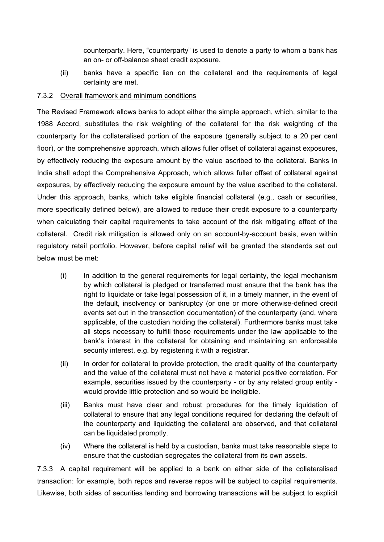counterparty. Here, "counterparty" is used to denote a party to whom a bank has an on- or off-balance sheet credit exposure.

(ii) banks have a specific lien on the collateral and the requirements of legal certainty are met.

## 7.3.2 Overall framework and minimum conditions

The Revised Framework allows banks to adopt either the simple approach, which, similar to the 1988 Accord, substitutes the risk weighting of the collateral for the risk weighting of the counterparty for the collateralised portion of the exposure (generally subject to a 20 per cent floor), or the comprehensive approach, which allows fuller offset of collateral against exposures, by effectively reducing the exposure amount by the value ascribed to the collateral. Banks in India shall adopt the Comprehensive Approach, which allows fuller offset of collateral against exposures, by effectively reducing the exposure amount by the value ascribed to the collateral. Under this approach, banks, which take eligible financial collateral (e.g., cash or securities, more specifically defined below), are allowed to reduce their credit exposure to a counterparty when calculating their capital requirements to take account of the risk mitigating effect of the collateral. Credit risk mitigation is allowed only on an account-by-account basis, even within regulatory retail portfolio. However, before capital relief will be granted the standards set out below must be met:

- (i) In addition to the general requirements for legal certainty, the legal mechanism by which collateral is pledged or transferred must ensure that the bank has the right to liquidate or take legal possession of it, in a timely manner, in the event of the default, insolvency or bankruptcy (or one or more otherwise-defined credit events set out in the transaction documentation) of the counterparty (and, where applicable, of the custodian holding the collateral). Furthermore banks must take all steps necessary to fulfill those requirements under the law applicable to the bank's interest in the collateral for obtaining and maintaining an enforceable security interest, e.g. by registering it with a registrar.
- (ii) In order for collateral to provide protection, the credit quality of the counterparty and the value of the collateral must not have a material positive correlation. For example, securities issued by the counterparty - or by any related group entity would provide little protection and so would be ineligible.
- (iii) Banks must have clear and robust procedures for the timely liquidation of collateral to ensure that any legal conditions required for declaring the default of the counterparty and liquidating the collateral are observed, and that collateral can be liquidated promptly.
- (iv) Where the collateral is held by a custodian, banks must take reasonable steps to ensure that the custodian segregates the collateral from its own assets.

7.3.3 A capital requirement will be applied to a bank on either side of the collateralised transaction: for example, both repos and reverse repos will be subject to capital requirements. Likewise, both sides of securities lending and borrowing transactions will be subject to explicit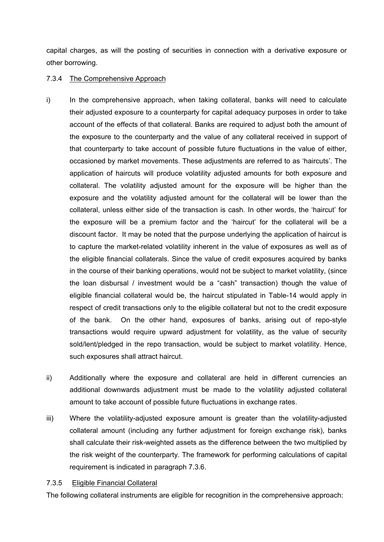capital charges, as will the posting of securities in connection with a derivative exposure or other borrowing.

### 7.3.4 The Comprehensive Approach

- i) In the comprehensive approach, when taking collateral, banks will need to calculate their adjusted exposure to a counterparty for capital adequacy purposes in order to take account of the effects of that collateral. Banks are required to adjust both the amount of the exposure to the counterparty and the value of any collateral received in support of that counterparty to take account of possible future fluctuations in the value of either, occasioned by market movements. These adjustments are referred to as 'haircuts'. The application of haircuts will produce volatility adjusted amounts for both exposure and collateral. The volatility adjusted amount for the exposure will be higher than the exposure and the volatility adjusted amount for the collateral will be lower than the collateral, unless either side of the transaction is cash. In other words, the 'haircut' for the exposure will be a premium factor and the 'haircut' for the collateral will be a discount factor. It may be noted that the purpose underlying the application of haircut is to capture the market-related volatility inherent in the value of exposures as well as of the eligible financial collaterals. Since the value of credit exposures acquired by banks in the course of their banking operations, would not be subject to market volatility, (since the loan disbursal / investment would be a "cash" transaction) though the value of eligible financial collateral would be, the haircut stipulated in Table-14 would apply in respect of credit transactions only to the eligible collateral but not to the credit exposure of the bank. On the other hand, exposures of banks, arising out of repo-style transactions would require upward adjustment for volatility, as the value of security sold/lent/pledged in the repo transaction, would be subject to market volatility. Hence, such exposures shall attract haircut.
- ii) Additionally where the exposure and collateral are held in different currencies an additional downwards adjustment must be made to the volatility adjusted collateral amount to take account of possible future fluctuations in exchange rates.
- iii) Where the volatility-adjusted exposure amount is greater than the volatility-adjusted collateral amount (including any further adjustment for foreign exchange risk), banks shall calculate their risk-weighted assets as the difference between the two multiplied by the risk weight of the counterparty. The framework for performing calculations of capital requirement is indicated in paragraph 7.3.6.

### 7.3.5 Eligible Financial Collateral

The following collateral instruments are eligible for recognition in the comprehensive approach: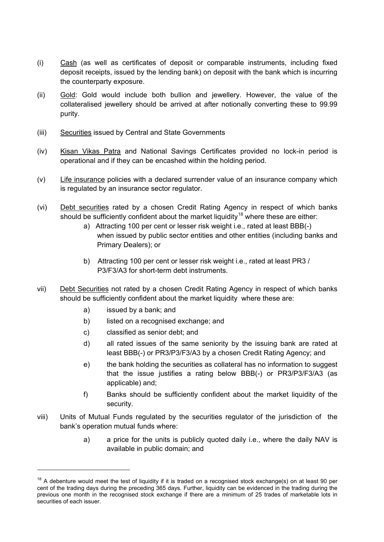- (i) Cash (as well as certificates of deposit or comparable instruments, including fixed deposit receipts, issued by the lending bank) on deposit with the bank which is incurring the counterparty exposure.
- (ii) Gold: Gold would include both bullion and jewellery. However, the value of the collateralised jewellery should be arrived at after notionally converting these to 99.99 purity.
- (iii) Securities issued by Central and State Governments
- (iv) Kisan Vikas Patra and National Savings Certificates provided no lock-in period is operational and if they can be encashed within the holding period.
- $(v)$  Life insurance policies with a declared surrender value of an insurance company which is regulated by an insurance sector regulator.
- (vi) Debt securities rated by a chosen Credit Rating Agency in respect of which banks should be sufficiently confident about the market liquidity<sup>[1](#page-48-0)8</sup> where these are either:
	- a) Attracting 100 per cent or lesser risk weight i.e., rated at least BBB(-) when issued by public sector entities and other entities (including banks and Primary Dealers); or
	- b) Attracting 100 per cent or lesser risk weight i.e., rated at least PR3 / P3/F3/A3 for short-term debt instruments.
- vii) Debt Securities not rated by a chosen Credit Rating Agency in respect of which banks should be sufficiently confident about the market liquidity where these are:
	- a) issued by a bank; and

l

- b) listed on a recognised exchange; and
- c) classified as senior debt; and
- d) all rated issues of the same seniority by the issuing bank are rated at least BBB(-) or PR3/P3/F3/A3 by a chosen Credit Rating Agency; and
- e) the bank holding the securities as collateral has no information to suggest that the issue justifies a rating below BBB(-) or PR3/P3/F3/A3 (as applicable) and;
- f) Banks should be sufficiently confident about the market liquidity of the security.
- viii) Units of Mutual Funds regulated by the securities regulator of the jurisdiction of the bank's operation mutual funds where:
	- a) a price for the units is publicly quoted daily i.e., where the daily NAV is available in public domain; and

<span id="page-48-0"></span><sup>&</sup>lt;sup>18</sup> A debenture would meet the test of liquidity if it is traded on a recognised stock exchange(s) on at least 90 per cent of the trading days during the preceding 365 days. Further, liquidity can be evidenced in the trading during the previous one month in the recognised stock exchange if there are a minimum of 25 trades of marketable lots in securities of each issuer.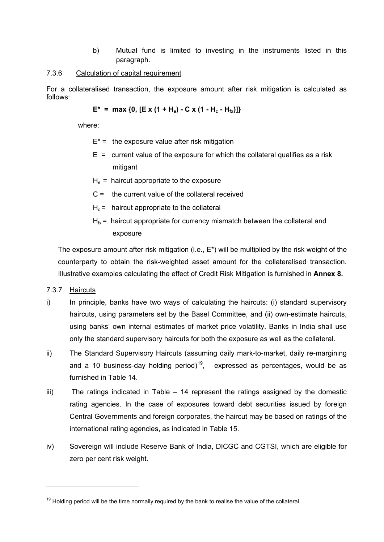b) Mutual fund is limited to investing in the instruments listed in this paragraph.

### 7.3.6 Calculation of capital requirement

For a collateralised transaction, the exposure amount after risk mitigation is calculated as follows:

$$
E^* = \max \{0, [E \times (1 + H_e) - C \times (1 - H_c - H_{fx})]\}
$$

where:

- $E^*$  = the exposure value after risk mitigation
- $E =$  current value of the exposure for which the collateral qualifies as a risk mitigant
- $H<sub>e</sub>$  = haircut appropriate to the exposure
- $C =$  the current value of the collateral received
- $H_c$  = haircut appropriate to the collateral
- $H<sub>fx</sub>$  = haircut appropriate for currency mismatch between the collateral and exposure

The exposure amount after risk mitigation (i.e.,  $E^*$ ) will be multiplied by the risk weight of the counterparty to obtain the risk-weighted asset amount for the collateralised transaction. Illustrative examples calculating the effect of Credit Risk Mitigation is furnished in **Annex 8.** 

# 7.3.7 Haircuts

1

- i) In principle, banks have two ways of calculating the haircuts: (i) standard supervisory haircuts, using parameters set by the Basel Committee, and (ii) own-estimate haircuts, using banks' own internal estimates of market price volatility. Banks in India shall use only the standard supervisory haircuts for both the exposure as well as the collateral.
- ii) The Standard Supervisory Haircuts (assuming daily mark-to-market, daily re-margining and a [1](#page-49-0)0 business-day holding period)<sup>19</sup>, expressed as percentages, would be as furnished in Table 14.
- iii) The ratings indicated in Table 14 represent the ratings assigned by the domestic rating agencies. In the case of exposures toward debt securities issued by foreign Central Governments and foreign corporates, the haircut may be based on ratings of the international rating agencies, as indicated in Table 15.
- iv) Sovereign will include Reserve Bank of India, DICGC and CGTSI, which are eligible for zero per cent risk weight.

<span id="page-49-0"></span> $19$  Holding period will be the time normally required by the bank to realise the value of the collateral.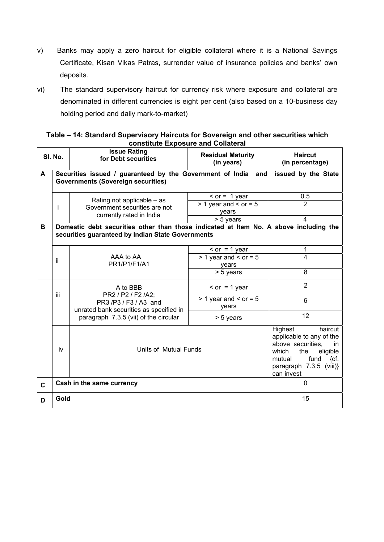- v) Banks may apply a zero haircut for eligible collateral where it is a National Savings Certificate, Kisan Vikas Patras, surrender value of insurance policies and banks' own deposits.
- vi) The standard supervisory haircut for currency risk where exposure and collateral are denominated in different currencies is eight per cent (also based on a 10-business day holding period and daily mark-to-market)

## **Table – 14: Standard Supervisory Haircuts for Sovereign and other securities which constitute Exposure and Collateral**

| SI. No.      |                             | <b>Issue Rating</b><br><b>Residual Maturity</b><br>for Debt securities<br>(in years)                                                       |                                                                      | <b>Haircut</b><br>(in percentage)                                                                                                                                           |
|--------------|-----------------------------|--------------------------------------------------------------------------------------------------------------------------------------------|----------------------------------------------------------------------|-----------------------------------------------------------------------------------------------------------------------------------------------------------------------------|
| A            |                             | Securities issued / guaranteed by the Government of India and<br><b>Governments (Sovereign securities)</b>                                 |                                                                      | issued by the State                                                                                                                                                         |
|              | Ť                           | Rating not applicable – as<br>Government securities are not<br>currently rated in India                                                    | $\le$ or = 1 year<br>$> 1$ year and $<$ or = 5<br>years              | 0.5<br>$\overline{2}$                                                                                                                                                       |
| B            |                             | Domestic debt securities other than those indicated at Item No. A above including the<br>securities guaranteed by Indian State Governments | > 5 years                                                            | 4                                                                                                                                                                           |
|              | ii.                         | AAA to AA<br>PR1/P1/F1/A1                                                                                                                  | $\le$ or = 1 year<br>$> 1$ year and $<$ or = 5<br>years<br>> 5 years | 1<br>4<br>8                                                                                                                                                                 |
|              | iij                         | A to BBB<br>PR2 / P2 / F2 /A2;                                                                                                             | $\le$ or = 1 year<br>$> 1$ year and $<$ or = 5                       | 2                                                                                                                                                                           |
|              |                             | PR3/P3/F3/A3 and<br>unrated bank securities as specified in<br>paragraph 7.3.5 (vii) of the circular                                       | years<br>> 5 years                                                   | 6<br>12                                                                                                                                                                     |
|              | Units of Mutual Funds<br>iv |                                                                                                                                            |                                                                      | Highest<br>haircut<br>applicable to any of the<br>above securities,<br>in<br>eligible<br>which<br>the<br>fund<br>mutual<br>${cf.}$<br>paragraph 7.3.5 (viii)}<br>can invest |
| $\mathbf{C}$ |                             | Cash in the same currency                                                                                                                  |                                                                      | 0                                                                                                                                                                           |
| D            | Gold                        |                                                                                                                                            | 15                                                                   |                                                                                                                                                                             |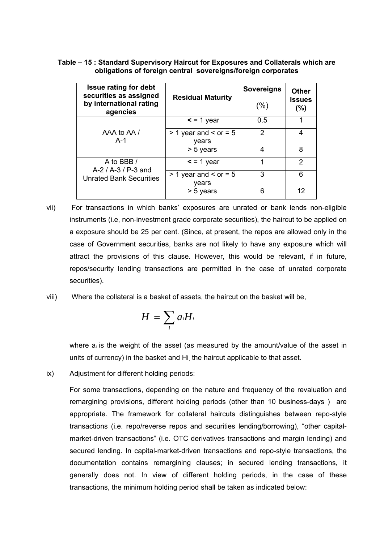#### **Table – 15 : Standard Supervisory Haircut for Exposures and Collaterals which are obligations of foreign central sovereigns/foreign corporates**

| <b>Issue rating for debt</b><br>securities as assigned<br>by international rating<br>agencies | <b>Residual Maturity</b>           | <b>Sovereigns</b><br>(%) | <b>Other</b><br><b>Issues</b><br>(%) |
|-----------------------------------------------------------------------------------------------|------------------------------------|--------------------------|--------------------------------------|
|                                                                                               | $\leq$ = 1 year                    | 0.5                      | 1                                    |
| AAA to AA /<br>$A-1$                                                                          | $> 1$ year and $<$ or = 5<br>vears | 2                        | 4                                    |
|                                                                                               | > 5 years                          | 4                        | 8                                    |
| A to BBB /<br>$A-2 / A-3 / P-3$ and                                                           | $\leq$ = 1 year                    | 1                        | $\mathcal{P}$                        |
| <b>Unrated Bank Securities</b>                                                                | $> 1$ year and $<$ or = 5<br>vears | 3                        | 6                                    |
|                                                                                               | $> 5$ years                        | 6                        | 12                                   |

- vii) For transactions in which banks' exposures are unrated or bank lends non-eligible instruments (i.e, non-investment grade corporate securities), the haircut to be applied on a exposure should be 25 per cent. (Since, at present, the repos are allowed only in the case of Government securities, banks are not likely to have any exposure which will attract the provisions of this clause. However, this would be relevant, if in future, repos/security lending transactions are permitted in the case of unrated corporate securities).
- viii) Where the collateral is a basket of assets, the haircut on the basket will be,

$$
H=\sum_i a_i H_i
$$

where  $a_i$  is the weight of the asset (as measured by the amount/value of the asset in units of currency) in the basket and Hi, the haircut applicable to that asset.

ix) Adjustment for different holding periods:

For some transactions, depending on the nature and frequency of the revaluation and remargining provisions, different holding periods (other than 10 business-days ) are appropriate. The framework for collateral haircuts distinguishes between repo-style transactions (i.e. repo/reverse repos and securities lending/borrowing), "other capitalmarket-driven transactions" (i.e. OTC derivatives transactions and margin lending) and secured lending. In capital-market-driven transactions and repo-style transactions, the documentation contains remargining clauses; in secured lending transactions, it generally does not. In view of different holding periods, in the case of these transactions, the minimum holding period shall be taken as indicated below: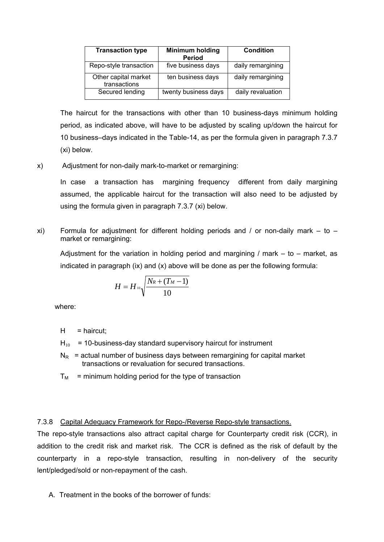| <b>Transaction type</b>              | <b>Minimum holding</b><br><b>Period</b> | <b>Condition</b>  |
|--------------------------------------|-----------------------------------------|-------------------|
| Repo-style transaction               | five business days                      | daily remargining |
| Other capital market<br>transactions | ten business days                       | daily remargining |
| Secured lending                      | twenty business days                    | daily revaluation |

The haircut for the transactions with other than 10 business-days minimum holding period, as indicated above, will have to be adjusted by scaling up/down the haircut for 10 business–days indicated in the Table-14, as per the formula given in paragraph 7.3.7 (xi) below.

x) Adjustment for non-daily mark-to-market or remargining:

In case a transaction has margining frequency different from daily margining assumed, the applicable haircut for the transaction will also need to be adjusted by using the formula given in paragraph 7.3.7 (xi) below.

 $xi$ ) Formula for adjustment for different holding periods and / or non-daily mark – to – market or remargining:

Adjustment for the variation in holding period and margining  $/$  mark – to – market, as indicated in paragraph (ix) and (x) above will be done as per the following formula:

$$
H = H_{10} \sqrt{\frac{N_R + (T_M - 1)}{10}}
$$

where:

- $H =$  haircut:
- $H_{10}$  = 10-business-day standard supervisory haircut for instrument
- $N_R$  = actual number of business days between remargining for capital market transactions or revaluation for secured transactions.
- $T_M$  = minimum holding period for the type of transaction

### 7.3.8 Capital Adequacy Framework for Repo-/Reverse Repo-style transactions.

The repo-style transactions also attract capital charge for Counterparty credit risk (CCR), in addition to the credit risk and market risk. The CCR is defined as the risk of default by the counterparty in a repo-style transaction, resulting in non-delivery of the security lent/pledged/sold or non-repayment of the cash.

A. Treatment in the books of the borrower of funds: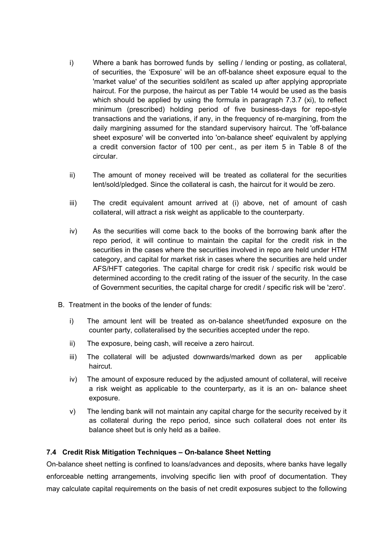- i) Where a bank has borrowed funds by selling / lending or posting, as collateral, of securities, the 'Exposure' will be an off-balance sheet exposure equal to the 'market value' of the securities sold/lent as scaled up after applying appropriate haircut. For the purpose, the haircut as per Table 14 would be used as the basis which should be applied by using the formula in paragraph 7.3.7 (xi), to reflect minimum (prescribed) holding period of five business-days for repo-style transactions and the variations, if any, in the frequency of re-margining, from the daily margining assumed for the standard supervisory haircut. The 'off-balance sheet exposure' will be converted into 'on-balance sheet' equivalent by applying a credit conversion factor of 100 per cent., as per item 5 in Table 8 of the circular.
- ii) The amount of money received will be treated as collateral for the securities lent/sold/pledged. Since the collateral is cash, the haircut for it would be zero.
- iii) The credit equivalent amount arrived at (i) above, net of amount of cash collateral, will attract a risk weight as applicable to the counterparty.
- iv) As the securities will come back to the books of the borrowing bank after the repo period, it will continue to maintain the capital for the credit risk in the securities in the cases where the securities involved in repo are held under HTM category, and capital for market risk in cases where the securities are held under AFS/HFT categories. The capital charge for credit risk / specific risk would be determined according to the credit rating of the issuer of the security. In the case of Government securities, the capital charge for credit / specific risk will be 'zero'.
- B. Treatment in the books of the lender of funds:
	- i) The amount lent will be treated as on-balance sheet/funded exposure on the counter party, collateralised by the securities accepted under the repo.
	- ii) The exposure, being cash, will receive a zero haircut.
	- iii) The collateral will be adjusted downwards/marked down as per applicable haircut.
	- iv) The amount of exposure reduced by the adjusted amount of collateral, will receive a risk weight as applicable to the counterparty, as it is an on- balance sheet exposure.
	- v) The lending bank will not maintain any capital charge for the security received by it as collateral during the repo period, since such collateral does not enter its balance sheet but is only held as a bailee.

# **7.4 Credit Risk Mitigation Techniques – On-balance Sheet Netting**

On-balance sheet netting is confined to loans/advances and deposits, where banks have legally enforceable netting arrangements, involving specific lien with proof of documentation. They may calculate capital requirements on the basis of net credit exposures subject to the following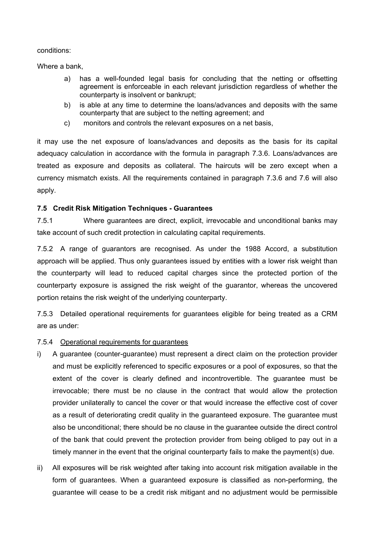conditions:

Where a bank,

- a) has a well-founded legal basis for concluding that the netting or offsetting agreement is enforceable in each relevant jurisdiction regardless of whether the counterparty is insolvent or bankrupt;
- b) is able at any time to determine the loans/advances and deposits with the same counterparty that are subject to the netting agreement; and
- c) monitors and controls the relevant exposures on a net basis,

it may use the net exposure of loans/advances and deposits as the basis for its capital adequacy calculation in accordance with the formula in paragraph 7.3.6. Loans/advances are treated as exposure and deposits as collateral. The haircuts will be zero except when a currency mismatch exists. All the requirements contained in paragraph 7.3.6 and 7.6 will also apply.

## **7.5 Credit Risk Mitigation Techniques - Guarantees**

7.5.1 Where guarantees are direct, explicit, irrevocable and unconditional banks may take account of such credit protection in calculating capital requirements.

7.5.2 A range of guarantors are recognised. As under the 1988 Accord, a substitution approach will be applied. Thus only guarantees issued by entities with a lower risk weight than the counterparty will lead to reduced capital charges since the protected portion of the counterparty exposure is assigned the risk weight of the guarantor, whereas the uncovered portion retains the risk weight of the underlying counterparty.

7.5.3 Detailed operational requirements for guarantees eligible for being treated as a CRM are as under:

### 7.5.4 Operational requirements for guarantees

- i) A guarantee (counter-guarantee) must represent a direct claim on the protection provider and must be explicitly referenced to specific exposures or a pool of exposures, so that the extent of the cover is clearly defined and incontrovertible. The guarantee must be irrevocable; there must be no clause in the contract that would allow the protection provider unilaterally to cancel the cover or that would increase the effective cost of cover as a result of deteriorating credit quality in the guaranteed exposure. The guarantee must also be unconditional; there should be no clause in the guarantee outside the direct control of the bank that could prevent the protection provider from being obliged to pay out in a timely manner in the event that the original counterparty fails to make the payment(s) due.
- ii) All exposures will be risk weighted after taking into account risk mitigation available in the form of guarantees. When a guaranteed exposure is classified as non-performing, the guarantee will cease to be a credit risk mitigant and no adjustment would be permissible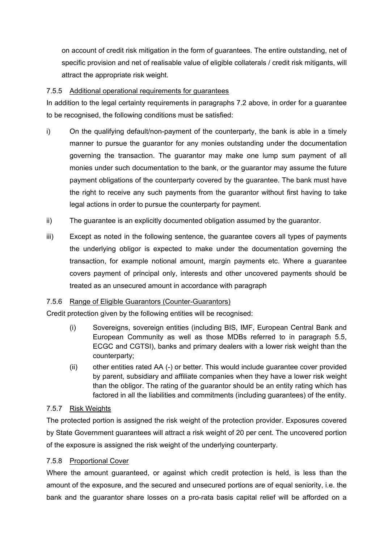on account of credit risk mitigation in the form of guarantees. The entire outstanding, net of specific provision and net of realisable value of eligible collaterals / credit risk mitigants, will attract the appropriate risk weight.

# 7.5.5 Additional operational requirements for guarantees

In addition to the legal certainty requirements in paragraphs 7.2 above, in order for a guarantee to be recognised, the following conditions must be satisfied:

- i) On the qualifying default/non-payment of the counterparty, the bank is able in a timely manner to pursue the guarantor for any monies outstanding under the documentation governing the transaction. The guarantor may make one lump sum payment of all monies under such documentation to the bank, or the guarantor may assume the future payment obligations of the counterparty covered by the guarantee. The bank must have the right to receive any such payments from the guarantor without first having to take legal actions in order to pursue the counterparty for payment.
- ii) The guarantee is an explicitly documented obligation assumed by the guarantor.
- iii) Except as noted in the following sentence, the guarantee covers all types of payments the underlying obligor is expected to make under the documentation governing the transaction, for example notional amount, margin payments etc. Where a guarantee covers payment of principal only, interests and other uncovered payments should be treated as an unsecured amount in accordance with paragraph

# 7.5.6 Range of Eligible Guarantors (Counter-Guarantors)

Credit protection given by the following entities will be recognised:

- (i) Sovereigns, sovereign entities (including BIS, IMF, European Central Bank and European Community as well as those MDBs referred to in paragraph 5.5, ECGC and CGTSI), banks and primary dealers with a lower risk weight than the counterparty;
- (ii) other entities rated AA (-) or better. This would include guarantee cover provided by parent, subsidiary and affiliate companies when they have a lower risk weight than the obligor. The rating of the guarantor should be an entity rating which has factored in all the liabilities and commitments (including guarantees) of the entity.

# 7.5.7 Risk Weights

The protected portion is assigned the risk weight of the protection provider. Exposures covered by State Government guarantees will attract a risk weight of 20 per cent. The uncovered portion of the exposure is assigned the risk weight of the underlying counterparty.

# 7.5.8 Proportional Cover

Where the amount guaranteed, or against which credit protection is held, is less than the amount of the exposure, and the secured and unsecured portions are of equal seniority, i.e. the bank and the guarantor share losses on a pro-rata basis capital relief will be afforded on a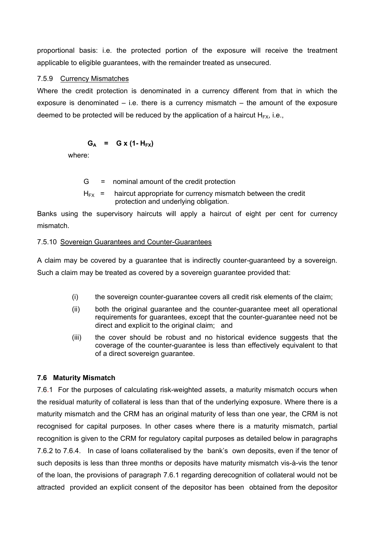proportional basis: i.e. the protected portion of the exposure will receive the treatment applicable to eligible guarantees, with the remainder treated as unsecured.

## 7.5.9 Currency Mismatches

Where the credit protection is denominated in a currency different from that in which the exposure is denominated  $-$  i.e. there is a currency mismatch  $-$  the amount of the exposure deemed to be protected will be reduced by the application of a haircut  $H_{FX}$ , i.e.,

$$
G_A = G \times (1 - H_{FX})
$$

where:

G = nominal amount of the credit protection

 $H<sub>FX</sub>$  = haircut appropriate for currency mismatch between the credit protection and underlying obligation.

Banks using the supervisory haircuts will apply a haircut of eight per cent for currency mismatch.

# 7.5.10 Sovereign Guarantees and Counter-Guarantees

A claim may be covered by a guarantee that is indirectly counter-guaranteed by a sovereign. Such a claim may be treated as covered by a sovereign guarantee provided that:

- (i) the sovereign counter-guarantee covers all credit risk elements of the claim;
- (ii) both the original guarantee and the counter-guarantee meet all operational requirements for guarantees, except that the counter-guarantee need not be direct and explicit to the original claim; and
- (iii) the cover should be robust and no historical evidence suggests that the coverage of the counter-guarantee is less than effectively equivalent to that of a direct sovereign guarantee.

# **7.6 Maturity Mismatch**

7.6.1 For the purposes of calculating risk-weighted assets, a maturity mismatch occurs when the residual maturity of collateral is less than that of the underlying exposure. Where there is a maturity mismatch and the CRM has an original maturity of less than one year, the CRM is not recognised for capital purposes. In other cases where there is a maturity mismatch, partial recognition is given to the CRM for regulatory capital purposes as detailed below in paragraphs 7.6.2 to 7.6.4. In case of loans collateralised by the bank's own deposits, even if the tenor of such deposits is less than three months or deposits have maturity mismatch vis-à-vis the tenor of the loan, the provisions of paragraph 7.6.1 regarding derecognition of collateral would not be attracted provided an explicit consent of the depositor has been obtained from the depositor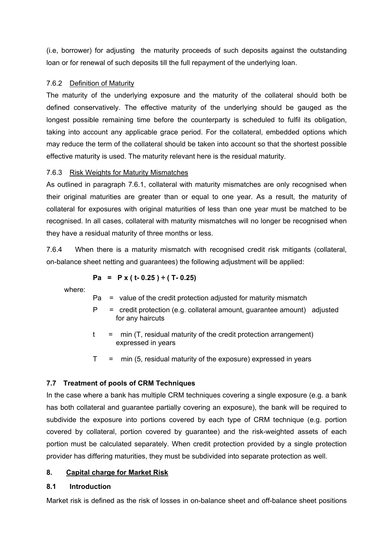(i.e, borrower) for adjusting the maturity proceeds of such deposits against the outstanding loan or for renewal of such deposits till the full repayment of the underlying loan.

# 7.6.2 Definition of Maturity

The maturity of the underlying exposure and the maturity of the collateral should both be defined conservatively. The effective maturity of the underlying should be gauged as the longest possible remaining time before the counterparty is scheduled to fulfil its obligation, taking into account any applicable grace period. For the collateral, embedded options which may reduce the term of the collateral should be taken into account so that the shortest possible effective maturity is used. The maturity relevant here is the residual maturity.

# 7.6.3 Risk Weights for Maturity Mismatches

As outlined in paragraph 7.6.1, collateral with maturity mismatches are only recognised when their original maturities are greater than or equal to one year. As a result, the maturity of collateral for exposures with original maturities of less than one year must be matched to be recognised. In all cases, collateral with maturity mismatches will no longer be recognised when they have a residual maturity of three months or less.

7.6.4 When there is a maturity mismatch with recognised credit risk mitigants (collateral, on-balance sheet netting and guarantees) the following adjustment will be applied:

$$
Pa = P x (t - 0.25) \div (T - 0.25)
$$

where:

 $Pa = value of the credit protection adjusted for maturity mismatch$ 

- $P = \text{credit protection (e.g. collateral amount, guarantee amount)} adjusted$ for any haircuts
- $t = min(T, residual maturity of the credit protection arrangement)$ expressed in years
- $T = min (5, residual maturity of the exposure) expressed in years$

# **7.7 Treatment of pools of CRM Techniques**

In the case where a bank has multiple CRM techniques covering a single exposure (e.g. a bank has both collateral and guarantee partially covering an exposure), the bank will be required to subdivide the exposure into portions covered by each type of CRM technique (e.g. portion covered by collateral, portion covered by guarantee) and the risk-weighted assets of each portion must be calculated separately. When credit protection provided by a single protection provider has differing maturities, they must be subdivided into separate protection as well.

# **8. Capital charge for Market Risk**

# **8.1 Introduction**

Market risk is defined as the risk of losses in on-balance sheet and off-balance sheet positions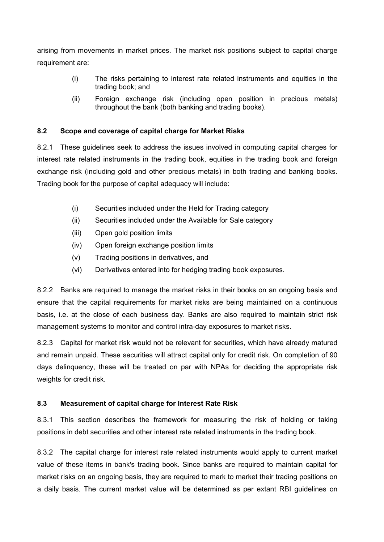arising from movements in market prices. The market risk positions subject to capital charge requirement are:

- (i) The risks pertaining to interest rate related instruments and equities in the trading book; and
- (ii) Foreign exchange risk (including open position in precious metals) throughout the bank (both banking and trading books).

# **8.2 Scope and coverage of capital charge for Market Risks**

8.2.1These guidelines seek to address the issues involved in computing capital charges for interest rate related instruments in the trading book, equities in the trading book and foreign exchange risk (including gold and other precious metals) in both trading and banking books. Trading book for the purpose of capital adequacy will include:

- (i) Securities included under the Held for Trading category
- (ii) Securities included under the Available for Sale category
- (iii) Open gold position limits
- (iv) Open foreign exchange position limits
- (v) Trading positions in derivatives, and
- (vi) Derivatives entered into for hedging trading book exposures.

8.2.2 Banks are required to manage the market risks in their books on an ongoing basis and ensure that the capital requirements for market risks are being maintained on a continuous basis, i.e. at the close of each business day. Banks are also required to maintain strict risk management systems to monitor and control intra-day exposures to market risks.

8.2.3 Capital for market risk would not be relevant for securities, which have already matured and remain unpaid. These securities will attract capital only for credit risk. On completion of 90 days delinquency, these will be treated on par with NPAs for deciding the appropriate risk weights for credit risk.

# **8.3 Measurement of capital charge for Interest Rate Risk**

8.3.1 This section describes the framework for measuring the risk of holding or taking positions in debt securities and other interest rate related instruments in the trading book.

8.3.2 The capital charge for interest rate related instruments would apply to current market value of these items in bank's trading book. Since banks are required to maintain capital for market risks on an ongoing basis, they are required to mark to market their trading positions on a daily basis. The current market value will be determined as per extant RBI guidelines on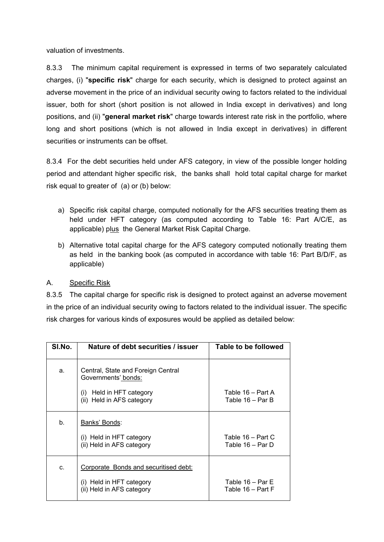valuation of investments.

8.3.3 The minimum capital requirement is expressed in terms of two separately calculated charges, (i) "**specific risk**" charge for each security, which is designed to protect against an adverse movement in the price of an individual security owing to factors related to the individual issuer, both for short (short position is not allowed in India except in derivatives) and long positions, and (ii) "**general market risk**" charge towards interest rate risk in the portfolio, where long and short positions (which is not allowed in India except in derivatives) in different securities or instruments can be offset.

8.3.4 For the debt securities held under AFS category, in view of the possible longer holding period and attendant higher specific risk, the banks shall hold total capital charge for market risk equal to greater of (a) or (b) below:

- a) Specific risk capital charge, computed notionally for the AFS securities treating them as held under HFT category (as computed according to Table 16: Part A/C/E, as applicable) plus the General Market Risk Capital Charge.
- b) Alternative total capital charge for the AFS category computed notionally treating them as held in the banking book (as computed in accordance with table 16: Part B/D/F, as applicable)

# A. Specific Risk

8.3.5 The capital charge for specific risk is designed to protect against an adverse movement in the price of an individual security owing to factors related to the individual issuer. The specific risk charges for various kinds of exposures would be applied as detailed below:

| SI.No.         | Nature of debt securities / issuer                        | Table to be followed                  |
|----------------|-----------------------------------------------------------|---------------------------------------|
| a.             | Central, State and Foreign Central<br>Governments' bonds: |                                       |
|                | Held in HFT category<br>(i)<br>(ii) Held in AFS category  | Table 16 – Part A<br>Table 16 – Par B |
| b <sub>1</sub> | Banks' Bonds:                                             |                                       |
|                | (i) Held in HFT category<br>(ii) Held in AFS category     | Table 16 - Part C<br>Table 16 – Par D |
| C.             | Corporate Bonds and securitised debt:                     |                                       |
|                | (i) Held in HFT category<br>(ii) Held in AFS category     | Table 16 – Par E<br>Table 16 – Part F |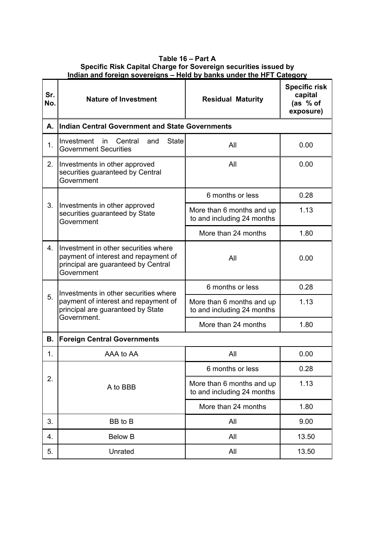#### **Table 16 – Part A Specific Risk Capital Charge for Sovereign securities issued by Indian and foreign sovereigns – Held by banks under the HFT Category**

| Sr.<br>No. | <b>Nature of Investment</b>                                                                                                       | <b>Residual Maturity</b>                                | <b>Specific risk</b><br>capital<br>(as $%$ of<br>exposure) |  |  |  |  |
|------------|-----------------------------------------------------------------------------------------------------------------------------------|---------------------------------------------------------|------------------------------------------------------------|--|--|--|--|
| А.         | <b>Indian Central Government and State Governments</b>                                                                            |                                                         |                                                            |  |  |  |  |
| 1.         | <b>State</b><br>Investment<br>in<br>Central<br>and<br><b>Government Securities</b>                                                | All                                                     | 0.00                                                       |  |  |  |  |
| 2.         | Investments in other approved<br>securities guaranteed by Central<br>Government                                                   | All                                                     | 0.00                                                       |  |  |  |  |
|            |                                                                                                                                   | 6 months or less                                        | 0.28                                                       |  |  |  |  |
| 3.         | Investments in other approved<br>securities guaranteed by State<br>Government                                                     | More than 6 months and up<br>to and including 24 months | 1.13                                                       |  |  |  |  |
|            |                                                                                                                                   | More than 24 months                                     | 1.80                                                       |  |  |  |  |
| 4.         | Investment in other securities where<br>payment of interest and repayment of<br>principal are guaranteed by Central<br>Government | All                                                     | 0.00                                                       |  |  |  |  |
|            | Investments in other securities where                                                                                             | 6 months or less                                        | 0.28                                                       |  |  |  |  |
| 5.         | payment of interest and repayment of<br>principal are guaranteed by State<br>Government.                                          | More than 6 months and up<br>to and including 24 months | 1.13                                                       |  |  |  |  |
|            |                                                                                                                                   | More than 24 months                                     | 1.80                                                       |  |  |  |  |
| В.         | <b>Foreign Central Governments</b>                                                                                                |                                                         |                                                            |  |  |  |  |
| 1.         | AAA to AA                                                                                                                         | All                                                     | 0.00                                                       |  |  |  |  |
|            |                                                                                                                                   | 6 months or less                                        | 0.28                                                       |  |  |  |  |
| 2.         | A to BBB                                                                                                                          | More than 6 months and up<br>to and including 24 months | 1.13                                                       |  |  |  |  |
|            |                                                                                                                                   | More than 24 months                                     | 1.80                                                       |  |  |  |  |
| 3.         | BB to B                                                                                                                           | All                                                     | 9.00                                                       |  |  |  |  |
| 4.         | <b>Below B</b>                                                                                                                    | All                                                     | 13.50                                                      |  |  |  |  |
| 5.         | Unrated                                                                                                                           | All                                                     | 13.50                                                      |  |  |  |  |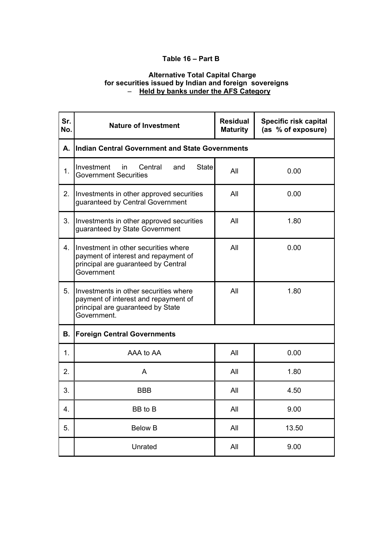### **Table 16 – Part B**

### **Alternative Total Capital Charge for securities issued by Indian and foreign sovereigns**  – **Held by banks under the AFS Category**

| Sr.<br>No. | <b>Nature of Investment</b>                                                                                                       | <b>Residual</b><br><b>Maturity</b> | <b>Specific risk capital</b><br>(as % of exposure) |  |  |  |  |
|------------|-----------------------------------------------------------------------------------------------------------------------------------|------------------------------------|----------------------------------------------------|--|--|--|--|
| А.         | Indian Central Government and State Governments                                                                                   |                                    |                                                    |  |  |  |  |
| 1.         | State<br>Investment<br>in<br>Central<br>and<br><b>Government Securities</b>                                                       | All                                | 0.00                                               |  |  |  |  |
| 2.         | Investments in other approved securities<br>guaranteed by Central Government                                                      | All                                | 0.00                                               |  |  |  |  |
| 3.         | Investments in other approved securities<br>guaranteed by State Government                                                        | All                                | 1.80                                               |  |  |  |  |
| 4.         | Investment in other securities where<br>payment of interest and repayment of<br>principal are guaranteed by Central<br>Government | All                                | 0.00                                               |  |  |  |  |
| 5.         | Investments in other securities where<br>payment of interest and repayment of<br>principal are guaranteed by State<br>Government. | All                                | 1.80                                               |  |  |  |  |
| В.         | <b>Foreign Central Governments</b>                                                                                                |                                    |                                                    |  |  |  |  |
| 1.         | AAA to AA                                                                                                                         | All                                | 0.00                                               |  |  |  |  |
| 2.         | A                                                                                                                                 | All                                | 1.80                                               |  |  |  |  |
| 3.         | <b>BBB</b>                                                                                                                        | All                                | 4.50                                               |  |  |  |  |
| 4.         | BB to B                                                                                                                           | All                                | 9.00                                               |  |  |  |  |
| 5.         | <b>Below B</b>                                                                                                                    | All                                | 13.50                                              |  |  |  |  |
|            | Unrated                                                                                                                           | All                                | 9.00                                               |  |  |  |  |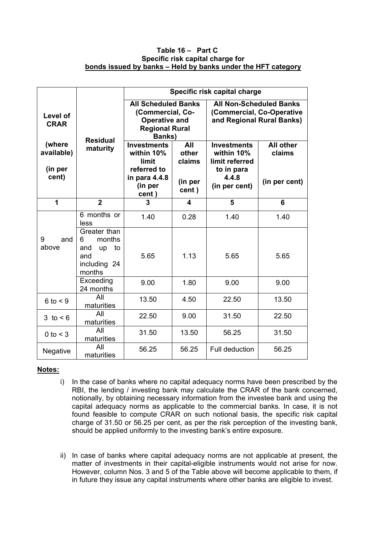#### **Table 16 – Part C Specific risk capital charge for bonds issued by banks – Held by banks under the HFT category**

|                                          |                                                                                 | Specific risk capital charge                                                                              |                                            |                                                                                            |                                             |
|------------------------------------------|---------------------------------------------------------------------------------|-----------------------------------------------------------------------------------------------------------|--------------------------------------------|--------------------------------------------------------------------------------------------|---------------------------------------------|
| Level of<br><b>CRAR</b>                  |                                                                                 | <b>All Scheduled Banks</b><br>(Commercial, Co-<br><b>Operative and</b><br><b>Regional Rural</b><br>Banks) |                                            | <b>All Non-Scheduled Banks</b><br>(Commercial, Co-Operative<br>and Regional Rural Banks)   |                                             |
| (where<br>available)<br>(in per<br>cent) | <b>Residual</b><br>maturity                                                     | <b>Investments</b><br>within 10%<br>limit<br>referred to<br>in para 4.4.8<br>(in per<br>cent)             | All<br>other<br>claims<br>(in per<br>cent) | <b>Investments</b><br>within 10%<br>limit referred<br>to in para<br>4.4.8<br>(in per cent) | <b>All other</b><br>claims<br>(in per cent) |
| 1                                        | $\overline{2}$                                                                  | 3                                                                                                         | 4                                          | 5                                                                                          | 6                                           |
|                                          | 6 months or<br>less                                                             | 1.40                                                                                                      | 0.28                                       | 1.40                                                                                       | 1.40                                        |
| 9<br>and<br>above                        | Greater than<br>months<br>6<br>to<br>and<br>up<br>and<br>including 24<br>months | 5.65                                                                                                      | 1.13                                       | 5.65                                                                                       | 5.65                                        |
|                                          | Exceeding<br>24 months                                                          | 9.00                                                                                                      | 1.80                                       | 9.00                                                                                       | 9.00                                        |
| $6$ to $\leq 9$                          | All<br>maturities                                                               | 13.50                                                                                                     | 4.50                                       | 22.50                                                                                      | 13.50                                       |
| $3 \text{ to } 6$                        | All<br>maturities                                                               | 22.50                                                                                                     | 9.00                                       | 31.50                                                                                      | 22.50                                       |
| 0 to $<$ 3                               | All<br>maturities                                                               | 31.50                                                                                                     | 13.50                                      | 56.25                                                                                      | 31.50                                       |
| Negative                                 | All<br>maturities                                                               | 56.25                                                                                                     | 56.25                                      | Full deduction                                                                             | 56.25                                       |

# **Notes:**

- i) In the case of banks where no capital adequacy norms have been prescribed by the RBI, the lending / investing bank may calculate the CRAR of the bank concerned, notionally, by obtaining necessary information from the investee bank and using the capital adequacy norms as applicable to the commercial banks. In case, it is not found feasible to compute CRAR on such notional basis, the specific risk capital charge of 31.50 or 56.25 per cent, as per the risk perception of the investing bank, should be applied uniformly to the investing bank's entire exposure.
- ii) In case of banks where capital adequacy norms are not applicable at present, the matter of investments in their capital-eligible instruments would not arise for now. However, column Nos. 3 and 5 of the Table above will become applicable to them, if in future they issue any capital instruments where other banks are eligible to invest.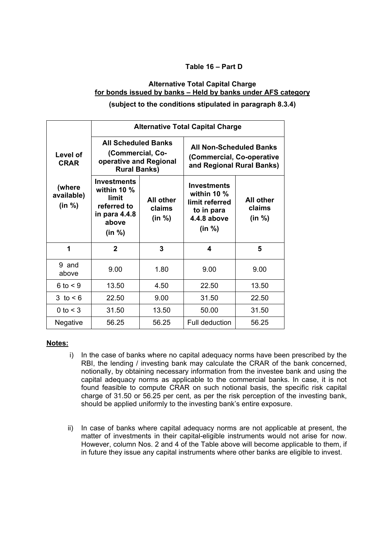### **Table 16 – Part D**

## **Alternative Total Capital Charge for bonds issued by banks – Held by banks under AFS category**

# **(subject to the conditions stipulated in paragraph 8.3.4)**

|                                | <b>Alternative Total Capital Charge</b>                                                          |                               |                                                                                              |                               |
|--------------------------------|--------------------------------------------------------------------------------------------------|-------------------------------|----------------------------------------------------------------------------------------------|-------------------------------|
| Level of<br><b>CRAR</b>        | <b>All Scheduled Banks</b><br>(Commercial, Co-<br>operative and Regional<br><b>Rural Banks)</b>  |                               | <b>All Non-Scheduled Banks</b><br>(Commercial, Co-operative<br>and Regional Rural Banks)     |                               |
| (where<br>available)<br>(in %) | <b>Investments</b><br>within 10 $\%$<br>limit<br>referred to<br>in para 4.4.8<br>above<br>(in %) | All other<br>claims<br>(in %) | <b>Investments</b><br>within 10 $%$<br>limit referred<br>to in para<br>4.4.8 above<br>(in %) | All other<br>claims<br>(in %) |
| 1                              | $\mathbf{2}$                                                                                     | 3                             | 4                                                                                            | 5                             |
| 9 and<br>above                 | 9.00                                                                                             | 1.80                          | 9.00                                                                                         | 9.00                          |
| $6$ to $\leq 9$                | 13.50                                                                                            | 4.50                          | 22.50                                                                                        | 13.50                         |
| $3 \text{ to } 6$              | 22.50                                                                                            | 9.00                          | 31.50                                                                                        | 22.50                         |
| 0 to $\leq$ 3                  | 31.50                                                                                            | 13.50                         | 50.00                                                                                        | 31.50                         |
| Negative                       | 56.25                                                                                            | 56.25                         | Full deduction                                                                               | 56.25                         |

### **Notes:**

- i) In the case of banks where no capital adequacy norms have been prescribed by the RBI, the lending / investing bank may calculate the CRAR of the bank concerned, notionally, by obtaining necessary information from the investee bank and using the capital adequacy norms as applicable to the commercial banks. In case, it is not found feasible to compute CRAR on such notional basis, the specific risk capital charge of 31.50 or 56.25 per cent, as per the risk perception of the investing bank, should be applied uniformly to the investing bank's entire exposure.
- ii) In case of banks where capital adequacy norms are not applicable at present, the matter of investments in their capital-eligible instruments would not arise for now. However, column Nos. 2 and 4 of the Table above will become applicable to them, if in future they issue any capital instruments where other banks are eligible to invest.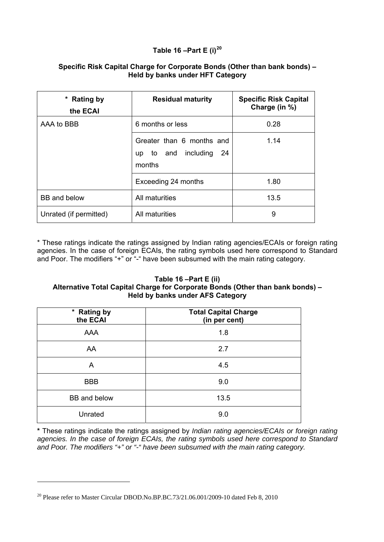# **Table 16 –Part E (i)[20](#page-64-0)**

| *<br><b>Rating by</b><br>the ECAI | <b>Residual maturity</b>                                             | <b>Specific Risk Capital</b><br>Charge (in %) |
|-----------------------------------|----------------------------------------------------------------------|-----------------------------------------------|
| AAA to BBB                        | 6 months or less                                                     | 0.28                                          |
|                                   | Greater than 6 months and<br>-24<br>to and including<br>up<br>months | 1.14                                          |
|                                   | Exceeding 24 months                                                  | 1.80                                          |
| <b>BB</b> and below               | All maturities                                                       | 13.5                                          |
| Unrated (if permitted)            | All maturities                                                       | 9                                             |

### **Specific Risk Capital Charge for Corporate Bonds (Other than bank bonds) – Held by banks under HFT Category**

\* These ratings indicate the ratings assigned by Indian rating agencies/ECAIs or foreign rating agencies. In the case of foreign ECAIs, the rating symbols used here correspond to Standard and Poor. The modifiers "+" or "-" have been subsumed with the main rating category.

# **Table 16 –Part E (ii)**

# **Alternative Total Capital Charge for Corporate Bonds (Other than bank bonds) – Held by banks under AFS Category**

| * Rating by<br>the ECAI | <b>Total Capital Charge</b><br>(in per cent) |  |
|-------------------------|----------------------------------------------|--|
| AAA                     | 1.8                                          |  |
| AA                      | 2.7                                          |  |
| A                       | 4.5                                          |  |
| <b>BBB</b>              | 9.0                                          |  |
| BB and below            | 13.5                                         |  |
| Unrated                 | 9.0                                          |  |

**\*** These ratings indicate the ratings assigned by *Indian rating agencies/ECAIs or foreign rating agencies. In the case of foreign ECAIs, the rating symbols used here correspond to Standard and Poor. The modifiers "+" or "-" have been subsumed with the main rating category.* 

 $\overline{a}$ 

<span id="page-64-0"></span><sup>&</sup>lt;sup>20</sup> Please refer to Master Circular DBOD.No.BP.BC.73/21.06.001/2009-10 dated Feb 8, 2010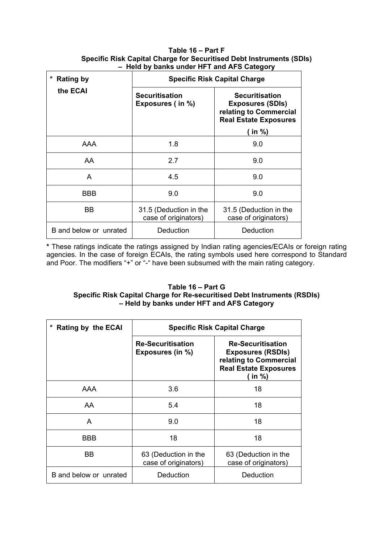### **Table 16 – Part F Specific Risk Capital Charge for Securitised Debt Instruments (SDIs) – Held by banks under HFT and AFS Category**

| $\star$<br><b>Rating by</b> | <b>Specific Risk Capital Charge</b>            |                                                                                                            |  |
|-----------------------------|------------------------------------------------|------------------------------------------------------------------------------------------------------------|--|
| the ECAI                    | <b>Securitisation</b><br>Exposures (in %)      | <b>Securitisation</b><br><b>Exposures (SDIs)</b><br>relating to Commercial<br><b>Real Estate Exposures</b> |  |
|                             |                                                | in $\%$ )                                                                                                  |  |
| AAA                         | 1.8                                            | 9.0                                                                                                        |  |
| AA                          | 2.7                                            | 9.0                                                                                                        |  |
| A                           | 4.5                                            | 9.0                                                                                                        |  |
| <b>BBB</b>                  | 9.0                                            | 9.0                                                                                                        |  |
| BВ                          | 31.5 (Deduction in the<br>case of originators) | 31.5 (Deduction in the<br>case of originators)                                                             |  |
| B and below or unrated      | Deduction                                      | Deduction                                                                                                  |  |

**\*** These ratings indicate the ratings assigned by Indian rating agencies/ECAIs or foreign rating agencies. In the case of foreign ECAIs, the rating symbols used here correspond to Standard and Poor. The modifiers "+" or "-" have been subsumed with the main rating category.

#### **Table 16 – Part G Specific Risk Capital Charge for Re-securitised Debt Instruments (RSDIs) – Held by banks under HFT and AFS Category**

| <b>Rating by the ECAI</b> | <b>Specific Risk Capital Charge</b>          |                                                                                                                             |  |
|---------------------------|----------------------------------------------|-----------------------------------------------------------------------------------------------------------------------------|--|
|                           | <b>Re-Securitisation</b><br>Exposures (in %) | <b>Re-Securitisation</b><br><b>Exposures (RSDIs)</b><br>relating to Commercial<br><b>Real Estate Exposures</b><br>in $\%$ ) |  |
| AAA                       | 3.6                                          | 18                                                                                                                          |  |
| AA                        | 5.4                                          | 18                                                                                                                          |  |
| A                         | 9.0                                          | 18                                                                                                                          |  |
| <b>BBB</b>                | 18                                           | 18                                                                                                                          |  |
| BB                        | 63 (Deduction in the<br>case of originators) | 63 (Deduction in the<br>case of originators)                                                                                |  |
| B and below or unrated    | Deduction                                    | Deduction                                                                                                                   |  |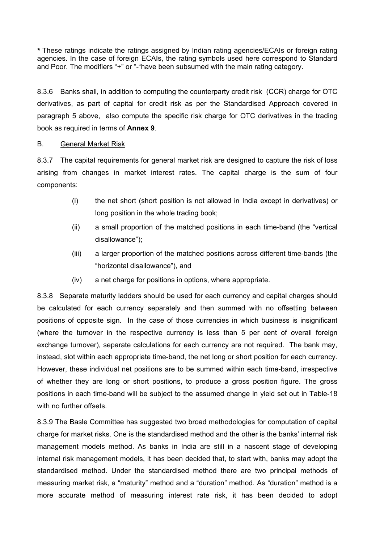*\** These ratings indicate the ratings assigned by Indian rating agencies/ECAIs or foreign rating agencies. In the case of foreign ECAIs, the rating symbols used here correspond to Standard and Poor. The modifiers "+" or "-"have been subsumed with the main rating category.

8.3.6 Banks shall, in addition to computing the counterparty credit risk (CCR) charge for OTC derivatives, as part of capital for credit risk as per the Standardised Approach covered in paragraph 5 above, also compute the specific risk charge for OTC derivatives in the trading book as required in terms of **Annex 9**.

### B. General Market Risk

8.3.7 The capital requirements for general market risk are designed to capture the risk of loss arising from changes in market interest rates. The capital charge is the sum of four components:

- (i) the net short (short position is not allowed in India except in derivatives) or long position in the whole trading book;
- (ii) a small proportion of the matched positions in each time-band (the "vertical disallowance");
- (iii) a larger proportion of the matched positions across different time-bands (the "horizontal disallowance"), and
- (iv) a net charge for positions in options, where appropriate.

8.3.8 Separate maturity ladders should be used for each currency and capital charges should be calculated for each currency separately and then summed with no offsetting between positions of opposite sign. In the case of those currencies in which business is insignificant (where the turnover in the respective currency is less than 5 per cent of overall foreign exchange turnover), separate calculations for each currency are not required. The bank may, instead, slot within each appropriate time-band, the net long or short position for each currency. However, these individual net positions are to be summed within each time-band, irrespective of whether they are long or short positions, to produce a gross position figure. The gross positions in each time-band will be subject to the assumed change in yield set out in Table-18 with no further offsets.

8.3.9 The Basle Committee has suggested two broad methodologies for computation of capital charge for market risks. One is the standardised method and the other is the banks' internal risk management models method. As banks in India are still in a nascent stage of developing internal risk management models, it has been decided that, to start with, banks may adopt the standardised method. Under the standardised method there are two principal methods of measuring market risk, a "maturity" method and a "duration" method. As "duration" method is a more accurate method of measuring interest rate risk, it has been decided to adopt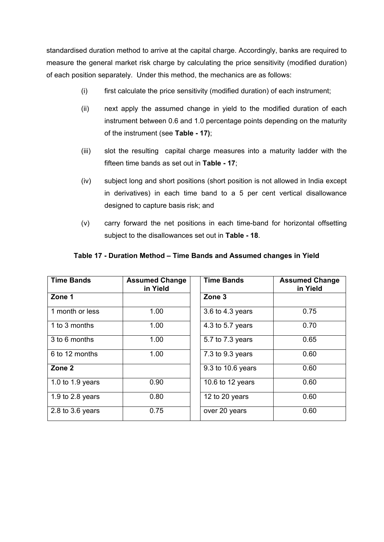standardised duration method to arrive at the capital charge. Accordingly, banks are required to measure the general market risk charge by calculating the price sensitivity (modified duration) of each position separately. Under this method, the mechanics are as follows:

- (i) first calculate the price sensitivity (modified duration) of each instrument;
- (ii) next apply the assumed change in yield to the modified duration of each instrument between 0.6 and 1.0 percentage points depending on the maturity of the instrument (see **Table - 17)**;
- (iii) slot the resulting capital charge measures into a maturity ladder with the fifteen time bands as set out in **Table - 17**;
- (iv) subject long and short positions (short position is not allowed in India except in derivatives) in each time band to a 5 per cent vertical disallowance designed to capture basis risk; and
- (v) carry forward the net positions in each time-band for horizontal offsetting subject to the disallowances set out in **Table - 18**.

| <b>Time Bands</b> | <b>Assumed Change</b><br>in Yield | <b>Time Bands</b> | <b>Assumed Change</b><br>in Yield |
|-------------------|-----------------------------------|-------------------|-----------------------------------|
| Zone 1            |                                   | Zone 3            |                                   |
| 1 month or less   | 1.00                              | 3.6 to 4.3 years  | 0.75                              |
| 1 to 3 months     | 1.00                              | 4.3 to 5.7 years  | 0.70                              |
| 3 to 6 months     | 1.00                              | 5.7 to 7.3 years  | 0.65                              |
| 6 to 12 months    | 1.00                              | 7.3 to 9.3 years  | 0.60                              |
| Zone 2            |                                   | 9.3 to 10.6 years | 0.60                              |
| 1.0 to 1.9 years  | 0.90                              | 10.6 to 12 years  | 0.60                              |
| 1.9 to 2.8 years  | 0.80                              | 12 to 20 years    | 0.60                              |
| 2.8 to 3.6 years  | 0.75                              | over 20 years     | 0.60                              |

## **Table 17 - Duration Method – Time Bands and Assumed changes in Yield**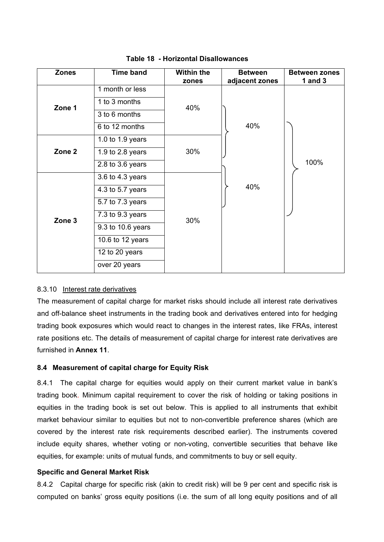| <b>Zones</b> | <b>Time band</b>  | <b>Within the</b><br>zones | <b>Between</b><br>adjacent zones | <b>Between zones</b><br>1 and $3$ |
|--------------|-------------------|----------------------------|----------------------------------|-----------------------------------|
|              | 1 month or less   |                            |                                  |                                   |
| Zone 1       | 1 to 3 months     | 40%                        |                                  |                                   |
|              | 3 to 6 months     |                            |                                  |                                   |
|              | 6 to 12 months    |                            | 40%                              |                                   |
|              | 1.0 to 1.9 years  |                            |                                  |                                   |
| Zone 2       | 1.9 to 2.8 years  | 30%                        |                                  |                                   |
|              | 2.8 to 3.6 years  |                            |                                  | 100%                              |
|              | 3.6 to 4.3 years  |                            |                                  |                                   |
|              | 4.3 to 5.7 years  |                            | 40%                              |                                   |
|              | 5.7 to 7.3 years  |                            |                                  |                                   |
| Zone 3       | 7.3 to 9.3 years  | 30%                        |                                  |                                   |
|              | 9.3 to 10.6 years |                            |                                  |                                   |
|              | 10.6 to 12 years  |                            |                                  |                                   |
|              | 12 to 20 years    |                            |                                  |                                   |
|              | over 20 years     |                            |                                  |                                   |

**Table 18 - Horizontal Disallowances** 

### 8.3.10 Interest rate derivatives

The measurement of capital charge for market risks should include all interest rate derivatives and off-balance sheet instruments in the trading book and derivatives entered into for hedging trading book exposures which would react to changes in the interest rates, like FRAs, interest rate positions etc. The details of measurement of capital charge for interest rate derivatives are furnished in **Annex 11**.

### **8.4 Measurement of capital charge for Equity Risk**

8.4.1 The capital charge for equities would apply on their current market value in bank's trading book. Minimum capital requirement to cover the risk of holding or taking positions in equities in the trading book is set out below. This is applied to all instruments that exhibit market behaviour similar to equities but not to non-convertible preference shares (which are covered by the interest rate risk requirements described earlier). The instruments covered include equity shares, whether voting or non-voting, convertible securities that behave like equities, for example: units of mutual funds, and commitments to buy or sell equity.

### **Specific and General Market Risk**

8.4.2 Capital charge for specific risk (akin to credit risk) will be 9 per cent and specific risk is computed on banks' gross equity positions (i.e. the sum of all long equity positions and of all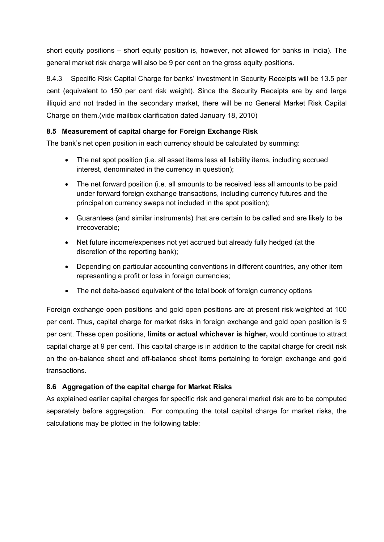short equity positions – short equity position is, however, not allowed for banks in India). The general market risk charge will also be 9 per cent on the gross equity positions.

8.4.3 Specific Risk Capital Charge for banks' investment in Security Receipts will be 13.5 per cent (equivalent to 150 per cent risk weight). Since the Security Receipts are by and large illiquid and not traded in the secondary market, there will be no General Market Risk Capital Charge on them.(vide mailbox clarification dated January 18, 2010)

# **8.5 Measurement of capital charge for Foreign Exchange Risk**

The bank's net open position in each currency should be calculated by summing:

- The net spot position (i.e. all asset items less all liability items, including accrued interest, denominated in the currency in question);
- The net forward position (i.e. all amounts to be received less all amounts to be paid under forward foreign exchange transactions, including currency futures and the principal on currency swaps not included in the spot position);
- Guarantees (and similar instruments) that are certain to be called and are likely to be irrecoverable;
- Net future income/expenses not yet accrued but already fully hedged (at the discretion of the reporting bank);
- Depending on particular accounting conventions in different countries, any other item representing a profit or loss in foreign currencies;
- The net delta-based equivalent of the total book of foreign currency options

Foreign exchange open positions and gold open positions are at present risk-weighted at 100 per cent. Thus, capital charge for market risks in foreign exchange and gold open position is 9 per cent. These open positions, **limits or actual whichever is higher,** would continue to attract capital charge at 9 per cent. This capital charge is in addition to the capital charge for credit risk on the on-balance sheet and off-balance sheet items pertaining to foreign exchange and gold transactions.

# **8.6 Aggregation of the capital charge for Market Risks**

As explained earlier capital charges for specific risk and general market risk are to be computed separately before aggregation. For computing the total capital charge for market risks, the calculations may be plotted in the following table: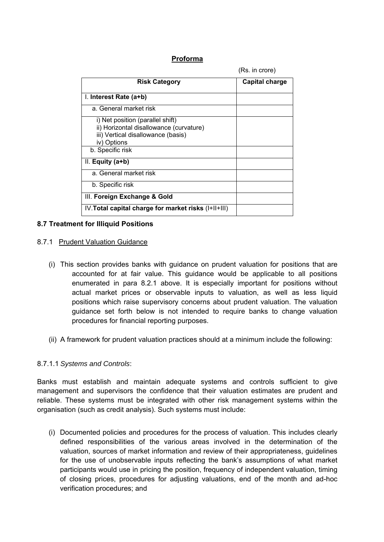## **Proforma**

 (Rs. in crore) **Risk Category Capital charge** I. **Interest Rate (a+b)** a. General market risk i) Net position (parallel shift) ii) Horizontal disallowance (curvature) iii) Vertical disallowance (basis) iv) Options b. Specific risk II. **Equity (a+b)** a. General market risk b. Specific risk III. **Foreign Exchange & Gold** IV.**Total capital charge for market risks** (I+II+III)

# **8.7 Treatment for Illiquid Positions**

### 8.7.1 Prudent Valuation Guidance

- (i) This section provides banks with guidance on prudent valuation for positions that are accounted for at fair value. This guidance would be applicable to all positions enumerated in para 8.2.1 above. It is especially important for positions without actual market prices or observable inputs to valuation, as well as less liquid positions which raise supervisory concerns about prudent valuation. The valuation guidance set forth below is not intended to require banks to change valuation procedures for financial reporting purposes.
- (ii) A framework for prudent valuation practices should at a minimum include the following:

### 8.7.1.1 *Systems and Controls*:

Banks must establish and maintain adequate systems and controls sufficient to give management and supervisors the confidence that their valuation estimates are prudent and reliable. These systems must be integrated with other risk management systems within the organisation (such as credit analysis). Such systems must include:

(i) Documented policies and procedures for the process of valuation. This includes clearly defined responsibilities of the various areas involved in the determination of the valuation, sources of market information and review of their appropriateness, guidelines for the use of unobservable inputs reflecting the bank's assumptions of what market participants would use in pricing the position, frequency of independent valuation, timing of closing prices, procedures for adjusting valuations, end of the month and ad-hoc verification procedures; and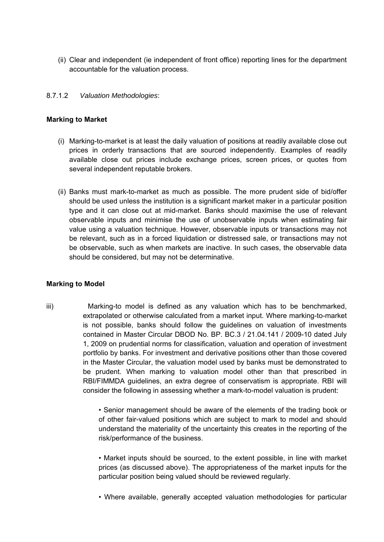(ii) Clear and independent (ie independent of front office) reporting lines for the department accountable for the valuation process.

## 8.7.1.2 *Valuation Methodologies*:

#### **Marking to Market**

- (i) Marking-to-market is at least the daily valuation of positions at readily available close out prices in orderly transactions that are sourced independently. Examples of readily available close out prices include exchange prices, screen prices, or quotes from several independent reputable brokers.
- (ii) Banks must mark-to-market as much as possible. The more prudent side of bid/offer should be used unless the institution is a significant market maker in a particular position type and it can close out at mid-market. Banks should maximise the use of relevant observable inputs and minimise the use of unobservable inputs when estimating fair value using a valuation technique. However, observable inputs or transactions may not be relevant, such as in a forced liquidation or distressed sale, or transactions may not be observable, such as when markets are inactive. In such cases, the observable data should be considered, but may not be determinative.

### **Marking to Model**

iii) Marking-to model is defined as any valuation which has to be benchmarked, extrapolated or otherwise calculated from a market input. Where marking-to-market is not possible, banks should follow the guidelines on valuation of investments contained in Master Circular DBOD No. BP. BC.3 / 21.04.141 / 2009-10 dated July 1, 2009 on prudential norms for classification, valuation and operation of investment portfolio by banks. For investment and derivative positions other than those covered in the Master Circular, the valuation model used by banks must be demonstrated to be prudent. When marking to valuation model other than that prescribed in RBI/FIMMDA guidelines, an extra degree of conservatism is appropriate. RBI will consider the following in assessing whether a mark-to-model valuation is prudent:

> • Senior management should be aware of the elements of the trading book or of other fair-valued positions which are subject to mark to model and should understand the materiality of the uncertainty this creates in the reporting of the risk/performance of the business.

> • Market inputs should be sourced, to the extent possible, in line with market prices (as discussed above). The appropriateness of the market inputs for the particular position being valued should be reviewed regularly.

> • Where available, generally accepted valuation methodologies for particular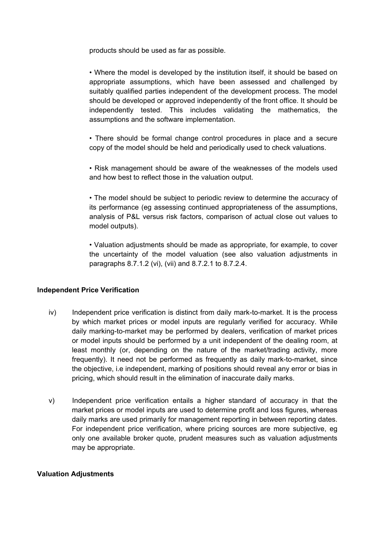products should be used as far as possible.

• Where the model is developed by the institution itself, it should be based on appropriate assumptions, which have been assessed and challenged by suitably qualified parties independent of the development process. The model should be developed or approved independently of the front office. It should be independently tested. This includes validating the mathematics, the assumptions and the software implementation.

• There should be formal change control procedures in place and a secure copy of the model should be held and periodically used to check valuations.

• Risk management should be aware of the weaknesses of the models used and how best to reflect those in the valuation output.

• The model should be subject to periodic review to determine the accuracy of its performance (eg assessing continued appropriateness of the assumptions, analysis of P&L versus risk factors, comparison of actual close out values to model outputs).

• Valuation adjustments should be made as appropriate, for example, to cover the uncertainty of the model valuation (see also valuation adjustments in paragraphs 8.7.1.2 (vi), (vii) and 8.7.2.1 to 8.7.2.4.

## **Independent Price Verification**

- iv) Independent price verification is distinct from daily mark-to-market. It is the process by which market prices or model inputs are regularly verified for accuracy. While daily marking-to-market may be performed by dealers, verification of market prices or model inputs should be performed by a unit independent of the dealing room, at least monthly (or, depending on the nature of the market/trading activity, more frequently). It need not be performed as frequently as daily mark-to-market, since the objective, i.e independent, marking of positions should reveal any error or bias in pricing, which should result in the elimination of inaccurate daily marks.
- v) Independent price verification entails a higher standard of accuracy in that the market prices or model inputs are used to determine profit and loss figures, whereas daily marks are used primarily for management reporting in between reporting dates. For independent price verification, where pricing sources are more subjective, eg only one available broker quote, prudent measures such as valuation adjustments may be appropriate.

## **Valuation Adjustments**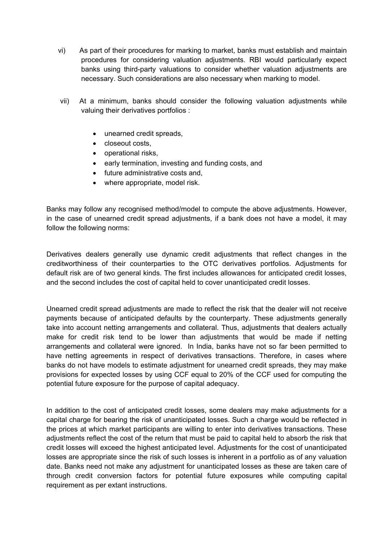- vi) As part of their procedures for marking to market, banks must establish and maintain procedures for considering valuation adjustments. RBI would particularly expect banks using third-party valuations to consider whether valuation adjustments are necessary. Such considerations are also necessary when marking to model.
- vii) At a minimum, banks should consider the following valuation adjustments while valuing their derivatives portfolios :
	- unearned credit spreads,
	- closeout costs,
	- operational risks,
	- early termination, investing and funding costs, and
	- future administrative costs and,
	- where appropriate, model risk.

Banks may follow any recognised method/model to compute the above adjustments. However, in the case of unearned credit spread adjustments, if a bank does not have a model, it may follow the following norms:

Derivatives dealers generally use dynamic credit adjustments that reflect changes in the creditworthiness of their counterparties to the OTC derivatives portfolios. Adjustments for default risk are of two general kinds. The first includes allowances for anticipated credit losses, and the second includes the cost of capital held to cover unanticipated credit losses.

Unearned credit spread adjustments are made to reflect the risk that the dealer will not receive payments because of anticipated defaults by the counterparty. These adjustments generally take into account netting arrangements and collateral. Thus, adjustments that dealers actually make for credit risk tend to be lower than adjustments that would be made if netting arrangements and collateral were ignored. In India, banks have not so far been permitted to have netting agreements in respect of derivatives transactions. Therefore, in cases where banks do not have models to estimate adjustment for unearned credit spreads, they may make provisions for expected losses by using CCF equal to 20% of the CCF used for computing the potential future exposure for the purpose of capital adequacy.

In addition to the cost of anticipated credit losses, some dealers may make adjustments for a capital charge for bearing the risk of unanticipated losses. Such a charge would be reflected in the prices at which market participants are willing to enter into derivatives transactions. These adjustments reflect the cost of the return that must be paid to capital held to absorb the risk that credit losses will exceed the highest anticipated level. Adjustments for the cost of unanticipated losses are appropriate since the risk of such losses is inherent in a portfolio as of any valuation date. Banks need not make any adjustment for unanticipated losses as these are taken care of through credit conversion factors for potential future exposures while computing capital requirement as per extant instructions.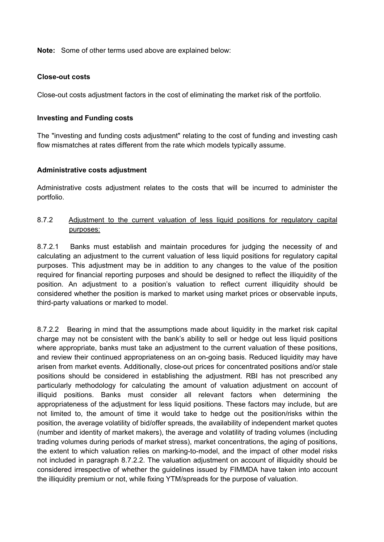**Note:** Some of other terms used above are explained below:

### **Close-out costs**

Close-out costs adjustment factors in the cost of eliminating the market risk of the portfolio.

### **Investing and Funding costs**

The "investing and funding costs adjustment" relating to the cost of funding and investing cash flow mismatches at rates different from the rate which models typically assume.

## **Administrative costs adjustment**

Administrative costs adjustment relates to the costs that will be incurred to administer the portfolio.

## 8.7.2 Adjustment to the current valuation of less liquid positions for regulatory capital purposes:

8.7.2.1 Banks must establish and maintain procedures for judging the necessity of and calculating an adjustment to the current valuation of less liquid positions for regulatory capital purposes. This adjustment may be in addition to any changes to the value of the position required for financial reporting purposes and should be designed to reflect the illiquidity of the position. An adjustment to a position's valuation to reflect current illiquidity should be considered whether the position is marked to market using market prices or observable inputs, third-party valuations or marked to model.

8.7.2.2 Bearing in mind that the assumptions made about liquidity in the market risk capital charge may not be consistent with the bank's ability to sell or hedge out less liquid positions where appropriate, banks must take an adjustment to the current valuation of these positions, and review their continued appropriateness on an on-going basis. Reduced liquidity may have arisen from market events. Additionally, close-out prices for concentrated positions and/or stale positions should be considered in establishing the adjustment. RBI has not prescribed any particularly methodology for calculating the amount of valuation adjustment on account of illiquid positions. Banks must consider all relevant factors when determining the appropriateness of the adjustment for less liquid positions. These factors may include, but are not limited to, the amount of time it would take to hedge out the position/risks within the position, the average volatility of bid/offer spreads, the availability of independent market quotes (number and identity of market makers), the average and volatility of trading volumes (including trading volumes during periods of market stress), market concentrations, the aging of positions, the extent to which valuation relies on marking-to-model, and the impact of other model risks not included in paragraph 8.7.2.2. The valuation adjustment on account of illiquidity should be considered irrespective of whether the guidelines issued by FIMMDA have taken into account the illiquidity premium or not, while fixing YTM/spreads for the purpose of valuation.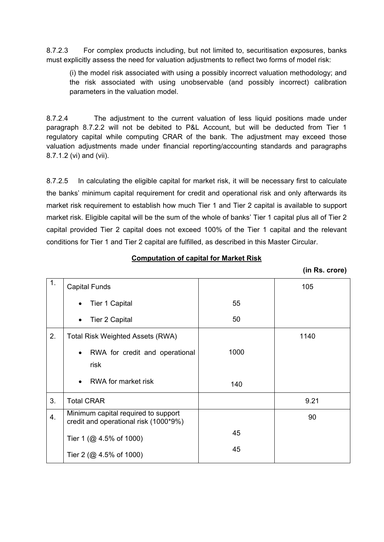8.7.2.3 For complex products including, but not limited to, securitisation exposures, banks must explicitly assess the need for valuation adjustments to reflect two forms of model risk:

(i) the model risk associated with using a possibly incorrect valuation methodology; and the risk associated with using unobservable (and possibly incorrect) calibration parameters in the valuation model.

8.7.2.4 The adjustment to the current valuation of less liquid positions made under paragraph 8.7.2.2 will not be debited to P&L Account, but will be deducted from Tier 1 regulatory capital while computing CRAR of the bank. The adjustment may exceed those valuation adjustments made under financial reporting/accounting standards and paragraphs 8.7.1.2 (vi) and (vii).

8.7.2.5 In calculating the eligible capital for market risk, it will be necessary first to calculate the banks' minimum capital requirement for credit and operational risk and only afterwards its market risk requirement to establish how much Tier 1 and Tier 2 capital is available to support market risk. Eligible capital will be the sum of the whole of banks' Tier 1 capital plus all of Tier 2 capital provided Tier 2 capital does not exceed 100% of the Tier 1 capital and the relevant conditions for Tier 1 and Tier 2 capital are fulfilled, as described in this Master Circular.

## **Computation of capital for Market Risk**

**(in Rs. crore)** 

| 1. | <b>Capital Funds</b>                                                         |      | 105  |
|----|------------------------------------------------------------------------------|------|------|
|    | <b>Tier 1 Capital</b><br>$\bullet$                                           | 55   |      |
|    | <b>Tier 2 Capital</b><br>$\bullet$                                           | 50   |      |
| 2. | <b>Total Risk Weighted Assets (RWA)</b>                                      |      | 1140 |
|    | RWA for credit and operational<br>$\bullet$<br>risk                          | 1000 |      |
|    | RWA for market risk<br>$\bullet$                                             | 140  |      |
| 3. | <b>Total CRAR</b>                                                            |      | 9.21 |
| 4. | Minimum capital required to support<br>credit and operational risk (1000*9%) |      | 90   |
|    | Tier 1 (@ 4.5% of 1000)                                                      | 45   |      |
|    | Tier 2 ( $@$ 4.5% of 1000)                                                   | 45   |      |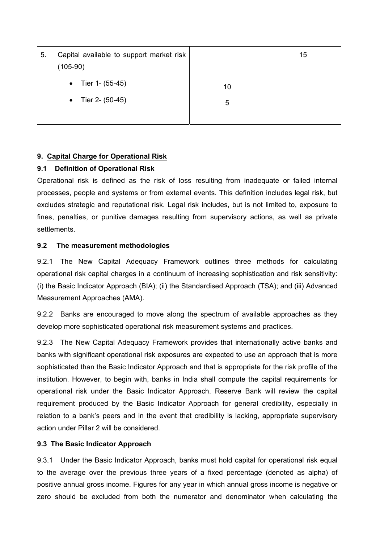| 5. | Capital available to support market risk |    | 15 |
|----|------------------------------------------|----|----|
|    | $(105-90)$                               |    |    |
|    | Tier 1- (55-45)<br>$\bullet$             | 10 |    |
|    | Tier 2- (50-45)<br>$\bullet$             | 5  |    |
|    |                                          |    |    |

# **9. Capital Charge for Operational Risk**

# **9.1 Definition of Operational Risk**

Operational risk is defined as the risk of loss resulting from inadequate or failed internal processes, people and systems or from external events. This definition includes legal risk, but excludes strategic and reputational risk. Legal risk includes, but is not limited to, exposure to fines, penalties, or punitive damages resulting from supervisory actions, as well as private settlements.

# **9.2 The measurement methodologies**

9.2.1 The New Capital Adequacy Framework outlines three methods for calculating operational risk capital charges in a continuum of increasing sophistication and risk sensitivity: (i) the Basic Indicator Approach (BIA); (ii) the Standardised Approach (TSA); and (iii) Advanced Measurement Approaches (AMA).

9.2.2 Banks are encouraged to move along the spectrum of available approaches as they develop more sophisticated operational risk measurement systems and practices.

9.2.3 The New Capital Adequacy Framework provides that internationally active banks and banks with significant operational risk exposures are expected to use an approach that is more sophisticated than the Basic Indicator Approach and that is appropriate for the risk profile of the institution. However, to begin with, banks in India shall compute the capital requirements for operational risk under the Basic Indicator Approach. Reserve Bank will review the capital requirement produced by the Basic Indicator Approach for general credibility, especially in relation to a bank's peers and in the event that credibility is lacking, appropriate supervisory action under Pillar 2 will be considered.

# **9.3 The Basic Indicator Approach**

9.3.1 Under the Basic Indicator Approach, banks must hold capital for operational risk equal to the average over the previous three years of a fixed percentage (denoted as alpha) of positive annual gross income. Figures for any year in which annual gross income is negative or zero should be excluded from both the numerator and denominator when calculating the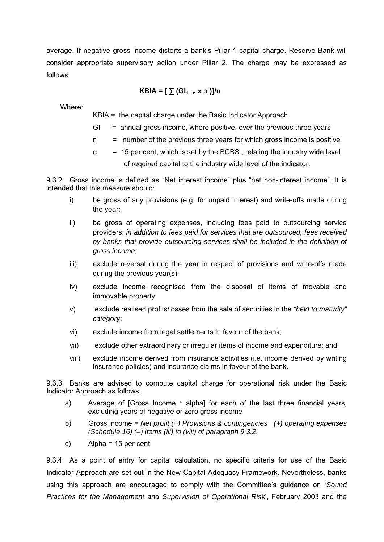average. If negative gross income distorts a bank's Pillar 1 capital charge, Reserve Bank will consider appropriate supervisory action under Pillar 2. The charge may be expressed as follows:

# $KBIA = [\sum(GI_{1...n} \times q)]/n$

Where:

KBIA = the capital charge under the Basic Indicator Approach

- GI = annual gross income, where positive, over the previous three years
- $n =$  number of the previous three years for which gross income is positive
- $\alpha$  = 15 per cent, which is set by the BCBS, relating the industry wide level of required capital to the industry wide level of the indicator.

9.3.2 Gross income is defined as "Net interest income" plus "net non-interest income". It is intended that this measure should:

- i) be gross of any provisions (e.g. for unpaid interest) and write-offs made during the year;
- ii) be gross of operating expenses, including fees paid to outsourcing service providers, *in addition to fees paid for services that are outsourced, fees received by banks that provide outsourcing services shall be included in the definition of gross income;*
- iii) exclude reversal during the year in respect of provisions and write-offs made during the previous year(s);
- iv) exclude income recognised from the disposal of items of movable and immovable property;
- v) exclude realised profits/losses from the sale of securities in the *"held to maturity" category*;
- vi) exclude income from legal settlements in favour of the bank;
- vii) exclude other extraordinary or irregular items of income and expenditure; and
- viii) exclude income derived from insurance activities (i.e. income derived by writing insurance policies) and insurance claims in favour of the bank.

9.3.3 Banks are advised to compute capital charge for operational risk under the Basic Indicator Approach as follows:

- a) Average of [Gross Income \* alpha] for each of the last three financial years, excluding years of negative or zero gross income
- b) Gross income = *Net profit (+) Provisions & contingencies (+) operating expenses (Schedule 16) (–) items (iii) to (viii) of paragraph 9.3.2.*
- c) Alpha = 15 per cent

9.3.4 As a point of entry for capital calculation, no specific criteria for use of the Basic Indicator Approach are set out in the New Capital Adequacy Framework. Nevertheless, banks using this approach are encouraged to comply with the Committee's guidance on '*Sound Practices for the Management and Supervision of Operational Ris*k', February 2003 and the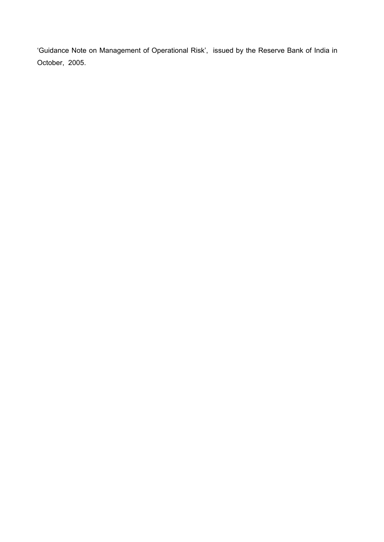'Guidance Note on Management of Operational Risk', issued by the Reserve Bank of India in October, 2005.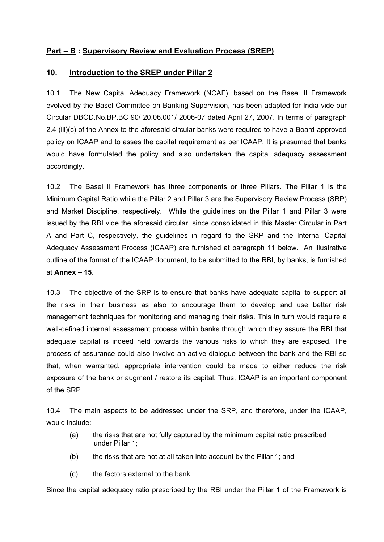# **Part – B : Supervisory Review and Evaluation Process (SREP)**

# **10. Introduction to the SREP under Pillar 2**

10.1 The New Capital Adequacy Framework (NCAF), based on the Basel II Framework evolved by the Basel Committee on Banking Supervision, has been adapted for India vide our Circular DBOD.No.BP.BC 90/ 20.06.001/ 2006-07 dated April 27, 2007. In terms of paragraph 2.4 (iii)(c) of the Annex to the aforesaid circular banks were required to have a Board-approved policy on ICAAP and to asses the capital requirement as per ICAAP. It is presumed that banks would have formulated the policy and also undertaken the capital adequacy assessment accordingly.

10.2 The Basel II Framework has three components or three Pillars. The Pillar 1 is the Minimum Capital Ratio while the Pillar 2 and Pillar 3 are the Supervisory Review Process (SRP) and Market Discipline, respectively. While the guidelines on the Pillar 1 and Pillar 3 were issued by the RBI vide the aforesaid circular, since consolidated in this Master Circular in Part A and Part C, respectively, the guidelines in regard to the SRP and the Internal Capital Adequacy Assessment Process (ICAAP) are furnished at paragraph 11 below. An illustrative outline of the format of the ICAAP document, to be submitted to the RBI, by banks, is furnished at **Annex – 15**.

10.3 The objective of the SRP is to ensure that banks have adequate capital to support all the risks in their business as also to encourage them to develop and use better risk management techniques for monitoring and managing their risks. This in turn would require a well-defined internal assessment process within banks through which they assure the RBI that adequate capital is indeed held towards the various risks to which they are exposed. The process of assurance could also involve an active dialogue between the bank and the RBI so that, when warranted, appropriate intervention could be made to either reduce the risk exposure of the bank or augment / restore its capital. Thus, ICAAP is an important component of the SRP.

10.4 The main aspects to be addressed under the SRP, and therefore, under the ICAAP, would include:

- (a) the risks that are not fully captured by the minimum capital ratio prescribed under Pillar 1;
- (b) the risks that are not at all taken into account by the Pillar 1; and
- (c) the factors external to the bank.

Since the capital adequacy ratio prescribed by the RBI under the Pillar 1 of the Framework is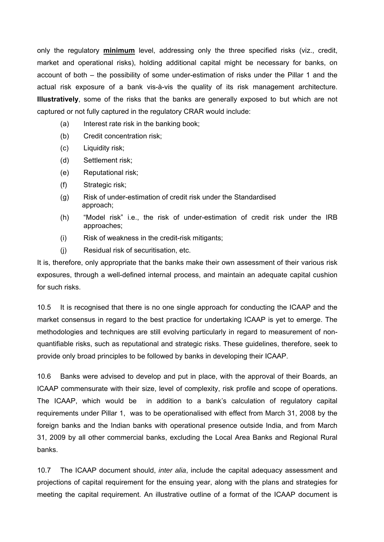only the regulatory **minimum** level, addressing only the three specified risks (viz., credit, market and operational risks), holding additional capital might be necessary for banks, on account of both – the possibility of some under-estimation of risks under the Pillar 1 and the actual risk exposure of a bank vis-à-vis the quality of its risk management architecture. **Illustratively**, some of the risks that the banks are generally exposed to but which are not captured or not fully captured in the regulatory CRAR would include:

- (a) Interest rate risk in the banking book;
- (b) Credit concentration risk;
- (c) Liquidity risk;
- (d) Settlement risk;
- (e) Reputational risk;
- (f) Strategic risk;
- (g) Risk of under-estimation of credit risk under the Standardised approach;
- (h) "Model risk" i.e., the risk of under-estimation of credit risk under the IRB approaches;
- (i) Risk of weakness in the credit-risk mitigants;
- (j) Residual risk of securitisation, etc.

It is, therefore, only appropriate that the banks make their own assessment of their various risk exposures, through a well-defined internal process, and maintain an adequate capital cushion for such risks.

10.5 It is recognised that there is no one single approach for conducting the ICAAP and the market consensus in regard to the best practice for undertaking ICAAP is yet to emerge. The methodologies and techniques are still evolving particularly in regard to measurement of nonquantifiable risks, such as reputational and strategic risks. These guidelines, therefore, seek to provide only broad principles to be followed by banks in developing their ICAAP.

10.6 Banks were advised to develop and put in place, with the approval of their Boards, an ICAAP commensurate with their size, level of complexity, risk profile and scope of operations. The ICAAP, which would be in addition to a bank's calculation of regulatory capital requirements under Pillar 1, was to be operationalised with effect from March 31, 2008 by the foreign banks and the Indian banks with operational presence outside India, and from March 31, 2009 by all other commercial banks, excluding the Local Area Banks and Regional Rural banks.

10.7 The ICAAP document should, *inter alia*, include the capital adequacy assessment and projections of capital requirement for the ensuing year, along with the plans and strategies for meeting the capital requirement. An illustrative outline of a format of the ICAAP document is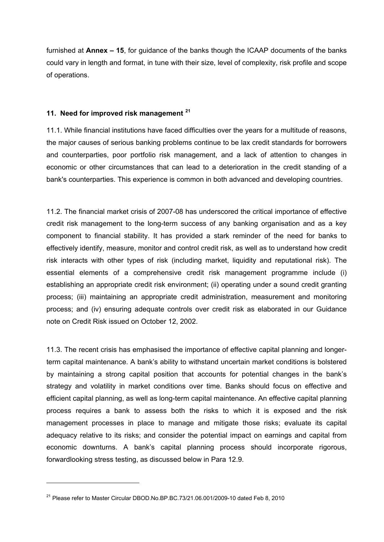furnished at **Annex – 15**, for guidance of the banks though the ICAAP documents of the banks could vary in length and format, in tune with their size, level of complexity, risk profile and scope of operations.

## **11. Need for improved risk management [21](#page-81-0)**

11.1. While financial institutions have faced difficulties over the years for a multitude of reasons, the major causes of serious banking problems continue to be lax credit standards for borrowers and counterparties, poor portfolio risk management, and a lack of attention to changes in economic or other circumstances that can lead to a deterioration in the credit standing of a bank's counterparties. This experience is common in both advanced and developing countries.

11.2. The financial market crisis of 2007-08 has underscored the critical importance of effective credit risk management to the long-term success of any banking organisation and as a key component to financial stability. It has provided a stark reminder of the need for banks to effectively identify, measure, monitor and control credit risk, as well as to understand how credit risk interacts with other types of risk (including market, liquidity and reputational risk). The essential elements of a comprehensive credit risk management programme include (i) establishing an appropriate credit risk environment; (ii) operating under a sound credit granting process; (iii) maintaining an appropriate credit administration, measurement and monitoring process; and (iv) ensuring adequate controls over credit risk as elaborated in our Guidance note on Credit Risk issued on October 12, 2002.

11.3. The recent crisis has emphasised the importance of effective capital planning and longerterm capital maintenance. A bank's ability to withstand uncertain market conditions is bolstered by maintaining a strong capital position that accounts for potential changes in the bank's strategy and volatility in market conditions over time. Banks should focus on effective and efficient capital planning, as well as long-term capital maintenance. An effective capital planning process requires a bank to assess both the risks to which it is exposed and the risk management processes in place to manage and mitigate those risks; evaluate its capital adequacy relative to its risks; and consider the potential impact on earnings and capital from economic downturns. A bank's capital planning process should incorporate rigorous, forwardlooking stress testing, as discussed below in Para 12.9.

1

<span id="page-81-0"></span> $^{21}$  Please refer to Master Circular DBOD.No.BP.BC.73/21.06.001/2009-10 dated Feb 8, 2010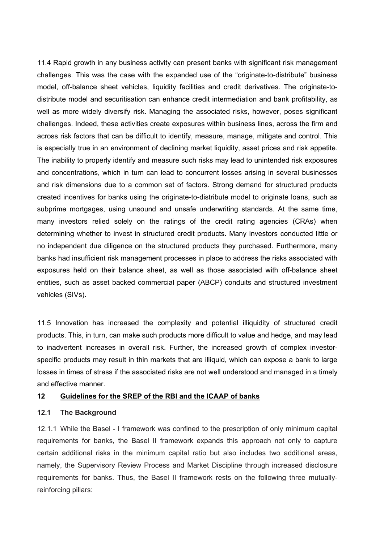11.4 Rapid growth in any business activity can present banks with significant risk management challenges. This was the case with the expanded use of the "originate-to-distribute" business model, off-balance sheet vehicles, liquidity facilities and credit derivatives. The originate-todistribute model and securitisation can enhance credit intermediation and bank profitability, as well as more widely diversify risk. Managing the associated risks, however, poses significant challenges. Indeed, these activities create exposures within business lines, across the firm and across risk factors that can be difficult to identify, measure, manage, mitigate and control. This is especially true in an environment of declining market liquidity, asset prices and risk appetite. The inability to properly identify and measure such risks may lead to unintended risk exposures and concentrations, which in turn can lead to concurrent losses arising in several businesses and risk dimensions due to a common set of factors. Strong demand for structured products created incentives for banks using the originate-to-distribute model to originate loans, such as subprime mortgages, using unsound and unsafe underwriting standards. At the same time, many investors relied solely on the ratings of the credit rating agencies (CRAs) when determining whether to invest in structured credit products. Many investors conducted little or no independent due diligence on the structured products they purchased. Furthermore, many banks had insufficient risk management processes in place to address the risks associated with exposures held on their balance sheet, as well as those associated with off-balance sheet entities, such as asset backed commercial paper (ABCP) conduits and structured investment vehicles (SIVs).

11.5 Innovation has increased the complexity and potential illiquidity of structured credit products. This, in turn, can make such products more difficult to value and hedge, and may lead to inadvertent increases in overall risk. Further, the increased growth of complex investorspecific products may result in thin markets that are illiquid, which can expose a bank to large losses in times of stress if the associated risks are not well understood and managed in a timely and effective manner.

### **12 Guidelines for the SREP of the RBI and the ICAAP of banks**

### **12.1 The Background**

12.1.1 While the Basel - I framework was confined to the prescription of only minimum capital requirements for banks, the Basel II framework expands this approach not only to capture certain additional risks in the minimum capital ratio but also includes two additional areas, namely, the Supervisory Review Process and Market Discipline through increased disclosure requirements for banks. Thus, the Basel II framework rests on the following three mutuallyreinforcing pillars: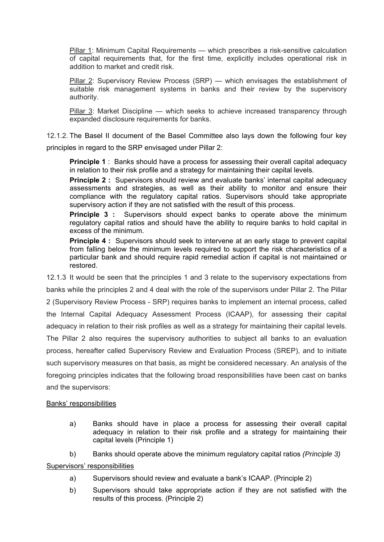Pillar 1: Minimum Capital Requirements — which prescribes a risk-sensitive calculation of capital requirements that, for the first time, explicitly includes operational risk in addition to market and credit risk.

Pillar 2: Supervisory Review Process (SRP) — which envisages the establishment of suitable risk management systems in banks and their review by the supervisory authority.

Pillar 3: Market Discipline — which seeks to achieve increased transparency through expanded disclosure requirements for banks.

12.1.2. The Basel II document of the Basel Committee also lays down the following four key principles in regard to the SRP envisaged under Pillar 2:

**Principle 1** : Banks should have a process for assessing their overall capital adequacy in relation to their risk profile and a strategy for maintaining their capital levels.

**Principle 2 :** Supervisors should review and evaluate banks' internal capital adequacy assessments and strategies, as well as their ability to monitor and ensure their compliance with the regulatory capital ratios. Supervisors should take appropriate supervisory action if they are not satisfied with the result of this process.

**Principle 3 :** Supervisors should expect banks to operate above the minimum regulatory capital ratios and should have the ability to require banks to hold capital in excess of the minimum.

**Principle 4 :** Supervisors should seek to intervene at an early stage to prevent capital from falling below the minimum levels required to support the risk characteristics of a particular bank and should require rapid remedial action if capital is not maintained or restored.

12.1.3 It would be seen that the principles 1 and 3 relate to the supervisory expectations from banks while the principles 2 and 4 deal with the role of the supervisors under Pillar 2. The Pillar 2 (Supervisory Review Process - SRP) requires banks to implement an internal process, called the Internal Capital Adequacy Assessment Process (ICAAP), for assessing their capital adequacy in relation to their risk profiles as well as a strategy for maintaining their capital levels. The Pillar 2 also requires the supervisory authorities to subject all banks to an evaluation process, hereafter called Supervisory Review and Evaluation Process (SREP), and to initiate such supervisory measures on that basis, as might be considered necessary. An analysis of the foregoing principles indicates that the following broad responsibilities have been cast on banks and the supervisors:

## Banks' responsibilities

- a) Banks should have in place a process for assessing their overall capital adequacy in relation to their risk profile and a strategy for maintaining their capital levels (Principle 1)
- b) Banks should operate above the minimum regulatory capital ratios *(Principle 3)*

## Supervisors' responsibilities

- a) Supervisors should review and evaluate a bank's ICAAP. (Principle 2)
- b) Supervisors should take appropriate action if they are not satisfied with the results of this process. (Principle 2)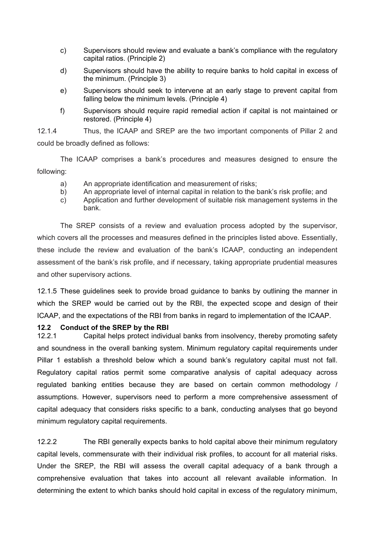- c) Supervisors should review and evaluate a bank's compliance with the regulatory capital ratios. (Principle 2)
- d) Supervisors should have the ability to require banks to hold capital in excess of the minimum. (Principle 3)
- e) Supervisors should seek to intervene at an early stage to prevent capital from falling below the minimum levels. (Principle 4)
- f) Supervisors should require rapid remedial action if capital is not maintained or restored. (Principle 4)

12.1.4 Thus, the ICAAP and SREP are the two important components of Pillar 2 and could be broadly defined as follows:

The ICAAP comprises a bank's procedures and measures designed to ensure the following:

- a) An appropriate identification and measurement of risks;
- b) An appropriate level of internal capital in relation to the bank's risk profile; and
- c) Application and further development of suitable risk management systems in the bank.

The SREP consists of a review and evaluation process adopted by the supervisor, which covers all the processes and measures defined in the principles listed above. Essentially, these include the review and evaluation of the bank's ICAAP, conducting an independent assessment of the bank's risk profile, and if necessary, taking appropriate prudential measures and other supervisory actions.

12.1.5 These guidelines seek to provide broad guidance to banks by outlining the manner in which the SREP would be carried out by the RBI, the expected scope and design of their ICAAP, and the expectations of the RBI from banks in regard to implementation of the ICAAP.

**12.2 Conduct of the SREP by the RBI** 

12.2.1 Capital helps protect individual banks from insolvency, thereby promoting safety and soundness in the overall banking system. Minimum regulatory capital requirements under Pillar 1 establish a threshold below which a sound bank's regulatory capital must not fall. Regulatory capital ratios permit some comparative analysis of capital adequacy across regulated banking entities because they are based on certain common methodology / assumptions. However, supervisors need to perform a more comprehensive assessment of capital adequacy that considers risks specific to a bank, conducting analyses that go beyond minimum regulatory capital requirements.

12.2.2 The RBI generally expects banks to hold capital above their minimum regulatory capital levels, commensurate with their individual risk profiles, to account for all material risks. Under the SREP, the RBI will assess the overall capital adequacy of a bank through a comprehensive evaluation that takes into account all relevant available information. In determining the extent to which banks should hold capital in excess of the regulatory minimum,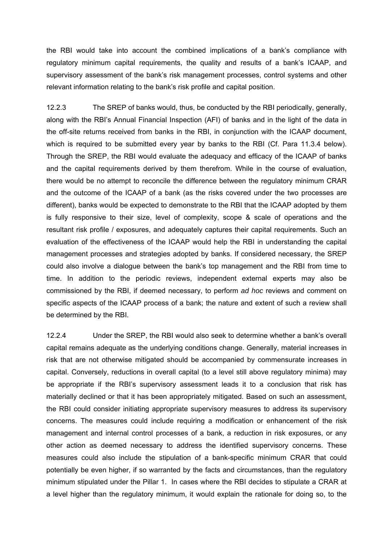the RBI would take into account the combined implications of a bank's compliance with regulatory minimum capital requirements, the quality and results of a bank's ICAAP, and supervisory assessment of the bank's risk management processes, control systems and other relevant information relating to the bank's risk profile and capital position.

12.2.3 The SREP of banks would, thus, be conducted by the RBI periodically, generally, along with the RBI's Annual Financial Inspection (AFI) of banks and in the light of the data in the off-site returns received from banks in the RBI, in conjunction with the ICAAP document, which is required to be submitted every year by banks to the RBI (Cf. Para 11.3.4 below). Through the SREP, the RBI would evaluate the adequacy and efficacy of the ICAAP of banks and the capital requirements derived by them therefrom. While in the course of evaluation, there would be no attempt to reconcile the difference between the regulatory minimum CRAR and the outcome of the ICAAP of a bank (as the risks covered under the two processes are different), banks would be expected to demonstrate to the RBI that the ICAAP adopted by them is fully responsive to their size, level of complexity, scope & scale of operations and the resultant risk profile / exposures, and adequately captures their capital requirements. Such an evaluation of the effectiveness of the ICAAP would help the RBI in understanding the capital management processes and strategies adopted by banks. If considered necessary, the SREP could also involve a dialogue between the bank's top management and the RBI from time to time. In addition to the periodic reviews, independent external experts may also be commissioned by the RBI, if deemed necessary, to perform *ad hoc* reviews and comment on specific aspects of the ICAAP process of a bank; the nature and extent of such a review shall be determined by the RBI.

12.2.4 Under the SREP, the RBI would also seek to determine whether a bank's overall capital remains adequate as the underlying conditions change. Generally, material increases in risk that are not otherwise mitigated should be accompanied by commensurate increases in capital. Conversely, reductions in overall capital (to a level still above regulatory minima) may be appropriate if the RBI's supervisory assessment leads it to a conclusion that risk has materially declined or that it has been appropriately mitigated. Based on such an assessment, the RBI could consider initiating appropriate supervisory measures to address its supervisory concerns. The measures could include requiring a modification or enhancement of the risk management and internal control processes of a bank, a reduction in risk exposures, or any other action as deemed necessary to address the identified supervisory concerns. These measures could also include the stipulation of a bank-specific minimum CRAR that could potentially be even higher, if so warranted by the facts and circumstances, than the regulatory minimum stipulated under the Pillar 1. In cases where the RBI decides to stipulate a CRAR at a level higher than the regulatory minimum, it would explain the rationale for doing so, to the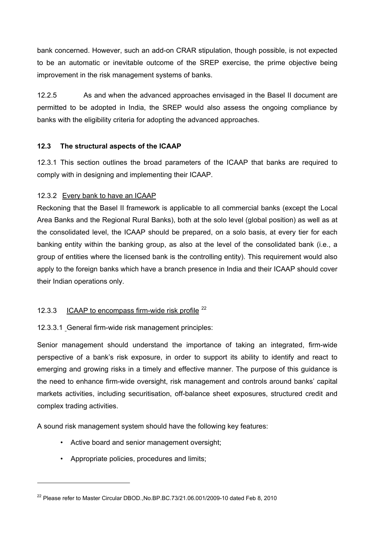bank concerned. However, such an add-on CRAR stipulation, though possible, is not expected to be an automatic or inevitable outcome of the SREP exercise, the prime objective being improvement in the risk management systems of banks.

12.2.5 As and when the advanced approaches envisaged in the Basel II document are permitted to be adopted in India, the SREP would also assess the ongoing compliance by banks with the eligibility criteria for adopting the advanced approaches.

# **12.3 The structural aspects of the ICAAP**

12.3.1 This section outlines the broad parameters of the ICAAP that banks are required to comply with in designing and implementing their ICAAP.

# 12.3.2 Every bank to have an ICAAP

Reckoning that the Basel II framework is applicable to all commercial banks (except the Local Area Banks and the Regional Rural Banks), both at the solo level (global position) as well as at the consolidated level, the ICAAP should be prepared, on a solo basis, at every tier for each banking entity within the banking group, as also at the level of the consolidated bank (i.e., a group of entities where the licensed bank is the controlling entity). This requirement would also apply to the foreign banks which have a branch presence in India and their ICAAP should cover their Indian operations only.

# 1[2](#page-86-0).3.3 ICAAP to encompass firm-wide risk profile <sup>22</sup>

# 12.3.3.1 General firm-wide risk management principles:

Senior management should understand the importance of taking an integrated, firm-wide perspective of a bank's risk exposure, in order to support its ability to identify and react to emerging and growing risks in a timely and effective manner. The purpose of this guidance is the need to enhance firm-wide oversight, risk management and controls around banks' capital markets activities, including securitisation, off-balance sheet exposures, structured credit and complex trading activities.

A sound risk management system should have the following key features:

- Active board and senior management oversight;
- Appropriate policies, procedures and limits;

l

<span id="page-86-0"></span> $^{22}$  Please refer to Master Circular DBOD., No.BP.BC.73/21.06.001/2009-10 dated Feb 8, 2010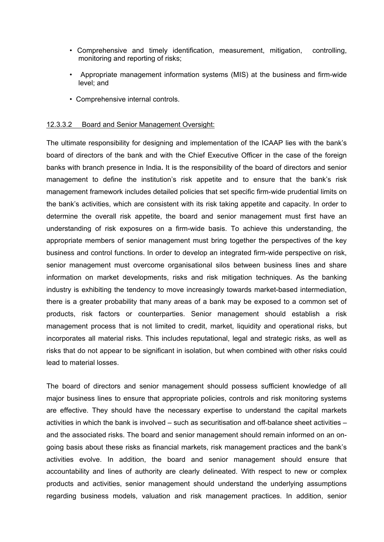- Comprehensive and timely identification, measurement, mitigation, controlling, monitoring and reporting of risks;
- Appropriate management information systems (MIS) at the business and firm-wide level; and
- Comprehensive internal controls.

## 12.3.3.2 Board and Senior Management Oversight:

The ultimate responsibility for designing and implementation of the ICAAP lies with the bank's board of directors of the bank and with the Chief Executive Officer in the case of the foreign banks with branch presence in India**.** It is the responsibility of the board of directors and senior management to define the institution's risk appetite and to ensure that the bank's risk management framework includes detailed policies that set specific firm-wide prudential limits on the bank's activities, which are consistent with its risk taking appetite and capacity. In order to determine the overall risk appetite, the board and senior management must first have an understanding of risk exposures on a firm-wide basis. To achieve this understanding, the appropriate members of senior management must bring together the perspectives of the key business and control functions. In order to develop an integrated firm-wide perspective on risk, senior management must overcome organisational silos between business lines and share information on market developments, risks and risk mitigation techniques. As the banking industry is exhibiting the tendency to move increasingly towards market-based intermediation, there is a greater probability that many areas of a bank may be exposed to a common set of products, risk factors or counterparties. Senior management should establish a risk management process that is not limited to credit, market, liquidity and operational risks, but incorporates all material risks. This includes reputational, legal and strategic risks, as well as risks that do not appear to be significant in isolation, but when combined with other risks could lead to material losses.

The board of directors and senior management should possess sufficient knowledge of all major business lines to ensure that appropriate policies, controls and risk monitoring systems are effective. They should have the necessary expertise to understand the capital markets activities in which the bank is involved – such as securitisation and off-balance sheet activities – and the associated risks. The board and senior management should remain informed on an ongoing basis about these risks as financial markets, risk management practices and the bank's activities evolve. In addition, the board and senior management should ensure that accountability and lines of authority are clearly delineated. With respect to new or complex products and activities, senior management should understand the underlying assumptions regarding business models, valuation and risk management practices. In addition, senior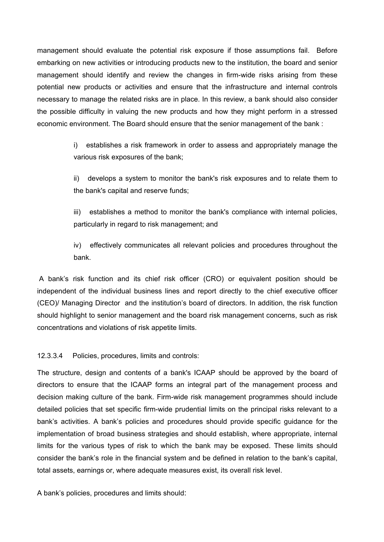management should evaluate the potential risk exposure if those assumptions fail. Before embarking on new activities or introducing products new to the institution, the board and senior management should identify and review the changes in firm-wide risks arising from these potential new products or activities and ensure that the infrastructure and internal controls necessary to manage the related risks are in place. In this review, a bank should also consider the possible difficulty in valuing the new products and how they might perform in a stressed economic environment. The Board should ensure that the senior management of the bank :

> i) establishes a risk framework in order to assess and appropriately manage the various risk exposures of the bank;

> ii) develops a system to monitor the bank's risk exposures and to relate them to the bank's capital and reserve funds;

> iii) establishes a method to monitor the bank's compliance with internal policies, particularly in regard to risk management; and

> iv) effectively communicates all relevant policies and procedures throughout the bank.

 A bank's risk function and its chief risk officer (CRO) or equivalent position should be independent of the individual business lines and report directly to the chief executive officer (CEO)/ Managing Director and the institution's board of directors. In addition, the risk function should highlight to senior management and the board risk management concerns, such as risk concentrations and violations of risk appetite limits.

12.3.3.4 Policies, procedures, limits and controls:

The structure, design and contents of a bank's ICAAP should be approved by the board of directors to ensure that the ICAAP forms an integral part of the management process and decision making culture of the bank. Firm-wide risk management programmes should include detailed policies that set specific firm-wide prudential limits on the principal risks relevant to a bank's activities. A bank's policies and procedures should provide specific guidance for the implementation of broad business strategies and should establish, where appropriate, internal limits for the various types of risk to which the bank may be exposed. These limits should consider the bank's role in the financial system and be defined in relation to the bank's capital, total assets, earnings or, where adequate measures exist, its overall risk level.

A bank's policies, procedures and limits should: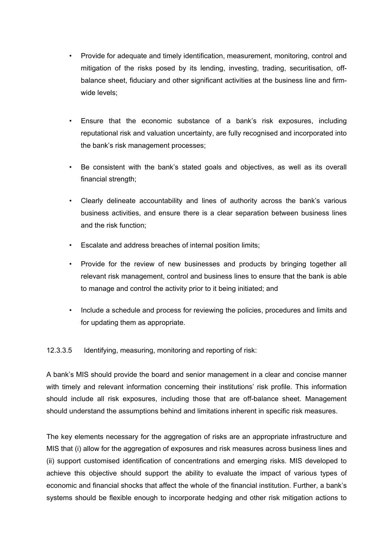- Provide for adequate and timely identification, measurement, monitoring, control and mitigation of the risks posed by its lending, investing, trading, securitisation, offbalance sheet, fiduciary and other significant activities at the business line and firmwide levels;
- Ensure that the economic substance of a bank's risk exposures, including reputational risk and valuation uncertainty, are fully recognised and incorporated into the bank's risk management processes;
- Be consistent with the bank's stated goals and objectives, as well as its overall financial strength;
- Clearly delineate accountability and lines of authority across the bank's various business activities, and ensure there is a clear separation between business lines and the risk function;
- Escalate and address breaches of internal position limits;
- Provide for the review of new businesses and products by bringing together all relevant risk management, control and business lines to ensure that the bank is able to manage and control the activity prior to it being initiated; and
- Include a schedule and process for reviewing the policies, procedures and limits and for updating them as appropriate.

12.3.3.5 Identifying, measuring, monitoring and reporting of risk:

A bank's MIS should provide the board and senior management in a clear and concise manner with timely and relevant information concerning their institutions' risk profile. This information should include all risk exposures, including those that are off-balance sheet. Management should understand the assumptions behind and limitations inherent in specific risk measures.

The key elements necessary for the aggregation of risks are an appropriate infrastructure and MIS that (i) allow for the aggregation of exposures and risk measures across business lines and (ii) support customised identification of concentrations and emerging risks. MIS developed to achieve this objective should support the ability to evaluate the impact of various types of economic and financial shocks that affect the whole of the financial institution. Further, a bank's systems should be flexible enough to incorporate hedging and other risk mitigation actions to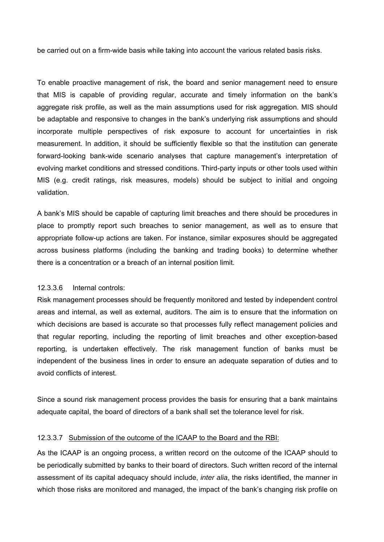be carried out on a firm-wide basis while taking into account the various related basis risks.

To enable proactive management of risk, the board and senior management need to ensure that MIS is capable of providing regular, accurate and timely information on the bank's aggregate risk profile, as well as the main assumptions used for risk aggregation. MIS should be adaptable and responsive to changes in the bank's underlying risk assumptions and should incorporate multiple perspectives of risk exposure to account for uncertainties in risk measurement. In addition, it should be sufficiently flexible so that the institution can generate forward-looking bank-wide scenario analyses that capture management's interpretation of evolving market conditions and stressed conditions. Third-party inputs or other tools used within MIS (e.g. credit ratings, risk measures, models) should be subject to initial and ongoing validation.

A bank's MIS should be capable of capturing limit breaches and there should be procedures in place to promptly report such breaches to senior management, as well as to ensure that appropriate follow-up actions are taken. For instance, similar exposures should be aggregated across business platforms (including the banking and trading books) to determine whether there is a concentration or a breach of an internal position limit.

#### 12.3.3.6 Internal controls:

Risk management processes should be frequently monitored and tested by independent control areas and internal, as well as external, auditors. The aim is to ensure that the information on which decisions are based is accurate so that processes fully reflect management policies and that regular reporting, including the reporting of limit breaches and other exception-based reporting, is undertaken effectively. The risk management function of banks must be independent of the business lines in order to ensure an adequate separation of duties and to avoid conflicts of interest.

Since a sound risk management process provides the basis for ensuring that a bank maintains adequate capital, the board of directors of a bank shall set the tolerance level for risk.

### 12.3.3.7 Submission of the outcome of the ICAAP to the Board and the RBI:

As the ICAAP is an ongoing process, a written record on the outcome of the ICAAP should to be periodically submitted by banks to their board of directors. Such written record of the internal assessment of its capital adequacy should include, *inter alia*, the risks identified, the manner in which those risks are monitored and managed, the impact of the bank's changing risk profile on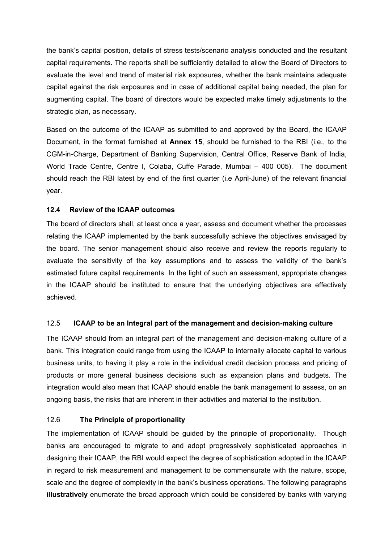the bank's capital position, details of stress tests/scenario analysis conducted and the resultant capital requirements. The reports shall be sufficiently detailed to allow the Board of Directors to evaluate the level and trend of material risk exposures, whether the bank maintains adequate capital against the risk exposures and in case of additional capital being needed, the plan for augmenting capital. The board of directors would be expected make timely adjustments to the strategic plan, as necessary.

Based on the outcome of the ICAAP as submitted to and approved by the Board, the ICAAP Document, in the format furnished at **Annex 15**, should be furnished to the RBI (i.e., to the CGM-in-Charge, Department of Banking Supervision, Central Office, Reserve Bank of India, World Trade Centre, Centre I, Colaba, Cuffe Parade, Mumbai – 400 005). The document should reach the RBI latest by end of the first quarter (i.e April-June) of the relevant financial year.

# **12.4 Review of the ICAAP outcomes**

The board of directors shall, at least once a year, assess and document whether the processes relating the ICAAP implemented by the bank successfully achieve the objectives envisaged by the board. The senior management should also receive and review the reports regularly to evaluate the sensitivity of the key assumptions and to assess the validity of the bank's estimated future capital requirements. In the light of such an assessment, appropriate changes in the ICAAP should be instituted to ensure that the underlying objectives are effectively achieved.

# 12.5 **ICAAP to be an Integral part of the management and decision-making culture**

The ICAAP should from an integral part of the management and decision-making culture of a bank. This integration could range from using the ICAAP to internally allocate capital to various business units, to having it play a role in the individual credit decision process and pricing of products or more general business decisions such as expansion plans and budgets. The integration would also mean that ICAAP should enable the bank management to assess, on an ongoing basis, the risks that are inherent in their activities and material to the institution.

# 12.6 **The Principle of proportionality**

The implementation of ICAAP should be guided by the principle of proportionality. Though banks are encouraged to migrate to and adopt progressively sophisticated approaches in designing their ICAAP, the RBI would expect the degree of sophistication adopted in the ICAAP in regard to risk measurement and management to be commensurate with the nature, scope, scale and the degree of complexity in the bank's business operations. The following paragraphs **illustratively** enumerate the broad approach which could be considered by banks with varying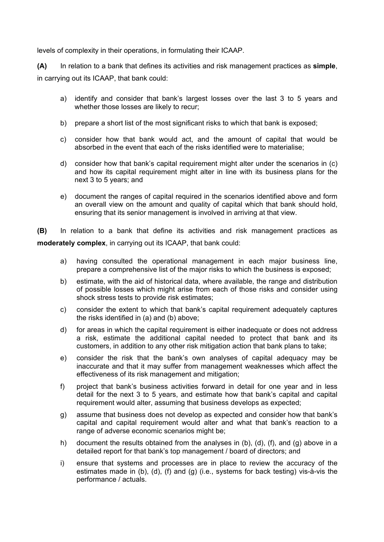levels of complexity in their operations, in formulating their ICAAP.

**(A)** In relation to a bank that defines its activities and risk management practices as **simple**, in carrying out its ICAAP, that bank could:

- a) identify and consider that bank's largest losses over the last 3 to 5 years and whether those losses are likely to recur;
- b) prepare a short list of the most significant risks to which that bank is exposed;
- c) consider how that bank would act, and the amount of capital that would be absorbed in the event that each of the risks identified were to materialise;
- d) consider how that bank's capital requirement might alter under the scenarios in (c) and how its capital requirement might alter in line with its business plans for the next 3 to 5 years; and
- e) document the ranges of capital required in the scenarios identified above and form an overall view on the amount and quality of capital which that bank should hold, ensuring that its senior management is involved in arriving at that view.

**(B)** In relation to a bank that define its activities and risk management practices as **moderately complex**, in carrying out its ICAAP, that bank could:

- a) having consulted the operational management in each major business line, prepare a comprehensive list of the major risks to which the business is exposed;
- b) estimate, with the aid of historical data, where available, the range and distribution of possible losses which might arise from each of those risks and consider using shock stress tests to provide risk estimates;
- c) consider the extent to which that bank's capital requirement adequately captures the risks identified in (a) and (b) above;
- d) for areas in which the capital requirement is either inadequate or does not address a risk, estimate the additional capital needed to protect that bank and its customers, in addition to any other risk mitigation action that bank plans to take;
- e) consider the risk that the bank's own analyses of capital adequacy may be inaccurate and that it may suffer from management weaknesses which affect the effectiveness of its risk management and mitigation;
- f) project that bank's business activities forward in detail for one year and in less detail for the next 3 to 5 years, and estimate how that bank's capital and capital requirement would alter, assuming that business develops as expected;
- g) assume that business does not develop as expected and consider how that bank's capital and capital requirement would alter and what that bank's reaction to a range of adverse economic scenarios might be;
- h) document the results obtained from the analyses in (b), (d), (f), and (g) above in a detailed report for that bank's top management / board of directors; and
- i) ensure that systems and processes are in place to review the accuracy of the estimates made in (b), (d), (f) and (g) (i.e., systems for back testing) vis-à-vis the performance / actuals.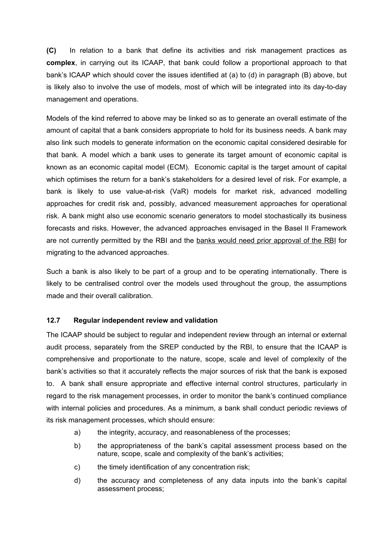**(C)** In relation to a bank that define its activities and risk management practices as **complex**, in carrying out its ICAAP, that bank could follow a proportional approach to that bank's ICAAP which should cover the issues identified at (a) to (d) in paragraph (B) above, but is likely also to involve the use of models, most of which will be integrated into its day-to-day management and operations.

Models of the kind referred to above may be linked so as to generate an overall estimate of the amount of capital that a bank considers appropriate to hold for its business needs. A bank may also link such models to generate information on the economic capital considered desirable for that bank. A model which a bank uses to generate its target amount of economic capital is known as an economic capital model (ECM). Economic capital is the target amount of capital which optimises the return for a bank's stakeholders for a desired level of risk. For example, a bank is likely to use value-at-risk (VaR) models for market risk, advanced modelling approaches for credit risk and, possibly, advanced measurement approaches for operational risk. A bank might also use economic scenario generators to model stochastically its business forecasts and risks. However, the advanced approaches envisaged in the Basel II Framework are not currently permitted by the RBI and the banks would need prior approval of the RBI for migrating to the advanced approaches.

Such a bank is also likely to be part of a group and to be operating internationally. There is likely to be centralised control over the models used throughout the group, the assumptions made and their overall calibration.

## **12.7 Regular independent review and validation**

The ICAAP should be subject to regular and independent review through an internal or external audit process, separately from the SREP conducted by the RBI, to ensure that the ICAAP is comprehensive and proportionate to the nature, scope, scale and level of complexity of the bank's activities so that it accurately reflects the major sources of risk that the bank is exposed to. A bank shall ensure appropriate and effective internal control structures, particularly in regard to the risk management processes, in order to monitor the bank's continued compliance with internal policies and procedures. As a minimum, a bank shall conduct periodic reviews of its risk management processes, which should ensure:

- a) the integrity, accuracy, and reasonableness of the processes;
- b) the appropriateness of the bank's capital assessment process based on the nature, scope, scale and complexity of the bank's activities;
- c) the timely identification of any concentration risk;
- d) the accuracy and completeness of any data inputs into the bank's capital assessment process;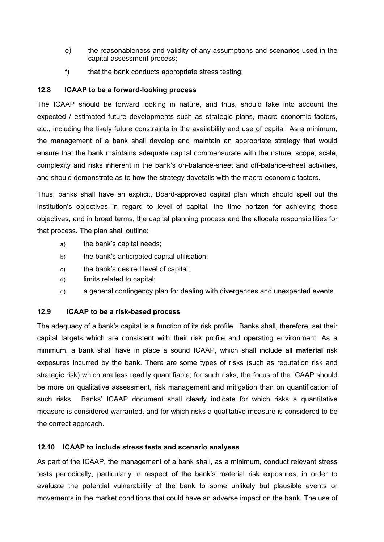- e) the reasonableness and validity of any assumptions and scenarios used in the capital assessment process;
- f) that the bank conducts appropriate stress testing;

# **12.8 ICAAP to be a forward-looking process**

The ICAAP should be forward looking in nature, and thus, should take into account the expected / estimated future developments such as strategic plans, macro economic factors, etc., including the likely future constraints in the availability and use of capital. As a minimum, the management of a bank shall develop and maintain an appropriate strategy that would ensure that the bank maintains adequate capital commensurate with the nature, scope, scale, complexity and risks inherent in the bank's on-balance-sheet and off-balance-sheet activities, and should demonstrate as to how the strategy dovetails with the macro-economic factors.

Thus, banks shall have an explicit, Board-approved capital plan which should spell out the institution's objectives in regard to level of capital, the time horizon for achieving those objectives, and in broad terms, the capital planning process and the allocate responsibilities for that process. The plan shall outline:

- a) the bank's capital needs;
- b) the bank's anticipated capital utilisation;
- c) the bank's desired level of capital;
- d) limits related to capital;
- e) a general contingency plan for dealing with divergences and unexpected events.

# **12.9 ICAAP to be a risk-based process**

The adequacy of a bank's capital is a function of its risk profile. Banks shall, therefore, set their capital targets which are consistent with their risk profile and operating environment. As a minimum, a bank shall have in place a sound ICAAP, which shall include all **material** risk exposures incurred by the bank. There are some types of risks (such as reputation risk and strategic risk) which are less readily quantifiable; for such risks, the focus of the ICAAP should be more on qualitative assessment, risk management and mitigation than on quantification of such risks. Banks' ICAAP document shall clearly indicate for which risks a quantitative measure is considered warranted, and for which risks a qualitative measure is considered to be the correct approach.

# **12.10 ICAAP to include stress tests and scenario analyses**

As part of the ICAAP, the management of a bank shall, as a minimum, conduct relevant stress tests periodically, particularly in respect of the bank's material risk exposures, in order to evaluate the potential vulnerability of the bank to some unlikely but plausible events or movements in the market conditions that could have an adverse impact on the bank. The use of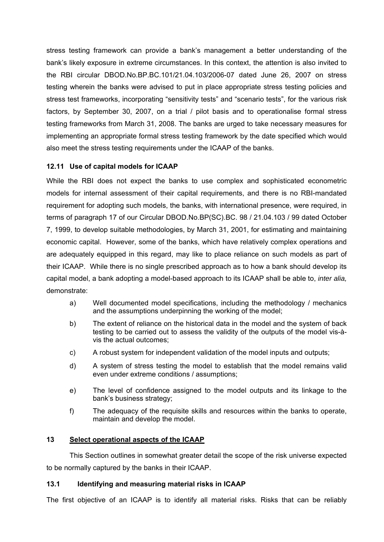stress testing framework can provide a bank's management a better understanding of the bank's likely exposure in extreme circumstances. In this context, the attention is also invited to the RBI circular DBOD.No.BP.BC.101/21.04.103/2006-07 dated June 26, 2007 on stress testing wherein the banks were advised to put in place appropriate stress testing policies and stress test frameworks, incorporating "sensitivity tests" and "scenario tests", for the various risk factors, by September 30, 2007, on a trial / pilot basis and to operationalise formal stress testing frameworks from March 31, 2008. The banks are urged to take necessary measures for implementing an appropriate formal stress testing framework by the date specified which would also meet the stress testing requirements under the ICAAP of the banks.

## **12.11 Use of capital models for ICAAP**

While the RBI does not expect the banks to use complex and sophisticated econometric models for internal assessment of their capital requirements, and there is no RBI-mandated requirement for adopting such models, the banks, with international presence, were required, in terms of paragraph 17 of our Circular DBOD.No.BP(SC).BC. 98 / 21.04.103 / 99 dated October 7, 1999, to develop suitable methodologies, by March 31, 2001, for estimating and maintaining economic capital. However, some of the banks, which have relatively complex operations and are adequately equipped in this regard, may like to place reliance on such models as part of their ICAAP. While there is no single prescribed approach as to how a bank should develop its capital model, a bank adopting a model-based approach to its ICAAP shall be able to, *inter alia,* demonstrate:

- a) Well documented model specifications, including the methodology / mechanics and the assumptions underpinning the working of the model;
- b) The extent of reliance on the historical data in the model and the system of back testing to be carried out to assess the validity of the outputs of the model vis-àvis the actual outcomes;
- c) A robust system for independent validation of the model inputs and outputs;
- d) A system of stress testing the model to establish that the model remains valid even under extreme conditions / assumptions;
- e) The level of confidence assigned to the model outputs and its linkage to the bank's business strategy;
- f) The adequacy of the requisite skills and resources within the banks to operate, maintain and develop the model.

## **13 Select operational aspects of the ICAAP**

 This Section outlines in somewhat greater detail the scope of the risk universe expected to be normally captured by the banks in their ICAAP.

## **13.1 Identifying and measuring material risks in ICAAP**

The first objective of an ICAAP is to identify all material risks. Risks that can be reliably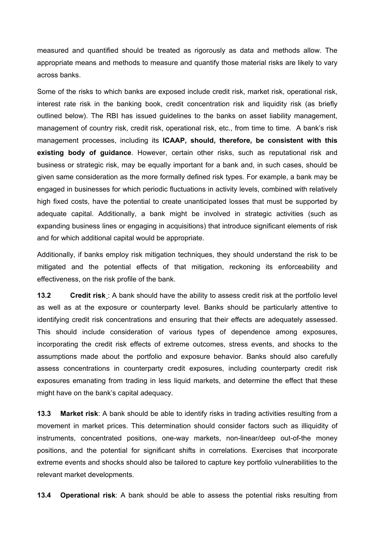measured and quantified should be treated as rigorously as data and methods allow. The appropriate means and methods to measure and quantify those material risks are likely to vary across banks.

Some of the risks to which banks are exposed include credit risk, market risk, operational risk, interest rate risk in the banking book, credit concentration risk and liquidity risk (as briefly outlined below). The RBI has issued guidelines to the banks on asset liability management, management of country risk, credit risk, operational risk, etc., from time to time. A bank's risk management processes, including its **ICAAP, should, therefore, be consistent with this existing body of guidance**. However, certain other risks, such as reputational risk and business or strategic risk, may be equally important for a bank and, in such cases, should be given same consideration as the more formally defined risk types. For example, a bank may be engaged in businesses for which periodic fluctuations in activity levels, combined with relatively high fixed costs, have the potential to create unanticipated losses that must be supported by adequate capital. Additionally, a bank might be involved in strategic activities (such as expanding business lines or engaging in acquisitions) that introduce significant elements of risk and for which additional capital would be appropriate.

Additionally, if banks employ risk mitigation techniques, they should understand the risk to be mitigated and the potential effects of that mitigation, reckoning its enforceability and effectiveness, on the risk profile of the bank.

**13.2 Credit risk**: A bank should have the ability to assess credit risk at the portfolio level as well as at the exposure or counterparty level. Banks should be particularly attentive to identifying credit risk concentrations and ensuring that their effects are adequately assessed. This should include consideration of various types of dependence among exposures, incorporating the credit risk effects of extreme outcomes, stress events, and shocks to the assumptions made about the portfolio and exposure behavior. Banks should also carefully assess concentrations in counterparty credit exposures, including counterparty credit risk exposures emanating from trading in less liquid markets, and determine the effect that these might have on the bank's capital adequacy.

**13.3 Market risk**: A bank should be able to identify risks in trading activities resulting from a movement in market prices. This determination should consider factors such as illiquidity of instruments, concentrated positions, one-way markets, non-linear/deep out-of-the money positions, and the potential for significant shifts in correlations. Exercises that incorporate extreme events and shocks should also be tailored to capture key portfolio vulnerabilities to the relevant market developments.

**13.4 Operational risk**: A bank should be able to assess the potential risks resulting from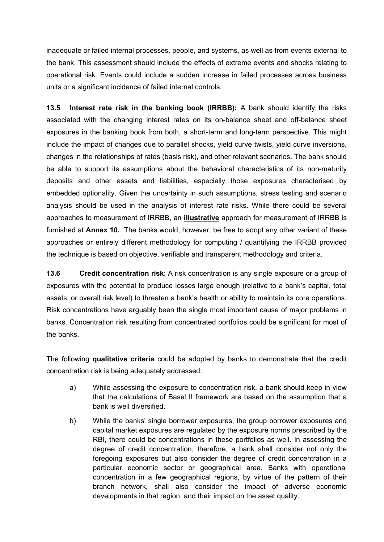inadequate or failed internal processes, people, and systems, as well as from events external to the bank. This assessment should include the effects of extreme events and shocks relating to operational risk. Events could include a sudden increase in failed processes across business units or a significant incidence of failed internal controls.

**13.5 Interest rate risk in the banking book (IRRBB):** A bank should identify the risks associated with the changing interest rates on its on-balance sheet and off-balance sheet exposures in the banking book from both, a short-term and long-term perspective. This might include the impact of changes due to parallel shocks, yield curve twists, yield curve inversions, changes in the relationships of rates (basis risk), and other relevant scenarios. The bank should be able to support its assumptions about the behavioral characteristics of its non-maturity deposits and other assets and liabilities, especially those exposures characterised by embedded optionality. Given the uncertainty in such assumptions, stress testing and scenario analysis should be used in the analysis of interest rate risks. While there could be several approaches to measurement of IRRBB, an **illustrative** approach for measurement of IRRBB is furnished at **Annex 10.** The banks would, however, be free to adopt any other variant of these approaches or entirely different methodology for computing / quantifying the IRRBB provided the technique is based on objective, verifiable and transparent methodology and criteria.

**13.6 Credit concentration risk**: A risk concentration is any single exposure or a group of exposures with the potential to produce losses large enough (relative to a bank's capital, total assets, or overall risk level) to threaten a bank's health or ability to maintain its core operations. Risk concentrations have arguably been the single most important cause of major problems in banks. Concentration risk resulting from concentrated portfolios could be significant for most of the banks.

The following **qualitative criteria** could be adopted by banks to demonstrate that the credit concentration risk is being adequately addressed:

- a) While assessing the exposure to concentration risk, a bank should keep in view that the calculations of Basel II framework are based on the assumption that a bank is well diversified.
- b) While the banks' single borrower exposures, the group borrower exposures and capital market exposures are regulated by the exposure norms prescribed by the RBI, there could be concentrations in these portfolios as well. In assessing the degree of credit concentration, therefore, a bank shall consider not only the foregoing exposures but also consider the degree of credit concentration in a particular economic sector or geographical area. Banks with operational concentration in a few geographical regions, by virtue of the pattern of their branch network, shall also consider the impact of adverse economic developments in that region, and their impact on the asset quality.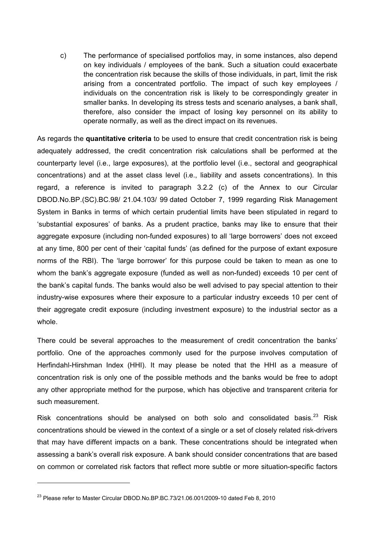c) The performance of specialised portfolios may, in some instances, also depend on key individuals / employees of the bank. Such a situation could exacerbate the concentration risk because the skills of those individuals, in part, limit the risk arising from a concentrated portfolio. The impact of such key employees / individuals on the concentration risk is likely to be correspondingly greater in smaller banks. In developing its stress tests and scenario analyses, a bank shall, therefore, also consider the impact of losing key personnel on its ability to operate normally, as well as the direct impact on its revenues.

As regards the **quantitative criteria** to be used to ensure that credit concentration risk is being adequately addressed, the credit concentration risk calculations shall be performed at the counterparty level (i.e., large exposures), at the portfolio level (i.e., sectoral and geographical concentrations) and at the asset class level (i.e., liability and assets concentrations). In this regard, a reference is invited to paragraph 3.2.2 (c) of the Annex to our Circular DBOD.No.BP.(SC).BC.98/ 21.04.103/ 99 dated October 7, 1999 regarding Risk Management System in Banks in terms of which certain prudential limits have been stipulated in regard to 'substantial exposures' of banks. As a prudent practice, banks may like to ensure that their aggregate exposure (including non-funded exposures) to all 'large borrowers' does not exceed at any time, 800 per cent of their 'capital funds' (as defined for the purpose of extant exposure norms of the RBI). The 'large borrower' for this purpose could be taken to mean as one to whom the bank's aggregate exposure (funded as well as non-funded) exceeds 10 per cent of the bank's capital funds. The banks would also be well advised to pay special attention to their industry-wise exposures where their exposure to a particular industry exceeds 10 per cent of their aggregate credit exposure (including investment exposure) to the industrial sector as a whole.

There could be several approaches to the measurement of credit concentration the banks' portfolio. One of the approaches commonly used for the purpose involves computation of Herfindahl-Hirshman Index (HHI). It may please be noted that the HHI as a measure of concentration risk is only one of the possible methods and the banks would be free to adopt any other appropriate method for the purpose, which has objective and transparent criteria for such measurement.

Risk concentrations should be analysed on both solo and consolidated basis. $^{23}$  $^{23}$  $^{23}$  Risk concentrations should be viewed in the context of a single or a set of closely related risk-drivers that may have different impacts on a bank. These concentrations should be integrated when assessing a bank's overall risk exposure. A bank should consider concentrations that are based on common or correlated risk factors that reflect more subtle or more situation-specific factors

l

<span id="page-98-0"></span> $^{23}$  Please refer to Master Circular DBOD.No.BP.BC.73/21.06.001/2009-10 dated Feb 8, 2010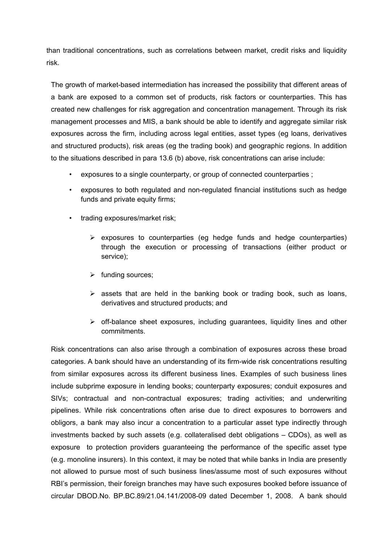than traditional concentrations, such as correlations between market, credit risks and liquidity risk.

The growth of market-based intermediation has increased the possibility that different areas of a bank are exposed to a common set of products, risk factors or counterparties. This has created new challenges for risk aggregation and concentration management. Through its risk management processes and MIS, a bank should be able to identify and aggregate similar risk exposures across the firm, including across legal entities, asset types (eg loans, derivatives and structured products), risk areas (eg the trading book) and geographic regions. In addition to the situations described in para 13.6 (b) above, risk concentrations can arise include:

- exposures to a single counterparty, or group of connected counterparties ;
- exposures to both regulated and non-regulated financial institutions such as hedge funds and private equity firms;
- trading exposures/market risk;
	- $\ge$  exposures to counterparties (eg hedge funds and hedge counterparties) through the execution or processing of transactions (either product or service);
	- $\triangleright$  funding sources;
	- $\triangleright$  assets that are held in the banking book or trading book, such as loans, derivatives and structured products; and
	- $\triangleright$  off-balance sheet exposures, including guarantees, liquidity lines and other commitments.

Risk concentrations can also arise through a combination of exposures across these broad categories. A bank should have an understanding of its firm-wide risk concentrations resulting from similar exposures across its different business lines. Examples of such business lines include subprime exposure in lending books; counterparty exposures; conduit exposures and SIVs; contractual and non-contractual exposures; trading activities; and underwriting pipelines. While risk concentrations often arise due to direct exposures to borrowers and obligors, a bank may also incur a concentration to a particular asset type indirectly through investments backed by such assets (e.g. collateralised debt obligations – CDOs), as well as exposure to protection providers guaranteeing the performance of the specific asset type (e.g. monoline insurers). In this context, it may be noted that while banks in India are presently not allowed to pursue most of such business lines/assume most of such exposures without RBI's permission, their foreign branches may have such exposures booked before issuance of circular DBOD.No. BP.BC.89/21.04.141/2008-09 dated December 1, 2008. A bank should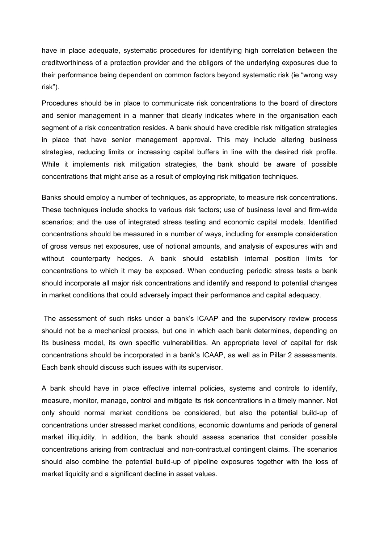have in place adequate, systematic procedures for identifying high correlation between the creditworthiness of a protection provider and the obligors of the underlying exposures due to their performance being dependent on common factors beyond systematic risk (ie "wrong way risk").

Procedures should be in place to communicate risk concentrations to the board of directors and senior management in a manner that clearly indicates where in the organisation each segment of a risk concentration resides. A bank should have credible risk mitigation strategies in place that have senior management approval. This may include altering business strategies, reducing limits or increasing capital buffers in line with the desired risk profile. While it implements risk mitigation strategies, the bank should be aware of possible concentrations that might arise as a result of employing risk mitigation techniques.

Banks should employ a number of techniques, as appropriate, to measure risk concentrations. These techniques include shocks to various risk factors; use of business level and firm-wide scenarios; and the use of integrated stress testing and economic capital models. Identified concentrations should be measured in a number of ways, including for example consideration of gross versus net exposures, use of notional amounts, and analysis of exposures with and without counterparty hedges. A bank should establish internal position limits for concentrations to which it may be exposed. When conducting periodic stress tests a bank should incorporate all major risk concentrations and identify and respond to potential changes in market conditions that could adversely impact their performance and capital adequacy.

 The assessment of such risks under a bank's ICAAP and the supervisory review process should not be a mechanical process, but one in which each bank determines, depending on its business model, its own specific vulnerabilities. An appropriate level of capital for risk concentrations should be incorporated in a bank's ICAAP, as well as in Pillar 2 assessments. Each bank should discuss such issues with its supervisor.

A bank should have in place effective internal policies, systems and controls to identify, measure, monitor, manage, control and mitigate its risk concentrations in a timely manner. Not only should normal market conditions be considered, but also the potential build-up of concentrations under stressed market conditions, economic downturns and periods of general market illiquidity. In addition, the bank should assess scenarios that consider possible concentrations arising from contractual and non-contractual contingent claims. The scenarios should also combine the potential build-up of pipeline exposures together with the loss of market liquidity and a significant decline in asset values.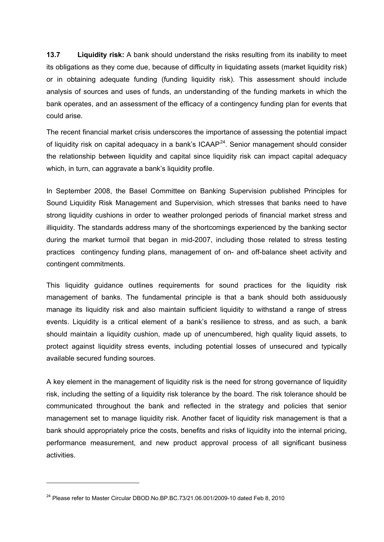**13.7 Liquidity risk:** A bank should understand the risks resulting from its inability to meet its obligations as they come due, because of difficulty in liquidating assets (market liquidity risk) or in obtaining adequate funding (funding liquidity risk). This assessment should include analysis of sources and uses of funds, an understanding of the funding markets in which the bank operates, and an assessment of the efficacy of a contingency funding plan for events that could arise.

The recent financial market crisis underscores the importance of assessing the potential impact of liquidity risk on capital adequacy in a bank's  $ICAAP^{24}$  $ICAAP^{24}$  $ICAAP^{24}$ . Senior management should consider the relationship between liquidity and capital since liquidity risk can impact capital adequacy which, in turn, can aggravate a bank's liquidity profile.

In September 2008, the Basel Committee on Banking Supervision published Principles for Sound Liquidity Risk Management and Supervision, which stresses that banks need to have strong liquidity cushions in order to weather prolonged periods of financial market stress and illiquidity. The standards address many of the shortcomings experienced by the banking sector during the market turmoil that began in mid-2007, including those related to stress testing practices contingency funding plans, management of on- and off-balance sheet activity and contingent commitments.

This liquidity guidance outlines requirements for sound practices for the liquidity risk management of banks. The fundamental principle is that a bank should both assiduously manage its liquidity risk and also maintain sufficient liquidity to withstand a range of stress events. Liquidity is a critical element of a bank's resilience to stress, and as such, a bank should maintain a liquidity cushion, made up of unencumbered, high quality liquid assets, to protect against liquidity stress events, including potential losses of unsecured and typically available secured funding sources.

A key element in the management of liquidity risk is the need for strong governance of liquidity risk, including the setting of a liquidity risk tolerance by the board. The risk tolerance should be communicated throughout the bank and reflected in the strategy and policies that senior management set to manage liquidity risk. Another facet of liquidity risk management is that a bank should appropriately price the costs, benefits and risks of liquidity into the internal pricing, performance measurement, and new product approval process of all significant business activities.

1

<span id="page-101-0"></span> $^{24}$  Please refer to Master Circular DBOD.No.BP.BC.73/21.06.001/2009-10 dated Feb 8, 2010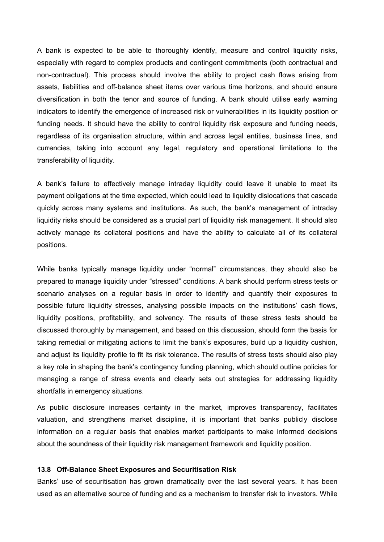A bank is expected to be able to thoroughly identify, measure and control liquidity risks, especially with regard to complex products and contingent commitments (both contractual and non-contractual). This process should involve the ability to project cash flows arising from assets, liabilities and off-balance sheet items over various time horizons, and should ensure diversification in both the tenor and source of funding. A bank should utilise early warning indicators to identify the emergence of increased risk or vulnerabilities in its liquidity position or funding needs. It should have the ability to control liquidity risk exposure and funding needs, regardless of its organisation structure, within and across legal entities, business lines, and currencies, taking into account any legal, regulatory and operational limitations to the transferability of liquidity.

A bank's failure to effectively manage intraday liquidity could leave it unable to meet its payment obligations at the time expected, which could lead to liquidity dislocations that cascade quickly across many systems and institutions. As such, the bank's management of intraday liquidity risks should be considered as a crucial part of liquidity risk management. It should also actively manage its collateral positions and have the ability to calculate all of its collateral positions.

While banks typically manage liquidity under "normal" circumstances, they should also be prepared to manage liquidity under "stressed" conditions. A bank should perform stress tests or scenario analyses on a regular basis in order to identify and quantify their exposures to possible future liquidity stresses, analysing possible impacts on the institutions' cash flows, liquidity positions, profitability, and solvency. The results of these stress tests should be discussed thoroughly by management, and based on this discussion, should form the basis for taking remedial or mitigating actions to limit the bank's exposures, build up a liquidity cushion, and adjust its liquidity profile to fit its risk tolerance. The results of stress tests should also play a key role in shaping the bank's contingency funding planning, which should outline policies for managing a range of stress events and clearly sets out strategies for addressing liquidity shortfalls in emergency situations.

As public disclosure increases certainty in the market, improves transparency, facilitates valuation, and strengthens market discipline, it is important that banks publicly disclose information on a regular basis that enables market participants to make informed decisions about the soundness of their liquidity risk management framework and liquidity position.

#### **13.8 Off-Balance Sheet Exposures and Securitisation Risk**

Banks' use of securitisation has grown dramatically over the last several years. It has been used as an alternative source of funding and as a mechanism to transfer risk to investors. While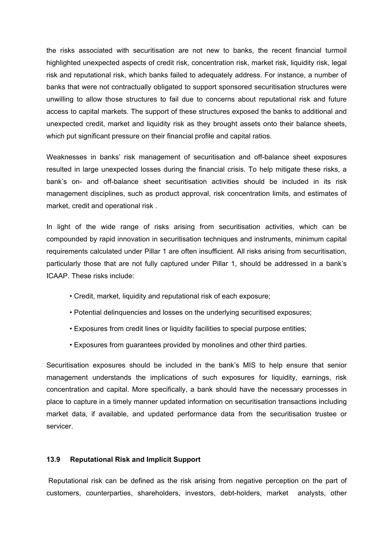the risks associated with securitisation are not new to banks, the recent financial turmoil highlighted unexpected aspects of credit risk, concentration risk, market risk, liquidity risk, legal risk and reputational risk, which banks failed to adequately address. For instance, a number of banks that were not contractually obligated to support sponsored securitisation structures were unwilling to allow those structures to fail due to concerns about reputational risk and future access to capital markets. The support of these structures exposed the banks to additional and unexpected credit, market and liquidity risk as they brought assets onto their balance sheets, which put significant pressure on their financial profile and capital ratios.

Weaknesses in banks' risk management of securitisation and off-balance sheet exposures resulted in large unexpected losses during the financial crisis. To help mitigate these risks, a bank's on- and off-balance sheet securitisation activities should be included in its risk management disciplines, such as product approval, risk concentration limits, and estimates of market, credit and operational risk .

In light of the wide range of risks arising from securitisation activities, which can be compounded by rapid innovation in securitisation techniques and instruments, minimum capital requirements calculated under Pillar 1 are often insufficient. All risks arising from securitisation, particularly those that are not fully captured under Pillar 1, should be addressed in a bank's ICAAP. These risks include:

- Credit, market, liquidity and reputational risk of each exposure;
- Potential delinquencies and losses on the underlying securitised exposures;
- Exposures from credit lines or liquidity facilities to special purpose entities;
- Exposures from guarantees provided by monolines and other third parties.

Securitisation exposures should be included in the bank's MIS to help ensure that senior management understands the implications of such exposures for liquidity, earnings, risk concentration and capital. More specifically, a bank should have the necessary processes in place to capture in a timely manner updated information on securitisation transactions including market data, if available, and updated performance data from the securitisation trustee or servicer.

### **13.9 Reputational Risk and Implicit Support**

 Reputational risk can be defined as the risk arising from negative perception on the part of customers, counterparties, shareholders, investors, debt-holders, market analysts, other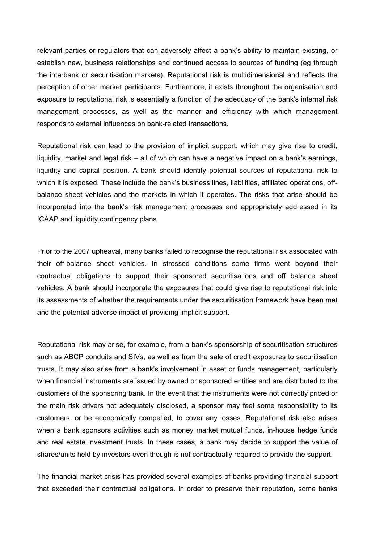relevant parties or regulators that can adversely affect a bank's ability to maintain existing, or establish new, business relationships and continued access to sources of funding (eg through the interbank or securitisation markets). Reputational risk is multidimensional and reflects the perception of other market participants. Furthermore, it exists throughout the organisation and exposure to reputational risk is essentially a function of the adequacy of the bank's internal risk management processes, as well as the manner and efficiency with which management responds to external influences on bank-related transactions.

Reputational risk can lead to the provision of implicit support, which may give rise to credit, liquidity, market and legal risk – all of which can have a negative impact on a bank's earnings, liquidity and capital position. A bank should identify potential sources of reputational risk to which it is exposed. These include the bank's business lines, liabilities, affiliated operations, offbalance sheet vehicles and the markets in which it operates. The risks that arise should be incorporated into the bank's risk management processes and appropriately addressed in its ICAAP and liquidity contingency plans.

Prior to the 2007 upheaval, many banks failed to recognise the reputational risk associated with their off-balance sheet vehicles. In stressed conditions some firms went beyond their contractual obligations to support their sponsored securitisations and off balance sheet vehicles. A bank should incorporate the exposures that could give rise to reputational risk into its assessments of whether the requirements under the securitisation framework have been met and the potential adverse impact of providing implicit support.

Reputational risk may arise, for example, from a bank's sponsorship of securitisation structures such as ABCP conduits and SIVs, as well as from the sale of credit exposures to securitisation trusts. It may also arise from a bank's involvement in asset or funds management, particularly when financial instruments are issued by owned or sponsored entities and are distributed to the customers of the sponsoring bank. In the event that the instruments were not correctly priced or the main risk drivers not adequately disclosed, a sponsor may feel some responsibility to its customers, or be economically compelled, to cover any losses. Reputational risk also arises when a bank sponsors activities such as money market mutual funds, in-house hedge funds and real estate investment trusts. In these cases, a bank may decide to support the value of shares/units held by investors even though is not contractually required to provide the support.

The financial market crisis has provided several examples of banks providing financial support that exceeded their contractual obligations. In order to preserve their reputation, some banks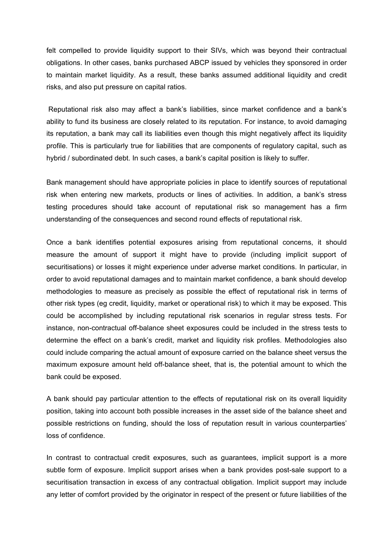felt compelled to provide liquidity support to their SIVs, which was beyond their contractual obligations. In other cases, banks purchased ABCP issued by vehicles they sponsored in order to maintain market liquidity. As a result, these banks assumed additional liquidity and credit risks, and also put pressure on capital ratios.

 Reputational risk also may affect a bank's liabilities, since market confidence and a bank's ability to fund its business are closely related to its reputation. For instance, to avoid damaging its reputation, a bank may call its liabilities even though this might negatively affect its liquidity profile. This is particularly true for liabilities that are components of regulatory capital, such as hybrid / subordinated debt. In such cases, a bank's capital position is likely to suffer.

Bank management should have appropriate policies in place to identify sources of reputational risk when entering new markets, products or lines of activities. In addition, a bank's stress testing procedures should take account of reputational risk so management has a firm understanding of the consequences and second round effects of reputational risk.

Once a bank identifies potential exposures arising from reputational concerns, it should measure the amount of support it might have to provide (including implicit support of securitisations) or losses it might experience under adverse market conditions. In particular, in order to avoid reputational damages and to maintain market confidence, a bank should develop methodologies to measure as precisely as possible the effect of reputational risk in terms of other risk types (eg credit, liquidity, market or operational risk) to which it may be exposed. This could be accomplished by including reputational risk scenarios in regular stress tests. For instance, non-contractual off-balance sheet exposures could be included in the stress tests to determine the effect on a bank's credit, market and liquidity risk profiles. Methodologies also could include comparing the actual amount of exposure carried on the balance sheet versus the maximum exposure amount held off-balance sheet, that is, the potential amount to which the bank could be exposed.

A bank should pay particular attention to the effects of reputational risk on its overall liquidity position, taking into account both possible increases in the asset side of the balance sheet and possible restrictions on funding, should the loss of reputation result in various counterparties' loss of confidence.

In contrast to contractual credit exposures, such as guarantees, implicit support is a more subtle form of exposure. Implicit support arises when a bank provides post-sale support to a securitisation transaction in excess of any contractual obligation. Implicit support may include any letter of comfort provided by the originator in respect of the present or future liabilities of the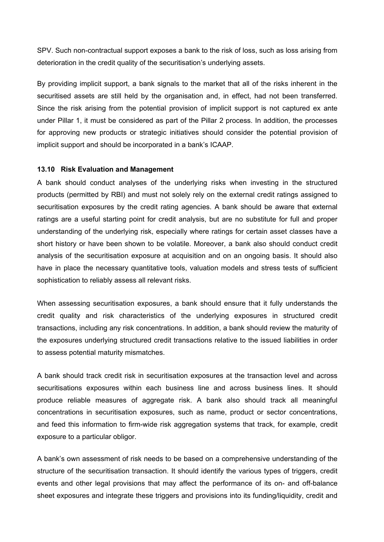SPV. Such non-contractual support exposes a bank to the risk of loss, such as loss arising from deterioration in the credit quality of the securitisation's underlying assets.

By providing implicit support, a bank signals to the market that all of the risks inherent in the securitised assets are still held by the organisation and, in effect, had not been transferred. Since the risk arising from the potential provision of implicit support is not captured ex ante under Pillar 1, it must be considered as part of the Pillar 2 process. In addition, the processes for approving new products or strategic initiatives should consider the potential provision of implicit support and should be incorporated in a bank's ICAAP.

#### **13.10 Risk Evaluation and Management**

A bank should conduct analyses of the underlying risks when investing in the structured products (permitted by RBI) and must not solely rely on the external credit ratings assigned to securitisation exposures by the credit rating agencies. A bank should be aware that external ratings are a useful starting point for credit analysis, but are no substitute for full and proper understanding of the underlying risk, especially where ratings for certain asset classes have a short history or have been shown to be volatile. Moreover, a bank also should conduct credit analysis of the securitisation exposure at acquisition and on an ongoing basis. It should also have in place the necessary quantitative tools, valuation models and stress tests of sufficient sophistication to reliably assess all relevant risks.

When assessing securitisation exposures, a bank should ensure that it fully understands the credit quality and risk characteristics of the underlying exposures in structured credit transactions, including any risk concentrations. In addition, a bank should review the maturity of the exposures underlying structured credit transactions relative to the issued liabilities in order to assess potential maturity mismatches.

A bank should track credit risk in securitisation exposures at the transaction level and across securitisations exposures within each business line and across business lines. It should produce reliable measures of aggregate risk. A bank also should track all meaningful concentrations in securitisation exposures, such as name, product or sector concentrations, and feed this information to firm-wide risk aggregation systems that track, for example, credit exposure to a particular obligor.

A bank's own assessment of risk needs to be based on a comprehensive understanding of the structure of the securitisation transaction. It should identify the various types of triggers, credit events and other legal provisions that may affect the performance of its on- and off-balance sheet exposures and integrate these triggers and provisions into its funding/liquidity, credit and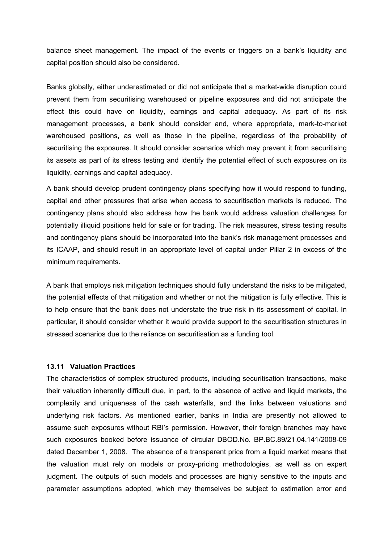balance sheet management. The impact of the events or triggers on a bank's liquidity and capital position should also be considered.

Banks globally, either underestimated or did not anticipate that a market-wide disruption could prevent them from securitising warehoused or pipeline exposures and did not anticipate the effect this could have on liquidity, earnings and capital adequacy. As part of its risk management processes, a bank should consider and, where appropriate, mark-to-market warehoused positions, as well as those in the pipeline, regardless of the probability of securitising the exposures. It should consider scenarios which may prevent it from securitising its assets as part of its stress testing and identify the potential effect of such exposures on its liquidity, earnings and capital adequacy.

A bank should develop prudent contingency plans specifying how it would respond to funding, capital and other pressures that arise when access to securitisation markets is reduced. The contingency plans should also address how the bank would address valuation challenges for potentially illiquid positions held for sale or for trading. The risk measures, stress testing results and contingency plans should be incorporated into the bank's risk management processes and its ICAAP, and should result in an appropriate level of capital under Pillar 2 in excess of the minimum requirements.

A bank that employs risk mitigation techniques should fully understand the risks to be mitigated, the potential effects of that mitigation and whether or not the mitigation is fully effective. This is to help ensure that the bank does not understate the true risk in its assessment of capital. In particular, it should consider whether it would provide support to the securitisation structures in stressed scenarios due to the reliance on securitisation as a funding tool.

#### **13.11 Valuation Practices**

The characteristics of complex structured products, including securitisation transactions, make their valuation inherently difficult due, in part, to the absence of active and liquid markets, the complexity and uniqueness of the cash waterfalls, and the links between valuations and underlying risk factors. As mentioned earlier, banks in India are presently not allowed to assume such exposures without RBI's permission. However, their foreign branches may have such exposures booked before issuance of circular DBOD.No. BP.BC.89/21.04.141/2008-09 dated December 1, 2008. The absence of a transparent price from a liquid market means that the valuation must rely on models or proxy-pricing methodologies, as well as on expert judgment. The outputs of such models and processes are highly sensitive to the inputs and parameter assumptions adopted, which may themselves be subject to estimation error and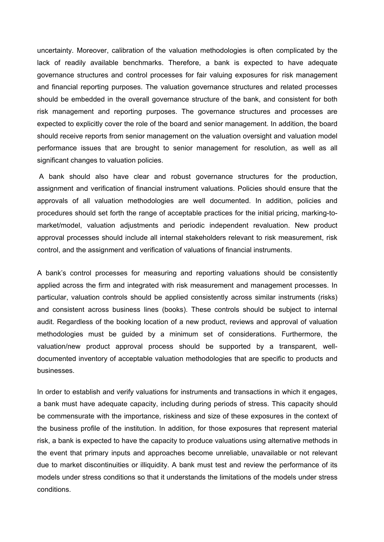uncertainty. Moreover, calibration of the valuation methodologies is often complicated by the lack of readily available benchmarks. Therefore, a bank is expected to have adequate governance structures and control processes for fair valuing exposures for risk management and financial reporting purposes. The valuation governance structures and related processes should be embedded in the overall governance structure of the bank, and consistent for both risk management and reporting purposes. The governance structures and processes are expected to explicitly cover the role of the board and senior management. In addition, the board should receive reports from senior management on the valuation oversight and valuation model performance issues that are brought to senior management for resolution, as well as all significant changes to valuation policies.

 A bank should also have clear and robust governance structures for the production, assignment and verification of financial instrument valuations. Policies should ensure that the approvals of all valuation methodologies are well documented. In addition, policies and procedures should set forth the range of acceptable practices for the initial pricing, marking-tomarket/model, valuation adjustments and periodic independent revaluation. New product approval processes should include all internal stakeholders relevant to risk measurement, risk control, and the assignment and verification of valuations of financial instruments.

A bank's control processes for measuring and reporting valuations should be consistently applied across the firm and integrated with risk measurement and management processes. In particular, valuation controls should be applied consistently across similar instruments (risks) and consistent across business lines (books). These controls should be subject to internal audit. Regardless of the booking location of a new product, reviews and approval of valuation methodologies must be guided by a minimum set of considerations. Furthermore, the valuation/new product approval process should be supported by a transparent, welldocumented inventory of acceptable valuation methodologies that are specific to products and businesses.

In order to establish and verify valuations for instruments and transactions in which it engages, a bank must have adequate capacity, including during periods of stress. This capacity should be commensurate with the importance, riskiness and size of these exposures in the context of the business profile of the institution. In addition, for those exposures that represent material risk, a bank is expected to have the capacity to produce valuations using alternative methods in the event that primary inputs and approaches become unreliable, unavailable or not relevant due to market discontinuities or illiquidity. A bank must test and review the performance of its models under stress conditions so that it understands the limitations of the models under stress conditions.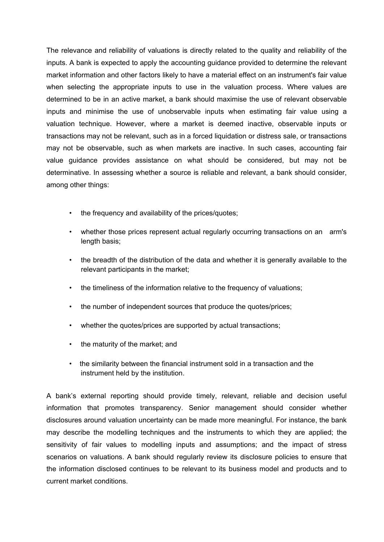The relevance and reliability of valuations is directly related to the quality and reliability of the inputs. A bank is expected to apply the accounting guidance provided to determine the relevant market information and other factors likely to have a material effect on an instrument's fair value when selecting the appropriate inputs to use in the valuation process. Where values are determined to be in an active market, a bank should maximise the use of relevant observable inputs and minimise the use of unobservable inputs when estimating fair value using a valuation technique. However, where a market is deemed inactive, observable inputs or transactions may not be relevant, such as in a forced liquidation or distress sale, or transactions may not be observable, such as when markets are inactive. In such cases, accounting fair value guidance provides assistance on what should be considered, but may not be determinative. In assessing whether a source is reliable and relevant, a bank should consider, among other things:

- the frequency and availability of the prices/quotes;
- whether those prices represent actual regularly occurring transactions on an arm's length basis;
- the breadth of the distribution of the data and whether it is generally available to the relevant participants in the market;
- the timeliness of the information relative to the frequency of valuations;
- the number of independent sources that produce the quotes/prices;
- whether the quotes/prices are supported by actual transactions;
- the maturity of the market; and
- the similarity between the financial instrument sold in a transaction and the instrument held by the institution.

A bank's external reporting should provide timely, relevant, reliable and decision useful information that promotes transparency. Senior management should consider whether disclosures around valuation uncertainty can be made more meaningful. For instance, the bank may describe the modelling techniques and the instruments to which they are applied; the sensitivity of fair values to modelling inputs and assumptions; and the impact of stress scenarios on valuations. A bank should regularly review its disclosure policies to ensure that the information disclosed continues to be relevant to its business model and products and to current market conditions.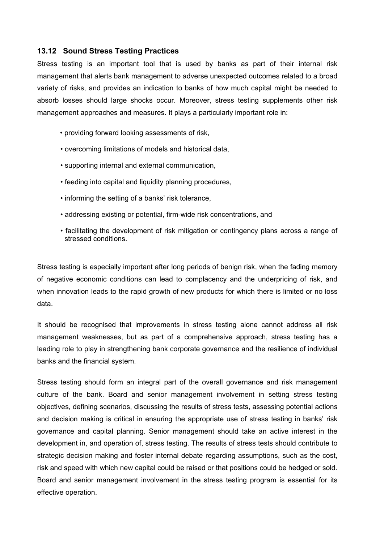### **13.12 Sound Stress Testing Practices**

Stress testing is an important tool that is used by banks as part of their internal risk management that alerts bank management to adverse unexpected outcomes related to a broad variety of risks, and provides an indication to banks of how much capital might be needed to absorb losses should large shocks occur. Moreover, stress testing supplements other risk management approaches and measures. It plays a particularly important role in:

- providing forward looking assessments of risk,
- overcoming limitations of models and historical data,
- supporting internal and external communication,
- feeding into capital and liquidity planning procedures,
- informing the setting of a banks' risk tolerance,
- addressing existing or potential, firm-wide risk concentrations, and
- facilitating the development of risk mitigation or contingency plans across a range of stressed conditions.

Stress testing is especially important after long periods of benign risk, when the fading memory of negative economic conditions can lead to complacency and the underpricing of risk, and when innovation leads to the rapid growth of new products for which there is limited or no loss data.

It should be recognised that improvements in stress testing alone cannot address all risk management weaknesses, but as part of a comprehensive approach, stress testing has a leading role to play in strengthening bank corporate governance and the resilience of individual banks and the financial system.

Stress testing should form an integral part of the overall governance and risk management culture of the bank. Board and senior management involvement in setting stress testing objectives, defining scenarios, discussing the results of stress tests, assessing potential actions and decision making is critical in ensuring the appropriate use of stress testing in banks' risk governance and capital planning. Senior management should take an active interest in the development in, and operation of, stress testing. The results of stress tests should contribute to strategic decision making and foster internal debate regarding assumptions, such as the cost, risk and speed with which new capital could be raised or that positions could be hedged or sold. Board and senior management involvement in the stress testing program is essential for its effective operation.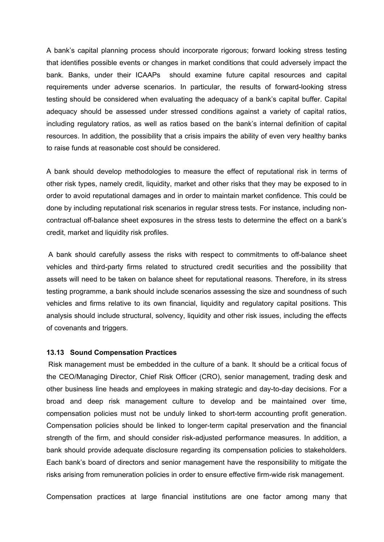A bank's capital planning process should incorporate rigorous; forward looking stress testing that identifies possible events or changes in market conditions that could adversely impact the bank. Banks, under their ICAAPs should examine future capital resources and capital requirements under adverse scenarios. In particular, the results of forward-looking stress testing should be considered when evaluating the adequacy of a bank's capital buffer. Capital adequacy should be assessed under stressed conditions against a variety of capital ratios, including regulatory ratios, as well as ratios based on the bank's internal definition of capital resources. In addition, the possibility that a crisis impairs the ability of even very healthy banks to raise funds at reasonable cost should be considered.

A bank should develop methodologies to measure the effect of reputational risk in terms of other risk types, namely credit, liquidity, market and other risks that they may be exposed to in order to avoid reputational damages and in order to maintain market confidence. This could be done by including reputational risk scenarios in regular stress tests. For instance, including noncontractual off-balance sheet exposures in the stress tests to determine the effect on a bank's credit, market and liquidity risk profiles.

 A bank should carefully assess the risks with respect to commitments to off-balance sheet vehicles and third-party firms related to structured credit securities and the possibility that assets will need to be taken on balance sheet for reputational reasons. Therefore, in its stress testing programme, a bank should include scenarios assessing the size and soundness of such vehicles and firms relative to its own financial, liquidity and regulatory capital positions. This analysis should include structural, solvency, liquidity and other risk issues, including the effects of covenants and triggers.

#### **13.13 Sound Compensation Practices**

 Risk management must be embedded in the culture of a bank. It should be a critical focus of the CEO/Managing Director, Chief Risk Officer (CRO), senior management, trading desk and other business line heads and employees in making strategic and day-to-day decisions. For a broad and deep risk management culture to develop and be maintained over time, compensation policies must not be unduly linked to short-term accounting profit generation. Compensation policies should be linked to longer-term capital preservation and the financial strength of the firm, and should consider risk-adjusted performance measures. In addition, a bank should provide adequate disclosure regarding its compensation policies to stakeholders. Each bank's board of directors and senior management have the responsibility to mitigate the risks arising from remuneration policies in order to ensure effective firm-wide risk management.

Compensation practices at large financial institutions are one factor among many that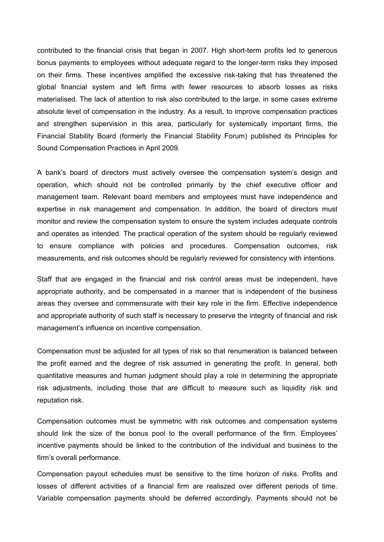contributed to the financial crisis that began in 2007. High short-term profits led to generous bonus payments to employees without adequate regard to the longer-term risks they imposed on their firms. These incentives amplified the excessive risk-taking that has threatened the global financial system and left firms with fewer resources to absorb losses as risks materialised. The lack of attention to risk also contributed to the large, in some cases extreme absolute level of compensation in the industry. As a result, to improve compensation practices and strengthen supervision in this area, particularly for systemically important firms, the Financial Stability Board (formerly the Financial Stability Forum) published its Principles for Sound Compensation Practices in April 2009.

A bank's board of directors must actively oversee the compensation system's design and operation, which should not be controlled primarily by the chief executive officer and management team. Relevant board members and employees must have independence and expertise in risk management and compensation. In addition, the board of directors must monitor and review the compensation system to ensure the system includes adequate controls and operates as intended. The practical operation of the system should be regularly reviewed to ensure compliance with policies and procedures. Compensation outcomes, risk measurements, and risk outcomes should be regularly reviewed for consistency with intentions.

Staff that are engaged in the financial and risk control areas must be independent, have appropriate authority, and be compensated in a manner that is independent of the business areas they oversee and commensurate with their key role in the firm. Effective independence and appropriate authority of such staff is necessary to preserve the integrity of financial and risk management's influence on incentive compensation.

Compensation must be adjusted for all types of risk so that renumeration is balanced between the profit earned and the degree of risk assumed in generating the profit. In general, both quantitative measures and human judgment should play a role in determining the appropriate risk adjustments, including those that are difficult to measure such as liquidity risk and reputation risk.

Compensation outcomes must be symmetric with risk outcomes and compensation systems should link the size of the bonus pool to the overall performance of the firm. Employees' incentive payments should be linked to the contribution of the individual and business to the firm's overall performance.

Compensation payout schedules must be sensitive to the time horizon of risks. Profits and losses of different activities of a financial firm are realiszed over different periods of time. Variable compensation payments should be deferred accordingly. Payments should not be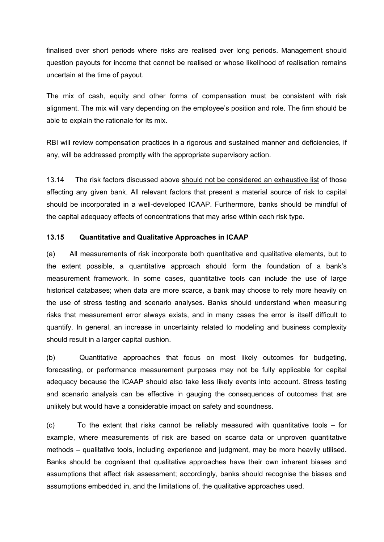finalised over short periods where risks are realised over long periods. Management should question payouts for income that cannot be realised or whose likelihood of realisation remains uncertain at the time of payout.

The mix of cash, equity and other forms of compensation must be consistent with risk alignment. The mix will vary depending on the employee's position and role. The firm should be able to explain the rationale for its mix.

RBI will review compensation practices in a rigorous and sustained manner and deficiencies, if any, will be addressed promptly with the appropriate supervisory action.

13.14 The risk factors discussed above should not be considered an exhaustive list of those affecting any given bank. All relevant factors that present a material source of risk to capital should be incorporated in a well-developed ICAAP. Furthermore, banks should be mindful of the capital adequacy effects of concentrations that may arise within each risk type.

### **13.15 Quantitative and Qualitative Approaches in ICAAP**

(a) All measurements of risk incorporate both quantitative and qualitative elements, but to the extent possible, a quantitative approach should form the foundation of a bank's measurement framework. In some cases, quantitative tools can include the use of large historical databases; when data are more scarce, a bank may choose to rely more heavily on the use of stress testing and scenario analyses. Banks should understand when measuring risks that measurement error always exists, and in many cases the error is itself difficult to quantify. In general, an increase in uncertainty related to modeling and business complexity should result in a larger capital cushion.

(b) Quantitative approaches that focus on most likely outcomes for budgeting, forecasting, or performance measurement purposes may not be fully applicable for capital adequacy because the ICAAP should also take less likely events into account. Stress testing and scenario analysis can be effective in gauging the consequences of outcomes that are unlikely but would have a considerable impact on safety and soundness.

(c) To the extent that risks cannot be reliably measured with quantitative tools – for example, where measurements of risk are based on scarce data or unproven quantitative methods – qualitative tools, including experience and judgment, may be more heavily utilised. Banks should be cognisant that qualitative approaches have their own inherent biases and assumptions that affect risk assessment; accordingly, banks should recognise the biases and assumptions embedded in, and the limitations of, the qualitative approaches used.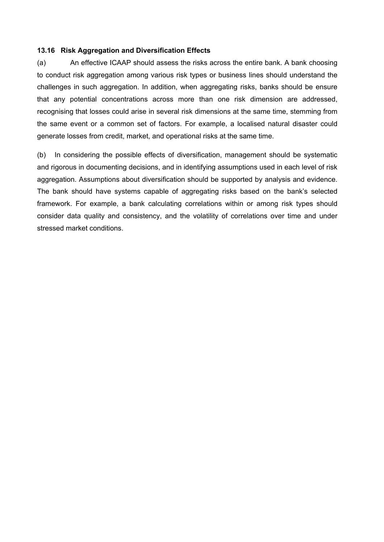### **13.16 Risk Aggregation and Diversification Effects**

(a) An effective ICAAP should assess the risks across the entire bank. A bank choosing to conduct risk aggregation among various risk types or business lines should understand the challenges in such aggregation. In addition, when aggregating risks, banks should be ensure that any potential concentrations across more than one risk dimension are addressed, recognising that losses could arise in several risk dimensions at the same time, stemming from the same event or a common set of factors. For example, a localised natural disaster could generate losses from credit, market, and operational risks at the same time.

(b) In considering the possible effects of diversification, management should be systematic and rigorous in documenting decisions, and in identifying assumptions used in each level of risk aggregation. Assumptions about diversification should be supported by analysis and evidence. The bank should have systems capable of aggregating risks based on the bank's selected framework. For example, a bank calculating correlations within or among risk types should consider data quality and consistency, and the volatility of correlations over time and under stressed market conditions.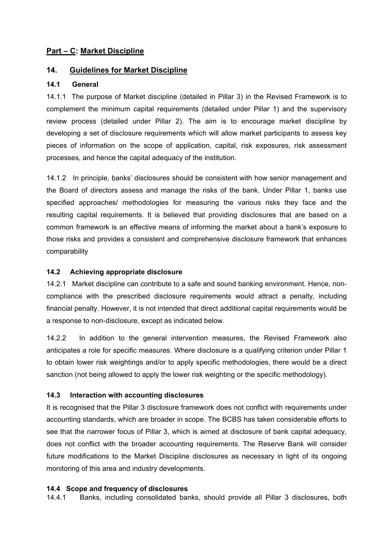## **Part – C: Market Discipline**

## **14. Guidelines for Market Discipline**

### **14.1 General**

14.1.1 The purpose of Market discipline (detailed in Pillar 3) in the Revised Framework is to complement the minimum capital requirements (detailed under Pillar 1) and the supervisory review process (detailed under Pillar 2). The aim is to encourage market discipline by developing a set of disclosure requirements which will allow market participants to assess key pieces of information on the scope of application, capital, risk exposures, risk assessment processes, and hence the capital adequacy of the institution.

14.1.2 In principle, banks' disclosures should be consistent with how senior management and the Board of directors assess and manage the risks of the bank. Under Pillar 1, banks use specified approaches/ methodologies for measuring the various risks they face and the resulting capital requirements. It is believed that providing disclosures that are based on a common framework is an effective means of informing the market about a bank's exposure to those risks and provides a consistent and comprehensive disclosure framework that enhances comparability

## **14.2 Achieving appropriate disclosure**

14.2.1 Market discipline can contribute to a safe and sound banking environment. Hence, noncompliance with the prescribed disclosure requirements would attract a penalty, including financial penalty. However, it is not intended that direct additional capital requirements would be a response to non-disclosure, except as indicated below.

14.2.2 In addition to the general intervention measures, the Revised Framework also anticipates a role for specific measures. Where disclosure is a qualifying criterion under Pillar 1 to obtain lower risk weightings and/or to apply specific methodologies, there would be a direct sanction (not being allowed to apply the lower risk weighting or the specific methodology).

## **14.3 Interaction with accounting disclosures**

It is recognised that the Pillar 3 disclosure framework does not conflict with requirements under accounting standards, which are broader in scope. The BCBS has taken considerable efforts to see that the narrower focus of Pillar 3, which is aimed at disclosure of bank capital adequacy, does not conflict with the broader accounting requirements. The Reserve Bank will consider future modifications to the Market Discipline disclosures as necessary in light of its ongoing monitoring of this area and industry developments.

### **14.4 Scope and frequency of disclosures**

14.4.1 Banks, including consolidated banks, should provide all Pillar 3 disclosures, both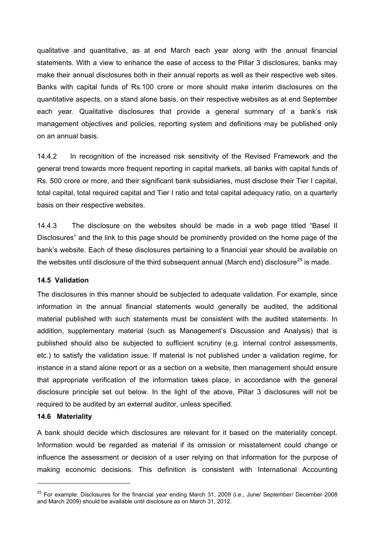qualitative and quantitative, as at end March each year along with the annual financial statements. With a view to enhance the ease of access to the Pillar 3 disclosures, banks may make their annual disclosures both in their annual reports as well as their respective web sites. Banks with capital funds of Rs.100 crore or more should make interim disclosures on the quantitative aspects, on a stand alone basis, on their respective websites as at end September each year. Qualitative disclosures that provide a general summary of a bank's risk management objectives and policies, reporting system and definitions may be published only on an annual basis.

14.4.2 In recognition of the increased risk sensitivity of the Revised Framework and the general trend towards more frequent reporting in capital markets, all banks with capital funds of Rs. 500 crore or more, and their significant bank subsidiaries, must disclose their Tier I capital, total capital, total required capital and Tier I ratio and total capital adequacy ratio, on a quarterly basis on their respective websites.

14.4.3 The disclosure on the websites should be made in a web page titled "Basel II Disclosures" and the link to this page should be prominently provided on the home page of the bank's website. Each of these disclosures pertaining to a financial year should be available on the websites until disclosure of the third subsequent annual (March end) disclosure<sup>[25](#page-116-0)</sup> is made.

#### **14.5 Validation**

The disclosures in this manner should be subjected to adequate validation. For example, since information in the annual financial statements would generally be audited, the additional material published with such statements must be consistent with the audited statements. In addition, supplementary material (such as Management's Discussion and Analysis) that is published should also be subjected to sufficient scrutiny (e.g. internal control assessments, etc.) to satisfy the validation issue. If material is not published under a validation regime, for instance in a stand alone report or as a section on a website, then management should ensure that appropriate verification of the information takes place, in accordance with the general disclosure principle set out below. In the light of the above, Pillar 3 disclosures will not be required to be audited by an external auditor, unless specified.

#### **14.6 Materiality**

l

A bank should decide which disclosures are relevant for it based on the materiality concept. Information would be regarded as material if its omission or misstatement could change or influence the assessment or decision of a user relying on that information for the purpose of making economic decisions. This definition is consistent with International Accounting

<span id="page-116-0"></span><sup>&</sup>lt;sup>25</sup> For example: Disclosures for the financial year ending March 31, 2009 (i.e., June/ September/ December 2008 and March 2009) should be available until disclosure as on March 31, 2012.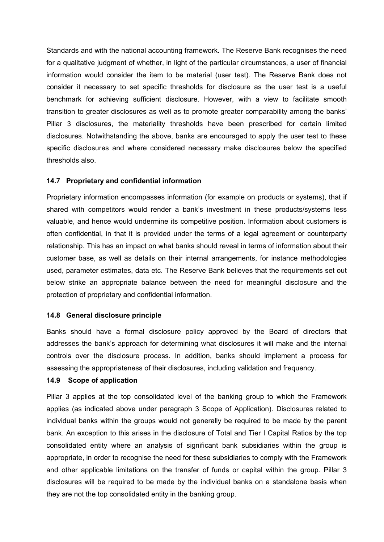Standards and with the national accounting framework. The Reserve Bank recognises the need for a qualitative judgment of whether, in light of the particular circumstances, a user of financial information would consider the item to be material (user test). The Reserve Bank does not consider it necessary to set specific thresholds for disclosure as the user test is a useful benchmark for achieving sufficient disclosure. However, with a view to facilitate smooth transition to greater disclosures as well as to promote greater comparability among the banks' Pillar 3 disclosures, the materiality thresholds have been prescribed for certain limited disclosures. Notwithstanding the above, banks are encouraged to apply the user test to these specific disclosures and where considered necessary make disclosures below the specified thresholds also.

### **14.7 Proprietary and confidential information**

Proprietary information encompasses information (for example on products or systems), that if shared with competitors would render a bank's investment in these products/systems less valuable, and hence would undermine its competitive position. Information about customers is often confidential, in that it is provided under the terms of a legal agreement or counterparty relationship. This has an impact on what banks should reveal in terms of information about their customer base, as well as details on their internal arrangements, for instance methodologies used, parameter estimates, data etc. The Reserve Bank believes that the requirements set out below strike an appropriate balance between the need for meaningful disclosure and the protection of proprietary and confidential information.

#### **14.8 General disclosure principle**

Banks should have a formal disclosure policy approved by the Board of directors that addresses the bank's approach for determining what disclosures it will make and the internal controls over the disclosure process. In addition, banks should implement a process for assessing the appropriateness of their disclosures, including validation and frequency.

#### **14.9 Scope of application**

Pillar 3 applies at the top consolidated level of the banking group to which the Framework applies (as indicated above under paragraph 3 Scope of Application). Disclosures related to individual banks within the groups would not generally be required to be made by the parent bank. An exception to this arises in the disclosure of Total and Tier I Capital Ratios by the top consolidated entity where an analysis of significant bank subsidiaries within the group is appropriate, in order to recognise the need for these subsidiaries to comply with the Framework and other applicable limitations on the transfer of funds or capital within the group. Pillar 3 disclosures will be required to be made by the individual banks on a standalone basis when they are not the top consolidated entity in the banking group.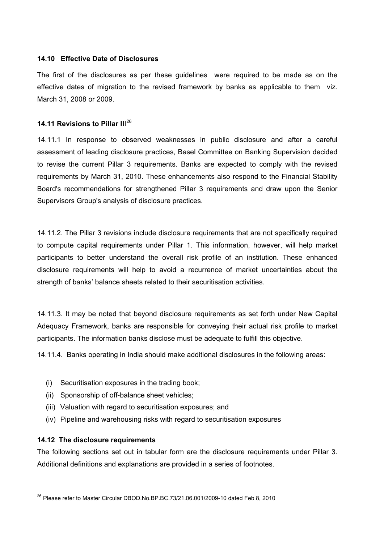### **14.10 Effective Date of Disclosures**

The first of the disclosures as per these guidelines were required to be made as on the effective dates of migration to the revised framework by banks as applicable to them viz. March 31, 2008 or 2009.

### **14.11 Revisions to Pillar II**I [2](#page-118-0)6

14.11.1 In response to observed weaknesses in public disclosure and after a careful assessment of leading disclosure practices, Basel Committee on Banking Supervision decided to revise the current Pillar 3 requirements. Banks are expected to comply with the revised requirements by March 31, 2010. These enhancements also respond to the Financial Stability Board's recommendations for strengthened Pillar 3 requirements and draw upon the Senior Supervisors Group's analysis of disclosure practices.

14.11.2. The Pillar 3 revisions include disclosure requirements that are not specifically required to compute capital requirements under Pillar 1. This information, however, will help market participants to better understand the overall risk profile of an institution. These enhanced disclosure requirements will help to avoid a recurrence of market uncertainties about the strength of banks' balance sheets related to their securitisation activities.

14.11.3. It may be noted that beyond disclosure requirements as set forth under New Capital Adequacy Framework, banks are responsible for conveying their actual risk profile to market participants. The information banks disclose must be adequate to fulfill this objective.

14.11.4. Banks operating in India should make additional disclosures in the following areas:

- (i) Securitisation exposures in the trading book;
- (ii) Sponsorship of off-balance sheet vehicles;
- (iii) Valuation with regard to securitisation exposures; and
- (iv) Pipeline and warehousing risks with regard to securitisation exposures

### **14.12 The disclosure requirements**

l

The following sections set out in tabular form are the disclosure requirements under Pillar 3. Additional definitions and explanations are provided in a series of footnotes.

<span id="page-118-0"></span> $^{26}$  Please refer to Master Circular DBOD.No.BP.BC.73/21.06.001/2009-10 dated Feb 8, 2010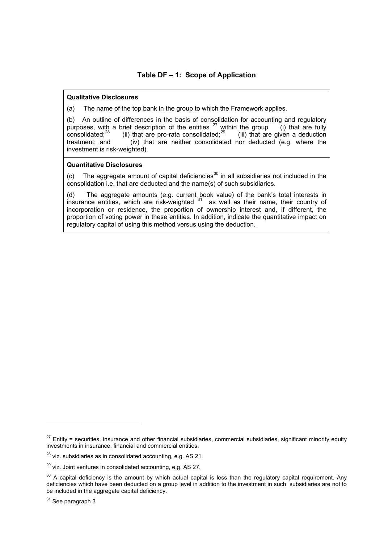## **Table DF – 1: Scope of Application**

#### **Qualitative Disclosures**

(a) The name of the top bank in the group to which the Framework applies.

(b) An outline of differences in the basis of consolidation for accounting and regulatory purposes, with a brief description of the entities  $27$  within the group (i) that are fully consolidated;<sup>[28](#page-119-1)</sup> (ii) that are pro-rata consolidated;<sup>[29](#page-119-2)</sup> (iii) that are given a deduction treatment; and (iv) that are neither consolidated nor deducted (e.g. where the investment is risk-weighted).

#### **Quantitative Disclosures**

(c) The aggregate amount of capital deficiencies<sup>[3](#page-119-3)0</sup> in all subsidiaries not included in the consolidation i.e. that are deducted and the name(s) of such subsidiaries.

(d) The aggregate amounts (e.g. current book value) of the bank's total interests in insurance entities, which are risk-weighted  $31$  $31$  as well as their name, their country of incorporation or residence, the proportion of ownership interest and, if different, the proportion of voting power in these entities. In addition, indicate the quantitative impact on regulatory capital of using this method versus using the deduction.

<u>.</u>

<span id="page-119-0"></span> $27$  Entity = securities, insurance and other financial subsidiaries, commercial subsidiaries, significant minority equity investments in insurance, financial and commercial entities.

<span id="page-119-1"></span> $28$  viz. subsidiaries as in consolidated accounting, e.g. AS 21.

<span id="page-119-2"></span> $^{29}$  viz. Joint ventures in consolidated accounting, e.g. AS 27.

<span id="page-119-3"></span> $30$  A capital deficiency is the amount by which actual capital is less than the regulatory capital requirement. Any deficiencies which have been deducted on a group level in addition to the investment in such subsidiaries are not to be included in the aggregate capital deficiency.

<span id="page-119-4"></span> $31$  See paragraph 3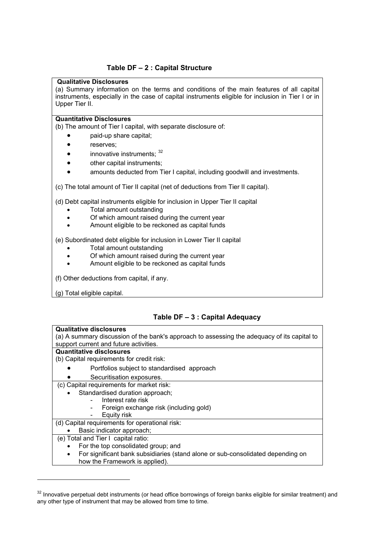## **Table DF – 2 : Capital Structure**

#### **Qualitative Disclosures**

(a) Summary information on the terms and conditions of the main features of all capital instruments, especially in the case of capital instruments eligible for inclusion in Tier I or in Upper Tier II.

#### **Quantitative Disclosures**

(b) The amount of Tier I capital, with separate disclosure of:

- paid-up share capital;
- reserves;
- innovative instruments;  $32$  $32$
- other capital instruments:
- amounts deducted from Tier I capital, including goodwill and investments.
- (c) The total amount of Tier II capital (net of deductions from Tier II capital).

(d) Debt capital instruments eligible for inclusion in Upper Tier II capital

- Total amount outstanding
- Of which amount raised during the current year
- Amount eligible to be reckoned as capital funds

(e) Subordinated debt eligible for inclusion in Lower Tier II capital

- Total amount outstanding
- Of which amount raised during the current year
- Amount eligible to be reckoned as capital funds
- (f) Other deductions from capital, if any.
- (g) Total eligible capital.

l

### **Table DF – 3 : Capital Adequacy**

| <b>Qualitative disclosures</b>                                                              |  |  |  |  |  |  |
|---------------------------------------------------------------------------------------------|--|--|--|--|--|--|
| (a) A summary discussion of the bank's approach to assessing the adequacy of its capital to |  |  |  |  |  |  |
| support current and future activities.                                                      |  |  |  |  |  |  |
| <b>Quantitative disclosures</b>                                                             |  |  |  |  |  |  |
| (b) Capital requirements for credit risk:                                                   |  |  |  |  |  |  |
| Portfolios subject to standardised approach                                                 |  |  |  |  |  |  |
| Securitisation exposures.                                                                   |  |  |  |  |  |  |
| (c) Capital requirements for market risk:                                                   |  |  |  |  |  |  |
| Standardised duration approach;                                                             |  |  |  |  |  |  |
| Interest rate risk                                                                          |  |  |  |  |  |  |
| Foreign exchange risk (including gold)                                                      |  |  |  |  |  |  |
| Equity risk                                                                                 |  |  |  |  |  |  |
| (d) Capital requirements for operational risk:                                              |  |  |  |  |  |  |
| Basic indicator approach;                                                                   |  |  |  |  |  |  |
| (e) Total and Tier I capital ratio:                                                         |  |  |  |  |  |  |
| For the top consolidated group; and                                                         |  |  |  |  |  |  |
| For significant bank subsidiaries (stand alone or sub-consolidated depending on             |  |  |  |  |  |  |
| how the Framework is applied).                                                              |  |  |  |  |  |  |
|                                                                                             |  |  |  |  |  |  |

<span id="page-120-0"></span><sup>&</sup>lt;sup>32</sup> Innovative perpetual debt instruments (or head office borrowings of foreign banks eligible for similar treatment) and any other type of instrument that may be allowed from time to time.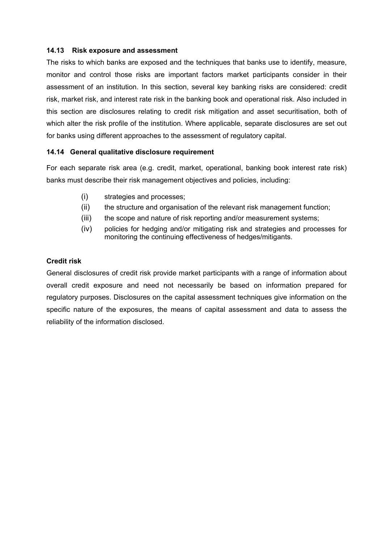### **14.13 Risk exposure and assessment**

The risks to which banks are exposed and the techniques that banks use to identify, measure, monitor and control those risks are important factors market participants consider in their assessment of an institution. In this section, several key banking risks are considered: credit risk, market risk, and interest rate risk in the banking book and operational risk. Also included in this section are disclosures relating to credit risk mitigation and asset securitisation, both of which alter the risk profile of the institution. Where applicable, separate disclosures are set out for banks using different approaches to the assessment of regulatory capital.

## **14.14 General qualitative disclosure requirement**

For each separate risk area (e.g. credit, market, operational, banking book interest rate risk) banks must describe their risk management objectives and policies, including:

- (i) strategies and processes;
- (ii) the structure and organisation of the relevant risk management function;
- (iii) the scope and nature of risk reporting and/or measurement systems;
- (iv) policies for hedging and/or mitigating risk and strategies and processes for monitoring the continuing effectiveness of hedges/mitigants.

### **Credit risk**

General disclosures of credit risk provide market participants with a range of information about overall credit exposure and need not necessarily be based on information prepared for regulatory purposes. Disclosures on the capital assessment techniques give information on the specific nature of the exposures, the means of capital assessment and data to assess the reliability of the information disclosed.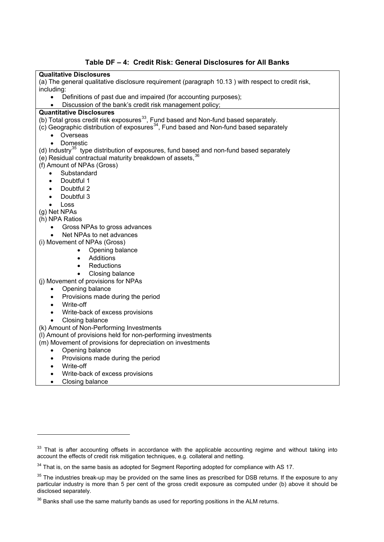## **Table DF – 4: Credit Risk: General Disclosures for All Banks**

#### **Qualitative Disclosures**

(a) The general qualitative disclosure requirement (paragraph 10.13 ) with respect to credit risk, including:

- Definitions of past due and impaired (for accounting purposes);
- Discussion of the bank's credit risk management policy;

#### **Quantitative Disclosures**

(b) Total gross credit risk exposures<sup>[3](#page-122-0)3</sup>, Fund based and Non-fund based separately.

- $\overrightarrow{c}$ ) Geographic distribution of exposures<sup>[34](#page-122-1)</sup>, Fund based and Non-fund based separately
	- Overseas
	- Domestic

(d) Industry<sup>[3](#page-122-2)5</sup> type distribution of exposures, fund based and non-fund based separately (e) Residual contractual maturity breakdown of assets,  $36$ 

- (f) Amount of NPAs (Gross)
	- Substandard
	- Doubtful 1
	- Doubtful 2
	- Doubtful 3
	- Loss
- (g) Net NPAs
- (h) NPA Ratios
	- Gross NPAs to gross advances
	- Net NPAs to net advances
- (i) Movement of NPAs (Gross)
	- Opening balance
	- **Additions**
	- **Reductions**
	- Closing balance
- (j) Movement of provisions for NPAs
	- Opening balance
		- Provisions made during the period
		- Write-off
		- Write-back of excess provisions
		- Closing balance
- (k) Amount of Non-Performing Investments

(l) Amount of provisions held for non-performing investments

(m) Movement of provisions for depreciation on investments

- Opening balance
- Provisions made during the period
- Write-off

l

- Write-back of excess provisions
- Closing balance

<span id="page-122-0"></span><sup>&</sup>lt;sup>33</sup> That is after accounting offsets in accordance with the applicable accounting regime and without taking into account the effects of credit risk mitigation techniques, e.g. collateral and netting.

<span id="page-122-1"></span> $34$  That is, on the same basis as adopted for Segment Reporting adopted for compliance with AS 17.

<span id="page-122-2"></span> $35$  The industries break-up may be provided on the same lines as prescribed for DSB returns. If the exposure to any particular industry is more than 5 per cent of the gross credit exposure as computed under (b) above it should be disclosed separately.

<span id="page-122-3"></span> $36$  Banks shall use the same maturity bands as used for reporting positions in the ALM returns.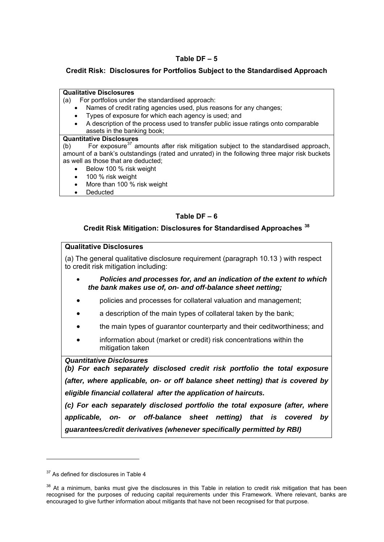## **Table DF – 5**

### **Credit Risk: Disclosures for Portfolios Subject to the Standardised Approach**

### **Qualitative Disclosures**

(a) For portfolios under the standardised approach:

- Names of credit rating agencies used, plus reasons for any changes;
- Types of exposure for which each agency is used; and
- A description of the process used to transfer public issue ratings onto comparable assets in the banking book;

#### **Quantitative Disclosures**

(b) For exposure<sup>[3](#page-123-0)7</sup> amounts after risk mitigation subject to the standardised approach, amount of a bank's outstandings (rated and unrated) in the following three major risk buckets as well as those that are deducted;

- Below 100 % risk weight
- 100 % risk weight
- More than 100 % risk weight
- **Deducted**

## **Table DF – 6**

### **Credit Risk Mitigation: Disclosures for Standardised Approaches [3](#page-123-1)8**

### **Qualitative Disclosures**

(a) The general qualitative disclosure requirement (paragraph 10.13 ) with respect to credit risk mitigation including:

- • *Policies and processes for, and an indication of the extent to which the bank makes use of, on- and off-balance sheet netting;*
- policies and processes for collateral valuation and management;
- a description of the main types of collateral taken by the bank;
- the main types of guarantor counterparty and their ceditworthiness; and
- information about (market or credit) risk concentrations within the mitigation taken

#### *Quantitative Disclosures*

*(b) For each separately disclosed credit risk portfolio the total exposure (after, where applicable, on- or off balance sheet netting) that is covered by eligible financial collateral after the application of haircuts.* 

*(c) For each separately disclosed portfolio the total exposure (after, where applicable, on- or off-balance sheet netting) that is covered by guarantees/credit derivatives (whenever specifically permitted by RBI)* 

1

<span id="page-123-0"></span> $37$  As defined for disclosures in Table 4

<span id="page-123-1"></span><sup>&</sup>lt;sup>38</sup> At a minimum, banks must give the disclosures in this Table in relation to credit risk mitigation that has been recognised for the purposes of reducing capital requirements under this Framework. Where relevant, banks are encouraged to give further information about mitigants that have not been recognised for that purpose.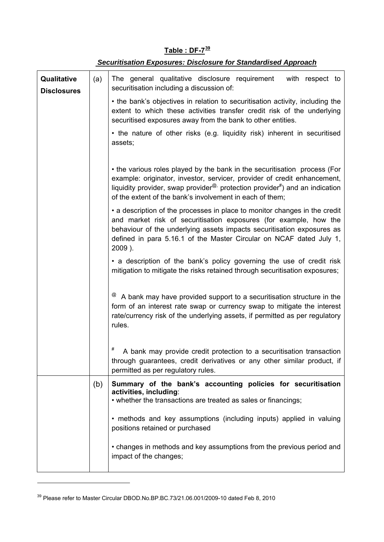| 「able: |  | $\overline{D}$ DF $\overline{D}$ | , ku |
|--------|--|----------------------------------|------|
|        |  |                                  |      |

 *Securitisation Exposures: Disclosure for Standardised Approach*

| Qualitative        | (a) | The general qualitative disclosure requirement<br>with respect to                                                                                                                                                                                                                                                        |
|--------------------|-----|--------------------------------------------------------------------------------------------------------------------------------------------------------------------------------------------------------------------------------------------------------------------------------------------------------------------------|
| <b>Disclosures</b> |     | securitisation including a discussion of:                                                                                                                                                                                                                                                                                |
|                    |     | • the bank's objectives in relation to securitisation activity, including the<br>extent to which these activities transfer credit risk of the underlying<br>securitised exposures away from the bank to other entities.                                                                                                  |
|                    |     | • the nature of other risks (e.g. liquidity risk) inherent in securitised<br>assets;                                                                                                                                                                                                                                     |
|                    |     | • the various roles played by the bank in the securitisation process (For<br>example: originator, investor, servicer, provider of credit enhancement,<br>liquidity provider, swap provider <sup>@</sup> protection provider <sup>#</sup> ) and an indication<br>of the extent of the bank's involvement in each of them; |
|                    |     | • a description of the processes in place to monitor changes in the credit<br>and market risk of securitisation exposures (for example, how the<br>behaviour of the underlying assets impacts securitisation exposures as<br>defined in para 5.16.1 of the Master Circular on NCAF dated July 1,<br>2009).               |
|                    |     | • a description of the bank's policy governing the use of credit risk<br>mitigation to mitigate the risks retained through securitisation exposures;                                                                                                                                                                     |
|                    |     | A bank may have provided support to a securitisation structure in the<br>form of an interest rate swap or currency swap to mitigate the interest<br>rate/currency risk of the underlying assets, if permitted as per regulatory<br>rules.                                                                                |
|                    |     | #<br>A bank may provide credit protection to a securitisation transaction<br>through guarantees, credit derivatives or any other similar product, if<br>permitted as per regulatory rules.                                                                                                                               |
|                    | (b) | Summary of the bank's accounting policies for securitisation<br>activities, including:<br>• whether the transactions are treated as sales or financings;                                                                                                                                                                 |
|                    |     | • methods and key assumptions (including inputs) applied in valuing<br>positions retained or purchased                                                                                                                                                                                                                   |
|                    |     | • changes in methods and key assumptions from the previous period and<br>impact of the changes;                                                                                                                                                                                                                          |

<span id="page-124-0"></span><sup>39</sup> Please refer to Master Circular DBOD.No.BP.BC.73/21.06.001/2009-10 dated Feb 8, 2010

l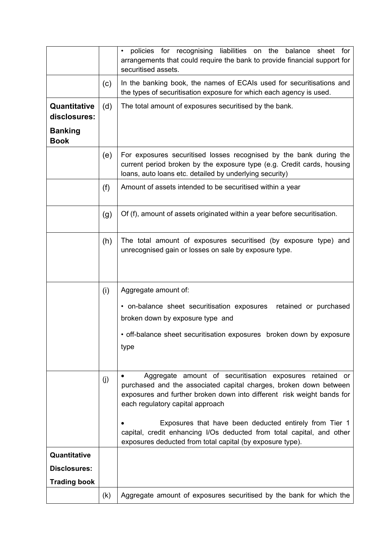|                                                               |     | policies for recognising liabilities on the<br>balance<br>sheet for<br>$\bullet$<br>arrangements that could require the bank to provide financial support for<br>securitised assets.                                                                                                                                                                                                                                                        |
|---------------------------------------------------------------|-----|---------------------------------------------------------------------------------------------------------------------------------------------------------------------------------------------------------------------------------------------------------------------------------------------------------------------------------------------------------------------------------------------------------------------------------------------|
|                                                               | (c) | In the banking book, the names of ECAIs used for securitisations and<br>the types of securitisation exposure for which each agency is used.                                                                                                                                                                                                                                                                                                 |
| Quantitative<br>disclosures:<br><b>Banking</b><br><b>Book</b> | (d) | The total amount of exposures securitised by the bank.                                                                                                                                                                                                                                                                                                                                                                                      |
|                                                               | (e) | For exposures securitised losses recognised by the bank during the<br>current period broken by the exposure type (e.g. Credit cards, housing<br>loans, auto loans etc. detailed by underlying security)                                                                                                                                                                                                                                     |
|                                                               | (f) | Amount of assets intended to be securitised within a year                                                                                                                                                                                                                                                                                                                                                                                   |
|                                                               | (g) | Of (f), amount of assets originated within a year before securitisation.                                                                                                                                                                                                                                                                                                                                                                    |
|                                                               | (h) | The total amount of exposures securitised (by exposure type) and<br>unrecognised gain or losses on sale by exposure type.                                                                                                                                                                                                                                                                                                                   |
|                                                               | (i) | Aggregate amount of:<br>• on-balance sheet securitisation exposures<br>retained or purchased<br>broken down by exposure type and<br>• off-balance sheet securitisation exposures broken down by exposure<br>type                                                                                                                                                                                                                            |
|                                                               | (j) | Aggregate amount of securitisation exposures retained or<br>purchased and the associated capital charges, broken down between<br>exposures and further broken down into different risk weight bands for<br>each regulatory capital approach<br>Exposures that have been deducted entirely from Tier 1<br>capital, credit enhancing I/Os deducted from total capital, and other<br>exposures deducted from total capital (by exposure type). |
| Quantitative<br><b>Disclosures:</b><br><b>Trading book</b>    |     |                                                                                                                                                                                                                                                                                                                                                                                                                                             |
|                                                               | (k) | Aggregate amount of exposures securitised by the bank for which the                                                                                                                                                                                                                                                                                                                                                                         |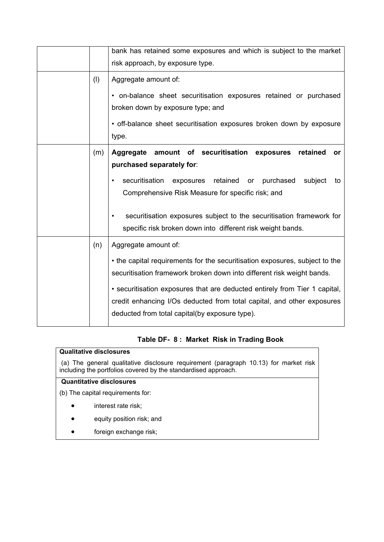|     | bank has retained some exposures and which is subject to the market                      |
|-----|------------------------------------------------------------------------------------------|
|     | risk approach, by exposure type.                                                         |
| (1) | Aggregate amount of:                                                                     |
|     | • on-balance sheet securitisation exposures retained or purchased                        |
|     | broken down by exposure type; and                                                        |
|     | • off-balance sheet securitisation exposures broken down by exposure                     |
|     | type.                                                                                    |
| (m) | amount of securitisation exposures<br>retained<br>Aggregate<br><b>or</b>                 |
|     | purchased separately for:                                                                |
|     | securitisation<br>retained<br>purchased<br>subject<br>exposures<br>or<br>to<br>$\bullet$ |
|     | Comprehensive Risk Measure for specific risk; and                                        |
|     | securitisation exposures subject to the securitisation framework for<br>$\bullet$        |
|     | specific risk broken down into different risk weight bands.                              |
| (n) | Aggregate amount of:                                                                     |
|     | • the capital requirements for the securitisation exposures, subject to the              |
|     | securitisation framework broken down into different risk weight bands.                   |
|     | • securitisation exposures that are deducted entirely from Tier 1 capital,               |
|     | credit enhancing I/Os deducted from total capital, and other exposures                   |
|     | deducted from total capital(by exposure type).                                           |

## **Table DF- 8 : Market Risk in Trading Book**

## **Qualitative disclosures**

 (a) The general qualitative disclosure requirement (paragraph 10.13) for market risk including the portfolios covered by the standardised approach.

### **Quantitative disclosures**

(b) The capital requirements for:

- interest rate risk;
- equity position risk; and
- foreign exchange risk;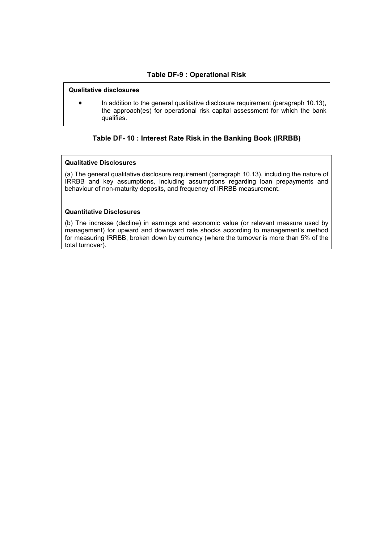### **Table DF-9 : Operational Risk**

#### **Qualitative disclosures**

In addition to the general qualitative disclosure requirement (paragraph 10.13), the approach(es) for operational risk capital assessment for which the bank qualifies.

### **Table DF- 10 : Interest Rate Risk in the Banking Book (IRRBB)**

#### **Qualitative Disclosures**

(a) The general qualitative disclosure requirement (paragraph 10.13), including the nature of IRRBB and key assumptions, including assumptions regarding loan prepayments and behaviour of non-maturity deposits, and frequency of IRRBB measurement.

#### **Quantitative Disclosures**

(b) The increase (decline) in earnings and economic value (or relevant measure used by management) for upward and downward rate shocks according to management's method for measuring IRRBB, broken down by currency (where the turnover is more than 5% of the total turnover).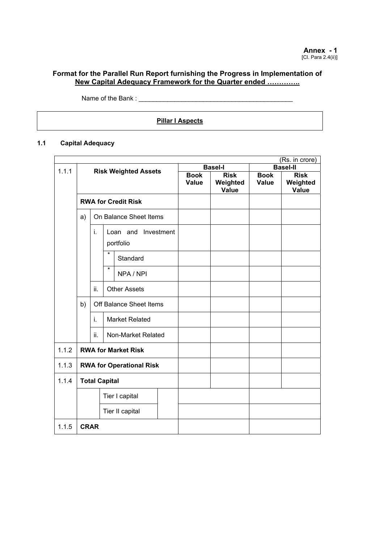### **Format for the Parallel Run Report furnishing the Progress in Implementation of New Capital Adequacy Framework for the Quarter ended …………..**

Name of the Bank : \_\_\_\_\_\_\_\_\_\_\_\_\_\_\_\_\_\_\_\_\_\_\_\_\_\_\_\_\_\_\_\_\_\_\_\_\_\_\_\_\_\_\_

**Pillar I Aspects**

#### **1.1 Capital Adequacy**

|       |                                 |                             |         |                            |                      |                                  |                      |                                         | (Rs. in crore) |
|-------|---------------------------------|-----------------------------|---------|----------------------------|----------------------|----------------------------------|----------------------|-----------------------------------------|----------------|
| 1.1.1 |                                 |                             |         |                            |                      |                                  | <b>Basel-I</b>       | <b>Basel-II</b>                         |                |
|       | <b>Risk Weighted Assets</b>     |                             |         |                            | <b>Book</b><br>Value | <b>Risk</b><br>Weighted<br>Value | <b>Book</b><br>Value | <b>Risk</b><br>Weighted<br><b>Value</b> |                |
|       |                                 |                             |         | <b>RWA for Credit Risk</b> |                      |                                  |                      |                                         |                |
|       | a)                              |                             |         | On Balance Sheet Items     |                      |                                  |                      |                                         |                |
|       |                                 | i.                          |         | Loan and<br>portfolio      | Investment           |                                  |                      |                                         |                |
|       |                                 |                             | $\star$ | Standard                   |                      |                                  |                      |                                         |                |
|       |                                 |                             | $\star$ | NPA / NPI                  |                      |                                  |                      |                                         |                |
|       | ii.<br><b>Other Assets</b>      |                             |         |                            |                      |                                  |                      |                                         |                |
|       | b)                              | Off Balance Sheet Items     |         |                            |                      |                                  |                      |                                         |                |
|       |                                 | i.<br><b>Market Related</b> |         |                            |                      |                                  |                      |                                         |                |
|       |                                 | ii.                         |         | Non-Market Related         |                      |                                  |                      |                                         |                |
| 1.1.2 |                                 |                             |         | <b>RWA for Market Risk</b> |                      |                                  |                      |                                         |                |
| 1.1.3 | <b>RWA for Operational Risk</b> |                             |         |                            |                      |                                  |                      |                                         |                |
| 1.1.4 | <b>Total Capital</b>            |                             |         |                            |                      |                                  |                      |                                         |                |
|       |                                 | Tier I capital              |         |                            |                      |                                  |                      |                                         |                |
|       |                                 | Tier II capital             |         |                            |                      |                                  |                      |                                         |                |
| 1.1.5 | <b>CRAR</b>                     |                             |         |                            |                      |                                  |                      |                                         |                |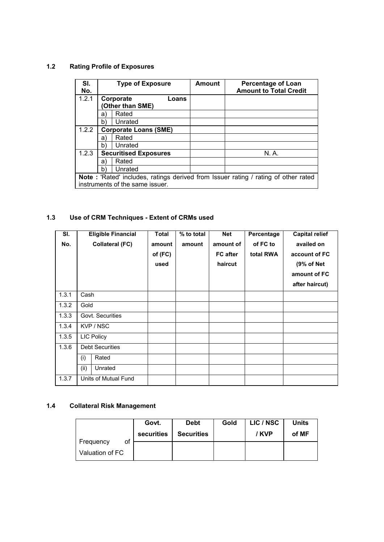## **1.2 Rating Profile of Exposures**

| SI.<br>No. | <b>Type of Exposure</b> |                                     |       | <b>Amount</b> | <b>Percentage of Loan</b><br><b>Amount to Total Credit</b>                         |
|------------|-------------------------|-------------------------------------|-------|---------------|------------------------------------------------------------------------------------|
| 1.2.1      |                         | Corporate<br><b>Other than SME)</b> | Loans |               |                                                                                    |
|            | a)                      | Rated                               |       |               |                                                                                    |
|            | b)                      | Unrated                             |       |               |                                                                                    |
| 1.2.2      |                         | <b>Corporate Loans (SME)</b>        |       |               |                                                                                    |
|            | a)                      | Rated                               |       |               |                                                                                    |
|            | b)                      | Unrated                             |       |               |                                                                                    |
| 1.2.3      |                         | <b>Securitised Exposures</b>        |       |               | N. A.                                                                              |
|            | a)                      | Rated                               |       |               |                                                                                    |
|            | b)                      | Unrated                             |       |               |                                                                                    |
|            |                         |                                     |       |               | Note: 'Rated' includes, ratings derived from Issuer rating / rating of other rated |
|            |                         | instruments of the same issuer.     |       |               |                                                                                    |

## **1.3 Use of CRM Techniques - Extent of CRMs used**

| SI.   | <b>Eligible Financial</b> | <b>Total</b> | % to total | <b>Net</b>      | Percentage | <b>Capital relief</b> |
|-------|---------------------------|--------------|------------|-----------------|------------|-----------------------|
| No.   | <b>Collateral (FC)</b>    | amount       | amount     | amount of       | of FC to   | availed on            |
|       |                           | of (FC)      |            | <b>FC</b> after | total RWA  | account of FC         |
|       |                           | used         |            | haircut         |            | (9% of Net)           |
|       |                           |              |            |                 |            | amount of FC          |
|       |                           |              |            |                 |            | after haircut)        |
| 1.3.1 | Cash                      |              |            |                 |            |                       |
| 1.3.2 | Gold                      |              |            |                 |            |                       |
| 1.3.3 | Govt. Securities          |              |            |                 |            |                       |
| 1.3.4 | KVP / NSC                 |              |            |                 |            |                       |
| 1.3.5 | LIC Policy                |              |            |                 |            |                       |
| 1.3.6 | <b>Debt Securities</b>    |              |            |                 |            |                       |
|       | (i)<br>Rated              |              |            |                 |            |                       |
|       | (ii)<br>Unrated           |              |            |                 |            |                       |
| 1.3.7 | Units of Mutual Fund      |              |            |                 |            |                       |

## **1.4 Collateral Risk Management**

|                 | Govt.      | <b>Debt</b>       | Gold | LIC / NSC | Units |
|-----------------|------------|-------------------|------|-----------|-------|
|                 | securities | <b>Securities</b> |      | / KVP     | of MF |
| of<br>Frequency |            |                   |      |           |       |
| Valuation of FC |            |                   |      |           |       |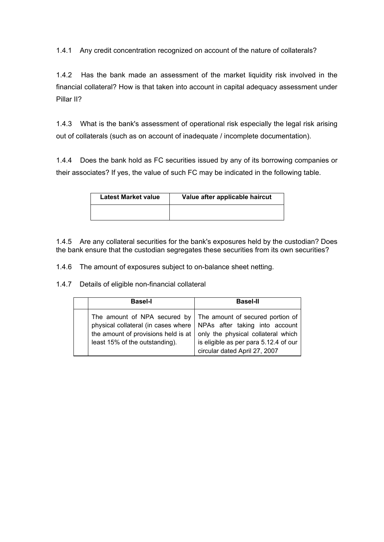1.4.1 Any credit concentration recognized on account of the nature of collaterals?

1.4.2 Has the bank made an assessment of the market liquidity risk involved in the financial collateral? How is that taken into account in capital adequacy assessment under Pillar II?

1.4.3 What is the bank's assessment of operational risk especially the legal risk arising out of collaterals (such as on account of inadequate / incomplete documentation).

1.4.4 Does the bank hold as FC securities issued by any of its borrowing companies or their associates? If yes, the value of such FC may be indicated in the following table.

| <b>Latest Market value</b> | Value after applicable haircut |
|----------------------------|--------------------------------|
|                            |                                |

1.4.5 Are any collateral securities for the bank's exposures held by the custodian? Does the bank ensure that the custodian segregates these securities from its own securities?

1.4.6 The amount of exposures subject to on-balance sheet netting.

1.4.7 Details of eligible non-financial collateral

| <b>Basel-I</b>                                                                                        | <b>Basel-II</b>                                                                                                                                                                                                          |
|-------------------------------------------------------------------------------------------------------|--------------------------------------------------------------------------------------------------------------------------------------------------------------------------------------------------------------------------|
| The amount of NPA secured by<br>the amount of provisions held is at<br>least 15% of the outstanding). | The amount of secured portion of<br>physical collateral (in cases where   NPAs after taking into account<br>only the physical collateral which<br>is eligible as per para 5.12.4 of our<br>circular dated April 27, 2007 |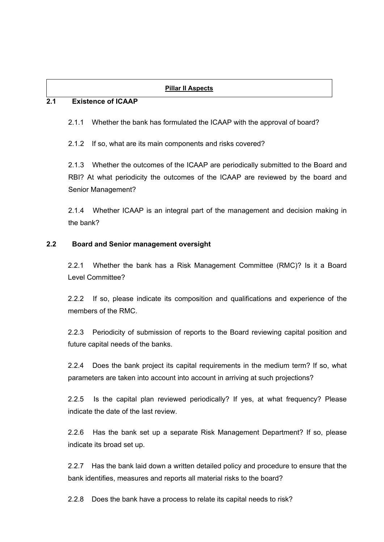### **2.1 Existence of ICAAP**

2.1.1 Whether the bank has formulated the ICAAP with the approval of board?

2.1.2 If so, what are its main components and risks covered?

2.1.3 Whether the outcomes of the ICAAP are periodically submitted to the Board and RBI? At what periodicity the outcomes of the ICAAP are reviewed by the board and Senior Management?

2.1.4 Whether ICAAP is an integral part of the management and decision making in the bank?

### **2.2 Board and Senior management oversight**

2.2.1 Whether the bank has a Risk Management Committee (RMC)? Is it a Board Level Committee?

2.2.2 If so, please indicate its composition and qualifications and experience of the members of the RMC.

2.2.3 Periodicity of submission of reports to the Board reviewing capital position and future capital needs of the banks.

2.2.4 Does the bank project its capital requirements in the medium term? If so, what parameters are taken into account into account in arriving at such projections?

2.2.5 Is the capital plan reviewed periodically? If yes, at what frequency? Please indicate the date of the last review.

2.2.6 Has the bank set up a separate Risk Management Department? If so, please indicate its broad set up.

2.2.7 Has the bank laid down a written detailed policy and procedure to ensure that the bank identifies, measures and reports all material risks to the board?

2.2.8 Does the bank have a process to relate its capital needs to risk?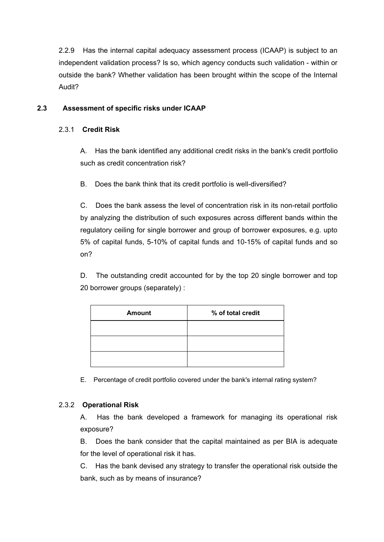2.2.9 Has the internal capital adequacy assessment process (ICAAP) is subject to an independent validation process? Is so, which agency conducts such validation - within or outside the bank? Whether validation has been brought within the scope of the Internal Audit?

## **2.3 Assessment of specific risks under ICAAP**

## 2.3.1 **Credit Risk**

A. Has the bank identified any additional credit risks in the bank's credit portfolio such as credit concentration risk?

B. Does the bank think that its credit portfolio is well-diversified?

C. Does the bank assess the level of concentration risk in its non-retail portfolio by analyzing the distribution of such exposures across different bands within the regulatory ceiling for single borrower and group of borrower exposures, e.g. upto 5% of capital funds, 5-10% of capital funds and 10-15% of capital funds and so on?

D. The outstanding credit accounted for by the top 20 single borrower and top 20 borrower groups (separately) :

| <b>Amount</b> | % of total credit |
|---------------|-------------------|
|               |                   |
|               |                   |
|               |                   |

E. Percentage of credit portfolio covered under the bank's internal rating system?

## 2.3.2 **Operational Risk**

A. Has the bank developed a framework for managing its operational risk exposure?

B. Does the bank consider that the capital maintained as per BIA is adequate for the level of operational risk it has.

C. Has the bank devised any strategy to transfer the operational risk outside the bank, such as by means of insurance?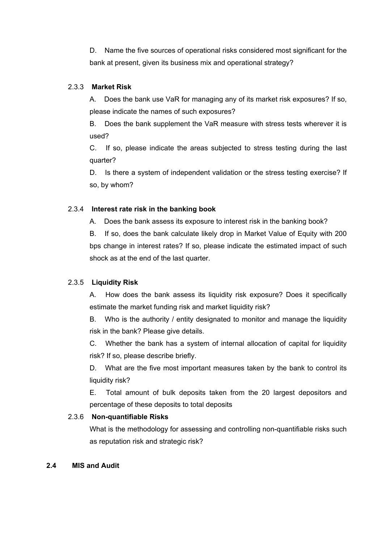D. Name the five sources of operational risks considered most significant for the bank at present, given its business mix and operational strategy?

### 2.3.3 **Market Risk**

A. Does the bank use VaR for managing any of its market risk exposures? If so, please indicate the names of such exposures?

B. Does the bank supplement the VaR measure with stress tests wherever it is used?

C. If so, please indicate the areas subjected to stress testing during the last quarter?

D. Is there a system of independent validation or the stress testing exercise? If so, by whom?

### 2.3.4 **Interest rate risk in the banking book**

A. Does the bank assess its exposure to interest risk in the banking book?

B. If so, does the bank calculate likely drop in Market Value of Equity with 200 bps change in interest rates? If so, please indicate the estimated impact of such shock as at the end of the last quarter.

### 2.3.5 **Liquidity Risk**

A. How does the bank assess its liquidity risk exposure? Does it specifically estimate the market funding risk and market liquidity risk?

B. Who is the authority / entity designated to monitor and manage the liquidity risk in the bank? Please give details.

C. Whether the bank has a system of internal allocation of capital for liquidity risk? If so, please describe briefly.

D. What are the five most important measures taken by the bank to control its liquidity risk?

E. Total amount of bulk deposits taken from the 20 largest depositors and percentage of these deposits to total deposits

### 2.3.6 **Non-quantifiable Risks**

What is the methodology for assessing and controlling non-quantifiable risks such as reputation risk and strategic risk?

### **2.4 MIS and Audit**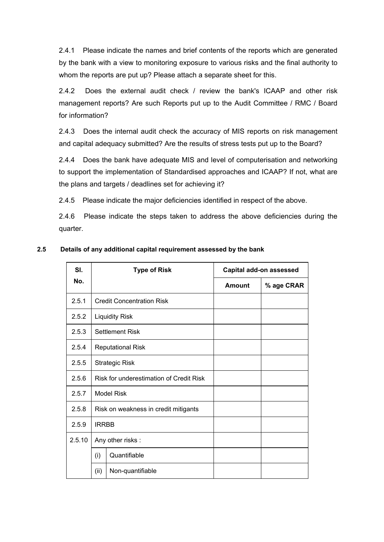2.4.1 Please indicate the names and brief contents of the reports which are generated by the bank with a view to monitoring exposure to various risks and the final authority to whom the reports are put up? Please attach a separate sheet for this.

2.4.2 Does the external audit check / review the bank's ICAAP and other risk management reports? Are such Reports put up to the Audit Committee / RMC / Board for information?

2.4.3 Does the internal audit check the accuracy of MIS reports on risk management and capital adequacy submitted? Are the results of stress tests put up to the Board?

2.4.4 Does the bank have adequate MIS and level of computerisation and networking to support the implementation of Standardised approaches and ICAAP? If not, what are the plans and targets / deadlines set for achieving it?

2.4.5 Please indicate the major deficiencies identified in respect of the above.

2.4.6 Please indicate the steps taken to address the above deficiencies during the quarter.

| SI.    | <b>Type of Risk</b> |                                         | Capital add-on assessed |            |
|--------|---------------------|-----------------------------------------|-------------------------|------------|
| No.    |                     |                                         | Amount                  | % age CRAR |
| 2.5.1  |                     | <b>Credit Concentration Risk</b>        |                         |            |
| 2.5.2  |                     | <b>Liquidity Risk</b>                   |                         |            |
| 2.5.3  |                     | <b>Settlement Risk</b>                  |                         |            |
| 2.5.4  |                     | <b>Reputational Risk</b>                |                         |            |
| 2.5.5  |                     | <b>Strategic Risk</b>                   |                         |            |
| 2.5.6  |                     | Risk for underestimation of Credit Risk |                         |            |
| 2.5.7  |                     | <b>Model Risk</b>                       |                         |            |
| 2.5.8  |                     | Risk on weakness in credit mitigants    |                         |            |
| 2.5.9  | <b>IRRBB</b>        |                                         |                         |            |
| 2.5.10 | Any other risks:    |                                         |                         |            |
|        | (i)                 | Quantifiable                            |                         |            |
|        | (ii)                | Non-quantifiable                        |                         |            |

### **2.5 Details of any additional capital requirement assessed by the bank**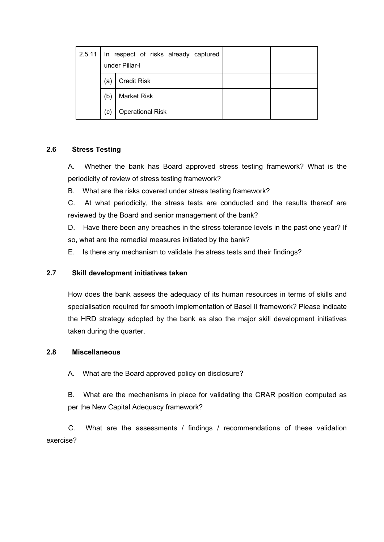| 2.5.11 | In respect of risks already captured<br>under Pillar-I |                         |  |
|--------|--------------------------------------------------------|-------------------------|--|
|        | (a)                                                    | <b>Credit Risk</b>      |  |
|        | (b)                                                    | <b>Market Risk</b>      |  |
|        | (c)                                                    | <b>Operational Risk</b> |  |

### **2.6 Stress Testing**

A. Whether the bank has Board approved stress testing framework? What is the periodicity of review of stress testing framework?

B. What are the risks covered under stress testing framework?

C. At what periodicity, the stress tests are conducted and the results thereof are reviewed by the Board and senior management of the bank?

D. Have there been any breaches in the stress tolerance levels in the past one year? If so, what are the remedial measures initiated by the bank?

E. Is there any mechanism to validate the stress tests and their findings?

## **2.7 Skill development initiatives taken**

How does the bank assess the adequacy of its human resources in terms of skills and specialisation required for smooth implementation of Basel II framework? Please indicate the HRD strategy adopted by the bank as also the major skill development initiatives taken during the quarter.

### **2.8 Miscellaneous**

A. What are the Board approved policy on disclosure?

B. What are the mechanisms in place for validating the CRAR position computed as per the New Capital Adequacy framework?

 C. What are the assessments / findings / recommendations of these validation exercise?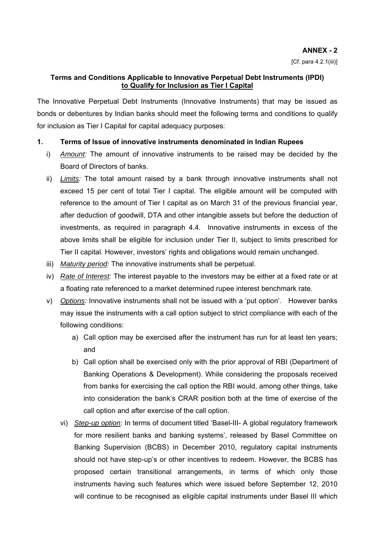## **Terms and Conditions Applicable to Innovative Perpetual Debt Instruments (IPDI) to Qualify for Inclusion as Tier I Capital**

The Innovative Perpetual Debt Instruments (Innovative Instruments) that may be issued as bonds or debentures by Indian banks should meet the following terms and conditions to qualify for inclusion as Tier I Capital for capital adequacy purposes:

## **1. Terms of Issue of innovative instruments denominated in Indian Rupees**

- i) *Amount:* The amount of innovative instruments to be raised may be decided by the Board of Directors of banks.
- ii) *Limits:* The total amount raised by a bank through innovative instruments shall not exceed 15 per cent of total Tier I capital. The eligible amount will be computed with reference to the amount of Tier I capital as on March 31 of the previous financial year, after deduction of goodwill, DTA and other intangible assets but before the deduction of investments, as required in paragraph 4.4. Innovative instruments in excess of the above limits shall be eligible for inclusion under Tier II, subject to limits prescribed for Tier II capital. However, investors' rights and obligations would remain unchanged.
- iii) *Maturity period:* The innovative instruments shall be perpetual.
- iv) *Rate of Interest:* The interest payable to the investors may be either at a fixed rate or at a floating rate referenced to a market determined rupee interest benchmark rate.
- v) *Options:* Innovative instruments shall not be issued with a 'put option'. However banks may issue the instruments with a call option subject to strict compliance with each of the following conditions:
	- a) Call option may be exercised after the instrument has run for at least ten years; and
	- b) Call option shall be exercised only with the prior approval of RBI (Department of Banking Operations & Development). While considering the proposals received from banks for exercising the call option the RBI would, among other things, take into consideration the bank's CRAR position both at the time of exercise of the call option and after exercise of the call option.
	- vi) *Step-up option:* In terms of document titled 'Basel-III- A global regulatory framework for more resilient banks and banking systems', released by Basel Committee on Banking Supervision (BCBS) in December 2010, regulatory capital instruments should not have step-up's or other incentives to redeem. However, the BCBS has proposed certain transitional arrangements, in terms of which only those instruments having such features which were issued before September 12, 2010 will continue to be recognised as eligible capital instruments under Basel III which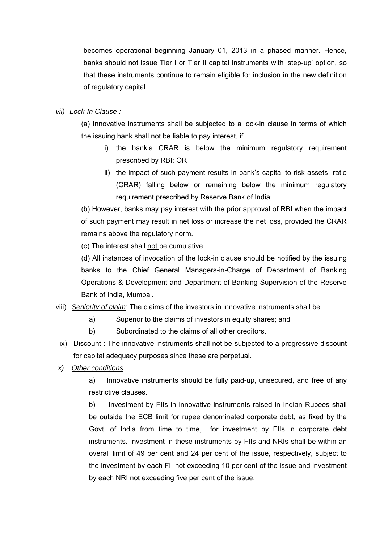becomes operational beginning January 01, 2013 in a phased manner. Hence, banks should not issue Tier I or Tier II capital instruments with 'step-up' option, so that these instruments continue to remain eligible for inclusion in the new definition of regulatory capital.

### *vii) Lock-In Clause :*

(a) Innovative instruments shall be subjected to a lock-in clause in terms of which the issuing bank shall not be liable to pay interest, if

- i) the bank's CRAR is below the minimum regulatory requirement prescribed by RBI; OR
- ii) the impact of such payment results in bank's capital to risk assets ratio (CRAR) falling below or remaining below the minimum regulatory requirement prescribed by Reserve Bank of India;

(b) However, banks may pay interest with the prior approval of RBI when the impact of such payment may result in net loss or increase the net loss, provided the CRAR remains above the regulatory norm.

(c) The interest shall not be cumulative.

(d) All instances of invocation of the lock-in clause should be notified by the issuing banks to the Chief General Managers-in-Charge of Department of Banking Operations & Development and Department of Banking Supervision of the Reserve Bank of India, Mumbai.

### viii) *Seniority of claim:* The claims of the investors in innovative instruments shall be

- a) Superior to the claims of investors in equity shares; and
- b) Subordinated to the claims of all other creditors.
- ix) Discount : The innovative instruments shall not be subjected to a progressive discount for capital adequacy purposes since these are perpetual.
- *x) Other conditions*

a) Innovative instruments should be fully paid-up, unsecured, and free of any restrictive clauses.

b) Investment by FIIs in innovative instruments raised in Indian Rupees shall be outside the ECB limit for rupee denominated corporate debt, as fixed by the Govt. of India from time to time, for investment by FIIs in corporate debt instruments. Investment in these instruments by FIIs and NRIs shall be within an overall limit of 49 per cent and 24 per cent of the issue, respectively, subject to the investment by each FII not exceeding 10 per cent of the issue and investment by each NRI not exceeding five per cent of the issue.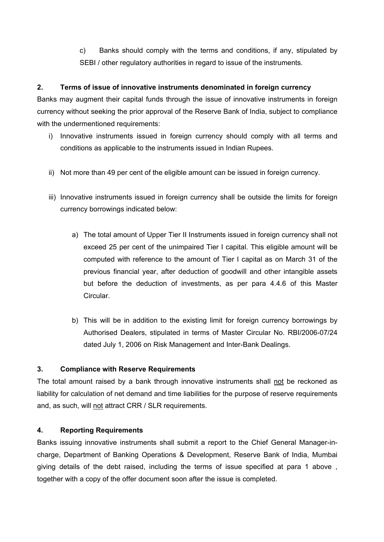c) Banks should comply with the terms and conditions, if any, stipulated by SEBI / other regulatory authorities in regard to issue of the instruments.

## **2. Terms of issue of innovative instruments denominated in foreign currency**

Banks may augment their capital funds through the issue of innovative instruments in foreign currency without seeking the prior approval of the Reserve Bank of India, subject to compliance with the undermentioned requirements:

- i) Innovative instruments issued in foreign currency should comply with all terms and conditions as applicable to the instruments issued in Indian Rupees.
- ii) Not more than 49 per cent of the eligible amount can be issued in foreign currency.
- iii) Innovative instruments issued in foreign currency shall be outside the limits for foreign currency borrowings indicated below:
	- a) The total amount of Upper Tier II Instruments issued in foreign currency shall not exceed 25 per cent of the unimpaired Tier I capital. This eligible amount will be computed with reference to the amount of Tier I capital as on March 31 of the previous financial year, after deduction of goodwill and other intangible assets but before the deduction of investments, as per para 4.4.6 of this Master Circular.
	- b) This will be in addition to the existing limit for foreign currency borrowings by Authorised Dealers, stipulated in terms of Master Circular No. RBI/2006-07/24 dated July 1, 2006 on Risk Management and Inter-Bank Dealings.

## **3. Compliance with Reserve Requirements**

The total amount raised by a bank through innovative instruments shall not be reckoned as liability for calculation of net demand and time liabilities for the purpose of reserve requirements and, as such, will not attract CRR / SLR requirements.

### **4. Reporting Requirements**

Banks issuing innovative instruments shall submit a report to the Chief General Manager-incharge, Department of Banking Operations & Development, Reserve Bank of India, Mumbai giving details of the debt raised, including the terms of issue specified at para 1 above , together with a copy of the offer document soon after the issue is completed.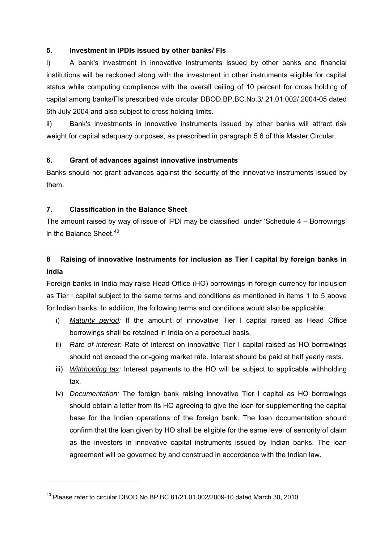## **5. Investment in IPDIs issued by other banks/ FIs**

i) A bank's investment in innovative instruments issued by other banks and financial institutions will be reckoned along with the investment in other instruments eligible for capital status while computing compliance with the overall ceiling of 10 percent for cross holding of capital among banks/FIs prescribed vide circular DBOD.BP.BC.No.3/ 21.01.002/ 2004-05 dated 6th July 2004 and also subject to cross holding limits.

ii) Bank's investments in innovative instruments issued by other banks will attract risk weight for capital adequacy purposes, as prescribed in paragraph 5.6 of this Master Circular.

## **6. Grant of advances against innovative instruments**

Banks should not grant advances against the security of the innovative instruments issued by them.

## **7. Classification in the Balance Sheet**

 $\overline{a}$ 

The amount raised by way of issue of IPDI may be classified under 'Schedule 4 – Borrowings' in the Balance Sheet. $40$ 

# **8 Raising of innovative Instruments for inclusion as Tier I capital by foreign banks in India**

Foreign banks in India may raise Head Office (HO) borrowings in foreign currency for inclusion as Tier I capital subject to the same terms and conditions as mentioned in items 1 to 5 above for Indian banks. In addition, the following terms and conditions would also be applicable:

- i) *Maturity period:* If the amount of innovative Tier I capital raised as Head Office borrowings shall be retained in India on a perpetual basis.
- ii) *Rate of interest:* Rate of interest on innovative Tier I capital raised as HO borrowings should not exceed the on-going market rate. Interest should be paid at half yearly rests.
- iii) *Withholding tax:* Interest payments to the HO will be subject to applicable withholding tax.
- iv) *Documentation:* The foreign bank raising innovative Tier I capital as HO borrowings should obtain a letter from its HO agreeing to give the loan for supplementing the capital base for the Indian operations of the foreign bank. The loan documentation should confirm that the loan given by HO shall be eligible for the same level of seniority of claim as the investors in innovative capital instruments issued by Indian banks. The loan agreement will be governed by and construed in accordance with the Indian law.

<span id="page-139-0"></span><sup>40</sup> Please refer to circular DBOD.No.BP.BC.81/21.01.002/2009-10 dated March 30, 2010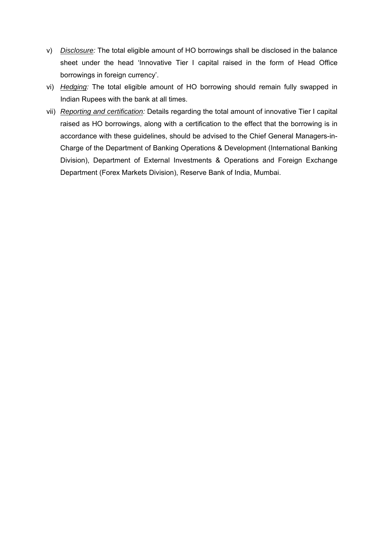- v) *Disclosure:* The total eligible amount of HO borrowings shall be disclosed in the balance sheet under the head 'Innovative Tier I capital raised in the form of Head Office borrowings in foreign currency'.
- vi) *Hedging:* The total eligible amount of HO borrowing should remain fully swapped in Indian Rupees with the bank at all times.
- vii) *Reporting and certification:* Details regarding the total amount of innovative Tier I capital raised as HO borrowings, along with a certification to the effect that the borrowing is in accordance with these guidelines, should be advised to the Chief General Managers-in-Charge of the Department of Banking Operations & Development (International Banking Division), Department of External Investments & Operations and Foreign Exchange Department (Forex Markets Division), Reserve Bank of India, Mumbai.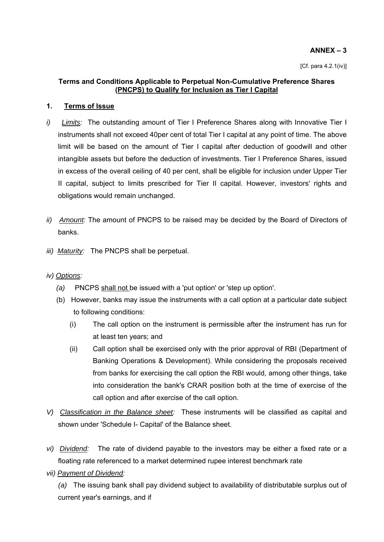## **ANNEX – 3**

[Cf. para 4.2.1(iv)]

## **Terms and Conditions Applicable to Perpetual Non-Cumulative Preference Shares (PNCPS) to Qualify for Inclusion as Tier I Capital**

### **1. Terms of Issue**

- *i)* Limits: The outstanding amount of Tier I Preference Shares along with Innovative Tier I instruments shall not exceed 40per cent of total Tier I capital at any point of time. The above limit will be based on the amount of Tier I capital after deduction of goodwill and other intangible assets but before the deduction of investments. Tier I Preference Shares, issued in excess of the overall ceiling of 40 per cent, shall be eligible for inclusion under Upper Tier II capital, subject to limits prescribed for Tier II capital. However, investors' rights and obligations would remain unchanged.
- *ii) Amount:* The amount of PNCPS to be raised may be decided by the Board of Directors of banks.
- *iii) Maturity:* The PNCPS shall be perpetual.
- *iv) Options:* 
	- *(a)* PNCPS shall not be issued with a 'put option' or 'step up option'.
	- (b) However, banks may issue the instruments with a call option at a particular date subject to following conditions:
		- (i) The call option on the instrument is permissible after the instrument has run for at least ten years; and
		- (ii) Call option shall be exercised only with the prior approval of RBI (Department of Banking Operations & Development). While considering the proposals received from banks for exercising the call option the RBI would, among other things, take into consideration the bank's CRAR position both at the time of exercise of the call option and after exercise of the call option.
- *V) Classification in the Balance sheet:* These instruments will be classified as capital and shown under 'Schedule I- Capital' of the Balance sheet.
- *vi) Dividend:*The rate of dividend payable to the investors may be either a fixed rate or a floating rate referenced to a market determined rupee interest benchmark rate
- *vii) Payment of Dividend:*

 *(a)* The issuing bank shall pay dividend subject to availability of distributable surplus out of current year's earnings, and if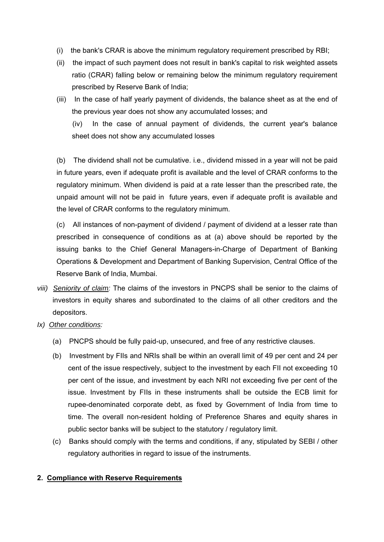- (i) the bank's CRAR is above the minimum regulatory requirement prescribed by RBI;
- (ii) the impact of such payment does not result in bank's capital to risk weighted assets ratio (CRAR) falling below or remaining below the minimum regulatory requirement prescribed by Reserve Bank of India;
- (iii) In the case of half yearly payment of dividends, the balance sheet as at the end of the previous year does not show any accumulated losses; and

 (iv) In the case of annual payment of dividends, the current year's balance sheet does not show any accumulated losses

(b) The dividend shall not be cumulative. i.e., dividend missed in a year will not be paid in future years, even if adequate profit is available and the level of CRAR conforms to the regulatory minimum. When dividend is paid at a rate lesser than the prescribed rate, the unpaid amount will not be paid in future years, even if adequate profit is available and the level of CRAR conforms to the regulatory minimum.

(c) All instances of non-payment of dividend / payment of dividend at a lesser rate than prescribed in consequence of conditions as at (a) above should be reported by the issuing banks to the Chief General Managers-in-Charge of Department of Banking Operations & Development and Department of Banking Supervision, Central Office of the Reserve Bank of India, Mumbai.

- *viii) Seniority of claim:* The claims of the investors in PNCPS shall be senior to the claims of investors in equity shares and subordinated to the claims of all other creditors and the depositors.
- *Ix) Other conditions:* 
	- (a) PNCPS should be fully paid-up, unsecured, and free of any restrictive clauses.
	- (b) Investment by FIIs and NRIs shall be within an overall limit of 49 per cent and 24 per cent of the issue respectively, subject to the investment by each FII not exceeding 10 per cent of the issue, and investment by each NRI not exceeding five per cent of the issue. Investment by FIIs in these instruments shall be outside the ECB limit for rupee-denominated corporate debt, as fixed by Government of India from time to time. The overall non-resident holding of Preference Shares and equity shares in public sector banks will be subject to the statutory / regulatory limit.
	- (c) Banks should comply with the terms and conditions, if any, stipulated by SEBI / other regulatory authorities in regard to issue of the instruments.

## **2. Compliance with Reserve Requirements**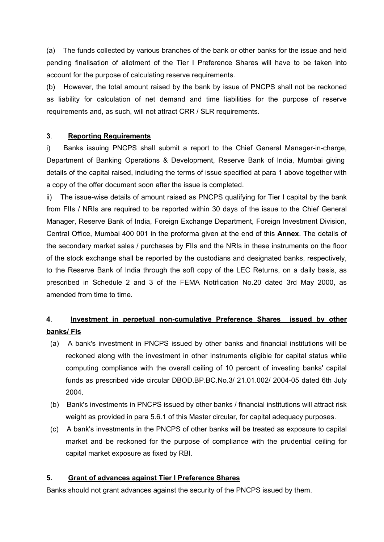(a) The funds collected by various branches of the bank or other banks for the issue and held pending finalisation of allotment of the Tier I Preference Shares will have to be taken into account for the purpose of calculating reserve requirements.

(b) However, the total amount raised by the bank by issue of PNCPS shall not be reckoned as liability for calculation of net demand and time liabilities for the purpose of reserve requirements and, as such, will not attract CRR / SLR requirements.

### **3**. **Reporting Requirements**

i) Banks issuing PNCPS shall submit a report to the Chief General Manager-in-charge, Department of Banking Operations & Development, Reserve Bank of India, Mumbai giving details of the capital raised, including the terms of issue specified at para 1 above together with a copy of the offer document soon after the issue is completed.

ii) The issue-wise details of amount raised as PNCPS qualifying for Tier I capital by the bank from FIIs / NRIs are required to be reported within 30 days of the issue to the Chief General Manager, Reserve Bank of India, Foreign Exchange Department, Foreign Investment Division, Central Office, Mumbai 400 001 in the proforma given at the end of this **Annex**. The details of the secondary market sales / purchases by FIIs and the NRIs in these instruments on the floor of the stock exchange shall be reported by the custodians and designated banks, respectively, to the Reserve Bank of India through the soft copy of the LEC Returns, on a daily basis, as prescribed in Schedule 2 and 3 of the FEMA Notification No.20 dated 3rd May 2000, as amended from time to time.

# **4**. **Investment in perpetual non-cumulative Preference Shares issued by other banks/ FIs**

- (a) A bank's investment in PNCPS issued by other banks and financial institutions will be reckoned along with the investment in other instruments eligible for capital status while computing compliance with the overall ceiling of 10 percent of investing banks' capital funds as prescribed vide circular DBOD.BP.BC.No.3/ 21.01.002/ 2004-05 dated 6th July 2004.
- (b) Bank's investments in PNCPS issued by other banks / financial institutions will attract risk weight as provided in para 5.6.1 of this Master circular, for capital adequacy purposes.
- (c) A bank's investments in the PNCPS of other banks will be treated as exposure to capital market and be reckoned for the purpose of compliance with the prudential ceiling for capital market exposure as fixed by RBI.

## **5. Grant of advances against Tier I Preference Shares**

Banks should not grant advances against the security of the PNCPS issued by them.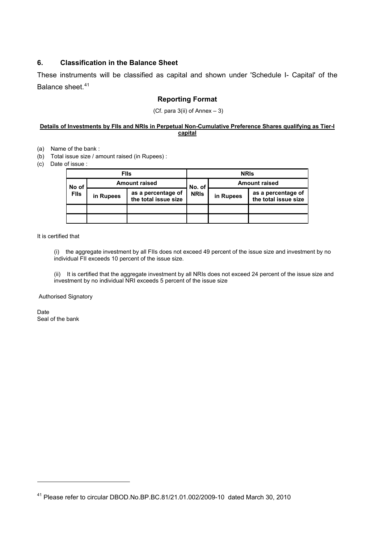### **6. Classification in the Balance Sheet**

These instruments will be classified as capital and shown under 'Schedule I- Capital' of the Balance sheet.<sup>[41](#page-144-0)</sup>

### **Reporting Format**

#### (Cf. para  $3(ii)$  of Annex  $-3$ )

#### **Details of Investments by FIIs and NRIs in Perpetual Non-Cumulative Preference Shares qualifying as Tier-I capital**

- (a) Name of the bank :
- (b) Total issue size / amount raised (in Rupees) :
- (c) Date of issue :

| <b>FIIs</b>          |                      |                                            | <b>NRIS</b> |                      |                                            |
|----------------------|----------------------|--------------------------------------------|-------------|----------------------|--------------------------------------------|
| No of<br><b>FIIs</b> | <b>Amount raised</b> |                                            | No. of      | <b>Amount raised</b> |                                            |
|                      | in Rupees            | as a percentage of<br>the total issue size | <b>NRIS</b> | in Rupees            | as a percentage of<br>the total issue size |
|                      |                      |                                            |             |                      |                                            |
|                      |                      |                                            |             |                      |                                            |

#### It is certified that

(i) the aggregate investment by all FIIs does not exceed 49 percent of the issue size and investment by no individual FII exceeds 10 percent of the issue size.

(ii) It is certified that the aggregate investment by all NRIs does not exceed 24 percent of the issue size and investment by no individual NRI exceeds 5 percent of the issue size

Authorised Signatory

Date Seal of the bank

 $\overline{a}$ 

<span id="page-144-0"></span><sup>41</sup> Please refer to circular DBOD.No.BP.BC.81/21.01.002/2009-10 dated March 30, 2010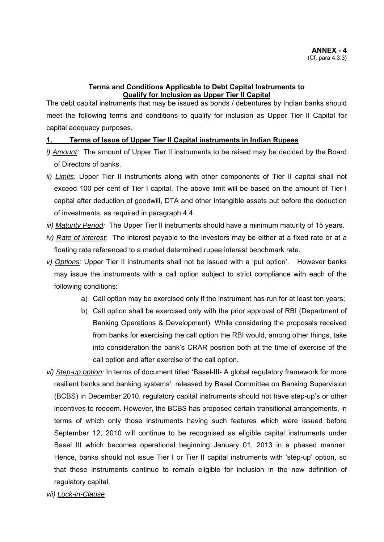### **Terms and Conditions Applicable to Debt Capital Instruments to Qualify for Inclusion as Upper Tier II Capital**

The debt capital instruments that may be issued as bonds / debentures by Indian banks should meet the following terms and conditions to qualify for inclusion as Upper Tier II Capital for capital adequacy purposes.

# **1. Terms of Issue of Upper Tier II Capital instruments in Indian Rupees**

- *i) Amount:* The amount of Upper Tier II instruments to be raised may be decided by the Board of Directors of banks.
- *ii) Limits:* Upper Tier II instruments along with other components of Tier II capital shall not exceed 100 per cent of Tier I capital. The above limit will be based on the amount of Tier I capital after deduction of goodwill, DTA and other intangible assets but before the deduction of investments, as required in paragraph 4.4.
- *iii) Maturity Period:*The Upper Tier II instruments should have a minimum maturity of 15 years.
- *iv)* Rate of interest: The interest payable to the investors may be either at a fixed rate or at a floating rate referenced to a market determined rupee interest benchmark rate.
- *v) Options:* Upper Tier II instruments shall not be issued with a 'put option'. However banks may issue the instruments with a call option subject to strict compliance with each of the following conditions:
	- a) Call option may be exercised only if the instrument has run for at least ten years;
	- b) Call option shall be exercised only with the prior approval of RBI (Department of Banking Operations & Development). While considering the proposals received from banks for exercising the call option the RBI would, among other things, take into consideration the bank's CRAR position both at the time of exercise of the call option and after exercise of the call option.
- *vi) Step-up option:* In terms of document titled 'Basel-III- A global regulatory framework for more resilient banks and banking systems', released by Basel Committee on Banking Supervision (BCBS) in December 2010, regulatory capital instruments should not have step-up's or other incentives to redeem. However, the BCBS has proposed certain transitional arrangements, in terms of which only those instruments having such features which were issued before September 12, 2010 will continue to be recognised as eligible capital instruments under Basel III which becomes operational beginning January 01, 2013 in a phased manner. Hence, banks should not issue Tier I or Tier II capital instruments with 'step-up' option, so that these instruments continue to remain eligible for inclusion in the new definition of regulatory capital.
- *vii) Lock-in-Clause*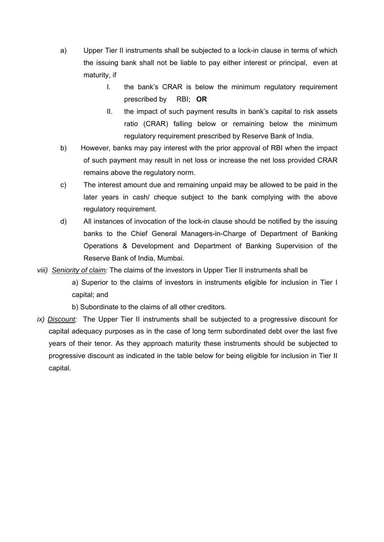- a) Upper Tier II instruments shall be subjected to a lock-in clause in terms of which the issuing bank shall not be liable to pay either interest or principal, even at maturity, if
	- I. the bank's CRAR is below the minimum regulatory requirement prescribed by RBI; **OR**
	- II. the impact of such payment results in bank's capital to risk assets ratio (CRAR) falling below or remaining below the minimum regulatory requirement prescribed by Reserve Bank of India.
- b) However, banks may pay interest with the prior approval of RBI when the impact of such payment may result in net loss or increase the net loss provided CRAR remains above the regulatory norm.
- c) The interest amount due and remaining unpaid may be allowed to be paid in the later years in cash/ cheque subject to the bank complying with the above regulatory requirement.
- d) All instances of invocation of the lock-in clause should be notified by the issuing banks to the Chief General Managers-in-Charge of Department of Banking Operations & Development and Department of Banking Supervision of the Reserve Bank of India, Mumbai.
- *viii) Seniority of claim:* The claims of the investors in Upper Tier II instruments shall be
	- a) Superior to the claims of investors in instruments eligible for inclusion in Tier I capital; and
	- b) Subordinate to the claims of all other creditors.
- *ix) Discount:*The Upper Tier II instruments shall be subjected to a progressive discount for capital adequacy purposes as in the case of long term subordinated debt over the last five years of their tenor. As they approach maturity these instruments should be subjected to progressive discount as indicated in the table below for being eligible for inclusion in Tier II capital.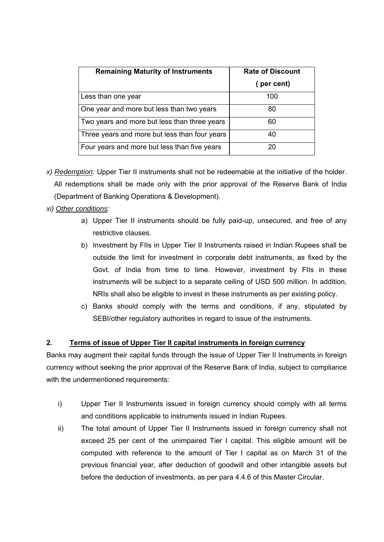| <b>Remaining Maturity of Instruments</b>      | <b>Rate of Discount</b> |
|-----------------------------------------------|-------------------------|
|                                               | (per cent)              |
| Less than one year                            | 100                     |
| One year and more but less than two years     | 80                      |
| Two years and more but less than three years  | 60                      |
| Three years and more but less than four years | 40                      |
| Four years and more but less than five years  | 20                      |

- *x) Redemption:* Upper Tier II instruments shall not be redeemable at the initiative of the holder. All redemptions shall be made only with the prior approval of the Reserve Bank of India (Department of Banking Operations & Development).
- *xi) Other conditions:* 
	- a) Upper Tier II instruments should be fully paid-up, unsecured, and free of any restrictive clauses.
	- b) Investment by FIIs in Upper Tier II Instruments raised in Indian Rupees shall be outside the limit for investment in corporate debt instruments, as fixed by the Govt. of India from time to time. However, investment by FIIs in these instruments will be subject to a separate ceiling of USD 500 million. In addition, NRIs shall also be eligible to invest in these instruments as per existing policy.
	- c) Banks should comply with the terms and conditions, if any, stipulated by SEBI/other regulatory authorities in regard to issue of the instruments.

# **2. Terms of issue of Upper Tier II capital instruments in foreign currency**

Banks may augment their capital funds through the issue of Upper Tier II Instruments in foreign currency without seeking the prior approval of the Reserve Bank of India, subject to compliance with the undermentioned requirements:

- i) Upper Tier II Instruments issued in foreign currency should comply with all terms and conditions applicable to instruments issued in Indian Rupees.
- ii) The total amount of Upper Tier II Instruments issued in foreign currency shall not exceed 25 per cent of the unimpaired Tier I capital. This eligible amount will be computed with reference to the amount of Tier I capital as on March 31 of the previous financial year, after deduction of goodwill and other intangible assets but before the deduction of investments, as per para 4.4.6 of this Master Circular.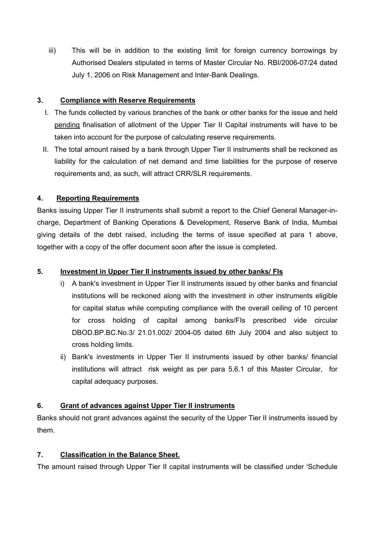iii) This will be in addition to the existing limit for foreign currency borrowings by Authorised Dealers stipulated in terms of Master Circular No. RBI/2006-07/24 dated July 1, 2006 on Risk Management and Inter-Bank Dealings.

# **3. Compliance with Reserve Requirements**

- I. The funds collected by various branches of the bank or other banks for the issue and held pending finalisation of allotment of the Upper Tier II Capital instruments will have to be taken into account for the purpose of calculating reserve requirements.
- II. The total amount raised by a bank through Upper Tier II instruments shall be reckoned as liability for the calculation of net demand and time liabilities for the purpose of reserve requirements and, as such, will attract CRR/SLR requirements.

# **4. Reporting Requirements**

Banks issuing Upper Tier II instruments shall submit a report to the Chief General Manager-incharge, Department of Banking Operations & Development, Reserve Bank of India, Mumbai giving details of the debt raised, including the terms of issue specified at para 1 above, together with a copy of the offer document soon after the issue is completed.

# **5. Investment in Upper Tier II instruments issued by other banks/ FIs**

- i) A bank's investment in Upper Tier II instruments issued by other banks and financial institutions will be reckoned along with the investment in other instruments eligible for capital status while computing compliance with the overall ceiling of 10 percent for cross holding of capital among banks/FIs prescribed vide circular DBOD.BP.BC.No.3/ 21.01.002/ 2004-05 dated 6th July 2004 and also subject to cross holding limits.
- ii) Bank's investments in Upper Tier II instruments issued by other banks/ financial institutions will attract risk weight as per para 5.6.1 of this Master Circular, for capital adequacy purposes.

# **6. Grant of advances against Upper Tier II instruments**

Banks should not grant advances against the security of the Upper Tier II instruments issued by them.

# **7. Classification in the Balance Sheet.**

The amount raised through Upper Tier II capital instruments will be classified under 'Schedule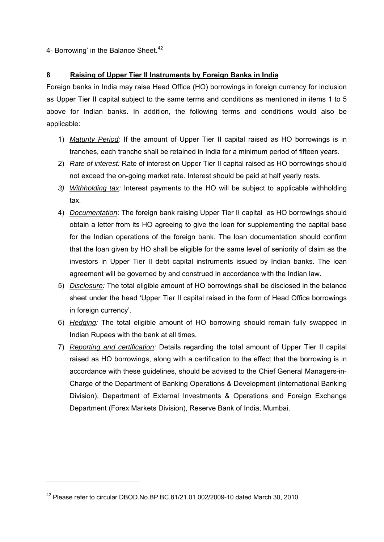4- Borrowing' in the Balance Sheet.<sup>[42](#page-149-0)</sup>

### **8 Raising of Upper Tier II Instruments by Foreign Banks in India**

Foreign banks in India may raise Head Office (HO) borrowings in foreign currency for inclusion as Upper Tier II capital subject to the same terms and conditions as mentioned in items 1 to 5 above for Indian banks. In addition, the following terms and conditions would also be applicable:

- 1) *Maturity Period:* If the amount of Upper Tier II capital raised as HO borrowings is in tranches, each tranche shall be retained in India for a minimum period of fifteen years.
- 2) *Rate of interest:* Rate of interest on Upper Tier II capital raised as HO borrowings should not exceed the on-going market rate. Interest should be paid at half yearly rests.
- *3) Withholding tax:* Interest payments to the HO will be subject to applicable withholding tax.
- 4) *Documentation*: The foreign bank raising Upper Tier II capital as HO borrowings should obtain a letter from its HO agreeing to give the loan for supplementing the capital base for the Indian operations of the foreign bank. The loan documentation should confirm that the loan given by HO shall be eligible for the same level of seniority of claim as the investors in Upper Tier II debt capital instruments issued by Indian banks. The loan agreement will be governed by and construed in accordance with the Indian law.
- 5) *Disclosure:* The total eligible amount of HO borrowings shall be disclosed in the balance sheet under the head 'Upper Tier II capital raised in the form of Head Office borrowings in foreign currency'.
- 6) *Hedging:* The total eligible amount of HO borrowing should remain fully swapped in Indian Rupees with the bank at all times.
- 7) *Reporting and certification:* Details regarding the total amount of Upper Tier II capital raised as HO borrowings, along with a certification to the effect that the borrowing is in accordance with these guidelines, should be advised to the Chief General Managers-in-Charge of the Department of Banking Operations & Development (International Banking Division), Department of External Investments & Operations and Foreign Exchange Department (Forex Markets Division), Reserve Bank of India, Mumbai.

 $\overline{a}$ 

<span id="page-149-0"></span><sup>42</sup> Please refer to circular DBOD.No.BP.BC.81/21.01.002/2009-10 dated March 30, 2010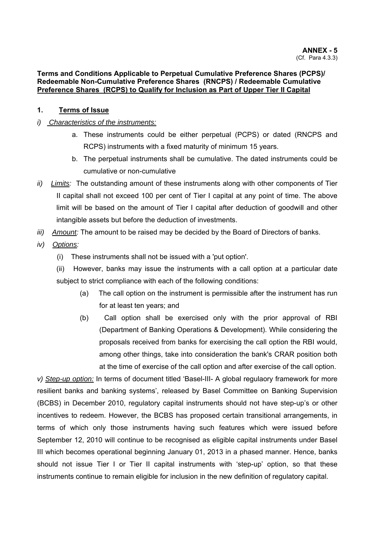### **Terms and Conditions Applicable to Perpetual Cumulative Preference Shares (PCPS)/ Redeemable Non-Cumulative Preference Shares (RNCPS) / Redeemable Cumulative Preference Shares (RCPS) to Qualify for Inclusion as Part of Upper Tier II Capital**

### **1. Terms of Issue**

### *i) Characteristics of the instruments:*

- a. These instruments could be either perpetual (PCPS) or dated (RNCPS and RCPS) instruments with a fixed maturity of minimum 15 years.
- b. The perpetual instruments shall be cumulative. The dated instruments could be cumulative or non-cumulative
- *ii) Limits:* The outstanding amount of these instruments along with other components of Tier II capital shall not exceed 100 per cent of Tier I capital at any point of time. The above limit will be based on the amount of Tier I capital after deduction of goodwill and other intangible assets but before the deduction of investments.
- *iii) Amount:* The amount to be raised may be decided by the Board of Directors of banks.
- *iv) Options:* 
	- (i) These instruments shall not be issued with a 'put option'.
	- (ii) However, banks may issue the instruments with a call option at a particular date subject to strict compliance with each of the following conditions:
		- (a) The call option on the instrument is permissible after the instrument has run for at least ten years; and
		- (b) Call option shall be exercised only with the prior approval of RBI (Department of Banking Operations & Development). While considering the proposals received from banks for exercising the call option the RBI would, among other things, take into consideration the bank's CRAR position both at the time of exercise of the call option and after exercise of the call option.

*v) Step-up option:* In terms of document titled 'Basel-III- A global regulaory framework for more resilient banks and banking systems', released by Basel Committee on Banking Supervision (BCBS) in December 2010, regulatory capital instruments should not have step-up's or other incentives to redeem. However, the BCBS has proposed certain transitional arrangements, in terms of which only those instruments having such features which were issued before September 12, 2010 will continue to be recognised as eligible capital instruments under Basel III which becomes operational beginning January 01, 2013 in a phased manner. Hence, banks should not issue Tier I or Tier II capital instruments with 'step-up' option, so that these instruments continue to remain eligible for inclusion in the new definition of regulatory capital.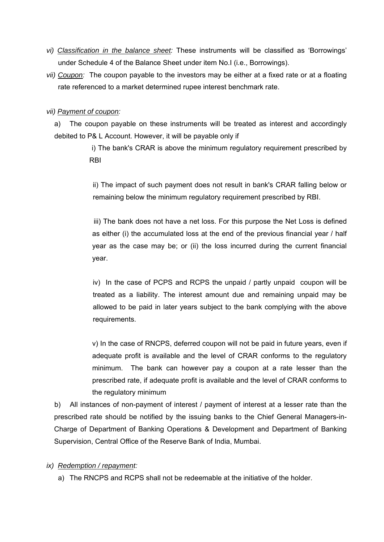- *vi) Classification in the balance sheet:* These instruments will be classified as 'Borrowings' under Schedule 4 of the Balance Sheet under item No.I (i.e., Borrowings).
- *vii) Coupon:* The coupon payable to the investors may be either at a fixed rate or at a floating rate referenced to a market determined rupee interest benchmark rate.

*vii) Payment of coupon:* 

a) The coupon payable on these instruments will be treated as interest and accordingly debited to P& L Account. However, it will be payable only if

> i) The bank's CRAR is above the minimum regulatory requirement prescribed by RBI

ii) The impact of such payment does not result in bank's CRAR falling below or remaining below the minimum regulatory requirement prescribed by RBI.

 iii) The bank does not have a net loss. For this purpose the Net Loss is defined as either (i) the accumulated loss at the end of the previous financial year / half year as the case may be; or (ii) the loss incurred during the current financial year.

iv) In the case of PCPS and RCPS the unpaid / partly unpaid coupon will be treated as a liability. The interest amount due and remaining unpaid may be allowed to be paid in later years subject to the bank complying with the above requirements.

v) In the case of RNCPS, deferred coupon will not be paid in future years, even if adequate profit is available and the level of CRAR conforms to the regulatory minimum. The bank can however pay a coupon at a rate lesser than the prescribed rate, if adequate profit is available and the level of CRAR conforms to the regulatory minimum

 b) All instances of non-payment of interest / payment of interest at a lesser rate than the prescribed rate should be notified by the issuing banks to the Chief General Managers-in-Charge of Department of Banking Operations & Development and Department of Banking Supervision, Central Office of the Reserve Bank of India, Mumbai.

### *ix) Redemption / repayment:*

a) The RNCPS and RCPS shall not be redeemable at the initiative of the holder.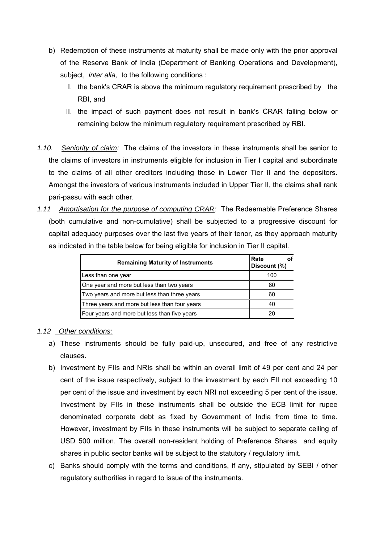- b) Redemption of these instruments at maturity shall be made only with the prior approval of the Reserve Bank of India (Department of Banking Operations and Development), subject, *inter alia,* to the following conditions :
	- I. the bank's CRAR is above the minimum regulatory requirement prescribed by the RBI, and
	- II. the impact of such payment does not result in bank's CRAR falling below or remaining below the minimum regulatory requirement prescribed by RBI.
- *1.10. Seniority of claim:* The claims of the investors in these instruments shall be senior to the claims of investors in instruments eligible for inclusion in Tier I capital and subordinate to the claims of all other creditors including those in Lower Tier II and the depositors. Amongst the investors of various instruments included in Upper Tier II, the claims shall rank pari-passu with each other.
- *1.11 Amortisation for the purpose of computing CRAR:* The Redeemable Preference Shares (both cumulative and non-cumulative) shall be subjected to a progressive discount for capital adequacy purposes over the last five years of their tenor, as they approach maturity as indicated in the table below for being eligible for inclusion in Tier II capital.

| <b>Remaining Maturity of Instruments</b>      | Rate<br>Discount (%) |
|-----------------------------------------------|----------------------|
| Less than one year                            | 100                  |
| One year and more but less than two years     | 80                   |
| Two years and more but less than three years  | 60                   |
| Three years and more but less than four years | 40                   |
| Four years and more but less than five years  |                      |

### *1.12 Other conditions:*

- a) These instruments should be fully paid-up, unsecured, and free of any restrictive clauses.
- b) Investment by FIIs and NRIs shall be within an overall limit of 49 per cent and 24 per cent of the issue respectively, subject to the investment by each FII not exceeding 10 per cent of the issue and investment by each NRI not exceeding 5 per cent of the issue. Investment by FIIs in these instruments shall be outside the ECB limit for rupee denominated corporate debt as fixed by Government of India from time to time. However, investment by FIIs in these instruments will be subject to separate ceiling of USD 500 million. The overall non-resident holding of Preference Shares and equity shares in public sector banks will be subject to the statutory / regulatory limit.
- c) Banks should comply with the terms and conditions, if any, stipulated by SEBI / other regulatory authorities in regard to issue of the instruments.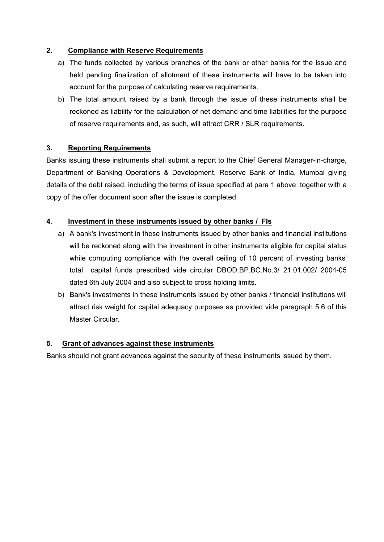# **2. Compliance with Reserve Requirements**

- a) The funds collected by various branches of the bank or other banks for the issue and held pending finalization of allotment of these instruments will have to be taken into account for the purpose of calculating reserve requirements.
- b) The total amount raised by a bank through the issue of these instruments shall be reckoned as liability for the calculation of net demand and time liabilities for the purpose of reserve requirements and, as such, will attract CRR / SLR requirements.

# **3. Reporting Requirements**

Banks issuing these instruments shall submit a report to the Chief General Manager-in-charge, Department of Banking Operations & Development, Reserve Bank of India, Mumbai giving details of the debt raised, including the terms of issue specified at para 1 above ,together with a copy of the offer document soon after the issue is completed.

# **4**. **Investment in these instruments issued by other banks / FIs**

- a) A bank's investment in these instruments issued by other banks and financial institutions will be reckoned along with the investment in other instruments eligible for capital status while computing compliance with the overall ceiling of 10 percent of investing banks' total capital funds prescribed vide circular DBOD.BP.BC.No.3/ 21.01.002/ 2004-05 dated 6th July 2004 and also subject to cross holding limits.
- b) Bank's investments in these instruments issued by other banks / financial institutions will attract risk weight for capital adequacy purposes as provided vide paragraph 5.6 of this Master Circular.

# **5**. **Grant of advances against these instruments**

Banks should not grant advances against the security of these instruments issued by them.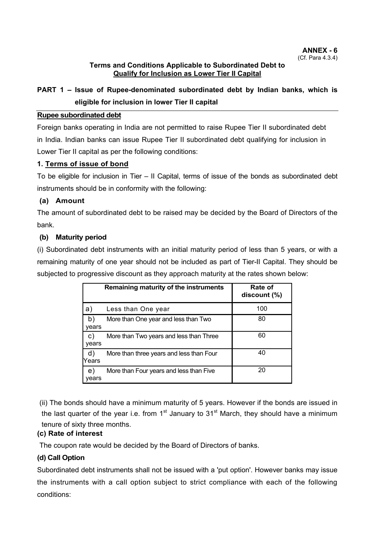### **Terms and Conditions Applicable to Subordinated Debt to Qualify for Inclusion as Lower Tier II Capital**

# **PART 1 – Issue of Rupee-denominated subordinated debt by Indian banks, which is eligible for inclusion in lower Tier II capital**

### **Rupee subordinated debt**

Foreign banks operating in India are not permitted to raise Rupee Tier II subordinated debt in India. Indian banks can issue Rupee Tier II subordinated debt qualifying for inclusion in Lower Tier II capital as per the following conditions:

### **1. Terms of issue of bond**

To be eligible for inclusion in Tier – II Capital, terms of issue of the bonds as subordinated debt instruments should be in conformity with the following:

### **(a) Amount**

The amount of subordinated debt to be raised may be decided by the Board of Directors of the bank.

### **(b) Maturity period**

(i) Subordinated debt instruments with an initial maturity period of less than 5 years, or with a remaining maturity of one year should not be included as part of Tier-II Capital. They should be subjected to progressive discount as they approach maturity at the rates shown below:

|             | Remaining maturity of the instruments    | Rate of<br>discount (%) |
|-------------|------------------------------------------|-------------------------|
| a)          | Less than One year                       | 100                     |
| b)<br>years | More than One year and less than Two     | 80                      |
| C)<br>years | More than Two years and less than Three  | 60                      |
| d)<br>Years | More than three years and less than Four | 40                      |
| e)<br>vears | More than Four years and less than Five  | 20                      |

(ii) The bonds should have a minimum maturity of 5 years. However if the bonds are issued in the last quarter of the year i.e. from  $1<sup>st</sup>$  January to  $31<sup>st</sup>$  March, they should have a minimum tenure of sixty three months.

### **(c) Rate of interest**

The coupon rate would be decided by the Board of Directors of banks.

# **(d) Call Option**

Subordinated debt instruments shall not be issued with a 'put option'. However banks may issue the instruments with a call option subject to strict compliance with each of the following conditions: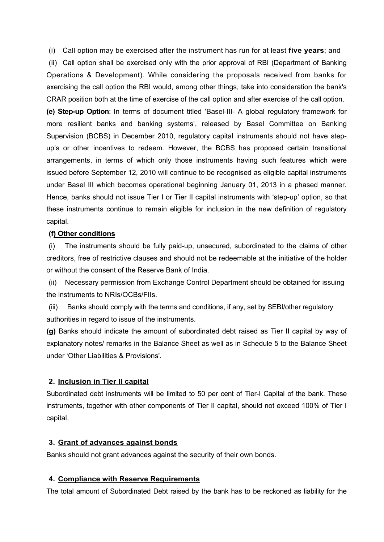(i) Call option may be exercised after the instrument has run for at least **five years**; and

(ii) Call option shall be exercised only with the prior approval of RBI (Department of Banking Operations & Development). While considering the proposals received from banks for exercising the call option the RBI would, among other things, take into consideration the bank's CRAR position both at the time of exercise of the call option and after exercise of the call option.

**(e) Step-up Option**: In terms of document titled 'Basel-III- A global regulatory framework for more resilient banks and banking systems', released by Basel Committee on Banking Supervision (BCBS) in December 2010, regulatory capital instruments should not have stepup's or other incentives to redeem. However, the BCBS has proposed certain transitional arrangements, in terms of which only those instruments having such features which were issued before September 12, 2010 will continue to be recognised as eligible capital instruments under Basel III which becomes operational beginning January 01, 2013 in a phased manner. Hence, banks should not issue Tier I or Tier II capital instruments with 'step-up' option, so that these instruments continue to remain eligible for inclusion in the new definition of regulatory capital.

#### **(f) Other conditions**

(i) The instruments should be fully paid-up, unsecured, subordinated to the claims of other creditors, free of restrictive clauses and should not be redeemable at the initiative of the holder or without the consent of the Reserve Bank of India.

(ii) Necessary permission from Exchange Control Department should be obtained for issuing the instruments to NRIs/OCBs/FIIs.

(iii) Banks should comply with the terms and conditions, if any, set by SEBI/other regulatory authorities in regard to issue of the instruments.

**(g)** Banks should indicate the amount of subordinated debt raised as Tier II capital by way of explanatory notes/ remarks in the Balance Sheet as well as in Schedule 5 to the Balance Sheet under 'Other Liabilities & Provisions'.

### **2. Inclusion in Tier II capital**

Subordinated debt instruments will be limited to 50 per cent of Tier-I Capital of the bank. These instruments, together with other components of Tier II capital, should not exceed 100% of Tier I capital.

#### **3. Grant of advances against bonds**

Banks should not grant advances against the security of their own bonds.

#### **4. Compliance with Reserve Requirements**

The total amount of Subordinated Debt raised by the bank has to be reckoned as liability for the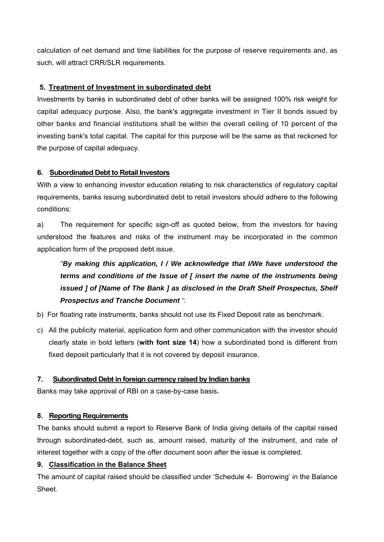calculation of net demand and time liabilities for the purpose of reserve requirements and, as such, will attract CRR/SLR requirements.

## **5. Treatment of Investment in subordinated debt**

Investments by banks in subordinated debt of other banks will be assigned 100% risk weight for capital adequacy purpose. Also, the bank's aggregate investment in Tier II bonds issued by other banks and financial institutions shall be within the overall ceiling of 10 percent of the investing bank's total capital. The capital for this purpose will be the same as that reckoned for the purpose of capital adequacy.

# **6. Subordinated Debt to Retail Investors**

With a view to enhancing investor education relating to risk characteristics of regulatory capital requirements, banks issuing subordinated debt to retail investors should adhere to the following conditions:

a) The requirement for specific sign-off as quoted below, from the investors for having understood the features and risks of the instrument may be incorporated in the common application form of the proposed debt issue.

*"By making this application, I / We acknowledge that I/We have understood the terms and conditions of the Issue of [ insert the name of the instruments being issued ] of [Name of The Bank ] as disclosed in the Draft Shelf Prospectus, Shelf Prospectus and Tranche Document ".* 

- b) For floating rate instruments, banks should not use its Fixed Deposit rate as benchmark.
- c) All the publicity material, application form and other communication with the investor should clearly state in bold letters (**with font size 14**) how a subordinated bond is different from fixed deposit particularly that it is not covered by deposit insurance.

### **7. Subordinated Debt in foreign currency raised by Indian banks**

Banks may take approval of RBI on a case-by-case basis**.** 

### **8. Reporting Requirements**

The banks should submit a report to Reserve Bank of India giving details of the capital raised through subordinated-debt, such as, amount raised, maturity of the instrument, and rate of interest together with a copy of the offer document soon after the issue is completed.

# **9. Classification in the Balance Sheet**

The amount of capital raised should be classified under 'Schedule 4- Borrowing' in the Balance Sheet.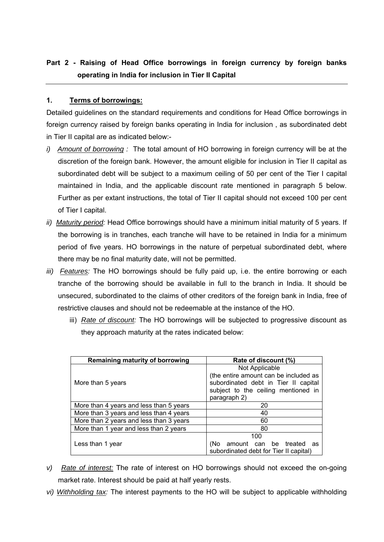# **Part 2 - Raising of Head Office borrowings in foreign currency by foreign banks operating in India for inclusion in Tier II Capital**

### **1. Terms of borrowings:**

Detailed guidelines on the standard requirements and conditions for Head Office borrowings in foreign currency raised by foreign banks operating in India for inclusion , as subordinated debt in Tier II capital are as indicated below:-

- *i) Amount of borrowing :* The total amount of HO borrowing in foreign currency will be at the discretion of the foreign bank. However, the amount eligible for inclusion in Tier II capital as subordinated debt will be subject to a maximum ceiling of 50 per cent of the Tier I capital maintained in India, and the applicable discount rate mentioned in paragraph 5 below. Further as per extant instructions, the total of Tier II capital should not exceed 100 per cent of Tier I capital.
- *ii) Maturity period:* Head Office borrowings should have a minimum initial maturity of 5 years. If the borrowing is in tranches, each tranche will have to be retained in India for a minimum period of five years. HO borrowings in the nature of perpetual subordinated debt, where there may be no final maturity date, will not be permitted.
- *iii) Features:* The HO borrowings should be fully paid up, i.e. the entire borrowing or each tranche of the borrowing should be available in full to the branch in India. It should be unsecured, subordinated to the claims of other creditors of the foreign bank in India, free of restrictive clauses and should not be redeemable at the instance of the HO.
	- iii) *Rate of discount:* The HO borrowings will be subjected to progressive discount as they approach maturity at the rates indicated below:

| Remaining maturity of borrowing         | Rate of discount (%)                                                                                                                 |  |  |
|-----------------------------------------|--------------------------------------------------------------------------------------------------------------------------------------|--|--|
|                                         | Not Applicable                                                                                                                       |  |  |
| More than 5 years                       | (the entire amount can be included as<br>subordinated debt in Tier II capital<br>subject to the ceiling mentioned in<br>paragraph 2) |  |  |
| More than 4 years and less than 5 years | 20                                                                                                                                   |  |  |
| More than 3 years and less than 4 years | 40                                                                                                                                   |  |  |
| More than 2 years and less than 3 years | 60                                                                                                                                   |  |  |
| More than 1 year and less than 2 years  | 80                                                                                                                                   |  |  |
|                                         | 100                                                                                                                                  |  |  |
| Less than 1 year                        | (No<br>amount can be treated<br>as<br>subordinated debt for Tier II capital)                                                         |  |  |

- *v) Rate of interest:* The rate of interest on HO borrowings should not exceed the on-going market rate. Interest should be paid at half yearly rests.
- *vi) Withholding tax:* The interest payments to the HO will be subject to applicable withholding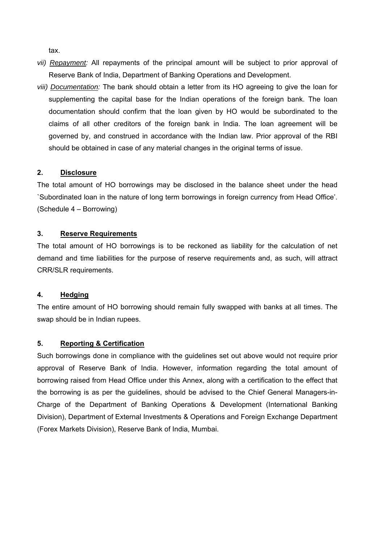tax.

- *vii) Repayment:* All repayments of the principal amount will be subject to prior approval of Reserve Bank of India, Department of Banking Operations and Development.
- *viii) Documentation:* The bank should obtain a letter from its HO agreeing to give the loan for supplementing the capital base for the Indian operations of the foreign bank. The loan documentation should confirm that the loan given by HO would be subordinated to the claims of all other creditors of the foreign bank in India. The loan agreement will be governed by, and construed in accordance with the Indian law. Prior approval of the RBI should be obtained in case of any material changes in the original terms of issue.

### **2. Disclosure**

The total amount of HO borrowings may be disclosed in the balance sheet under the head `Subordinated loan in the nature of long term borrowings in foreign currency from Head Office'. (Schedule 4 – Borrowing)

### **3. Reserve Requirements**

The total amount of HO borrowings is to be reckoned as liability for the calculation of net demand and time liabilities for the purpose of reserve requirements and, as such, will attract CRR/SLR requirements.

### **4. Hedging**

The entire amount of HO borrowing should remain fully swapped with banks at all times. The swap should be in Indian rupees.

### **5. Reporting & Certification**

Such borrowings done in compliance with the guidelines set out above would not require prior approval of Reserve Bank of India. However, information regarding the total amount of borrowing raised from Head Office under this Annex, along with a certification to the effect that the borrowing is as per the guidelines, should be advised to the Chief General Managers-in-Charge of the Department of Banking Operations & Development (International Banking Division), Department of External Investments & Operations and Foreign Exchange Department (Forex Markets Division), Reserve Bank of India, Mumbai.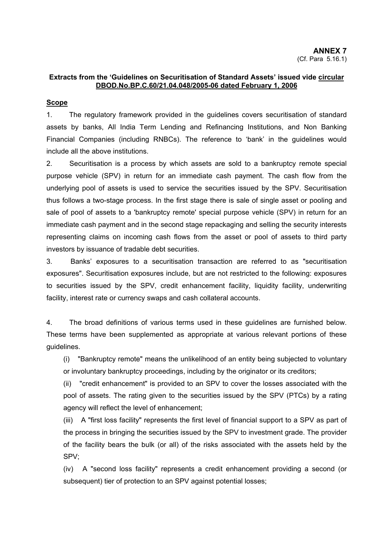### **Extracts from the 'Guidelines on Securitisation of Standard Assets' issued vide circular DBOD.No.BP.C.60/21.04.048/2005-06 dated February 1, 2006**

#### **Scope**

1. The regulatory framework provided in the guidelines covers securitisation of standard assets by banks, All India Term Lending and Refinancing Institutions, and Non Banking Financial Companies (including RNBCs). The reference to 'bank' in the guidelines would include all the above institutions.

2. Securitisation is a process by which assets are sold to a bankruptcy remote special purpose vehicle (SPV) in return for an immediate cash payment. The cash flow from the underlying pool of assets is used to service the securities issued by the SPV. Securitisation thus follows a two-stage process. In the first stage there is sale of single asset or pooling and sale of pool of assets to a 'bankruptcy remote' special purpose vehicle (SPV) in return for an immediate cash payment and in the second stage repackaging and selling the security interests representing claims on incoming cash flows from the asset or pool of assets to third party investors by issuance of tradable debt securities.

3. Banks' exposures to a securitisation transaction are referred to as "securitisation exposures". Securitisation exposures include, but are not restricted to the following: exposures to securities issued by the SPV, credit enhancement facility, liquidity facility, underwriting facility, interest rate or currency swaps and cash collateral accounts.

4. The broad definitions of various terms used in these guidelines are furnished below. These terms have been supplemented as appropriate at various relevant portions of these guidelines.

(i) "Bankruptcy remote" means the unlikelihood of an entity being subjected to voluntary or involuntary bankruptcy proceedings, including by the originator or its creditors;

(ii) "credit enhancement" is provided to an SPV to cover the losses associated with the pool of assets. The rating given to the securities issued by the SPV (PTCs) by a rating agency will reflect the level of enhancement;

(iii) A "first loss facility" represents the first level of financial support to a SPV as part of the process in bringing the securities issued by the SPV to investment grade. The provider of the facility bears the bulk (or all) of the risks associated with the assets held by the SPV;

(iv) A "second loss facility" represents a credit enhancement providing a second (or subsequent) tier of protection to an SPV against potential losses;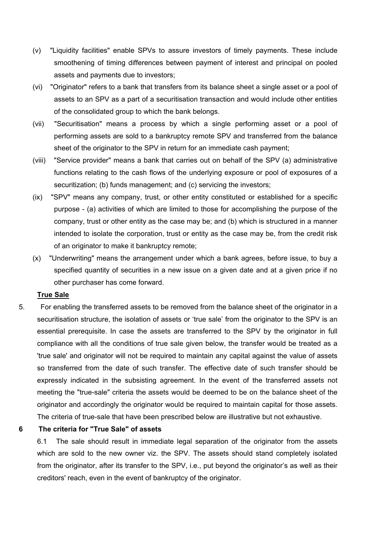- (v) "Liquidity facilities" enable SPVs to assure investors of timely payments. These include smoothening of timing differences between payment of interest and principal on pooled assets and payments due to investors;
- (vi) "Originator" refers to a bank that transfers from its balance sheet a single asset or a pool of assets to an SPV as a part of a securitisation transaction and would include other entities of the consolidated group to which the bank belongs.
- (vii) "Securitisation" means a process by which a single performing asset or a pool of performing assets are sold to a bankruptcy remote SPV and transferred from the balance sheet of the originator to the SPV in return for an immediate cash payment;
- (viii) "Service provider" means a bank that carries out on behalf of the SPV (a) administrative functions relating to the cash flows of the underlying exposure or pool of exposures of a securitization; (b) funds management; and (c) servicing the investors;
- (ix) "SPV" means any company, trust, or other entity constituted or established for a specific purpose - (a) activities of which are limited to those for accomplishing the purpose of the company, trust or other entity as the case may be; and (b) which is structured in a manner intended to isolate the corporation, trust or entity as the case may be, from the credit risk of an originator to make it bankruptcy remote;
- (x) "Underwriting" means the arrangement under which a bank agrees, before issue, to buy a specified quantity of securities in a new issue on a given date and at a given price if no other purchaser has come forward.

#### **True Sale**

5. For enabling the transferred assets to be removed from the balance sheet of the originator in a securitisation structure, the isolation of assets or 'true sale' from the originator to the SPV is an essential prerequisite. In case the assets are transferred to the SPV by the originator in full compliance with all the conditions of true sale given below, the transfer would be treated as a 'true sale' and originator will not be required to maintain any capital against the value of assets so transferred from the date of such transfer. The effective date of such transfer should be expressly indicated in the subsisting agreement. In the event of the transferred assets not meeting the "true-sale" criteria the assets would be deemed to be on the balance sheet of the originator and accordingly the originator would be required to maintain capital for those assets. The criteria of true-sale that have been prescribed below are illustrative but not exhaustive.

### **6 The criteria for "True Sale" of assets**

6.1 The sale should result in immediate legal separation of the originator from the assets which are sold to the new owner viz. the SPV. The assets should stand completely isolated from the originator, after its transfer to the SPV, i.e., put beyond the originator's as well as their creditors' reach, even in the event of bankruptcy of the originator.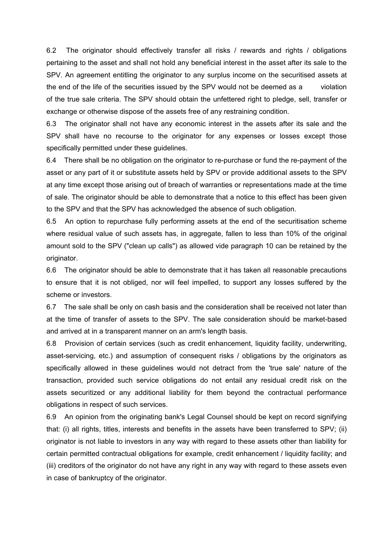6.2 The originator should effectively transfer all risks / rewards and rights / obligations pertaining to the asset and shall not hold any beneficial interest in the asset after its sale to the SPV. An agreement entitling the originator to any surplus income on the securitised assets at the end of the life of the securities issued by the SPV would not be deemed as a violation of the true sale criteria. The SPV should obtain the unfettered right to pledge, sell, transfer or exchange or otherwise dispose of the assets free of any restraining condition.

6.3 The originator shall not have any economic interest in the assets after its sale and the SPV shall have no recourse to the originator for any expenses or losses except those specifically permitted under these guidelines.

6.4 There shall be no obligation on the originator to re-purchase or fund the re-payment of the asset or any part of it or substitute assets held by SPV or provide additional assets to the SPV at any time except those arising out of breach of warranties or representations made at the time of sale. The originator should be able to demonstrate that a notice to this effect has been given to the SPV and that the SPV has acknowledged the absence of such obligation.

6.5 An option to repurchase fully performing assets at the end of the securitisation scheme where residual value of such assets has, in aggregate, fallen to less than 10% of the original amount sold to the SPV ("clean up calls") as allowed vide paragraph 10 can be retained by the originator.

6.6 The originator should be able to demonstrate that it has taken all reasonable precautions to ensure that it is not obliged, nor will feel impelled, to support any losses suffered by the scheme or investors.

6.7 The sale shall be only on cash basis and the consideration shall be received not later than at the time of transfer of assets to the SPV. The sale consideration should be market-based and arrived at in a transparent manner on an arm's length basis.

6.8 Provision of certain services (such as credit enhancement, liquidity facility, underwriting, asset-servicing, etc.) and assumption of consequent risks / obligations by the originators as specifically allowed in these guidelines would not detract from the 'true sale' nature of the transaction, provided such service obligations do not entail any residual credit risk on the assets securitized or any additional liability for them beyond the contractual performance obligations in respect of such services.

6.9 An opinion from the originating bank's Legal Counsel should be kept on record signifying that: (i) all rights, titles, interests and benefits in the assets have been transferred to SPV; (ii) originator is not liable to investors in any way with regard to these assets other than liability for certain permitted contractual obligations for example, credit enhancement / liquidity facility; and (iii) creditors of the originator do not have any right in any way with regard to these assets even in case of bankruptcy of the originator.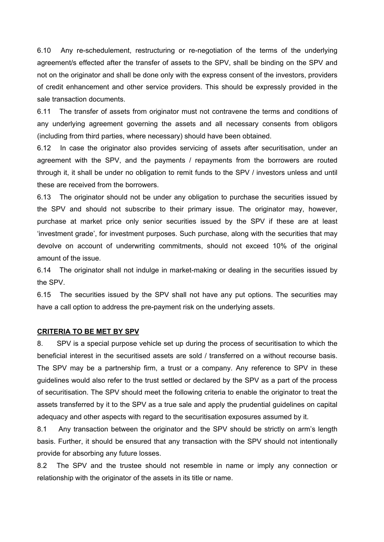6.10 Any re-schedulement, restructuring or re-negotiation of the terms of the underlying agreement/s effected after the transfer of assets to the SPV, shall be binding on the SPV and not on the originator and shall be done only with the express consent of the investors, providers of credit enhancement and other service providers. This should be expressly provided in the sale transaction documents.

6.11 The transfer of assets from originator must not contravene the terms and conditions of any underlying agreement governing the assets and all necessary consents from obligors (including from third parties, where necessary) should have been obtained.

6.12 In case the originator also provides servicing of assets after securitisation, under an agreement with the SPV, and the payments / repayments from the borrowers are routed through it, it shall be under no obligation to remit funds to the SPV / investors unless and until these are received from the borrowers.

6.13 The originator should not be under any obligation to purchase the securities issued by the SPV and should not subscribe to their primary issue. The originator may, however, purchase at market price only senior securities issued by the SPV if these are at least 'investment grade', for investment purposes. Such purchase, along with the securities that may devolve on account of underwriting commitments, should not exceed 10% of the original amount of the issue.

6.14 The originator shall not indulge in market-making or dealing in the securities issued by the SPV.

6.15 The securities issued by the SPV shall not have any put options. The securities may have a call option to address the pre-payment risk on the underlying assets.

#### **CRITERIA TO BE MET BY SPV**

8. SPV is a special purpose vehicle set up during the process of securitisation to which the beneficial interest in the securitised assets are sold / transferred on a without recourse basis. The SPV may be a partnership firm, a trust or a company. Any reference to SPV in these guidelines would also refer to the trust settled or declared by the SPV as a part of the process of securitisation. The SPV should meet the following criteria to enable the originator to treat the assets transferred by it to the SPV as a true sale and apply the prudential guidelines on capital adequacy and other aspects with regard to the securitisation exposures assumed by it.

8.1 Any transaction between the originator and the SPV should be strictly on arm's length basis. Further, it should be ensured that any transaction with the SPV should not intentionally provide for absorbing any future losses.

8.2 The SPV and the trustee should not resemble in name or imply any connection or relationship with the originator of the assets in its title or name.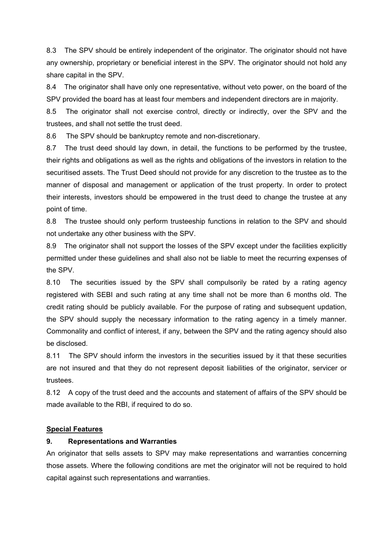8.3 The SPV should be entirely independent of the originator. The originator should not have any ownership, proprietary or beneficial interest in the SPV. The originator should not hold any share capital in the SPV.

8.4 The originator shall have only one representative, without veto power, on the board of the SPV provided the board has at least four members and independent directors are in majority.

8.5 The originator shall not exercise control, directly or indirectly, over the SPV and the trustees, and shall not settle the trust deed.

8.6 The SPV should be bankruptcy remote and non-discretionary.

8.7 The trust deed should lay down, in detail, the functions to be performed by the trustee, their rights and obligations as well as the rights and obligations of the investors in relation to the securitised assets. The Trust Deed should not provide for any discretion to the trustee as to the manner of disposal and management or application of the trust property. In order to protect their interests, investors should be empowered in the trust deed to change the trustee at any point of time.

8.8 The trustee should only perform trusteeship functions in relation to the SPV and should not undertake any other business with the SPV.

8.9 The originator shall not support the losses of the SPV except under the facilities explicitly permitted under these guidelines and shall also not be liable to meet the recurring expenses of the SPV.

8.10 The securities issued by the SPV shall compulsorily be rated by a rating agency registered with SEBI and such rating at any time shall not be more than 6 months old. The credit rating should be publicly available. For the purpose of rating and subsequent updation, the SPV should supply the necessary information to the rating agency in a timely manner. Commonality and conflict of interest, if any, between the SPV and the rating agency should also be disclosed.

8.11 The SPV should inform the investors in the securities issued by it that these securities are not insured and that they do not represent deposit liabilities of the originator, servicer or trustees.

8.12 A copy of the trust deed and the accounts and statement of affairs of the SPV should be made available to the RBI, if required to do so.

### **Special Features**

### **9. Representations and Warranties**

An originator that sells assets to SPV may make representations and warranties concerning those assets. Where the following conditions are met the originator will not be required to hold capital against such representations and warranties.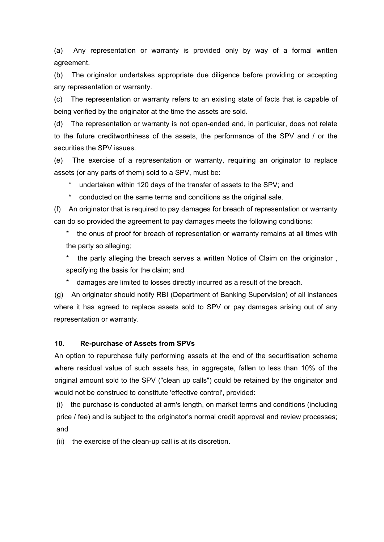(a) Any representation or warranty is provided only by way of a formal written agreement.

(b) The originator undertakes appropriate due diligence before providing or accepting any representation or warranty.

(c) The representation or warranty refers to an existing state of facts that is capable of being verified by the originator at the time the assets are sold.

(d) The representation or warranty is not open-ended and, in particular, does not relate to the future creditworthiness of the assets, the performance of the SPV and / or the securities the SPV issues.

(e) The exercise of a representation or warranty, requiring an originator to replace assets (or any parts of them) sold to a SPV, must be:

\* undertaken within 120 days of the transfer of assets to the SPV; and

\* conducted on the same terms and conditions as the original sale.

(f) An originator that is required to pay damages for breach of representation or warranty can do so provided the agreement to pay damages meets the following conditions:

the onus of proof for breach of representation or warranty remains at all times with the party so alleging;

the party alleging the breach serves a written Notice of Claim on the originator, specifying the basis for the claim; and

\* damages are limited to losses directly incurred as a result of the breach.

(g) An originator should notify RBI (Department of Banking Supervision) of all instances where it has agreed to replace assets sold to SPV or pay damages arising out of any representation or warranty.

#### **10. Re-purchase of Assets from SPVs**

An option to repurchase fully performing assets at the end of the securitisation scheme where residual value of such assets has, in aggregate, fallen to less than 10% of the original amount sold to the SPV ("clean up calls") could be retained by the originator and would not be construed to constitute 'effective control', provided:

(i) the purchase is conducted at arm's length, on market terms and conditions (including price / fee) and is subject to the originator's normal credit approval and review processes; and

(ii) the exercise of the clean-up call is at its discretion.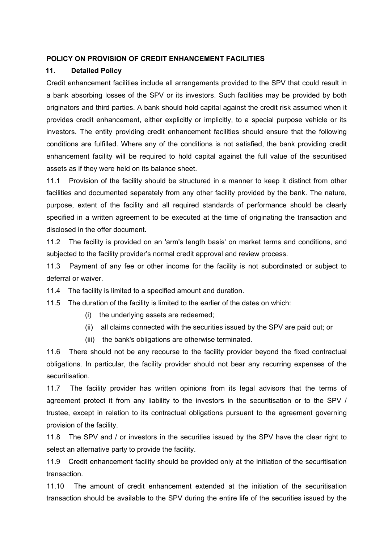#### **POLICY ON PROVISION OF CREDIT ENHANCEMENT FACILITIES**

#### **11. Detailed Policy**

Credit enhancement facilities include all arrangements provided to the SPV that could result in a bank absorbing losses of the SPV or its investors. Such facilities may be provided by both originators and third parties. A bank should hold capital against the credit risk assumed when it provides credit enhancement, either explicitly or implicitly, to a special purpose vehicle or its investors. The entity providing credit enhancement facilities should ensure that the following conditions are fulfilled. Where any of the conditions is not satisfied, the bank providing credit enhancement facility will be required to hold capital against the full value of the securitised assets as if they were held on its balance sheet.

11.1 Provision of the facility should be structured in a manner to keep it distinct from other facilities and documented separately from any other facility provided by the bank. The nature, purpose, extent of the facility and all required standards of performance should be clearly specified in a written agreement to be executed at the time of originating the transaction and disclosed in the offer document.

11.2 The facility is provided on an 'arm's length basis' on market terms and conditions, and subjected to the facility provider's normal credit approval and review process.

11.3 Payment of any fee or other income for the facility is not subordinated or subject to deferral or waiver.

11.4 The facility is limited to a specified amount and duration.

11.5 The duration of the facility is limited to the earlier of the dates on which:

- (i) the underlying assets are redeemed;
- (ii) all claims connected with the securities issued by the SPV are paid out; or
- (iii) the bank's obligations are otherwise terminated.

11.6 There should not be any recourse to the facility provider beyond the fixed contractual obligations. In particular, the facility provider should not bear any recurring expenses of the securitisation.

11.7 The facility provider has written opinions from its legal advisors that the terms of agreement protect it from any liability to the investors in the securitisation or to the SPV / trustee, except in relation to its contractual obligations pursuant to the agreement governing provision of the facility.

11.8 The SPV and / or investors in the securities issued by the SPV have the clear right to select an alternative party to provide the facility.

11.9 Credit enhancement facility should be provided only at the initiation of the securitisation transaction.

11.10 The amount of credit enhancement extended at the initiation of the securitisation transaction should be available to the SPV during the entire life of the securities issued by the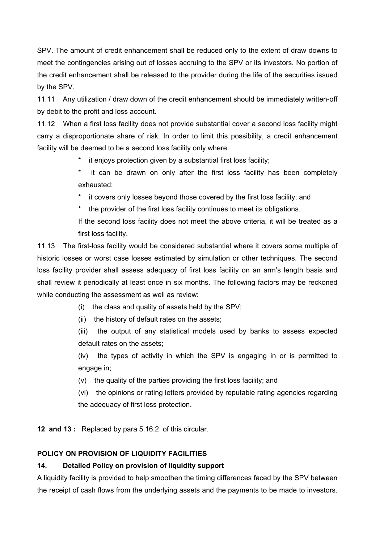SPV. The amount of credit enhancement shall be reduced only to the extent of draw downs to meet the contingencies arising out of losses accruing to the SPV or its investors. No portion of the credit enhancement shall be released to the provider during the life of the securities issued by the SPV.

11.11 Any utilization / draw down of the credit enhancement should be immediately written-off by debit to the profit and loss account.

11.12 When a first loss facility does not provide substantial cover a second loss facility might carry a disproportionate share of risk. In order to limit this possibility, a credit enhancement facility will be deemed to be a second loss facility only where:

\* it enjoys protection given by a substantial first loss facility;

\* it can be drawn on only after the first loss facility has been completely exhausted;

- \* it covers only losses beyond those covered by the first loss facility; and
- \* the provider of the first loss facility continues to meet its obligations.
- If the second loss facility does not meet the above criteria, it will be treated as a first loss facility.

11.13 The first-loss facility would be considered substantial where it covers some multiple of historic losses or worst case losses estimated by simulation or other techniques. The second loss facility provider shall assess adequacy of first loss facility on an arm's length basis and shall review it periodically at least once in six months. The following factors may be reckoned while conducting the assessment as well as review:

- (i) the class and quality of assets held by the SPV;
- (ii) the history of default rates on the assets;

(iii) the output of any statistical models used by banks to assess expected default rates on the assets;

(iv) the types of activity in which the SPV is engaging in or is permitted to engage in;

(v) the quality of the parties providing the first loss facility; and

(vi) the opinions or rating letters provided by reputable rating agencies regarding the adequacy of first loss protection.

**12 and 13 :** Replaced by para 5.16.2 of this circular.

### **POLICY ON PROVISION OF LIQUIDITY FACILITIES**

### **14. Detailed Policy on provision of liquidity support**

A liquidity facility is provided to help smoothen the timing differences faced by the SPV between the receipt of cash flows from the underlying assets and the payments to be made to investors.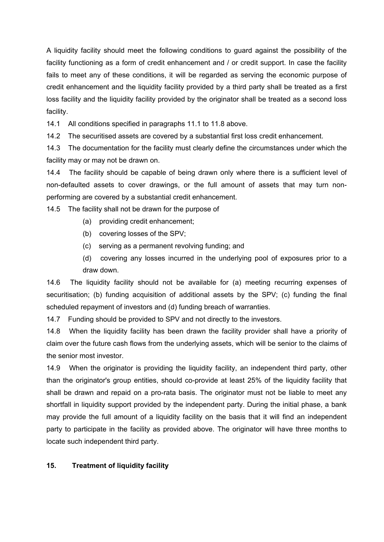A liquidity facility should meet the following conditions to guard against the possibility of the facility functioning as a form of credit enhancement and / or credit support. In case the facility fails to meet any of these conditions, it will be regarded as serving the economic purpose of credit enhancement and the liquidity facility provided by a third party shall be treated as a first loss facility and the liquidity facility provided by the originator shall be treated as a second loss facility.

14.1 All conditions specified in paragraphs 11.1 to 11.8 above.

14.2 The securitised assets are covered by a substantial first loss credit enhancement.

14.3 The documentation for the facility must clearly define the circumstances under which the facility may or may not be drawn on.

14.4 The facility should be capable of being drawn only where there is a sufficient level of non-defaulted assets to cover drawings, or the full amount of assets that may turn nonperforming are covered by a substantial credit enhancement.

14.5 The facility shall not be drawn for the purpose of

- (a) providing credit enhancement;
- (b) covering losses of the SPV;
- (c) serving as a permanent revolving funding; and
- (d) covering any losses incurred in the underlying pool of exposures prior to a draw down.

14.6 The liquidity facility should not be available for (a) meeting recurring expenses of securitisation; (b) funding acquisition of additional assets by the SPV; (c) funding the final scheduled repayment of investors and (d) funding breach of warranties.

14.7 Funding should be provided to SPV and not directly to the investors.

14.8 When the liquidity facility has been drawn the facility provider shall have a priority of claim over the future cash flows from the underlying assets, which will be senior to the claims of the senior most investor.

14.9 When the originator is providing the liquidity facility, an independent third party, other than the originator's group entities, should co-provide at least 25% of the liquidity facility that shall be drawn and repaid on a pro-rata basis. The originator must not be liable to meet any shortfall in liquidity support provided by the independent party. During the initial phase, a bank may provide the full amount of a liquidity facility on the basis that it will find an independent party to participate in the facility as provided above. The originator will have three months to locate such independent third party.

### **15. Treatment of liquidity facility**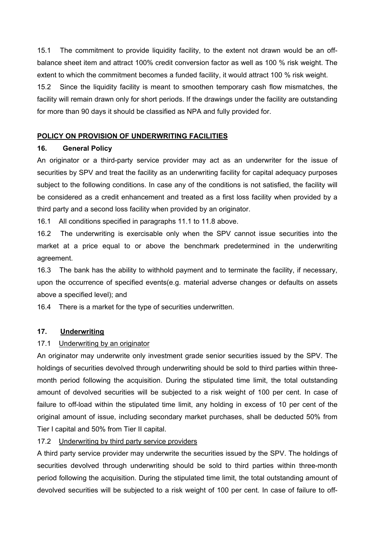15.1 The commitment to provide liquidity facility, to the extent not drawn would be an offbalance sheet item and attract 100% credit conversion factor as well as 100 % risk weight. The extent to which the commitment becomes a funded facility, it would attract 100 % risk weight.

15.2 Since the liquidity facility is meant to smoothen temporary cash flow mismatches, the facility will remain drawn only for short periods. If the drawings under the facility are outstanding for more than 90 days it should be classified as NPA and fully provided for.

#### **POLICY ON PROVISION OF UNDERWRITING FACILITIES**

#### **16. General Policy**

An originator or a third-party service provider may act as an underwriter for the issue of securities by SPV and treat the facility as an underwriting facility for capital adequacy purposes subject to the following conditions. In case any of the conditions is not satisfied, the facility will be considered as a credit enhancement and treated as a first loss facility when provided by a third party and a second loss facility when provided by an originator.

16.1 All conditions specified in paragraphs 11.1 to 11.8 above.

16.2 The underwriting is exercisable only when the SPV cannot issue securities into the market at a price equal to or above the benchmark predetermined in the underwriting agreement.

16.3 The bank has the ability to withhold payment and to terminate the facility, if necessary, upon the occurrence of specified events(e.g. material adverse changes or defaults on assets above a specified level); and

16.4 There is a market for the type of securities underwritten.

### **17. Underwriting**

#### 17.1 Underwriting by an originator

An originator may underwrite only investment grade senior securities issued by the SPV. The holdings of securities devolved through underwriting should be sold to third parties within threemonth period following the acquisition. During the stipulated time limit, the total outstanding amount of devolved securities will be subjected to a risk weight of 100 per cent. In case of failure to off-load within the stipulated time limit, any holding in excess of 10 per cent of the original amount of issue, including secondary market purchases, shall be deducted 50% from Tier I capital and 50% from Tier II capital.

### 17.2 Underwriting by third party service providers

A third party service provider may underwrite the securities issued by the SPV. The holdings of securities devolved through underwriting should be sold to third parties within three-month period following the acquisition. During the stipulated time limit, the total outstanding amount of devolved securities will be subjected to a risk weight of 100 per cent. In case of failure to off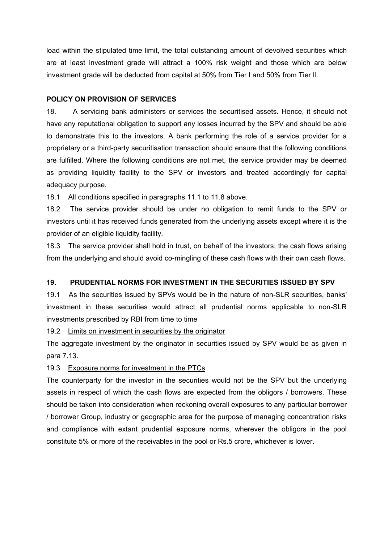load within the stipulated time limit, the total outstanding amount of devolved securities which are at least investment grade will attract a 100% risk weight and those which are below investment grade will be deducted from capital at 50% from Tier I and 50% from Tier II.

#### **POLICY ON PROVISION OF SERVICES**

18. A servicing bank administers or services the securitised assets. Hence, it should not have any reputational obligation to support any losses incurred by the SPV and should be able to demonstrate this to the investors. A bank performing the role of a service provider for a proprietary or a third-party securitisation transaction should ensure that the following conditions are fulfilled. Where the following conditions are not met, the service provider may be deemed as providing liquidity facility to the SPV or investors and treated accordingly for capital adequacy purpose.

18.1 All conditions specified in paragraphs 11.1 to 11.8 above.

18.2 The service provider should be under no obligation to remit funds to the SPV or investors until it has received funds generated from the underlying assets except where it is the provider of an eligible liquidity facility.

18.3 The service provider shall hold in trust, on behalf of the investors, the cash flows arising from the underlying and should avoid co-mingling of these cash flows with their own cash flows.

### **19. PRUDENTIAL NORMS FOR INVESTMENT IN THE SECURITIES ISSUED BY SPV**

19.1 As the securities issued by SPVs would be in the nature of non-SLR securities, banks' investment in these securities would attract all prudential norms applicable to non-SLR investments prescribed by RBI from time to time

19.2 Limits on investment in securities by the originator

The aggregate investment by the originator in securities issued by SPV would be as given in para 7.13.

#### 19.3 Exposure norms for investment in the PTCs

The counterparty for the investor in the securities would not be the SPV but the underlying assets in respect of which the cash flows are expected from the obligors / borrowers. These should be taken into consideration when reckoning overall exposures to any particular borrower / borrower Group, industry or geographic area for the purpose of managing concentration risks and compliance with extant prudential exposure norms, wherever the obligors in the pool constitute 5% or more of the receivables in the pool or Rs.5 crore, whichever is lower.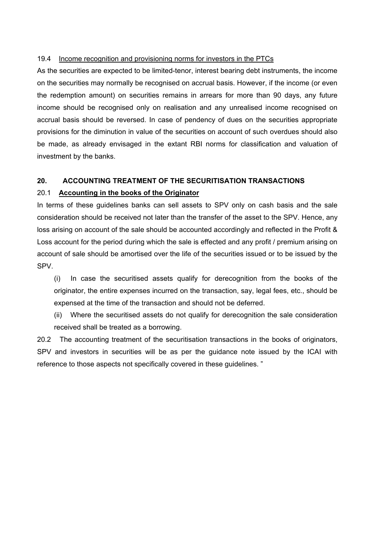### 19.4 Income recognition and provisioning norms for investors in the PTCs

As the securities are expected to be limited-tenor, interest bearing debt instruments, the income on the securities may normally be recognised on accrual basis. However, if the income (or even the redemption amount) on securities remains in arrears for more than 90 days, any future income should be recognised only on realisation and any unrealised income recognised on accrual basis should be reversed. In case of pendency of dues on the securities appropriate provisions for the diminution in value of the securities on account of such overdues should also be made, as already envisaged in the extant RBI norms for classification and valuation of investment by the banks.

### **20. ACCOUNTING TREATMENT OF THE SECURITISATION TRANSACTIONS**

# 20.1 **Accounting in the books of the Originator**

In terms of these guidelines banks can sell assets to SPV only on cash basis and the sale consideration should be received not later than the transfer of the asset to the SPV. Hence, any loss arising on account of the sale should be accounted accordingly and reflected in the Profit & Loss account for the period during which the sale is effected and any profit / premium arising on account of sale should be amortised over the life of the securities issued or to be issued by the SPV.

- (i) In case the securitised assets qualify for derecognition from the books of the originator, the entire expenses incurred on the transaction, say, legal fees, etc., should be expensed at the time of the transaction and should not be deferred.
- (ii) Where the securitised assets do not qualify for derecognition the sale consideration received shall be treated as a borrowing.

20.2 The accounting treatment of the securitisation transactions in the books of originators, SPV and investors in securities will be as per the guidance note issued by the ICAI with reference to those aspects not specifically covered in these guidelines. "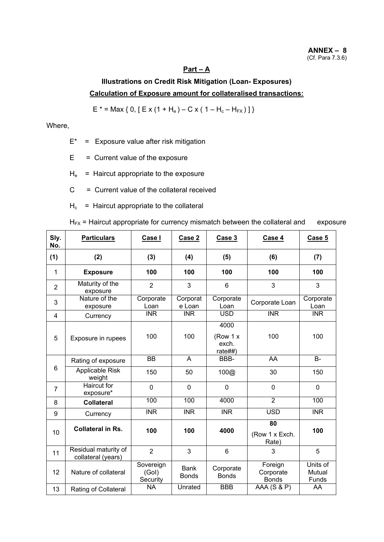#### **ANNEX – 8**  (Cf. Para 7.3.6)

### **Part – A**

# **Illustrations on Credit Risk Mitigation (Loan- Exposures) Calculation of Exposure amount for collateralised transactions:**

 $E^*$  = Max { 0, [ E x (1 + H<sub>e</sub>) – C x ( 1 – H<sub>c</sub> – H<sub>FX</sub>) ] }

Where,

 $E^*$  = Exposure value after risk mitigation

 $E =$  Current value of the exposure

 $H<sub>e</sub>$  = Haircut appropriate to the exposure

 $C =$  Current value of the collateral received

 $H_c$  = Haircut appropriate to the collateral

| $H_{FX}$ = Haircut appropriate for currency mismatch between the collateral and | exposure |
|---------------------------------------------------------------------------------|----------|
|---------------------------------------------------------------------------------|----------|

| Sly.<br>No.    | <b>Particulars</b>                         | Case I                         | Case 2                      | Case 3                               | Case 4                               | Case 5                      |
|----------------|--------------------------------------------|--------------------------------|-----------------------------|--------------------------------------|--------------------------------------|-----------------------------|
| (1)            | (2)                                        | (3)                            | (4)                         | (5)                                  | (6)                                  | (7)                         |
| 1              | <b>Exposure</b>                            | 100                            | 100                         | 100                                  | 100                                  | 100                         |
| $\overline{2}$ | Maturity of the<br>exposure                | $\overline{2}$                 | 3                           | 6                                    | 3                                    | 3                           |
| 3              | Nature of the<br>exposure                  | Corporate<br>Loan              | Corporat<br>e Loan          | Corporate<br>Loan                    | Corporate Loan                       | Corporate<br>Loan           |
| 4              | Currency                                   | <b>INR</b>                     | <b>INR</b>                  | <b>USD</b>                           | <b>INR</b>                           | <b>INR</b>                  |
| 5              | Exposure in rupees                         | 100                            | 100                         | 4000<br>(Row 1 x<br>exch.<br>rate##) | 100                                  | 100                         |
|                | Rating of exposure                         | <b>BB</b>                      | A                           | BBB-                                 | AA                                   | <b>B-</b>                   |
| 6              | Applicable Risk<br>weight                  | 150                            | 50                          | 100@                                 | 30                                   | 150                         |
| $\overline{7}$ | Haircut for<br>exposure*                   | $\overline{0}$                 | $\mathbf 0$                 | $\mathbf 0$                          | $\mathbf 0$                          | $\mathbf 0$                 |
| 8              | <b>Collateral</b>                          | 100                            | 100                         | 4000                                 | $\overline{2}$                       | 100                         |
| 9              | Currency                                   | <b>INR</b>                     | <b>INR</b>                  | <b>INR</b>                           | <b>USD</b>                           | <b>INR</b>                  |
| 10             | <b>Collateral in Rs.</b>                   | 100                            | 100                         | 4000                                 | 80<br>(Row 1 x Exch.<br>Rate)        | 100                         |
| 11             | Residual maturity of<br>collateral (years) | $\overline{2}$                 | 3                           | $6\phantom{1}6$                      | 3                                    | 5                           |
| 12             | Nature of collateral                       | Sovereign<br>(Gol)<br>Security | <b>Bank</b><br><b>Bonds</b> | Corporate<br><b>Bonds</b>            | Foreign<br>Corporate<br><b>Bonds</b> | Units of<br>Mutual<br>Funds |
| 13             | Rating of Collateral                       | <b>NA</b>                      | Unrated                     | <b>BBB</b>                           | AAA (S & P)                          | AA                          |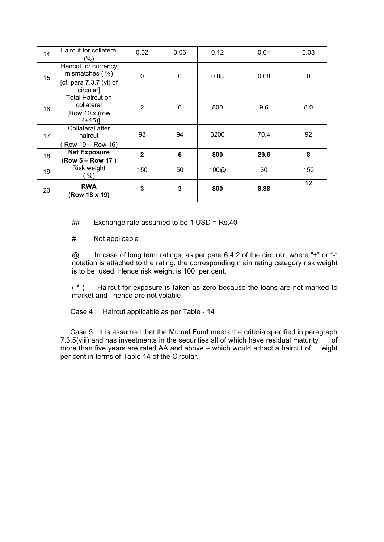| 14 | Haircut for collateral<br>(%)                                                    | 0.02           | 0.06           | 0.12 | 0.04 | 0.08 |
|----|----------------------------------------------------------------------------------|----------------|----------------|------|------|------|
| 15 | Haircut for currency<br>mismatches (%)<br>[cf. para $7.3.7$ (vi) of<br>circular] | $\mathbf 0$    | 0              | 0.08 | 0.08 | 0    |
| 16 | Total Haircut on<br>collateral<br>[Row 10 x (row<br>$14+15$ ]                    | $\overline{2}$ | 6              | 800  | 9.6  | 8.0  |
| 17 | Collateral after<br>haircut<br>Row 10 - Row 16)                                  | 98             | 94             | 3200 | 70.4 | 92   |
| 18 | <b>Net Exposure</b><br>(Row 5 – Row 17)                                          | $\overline{2}$ | $6\phantom{1}$ | 800  | 29.6 | 8    |
| 19 | Risk weight<br>$%$ )                                                             | 150            | 50             | 100@ | 30   | 150  |
| 20 | <b>RWA</b><br>(Row 18 x 19)                                                      | 3              | 3              | 800  | 8.88 | 12   |

## Exchange rate assumed to be 1 USD = Rs.40

# Not applicable

@ In case of long term ratings, as per para 6.4.2 of the circular, where "+" or "-" notation is attached to the rating, the corresponding main rating category risk weight is to be used. Hence risk weight is 100 per cent.

( \* ) Haircut for exposure is taken as zero because the loans are not marked to market and hence are not volatile

Case 4 : Haircut applicable as per Table - 14

 Case 5 : It is assumed that the Mutual Fund meets the criteria specified in paragraph 7.3.5(viii) and has investments in the securities all of which have residual maturity of more than five years are rated AA and above  $-$  which would attract a haircut of eight per cent in terms of Table 14 of the Circular.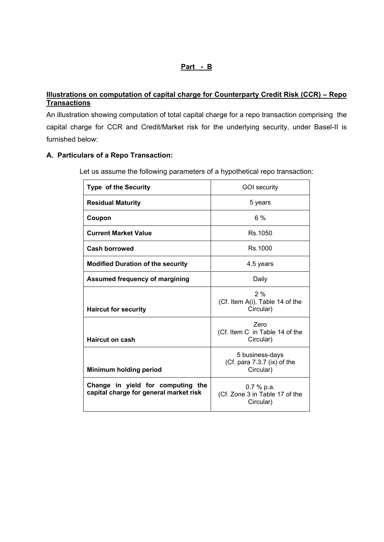### **Part - B**

### **Illustrations on computation of capital charge for Counterparty Credit Risk (CCR) – Repo Transactions**

An illustration showing computation of total capital charge for a repo transaction comprising the capital charge for CCR and Credit/Market risk for the underlying security, under Basel-II is furnished below:

### **A. Particulars of a Repo Transaction:**

Let us assume the following parameters of a hypothetical repo transaction:

| <b>Type of the Security</b>                                                 | <b>GOI</b> security                                           |
|-----------------------------------------------------------------------------|---------------------------------------------------------------|
| <b>Residual Maturity</b>                                                    | 5 years                                                       |
| Coupon                                                                      | $6\%$                                                         |
| <b>Current Market Value</b>                                                 | Rs. 1050                                                      |
| <b>Cash borrowed</b>                                                        | Rs.1000                                                       |
| <b>Modified Duration of the security</b>                                    | 4.5 years                                                     |
| <b>Assumed frequency of margining</b>                                       | Daily                                                         |
| <b>Haircut for security</b>                                                 | 2%<br>(Cf. Item A(i), Table 14 of the<br>Circular)            |
| <b>Haircut on cash</b>                                                      | Zero<br>(Cf. Item C in Table 14 of the<br>Circular)           |
| Minimum holding period                                                      | 5 business-days<br>(Cf. para $7.3.7$ (ix) of the<br>Circular) |
| Change in yield for computing the<br>capital charge for general market risk | 0.7 % p.a.<br>(Cf. Zone 3 in Table 17 of the<br>Circular)     |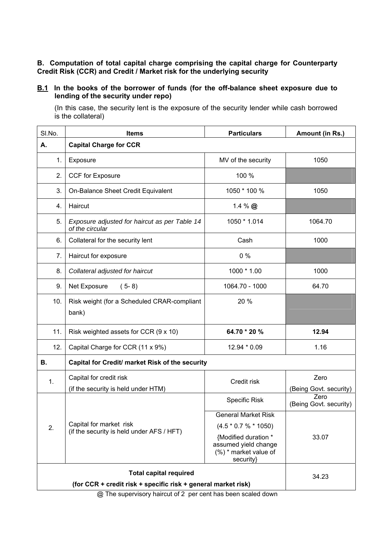**B. Computation of total capital charge comprising the capital charge for Counterparty Credit Risk (CCR) and Credit / Market risk for the underlying security** 

### **B.1 In the books of the borrower of funds (for the off-balance sheet exposure due to lending of the security under repo)**

(In this case, the security lent is the exposure of the security lender while cash borrowed is the collateral)

| SI.No.                                                       | <b>Items</b>                                                     | <b>Particulars</b>                                                                 | Amount (in Rs.)                |  |  |
|--------------------------------------------------------------|------------------------------------------------------------------|------------------------------------------------------------------------------------|--------------------------------|--|--|
| А.                                                           | <b>Capital Charge for CCR</b>                                    |                                                                                    |                                |  |  |
| 1.                                                           | Exposure                                                         | MV of the security                                                                 | 1050                           |  |  |
| 2.                                                           | <b>CCF</b> for Exposure                                          | 100 %                                                                              |                                |  |  |
| 3.                                                           | On-Balance Sheet Credit Equivalent                               | 1050 * 100 %                                                                       | 1050                           |  |  |
| 4.                                                           | Haircut                                                          | 1.4 % $@$                                                                          |                                |  |  |
| 5.                                                           | Exposure adjusted for haircut as per Table 14<br>of the circular | 1050 * 1.014                                                                       | 1064.70                        |  |  |
| 6.                                                           | Collateral for the security lent                                 | Cash                                                                               | 1000                           |  |  |
| 7.                                                           | Haircut for exposure                                             | $0\%$                                                                              |                                |  |  |
| 8.                                                           | Collateral adjusted for haircut                                  | 1000 * 1.00                                                                        | 1000                           |  |  |
| 9.                                                           | Net Exposure<br>$(5-8)$                                          | 1064.70 - 1000                                                                     | 64.70                          |  |  |
| 10.                                                          | Risk weight (for a Scheduled CRAR-compliant<br>bank)             | 20 %                                                                               |                                |  |  |
| 11.                                                          | Risk weighted assets for CCR (9 x 10)                            | 64.70 * 20 %                                                                       | 12.94                          |  |  |
| 12.                                                          | Capital Charge for CCR (11 x 9%)                                 | 12.94 * 0.09                                                                       | 1.16                           |  |  |
| В.                                                           | Capital for Credit/ market Risk of the security                  |                                                                                    |                                |  |  |
| 1.                                                           | Capital for credit risk<br>(if the security is held under HTM)   | Credit risk                                                                        | Zero<br>(Being Govt. security) |  |  |
|                                                              |                                                                  | <b>Specific Risk</b>                                                               | Zero<br>(Being Govt. security) |  |  |
|                                                              |                                                                  | <b>General Market Risk</b>                                                         |                                |  |  |
| 2.                                                           | Capital for market risk                                          | $(4.5 * 0.7 % * 1050)$                                                             |                                |  |  |
|                                                              | (if the security is held under AFS / HFT)                        | {Modified duration *<br>assumed yield change<br>(%) * market value of<br>security} | 33.07                          |  |  |
|                                                              | <b>Total capital required</b>                                    |                                                                                    | 34.23                          |  |  |
|                                                              | (for CCR + credit risk + specific risk + general market risk)    |                                                                                    |                                |  |  |
| @ The supervisory haircut of 2 per cent has been scaled down |                                                                  |                                                                                    |                                |  |  |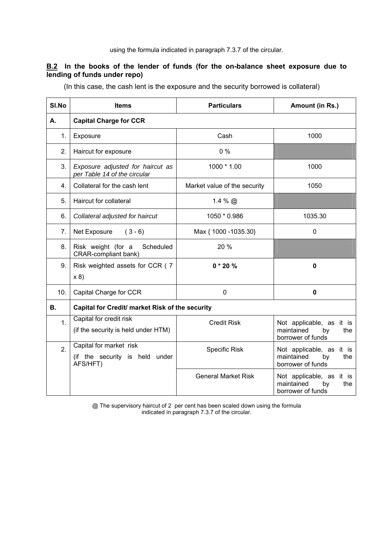using the formula indicated in paragraph 7.3.7 of the circular.

#### **B.2 In the books of the lender of funds (for the on-balance sheet exposure due to lending of funds under repo)**

(In this case, the cash lent is the exposure and the security borrowed is collateral)

| SI.No | <b>Particulars</b><br><b>Items</b>                                    |                              | Amount (in Rs.)                                                          |
|-------|-----------------------------------------------------------------------|------------------------------|--------------------------------------------------------------------------|
| А.    | <b>Capital Charge for CCR</b>                                         |                              |                                                                          |
| 1.    | Exposure                                                              | Cash                         | 1000                                                                     |
| 2.    | Haircut for exposure                                                  | $0\%$                        |                                                                          |
| 3.    | Exposure adjusted for haircut as<br>per Table 14 of the circular      | 1000 * 1.00                  | 1000                                                                     |
| 4.    | Collateral for the cash lent                                          | Market value of the security | 1050                                                                     |
| 5.    | Haircut for collateral                                                | $1.4 \% @$                   |                                                                          |
| 6.    | Collateral adjusted for haircut                                       | 1050 * 0.986                 | 1035.30                                                                  |
| 7.    | Net Exposure<br>$(3 - 6)$                                             | Max { 1000 -1035.30}         | $\mathbf 0$                                                              |
| 8.    | Risk weight (for a<br>Scheduled<br>CRAR-compliant bank)               | 20 %                         |                                                                          |
| 9.    | Risk weighted assets for CCR (7<br>x 8)                               | $0 * 20 \%$                  | $\mathbf 0$                                                              |
| 10.   | Capital Charge for CCR                                                | 0                            | $\mathbf 0$                                                              |
| В.    | Capital for Credit/ market Risk of the security                       |                              |                                                                          |
| 1.    | Capital for credit risk<br>(if the security is held under HTM)        | <b>Credit Risk</b>           | Not applicable, as it is<br>maintained<br>by<br>the<br>borrower of funds |
| 2.    | Capital for market risk<br>(if the security is held under<br>AFS/HFT) | <b>Specific Risk</b>         | Not applicable, as it is<br>maintained<br>the<br>by<br>borrower of funds |
|       |                                                                       | <b>General Market Risk</b>   | Not applicable, as it is<br>maintained<br>by<br>the<br>borrower of funds |

@ The supervisory haircut of 2 per cent has been scaled down using the formula indicated in paragraph 7.3.7 of the circular.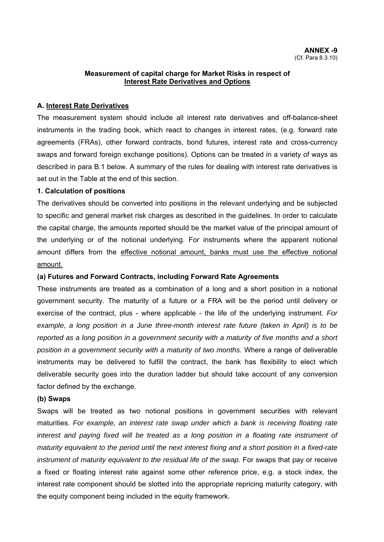### **Measurement of capital charge for Market Risks in respect of Interest Rate Derivatives and Options**

#### **A. Interest Rate Derivatives**

The measurement system should include all interest rate derivatives and off-balance-sheet instruments in the trading book, which react to changes in interest rates, (e.g. forward rate agreements (FRAs), other forward contracts, bond futures, interest rate and cross-currency swaps and forward foreign exchange positions). Options can be treated in a variety of ways as described in para B.1 below. A summary of the rules for dealing with interest rate derivatives is set out in the Table at the end of this section.

#### **1. Calculation of positions**

The derivatives should be converted into positions in the relevant underlying and be subjected to specific and general market risk charges as described in the guidelines. In order to calculate the capital charge, the amounts reported should be the market value of the principal amount of the underlying or of the notional underlying. For instruments where the apparent notional amount differs from the effective notional amount, banks must use the effective notional amount.

#### **(a) Futures and Forward Contracts, including Forward Rate Agreements**

These instruments are treated as a combination of a long and a short position in a notional government security. The maturity of a future or a FRA will be the period until delivery or exercise of the contract, plus - where applicable - the life of the underlying instrument. *For example, a long position in a June three-month interest rate future (taken in April) is to be reported as a long position in a government security with a maturity of five months and a short position in a government security with a maturity of two months.* Where a range of deliverable instruments may be delivered to fulfill the contract, the bank has flexibility to elect which deliverable security goes into the duration ladder but should take account of any conversion factor defined by the exchange.

#### **(b) Swaps**

Swaps will be treated as two notional positions in government securities with relevant maturities. *For example, an interest rate swap under which a bank is receiving floating rate interest and paying fixed will be treated as a long position in a floating rate instrument of maturity equivalent to the period until the next interest fixing and a short position in a fixed-rate instrument of maturity equivalent to the residual life of the swap.* For swaps that pay or receive a fixed or floating interest rate against some other reference price, e.g. a stock index, the interest rate component should be slotted into the appropriate repricing maturity category, with the equity component being included in the equity framework.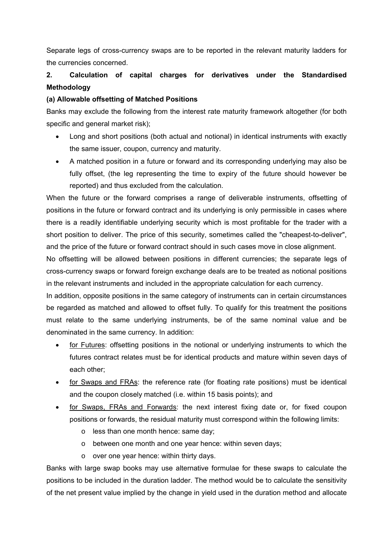Separate legs of cross-currency swaps are to be reported in the relevant maturity ladders for the currencies concerned.

# **2. Calculation of capital charges for derivatives under the Standardised Methodology**

### **(a) Allowable offsetting of Matched Positions**

Banks may exclude the following from the interest rate maturity framework altogether (for both specific and general market risk);

- Long and short positions (both actual and notional) in identical instruments with exactly the same issuer, coupon, currency and maturity.
- A matched position in a future or forward and its corresponding underlying may also be fully offset, (the leg representing the time to expiry of the future should however be reported) and thus excluded from the calculation.

When the future or the forward comprises a range of deliverable instruments, offsetting of positions in the future or forward contract and its underlying is only permissible in cases where there is a readily identifiable underlying security which is most profitable for the trader with a short position to deliver. The price of this security, sometimes called the "cheapest-to-deliver", and the price of the future or forward contract should in such cases move in close alignment.

No offsetting will be allowed between positions in different currencies; the separate legs of cross-currency swaps or forward foreign exchange deals are to be treated as notional positions in the relevant instruments and included in the appropriate calculation for each currency.

In addition, opposite positions in the same category of instruments can in certain circumstances be regarded as matched and allowed to offset fully. To qualify for this treatment the positions must relate to the same underlying instruments, be of the same nominal value and be denominated in the same currency. In addition:

- for Futures: offsetting positions in the notional or underlying instruments to which the futures contract relates must be for identical products and mature within seven days of each other;
- for Swaps and FRAs: the reference rate (for floating rate positions) must be identical and the coupon closely matched (i.e. within 15 basis points); and
- for Swaps, FRAs and Forwards: the next interest fixing date or, for fixed coupon positions or forwards, the residual maturity must correspond within the following limits:
	- o less than one month hence: same day;
	- o between one month and one year hence: within seven days;
	- o over one year hence: within thirty days.

Banks with large swap books may use alternative formulae for these swaps to calculate the positions to be included in the duration ladder. The method would be to calculate the sensitivity of the net present value implied by the change in yield used in the duration method and allocate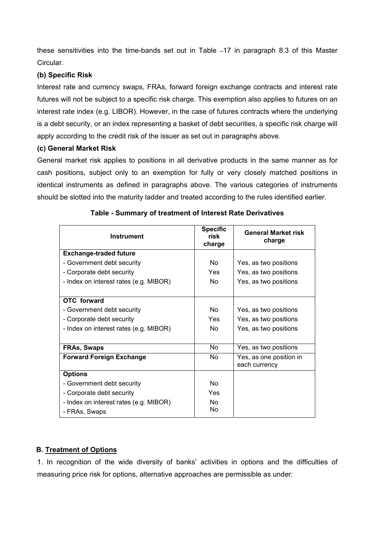these sensitivities into the time-bands set out in Table -17 in paragraph 8.3 of this Master Circular.

### **(b) Specific Risk**

Interest rate and currency swaps, FRAs, forward foreign exchange contracts and interest rate futures will not be subject to a specific risk charge. This exemption also applies to futures on an interest rate index (e.g. LIBOR). However, in the case of futures contracts where the underlying is a debt security, or an index representing a basket of debt securities, a specific risk charge will apply according to the credit risk of the issuer as set out in paragraphs above.

### **(c) General Market Risk**

General market risk applies to positions in all derivative products in the same manner as for cash positions, subject only to an exemption for fully or very closely matched positions in identical instruments as defined in paragraphs above. The various categories of instruments should be slotted into the maturity ladder and treated according to the rules identified earlier.

| <b>Instrument</b>                      | <b>Specific</b><br>risk<br>charge | <b>General Market risk</b><br>charge     |
|----------------------------------------|-----------------------------------|------------------------------------------|
| <b>Exchange-traded future</b>          |                                   |                                          |
| - Government debt security             | N <sub>0</sub>                    | Yes, as two positions                    |
| - Corporate debt security              | Yes                               | Yes, as two positions                    |
| - Index on interest rates (e.g. MIBOR) | No.                               | Yes, as two positions                    |
|                                        |                                   |                                          |
| OTC forward                            |                                   |                                          |
| - Government debt security             | No.                               | Yes, as two positions                    |
| - Corporate debt security              | Yes                               | Yes, as two positions                    |
| - Index on interest rates (e.g. MIBOR) | No.                               | Yes, as two positions                    |
|                                        |                                   |                                          |
| <b>FRAs, Swaps</b>                     | No.                               | Yes, as two positions                    |
| <b>Forward Foreign Exchange</b>        | No                                | Yes, as one position in<br>each currency |
| <b>Options</b>                         |                                   |                                          |
| - Government debt security             | N <sub>0</sub>                    |                                          |
| - Corporate debt security              | Yes                               |                                          |
| - Index on interest rates (e.g. MIBOR) | N <sub>0</sub>                    |                                          |
| - FRAs, Swaps                          | No                                |                                          |

### **Table - Summary of treatment of Interest Rate Derivatives**

### **B. Treatment of Options**

1. In recognition of the wide diversity of banks' activities in options and the difficulties of measuring price risk for options, alternative approaches are permissible as under: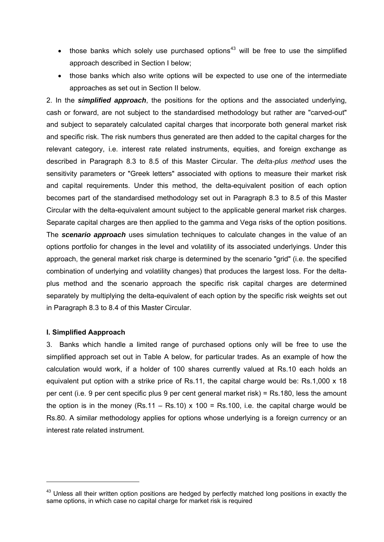- those banks which solely use purchased options<sup>[43](#page-179-0)</sup> will be free to use the simplified approach described in Section I below;
- those banks which also write options will be expected to use one of the intermediate approaches as set out in Section II below.

2. In the *simplified approach*, the positions for the options and the associated underlying, cash or forward, are not subject to the standardised methodology but rather are "carved-out" and subject to separately calculated capital charges that incorporate both general market risk and specific risk. The risk numbers thus generated are then added to the capital charges for the relevant category, i.e. interest rate related instruments, equities, and foreign exchange as described in Paragraph 8.3 to 8.5 of this Master Circular. The *delta-plus method* uses the sensitivity parameters or "Greek letters" associated with options to measure their market risk and capital requirements. Under this method, the delta-equivalent position of each option becomes part of the standardised methodology set out in Paragraph 8.3 to 8.5 of this Master Circular with the delta-equivalent amount subject to the applicable general market risk charges. Separate capital charges are then applied to the gamma and Vega risks of the option positions. The *scenario approach* uses simulation techniques to calculate changes in the value of an options portfolio for changes in the level and volatility of its associated underlyings. Under this approach, the general market risk charge is determined by the scenario "grid" (i.e. the specified combination of underlying and volatility changes) that produces the largest loss. For the deltaplus method and the scenario approach the specific risk capital charges are determined separately by multiplying the delta-equivalent of each option by the specific risk weights set out in Paragraph 8.3 to 8.4 of this Master Circular.

#### **I. Simplified Aapproach**

1

3. Banks which handle a limited range of purchased options only will be free to use the simplified approach set out in Table A below, for particular trades. As an example of how the calculation would work, if a holder of 100 shares currently valued at Rs.10 each holds an equivalent put option with a strike price of Rs.11, the capital charge would be: Rs.1,000 x 18 per cent (i.e. 9 per cent specific plus 9 per cent general market risk) = Rs.180, less the amount the option is in the money (Rs.11 – Rs.10) x 100 = Rs.100, i.e. the capital charge would be Rs.80. A similar methodology applies for options whose underlying is a foreign currency or an interest rate related instrument.

<span id="page-179-0"></span><sup>&</sup>lt;sup>43</sup> Unless all their written option positions are hedged by perfectly matched long positions in exactly the same options, in which case no capital charge for market risk is required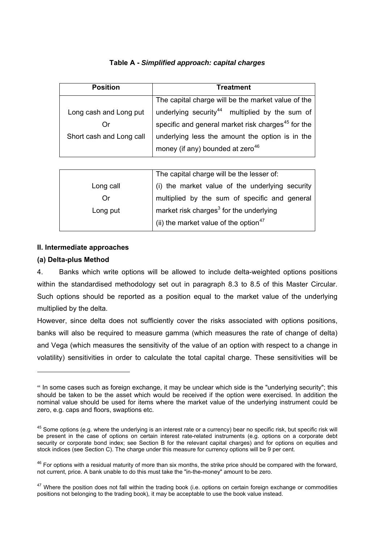### **Table A -** *Simplified approach: capital charges*

| <b>Position</b>          | Treatment                                                      |  |  |
|--------------------------|----------------------------------------------------------------|--|--|
|                          | The capital charge will be the market value of the             |  |  |
| Long cash and Long put   | underlying security <sup>44</sup> multiplied by the sum of     |  |  |
| ( )r                     | specific and general market risk charges <sup>45</sup> for the |  |  |
| Short cash and Long call | underlying less the amount the option is in the                |  |  |
|                          | money (if any) bounded at zero <sup>46</sup>                   |  |  |

|           | The capital charge will be the lesser of:         |
|-----------|---------------------------------------------------|
| Long call | (i) the market value of the underlying security   |
| Or        | multiplied by the sum of specific and general     |
| Long put  | market risk charges $3$ for the underlying        |
|           | (ii) the market value of the option <sup>47</sup> |
|           |                                                   |

#### **II. Intermediate approaches**

#### **(a) Delta-plus Method**

l

4. Banks which write options will be allowed to include delta-weighted options positions within the standardised methodology set out in paragraph 8.3 to 8.5 of this Master Circular. Such options should be reported as a position equal to the market value of the underlying multiplied by the delta.

However, since delta does not sufficiently cover the risks associated with options positions, banks will also be required to measure gamma (which measures the rate of change of delta) and Vega (which measures the sensitivity of the value of an option with respect to a change in volatility) sensitivities in order to calculate the total capital charge. These sensitivities will be

<span id="page-180-0"></span><sup>&</sup>lt;sup>44</sup> In some cases such as foreign exchange, it may be unclear which side is the "underlying security"; this should be taken to be the asset which would be received if the option were exercised. In addition the nominal value should be used for items where the market value of the underlying instrument could be zero, e.g. caps and floors, swaptions etc.

<span id="page-180-1"></span><sup>&</sup>lt;sup>45</sup> Some options (e.g. where the underlying is an interest rate or a currency) bear no specific risk, but specific risk will be present in the case of options on certain interest rate-related instruments (e.g. options on a corporate debt security or corporate bond index; see Section B for the relevant capital charges) and for options on equities and stock indices (see Section C). The charge under this measure for currency options will be 9 per cent.

<span id="page-180-2"></span> $46$  For options with a residual maturity of more than six months, the strike price should be compared with the forward, not current, price. A bank unable to do this must take the "in-the-money" amount to be zero.

<span id="page-180-3"></span><sup>&</sup>lt;sup>47</sup> Where the position does not fall within the trading book (i.e. options on certain foreign exchange or commodities positions not belonging to the trading book), it may be acceptable to use the book value instead.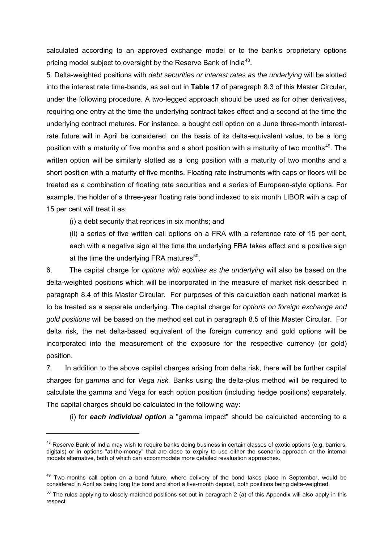calculated according to an approved exchange model or to the bank's proprietary options pricing model subject to oversight by the Reserve Bank of India<sup>[48](#page-181-0)</sup>.

5. Delta-weighted positions with *debt securities or interest rates as the underlying* will be slotted into the interest rate time-bands, as set out in **Table 17** of paragraph 8.3 of this Master Circular**,** under the following procedure. A two-legged approach should be used as for other derivatives, requiring one entry at the time the underlying contract takes effect and a second at the time the underlying contract matures. For instance, a bought call option on a June three-month interestrate future will in April be considered, on the basis of its delta-equivalent value, to be a long position with a maturity of five months and a short position with a maturity of two months<sup>[49](#page-181-1)</sup>. The written option will be similarly slotted as a long position with a maturity of two months and a short position with a maturity of five months. Floating rate instruments with caps or floors will be treated as a combination of floating rate securities and a series of European-style options. For example, the holder of a three-year floating rate bond indexed to six month LIBOR with a cap of 15 per cent will treat it as:

(i) a debt security that reprices in six months; and

1

(ii) a series of five written call options on a FRA with a reference rate of 15 per cent, each with a negative sign at the time the underlying FRA takes effect and a positive sign at the time the underlying FRA matures $50$ .

6. The capital charge for *options with equities as the underlying* will also be based on the delta-weighted positions which will be incorporated in the measure of market risk described in paragraph 8.4 of this Master Circular. For purposes of this calculation each national market is to be treated as a separate underlying. The capital charge for *options on foreign exchange and gold positions* will be based on the method set out in paragraph 8.5 of this Master Circular. For delta risk, the net delta-based equivalent of the foreign currency and gold options will be incorporated into the measurement of the exposure for the respective currency (or gold) position.

7. In addition to the above capital charges arising from delta risk, there will be further capital charges for *gamma* and for *Vega risk.* Banks using the delta-plus method will be required to calculate the gamma and Vega for each option position (including hedge positions) separately. The capital charges should be calculated in the following way:

(i) for *each individual option* a "gamma impact" should be calculated according to a

<span id="page-181-0"></span><sup>&</sup>lt;sup>48</sup> Reserve Bank of India may wish to require banks doing business in certain classes of exotic options (e.g. barriers, digitals) or in options "at-the-money" that are close to expiry to use either the scenario approach or the internal models alternative, both of which can accommodate more detailed revaluation approaches.

<span id="page-181-1"></span><sup>&</sup>lt;sup>49</sup> Two-months call option on a bond future, where delivery of the bond takes place in September, would be considered in April as being long the bond and short a five-month deposit, both positions being delta-weighted.

<span id="page-181-2"></span> $50$  The rules applying to closely-matched positions set out in paragraph 2 (a) of this Appendix will also apply in this respect.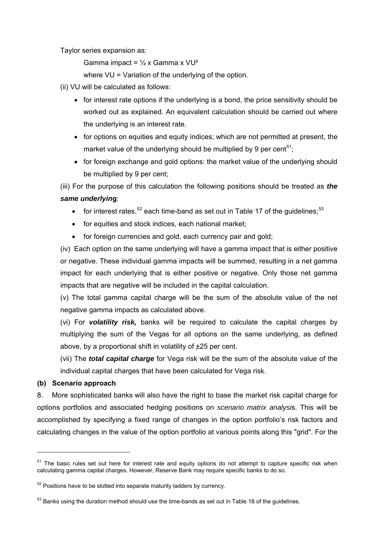Taylor series expansion as:

Gamma impact =  $\frac{1}{2}$  x Gamma x VU<sup>2</sup>

where VU = Variation of the underlying of the option.

- (ii) VU will be calculated as follows:
	- for interest rate options if the underlying is a bond, the price sensitivity should be worked out as explained. An equivalent calculation should be carried out where the underlying is an interest rate.
	- for options on equities and equity indices; which are not permitted at present, the market value of the underlying should be multiplied by 9 per cent<sup>[5](#page-182-0)1</sup>;
	- for foreign exchange and gold options: the market value of the underlying should be multiplied by 9 per cent;

(iii) For the purpose of this calculation the following positions should be treated as *the same underlyin***g**:

- for interest rates,  $52$  each time-band as set out in Table 17 of the guidelines;  $53$  $53$
- for equities and stock indices, each national market;
- for foreign currencies and gold, each currency pair and gold;

(iv) Each option on the same underlying will have a gamma impact that is either positive or negative. These individual gamma impacts will be summed, resulting in a net gamma impact for each underlying that is either positive or negative. Only those net gamma impacts that are negative will be included in the capital calculation.

(v) The total gamma capital charge will be the sum of the absolute value of the net negative gamma impacts as calculated above.

(vi) For *volatility risk,* banks will be required to calculate the capital charges by multiplying the sum of the Vegas for all options on the same underlying, as defined above, by a proportional shift in volatility of ±25 per cent.

(vii) The *total capital charge* for Vega risk will be the sum of the absolute value of the individual capital charges that have been calculated for Vega risk.

# **(b) Scenario approach**

l

8. More sophisticated banks will also have the right to base the market risk capital charge for options portfolios and associated hedging positions on *scenario matrix analysi*s. This will be accomplished by specifying a fixed range of changes in the option portfolio's risk factors and calculating changes in the value of the option portfolio at various points along this "grid". For the

<span id="page-182-0"></span><sup>&</sup>lt;sup>51</sup> The basic rules set out here for interest rate and equity options do not attempt to capture specific risk when calculating gamma capital charges. However, Reserve Bank may require specific banks to do so.

<span id="page-182-1"></span> $52$  Positions have to be slotted into separate maturity ladders by currency.

<span id="page-182-2"></span> $53$  Banks using the duration method should use the time-bands as set out in Table 18 of the guidelines.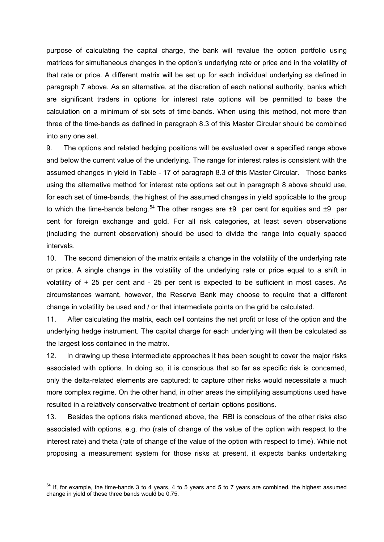purpose of calculating the capital charge, the bank will revalue the option portfolio using matrices for simultaneous changes in the option's underlying rate or price and in the volatility of that rate or price. A different matrix will be set up for each individual underlying as defined in paragraph 7 above. As an alternative, at the discretion of each national authority, banks which are significant traders in options for interest rate options will be permitted to base the calculation on a minimum of six sets of time-bands. When using this method, not more than three of the time-bands as defined in paragraph 8.3 of this Master Circular should be combined into any one set.

9. The options and related hedging positions will be evaluated over a specified range above and below the current value of the underlying. The range for interest rates is consistent with the assumed changes in yield in Table - 17 of paragraph 8.3 of this Master Circular. Those banks using the alternative method for interest rate options set out in paragraph 8 above should use, for each set of time-bands, the highest of the assumed changes in yield applicable to the group to which the time-bands belong.<sup>[5](#page-183-0)4</sup> The other ranges are  $\pm 9$  per cent for equities and  $\pm 9$  per cent for foreign exchange and gold. For all risk categories, at least seven observations (including the current observation) should be used to divide the range into equally spaced intervals.

10. The second dimension of the matrix entails a change in the volatility of the underlying rate or price. A single change in the volatility of the underlying rate or price equal to a shift in volatility of + 25 per cent and - 25 per cent is expected to be sufficient in most cases. As circumstances warrant, however, the Reserve Bank may choose to require that a different change in volatility be used and / or that intermediate points on the grid be calculated.

11. After calculating the matrix, each cell contains the net profit or loss of the option and the underlying hedge instrument. The capital charge for each underlying will then be calculated as the largest loss contained in the matrix.

12. In drawing up these intermediate approaches it has been sought to cover the major risks associated with options. In doing so, it is conscious that so far as specific risk is concerned, only the delta-related elements are captured; to capture other risks would necessitate a much more complex regime. On the other hand, in other areas the simplifying assumptions used have resulted in a relatively conservative treatment of certain options positions.

13. Besides the options risks mentioned above, the RBI is conscious of the other risks also associated with options, e.g. rho (rate of change of the value of the option with respect to the interest rate) and theta (rate of change of the value of the option with respect to time). While not proposing a measurement system for those risks at present, it expects banks undertaking

1

<span id="page-183-0"></span><sup>&</sup>lt;sup>54</sup> If, for example, the time-bands 3 to 4 years, 4 to 5 years and 5 to 7 years are combined, the highest assumed change in yield of these three bands would be 0.75.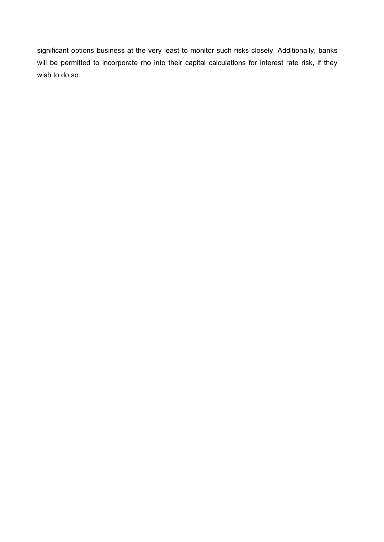significant options business at the very least to monitor such risks closely. Additionally, banks will be permitted to incorporate rho into their capital calculations for interest rate risk, if they wish to do so.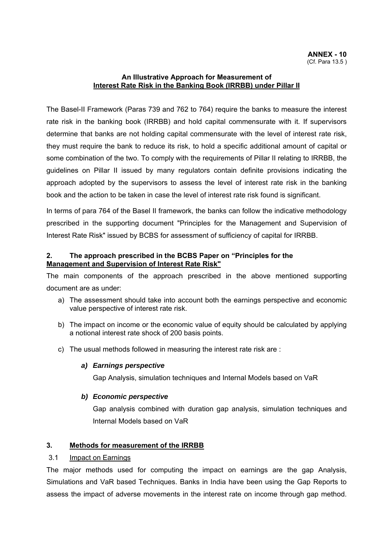#### **An Illustrative Approach for Measurement of Interest Rate Risk in the Banking Book (IRRBB) under Pillar II**

The Basel-II Framework (Paras 739 and 762 to 764) require the banks to measure the interest rate risk in the banking book (IRRBB) and hold capital commensurate with it. If supervisors determine that banks are not holding capital commensurate with the level of interest rate risk, they must require the bank to reduce its risk, to hold a specific additional amount of capital or some combination of the two. To comply with the requirements of Pillar II relating to IRRBB, the guidelines on Pillar II issued by many regulators contain definite provisions indicating the approach adopted by the supervisors to assess the level of interest rate risk in the banking book and the action to be taken in case the level of interest rate risk found is significant.

In terms of para 764 of the Basel II framework, the banks can follow the indicative methodology prescribed in the supporting document "Principles for the Management and Supervision of Interest Rate Risk" issued by BCBS for assessment of sufficiency of capital for IRRBB.

#### **2. The approach prescribed in the BCBS Paper on "Principles for the Management and Supervision of Interest Rate Risk"**

The main components of the approach prescribed in the above mentioned supporting document are as under:

- a) The assessment should take into account both the earnings perspective and economic value perspective of interest rate risk.
- b) The impact on income or the economic value of equity should be calculated by applying a notional interest rate shock of 200 basis points.
- c) The usual methods followed in measuring the interest rate risk are :

#### *a) Earnings perspective*

Gap Analysis, simulation techniques and Internal Models based on VaR

#### *b) Economic perspective*

Gap analysis combined with duration gap analysis, simulation techniques and Internal Models based on VaR

# **3. Methods for measurement of the IRRBB**

# 3.1 Impact on Earnings

The major methods used for computing the impact on earnings are the gap Analysis, Simulations and VaR based Techniques. Banks in India have been using the Gap Reports to assess the impact of adverse movements in the interest rate on income through gap method.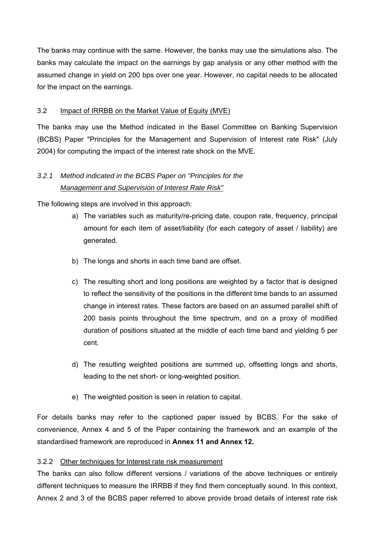The banks may continue with the same. However, the banks may use the simulations also. The banks may calculate the impact on the earnings by gap analysis or any other method with the assumed change in yield on 200 bps over one year. However, no capital needs to be allocated for the impact on the earnings.

### 3.2 Impact of IRRBB on the Market Value of Equity (MVE)

The banks may use the Method indicated in the Basel Committee on Banking Supervision (BCBS) Paper "Principles for the Management and Supervision of Interest rate Risk" (July 2004) for computing the impact of the interest rate shock on the MVE.

# *3.2.1 Method indicated in the BCBS Paper on "Principles for the Management and Supervision of Interest Rate Risk"*

The following steps are involved in this approach:

- a) The variables such as maturity/re-pricing date, coupon rate, frequency, principal amount for each item of asset/liability (for each category of asset / liability) are generated.
- b) The longs and shorts in each time band are offset.
- c) The resulting short and long positions are weighted by a factor that is designed to reflect the sensitivity of the positions in the different time bands to an assumed change in interest rates. These factors are based on an assumed parallel shift of 200 basis points throughout the time spectrum, and on a proxy of modified duration of positions situated at the middle of each time band and yielding 5 per cent.
- d) The resulting weighted positions are summed up, offsetting longs and shorts, leading to the net short- or long-weighted position.
- e) The weighted position is seen in relation to capital.

For details banks may refer to the captioned paper issued by BCBS. For the sake of convenience, Annex 4 and 5 of the Paper containing the framework and an example of the standardised framework are reproduced in **Annex 11 and Annex 12.**

# 3.2.2 Other techniques for Interest rate risk measurement

The banks can also follow different versions / variations of the above techniques or entirely different techniques to measure the IRRBB if they find them conceptually sound. In this context, Annex 2 and 3 of the BCBS paper referred to above provide broad details of interest rate risk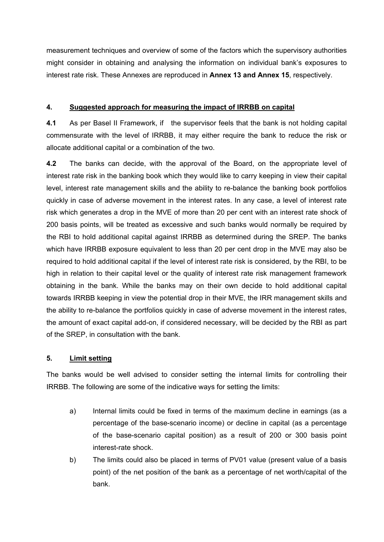measurement techniques and overview of some of the factors which the supervisory authorities might consider in obtaining and analysing the information on individual bank's exposures to interest rate risk. These Annexes are reproduced in **Annex 13 and Annex 15**, respectively.

### **4. Suggested approach for measuring the impact of IRRBB on capital**

**4.1** As per Basel II Framework, if the supervisor feels that the bank is not holding capital commensurate with the level of IRRBB, it may either require the bank to reduce the risk or allocate additional capital or a combination of the two.

**4.2** The banks can decide, with the approval of the Board, on the appropriate level of interest rate risk in the banking book which they would like to carry keeping in view their capital level, interest rate management skills and the ability to re-balance the banking book portfolios quickly in case of adverse movement in the interest rates. In any case, a level of interest rate risk which generates a drop in the MVE of more than 20 per cent with an interest rate shock of 200 basis points, will be treated as excessive and such banks would normally be required by the RBI to hold additional capital against IRRBB as determined during the SREP. The banks which have IRRBB exposure equivalent to less than 20 per cent drop in the MVE may also be required to hold additional capital if the level of interest rate risk is considered, by the RBI, to be high in relation to their capital level or the quality of interest rate risk management framework obtaining in the bank. While the banks may on their own decide to hold additional capital towards IRRBB keeping in view the potential drop in their MVE, the IRR management skills and the ability to re-balance the portfolios quickly in case of adverse movement in the interest rates, the amount of exact capital add-on, if considered necessary, will be decided by the RBI as part of the SREP, in consultation with the bank.

# **5. Limit setting**

The banks would be well advised to consider setting the internal limits for controlling their IRRBB. The following are some of the indicative ways for setting the limits:

- a) Internal limits could be fixed in terms of the maximum decline in earnings (as a percentage of the base-scenario income) or decline in capital (as a percentage of the base-scenario capital position) as a result of 200 or 300 basis point interest-rate shock.
- b) The limits could also be placed in terms of PV01 value (present value of a basis point) of the net position of the bank as a percentage of net worth/capital of the bank.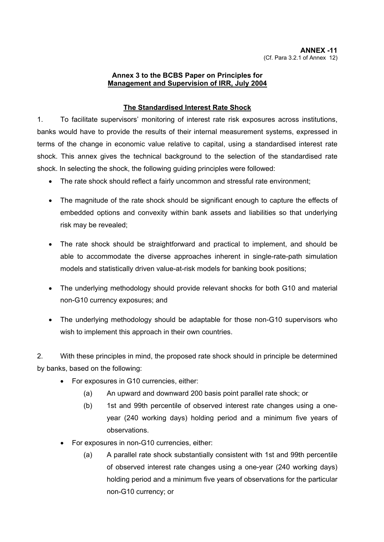### **Annex 3 to the BCBS Paper on Principles for Management and Supervision of IRR, July 2004**

# **The Standardised Interest Rate Shock**

1. To facilitate supervisors' monitoring of interest rate risk exposures across institutions, banks would have to provide the results of their internal measurement systems, expressed in terms of the change in economic value relative to capital, using a standardised interest rate shock. This annex gives the technical background to the selection of the standardised rate shock. In selecting the shock, the following guiding principles were followed:

- The rate shock should reflect a fairly uncommon and stressful rate environment;
- The magnitude of the rate shock should be significant enough to capture the effects of embedded options and convexity within bank assets and liabilities so that underlying risk may be revealed;
- The rate shock should be straightforward and practical to implement, and should be able to accommodate the diverse approaches inherent in single-rate-path simulation models and statistically driven value-at-risk models for banking book positions;
- The underlying methodology should provide relevant shocks for both G10 and material non-G10 currency exposures; and
- The underlying methodology should be adaptable for those non-G10 supervisors who wish to implement this approach in their own countries.

2. With these principles in mind, the proposed rate shock should in principle be determined by banks, based on the following:

- For exposures in G10 currencies, either:
	- (a) An upward and downward 200 basis point parallel rate shock; or
	- (b) 1st and 99th percentile of observed interest rate changes using a oneyear (240 working days) holding period and a minimum five years of observations.
- For exposures in non-G10 currencies, either:
	- (a) A parallel rate shock substantially consistent with 1st and 99th percentile of observed interest rate changes using a one-year (240 working days) holding period and a minimum five years of observations for the particular non-G10 currency; or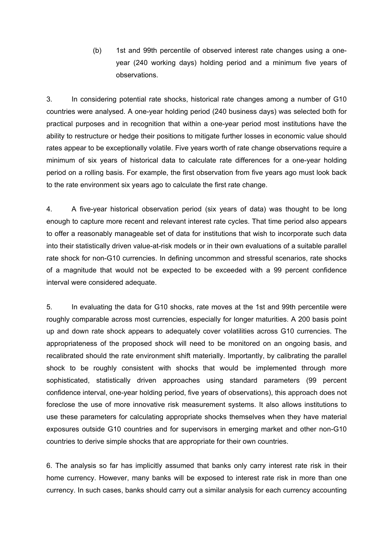(b) 1st and 99th percentile of observed interest rate changes using a oneyear (240 working days) holding period and a minimum five years of observations.

3. In considering potential rate shocks, historical rate changes among a number of G10 countries were analysed. A one-year holding period (240 business days) was selected both for practical purposes and in recognition that within a one-year period most institutions have the ability to restructure or hedge their positions to mitigate further losses in economic value should rates appear to be exceptionally volatile. Five years worth of rate change observations require a minimum of six years of historical data to calculate rate differences for a one-year holding period on a rolling basis. For example, the first observation from five years ago must look back to the rate environment six years ago to calculate the first rate change.

4. A five-year historical observation period (six years of data) was thought to be long enough to capture more recent and relevant interest rate cycles. That time period also appears to offer a reasonably manageable set of data for institutions that wish to incorporate such data into their statistically driven value-at-risk models or in their own evaluations of a suitable parallel rate shock for non-G10 currencies. In defining uncommon and stressful scenarios, rate shocks of a magnitude that would not be expected to be exceeded with a 99 percent confidence interval were considered adequate.

5. In evaluating the data for G10 shocks, rate moves at the 1st and 99th percentile were roughly comparable across most currencies, especially for longer maturities. A 200 basis point up and down rate shock appears to adequately cover volatilities across G10 currencies. The appropriateness of the proposed shock will need to be monitored on an ongoing basis, and recalibrated should the rate environment shift materially. Importantly, by calibrating the parallel shock to be roughly consistent with shocks that would be implemented through more sophisticated, statistically driven approaches using standard parameters (99 percent confidence interval, one-year holding period, five years of observations), this approach does not foreclose the use of more innovative risk measurement systems. It also allows institutions to use these parameters for calculating appropriate shocks themselves when they have material exposures outside G10 countries and for supervisors in emerging market and other non-G10 countries to derive simple shocks that are appropriate for their own countries.

6. The analysis so far has implicitly assumed that banks only carry interest rate risk in their home currency. However, many banks will be exposed to interest rate risk in more than one currency. In such cases, banks should carry out a similar analysis for each currency accounting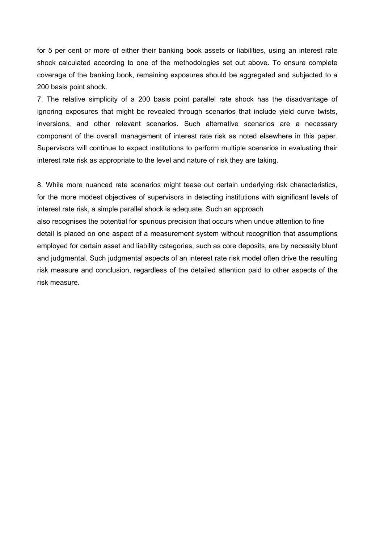for 5 per cent or more of either their banking book assets or liabilities, using an interest rate shock calculated according to one of the methodologies set out above. To ensure complete coverage of the banking book, remaining exposures should be aggregated and subjected to a 200 basis point shock.

7. The relative simplicity of a 200 basis point parallel rate shock has the disadvantage of ignoring exposures that might be revealed through scenarios that include yield curve twists, inversions, and other relevant scenarios. Such alternative scenarios are a necessary component of the overall management of interest rate risk as noted elsewhere in this paper. Supervisors will continue to expect institutions to perform multiple scenarios in evaluating their interest rate risk as appropriate to the level and nature of risk they are taking.

8. While more nuanced rate scenarios might tease out certain underlying risk characteristics, for the more modest objectives of supervisors in detecting institutions with significant levels of interest rate risk, a simple parallel shock is adequate. Such an approach

also recognises the potential for spurious precision that occurs when undue attention to fine detail is placed on one aspect of a measurement system without recognition that assumptions employed for certain asset and liability categories, such as core deposits, are by necessity blunt and judgmental. Such judgmental aspects of an interest rate risk model often drive the resulting risk measure and conclusion, regardless of the detailed attention paid to other aspects of the risk measure.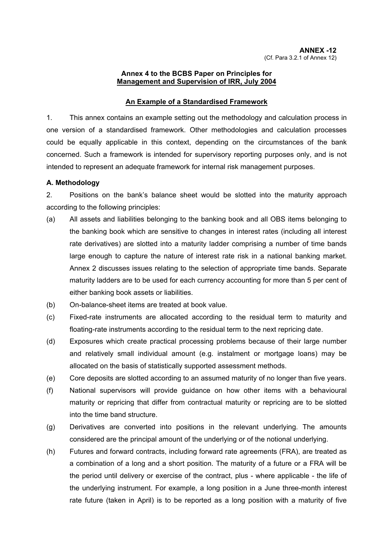#### **Annex 4 to the BCBS Paper on Principles for Management and Supervision of IRR, July 2004**

#### **An Example of a Standardised Framework**

1. This annex contains an example setting out the methodology and calculation process in one version of a standardised framework. Other methodologies and calculation processes could be equally applicable in this context, depending on the circumstances of the bank concerned. Such a framework is intended for supervisory reporting purposes only, and is not intended to represent an adequate framework for internal risk management purposes.

# **A. Methodology**

2. Positions on the bank's balance sheet would be slotted into the maturity approach according to the following principles:

- (a) All assets and liabilities belonging to the banking book and all OBS items belonging to the banking book which are sensitive to changes in interest rates (including all interest rate derivatives) are slotted into a maturity ladder comprising a number of time bands large enough to capture the nature of interest rate risk in a national banking market. Annex 2 discusses issues relating to the selection of appropriate time bands. Separate maturity ladders are to be used for each currency accounting for more than 5 per cent of either banking book assets or liabilities.
- (b) On-balance-sheet items are treated at book value.
- (c) Fixed-rate instruments are allocated according to the residual term to maturity and floating-rate instruments according to the residual term to the next repricing date.
- (d) Exposures which create practical processing problems because of their large number and relatively small individual amount (e.g. instalment or mortgage loans) may be allocated on the basis of statistically supported assessment methods.
- (e) Core deposits are slotted according to an assumed maturity of no longer than five years.
- (f) National supervisors will provide guidance on how other items with a behavioural maturity or repricing that differ from contractual maturity or repricing are to be slotted into the time band structure.
- (g) Derivatives are converted into positions in the relevant underlying. The amounts considered are the principal amount of the underlying or of the notional underlying.
- (h) Futures and forward contracts, including forward rate agreements (FRA), are treated as a combination of a long and a short position. The maturity of a future or a FRA will be the period until delivery or exercise of the contract, plus - where applicable - the life of the underlying instrument. For example, a long position in a June three-month interest rate future (taken in April) is to be reported as a long position with a maturity of five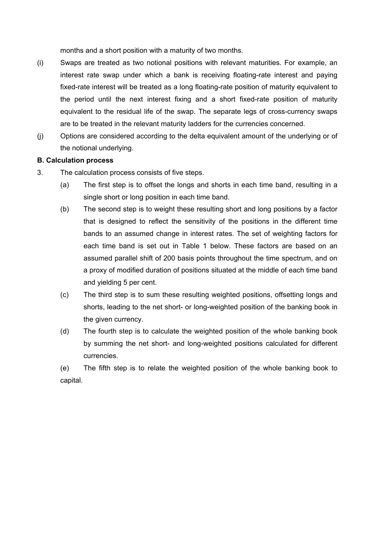months and a short position with a maturity of two months.

- (i) Swaps are treated as two notional positions with relevant maturities. For example, an interest rate swap under which a bank is receiving floating-rate interest and paying fixed-rate interest will be treated as a long floating-rate position of maturity equivalent to the period until the next interest fixing and a short fixed-rate position of maturity equivalent to the residual life of the swap. The separate legs of cross-currency swaps are to be treated in the relevant maturity ladders for the currencies concerned.
- (j) Options are considered according to the delta equivalent amount of the underlying or of the notional underlying.

#### **B. Calculation process**

- 3. The calculation process consists of five steps.
	- (a) The first step is to offset the longs and shorts in each time band, resulting in a single short or long position in each time band.
	- (b) The second step is to weight these resulting short and long positions by a factor that is designed to reflect the sensitivity of the positions in the different time bands to an assumed change in interest rates. The set of weighting factors for each time band is set out in Table 1 below. These factors are based on an assumed parallel shift of 200 basis points throughout the time spectrum, and on a proxy of modified duration of positions situated at the middle of each time band and yielding 5 per cent.
	- (c) The third step is to sum these resulting weighted positions, offsetting longs and shorts, leading to the net short- or long-weighted position of the banking book in the given currency.
	- (d) The fourth step is to calculate the weighted position of the whole banking book by summing the net short- and long-weighted positions calculated for different currencies.

(e) The fifth step is to relate the weighted position of the whole banking book to capital.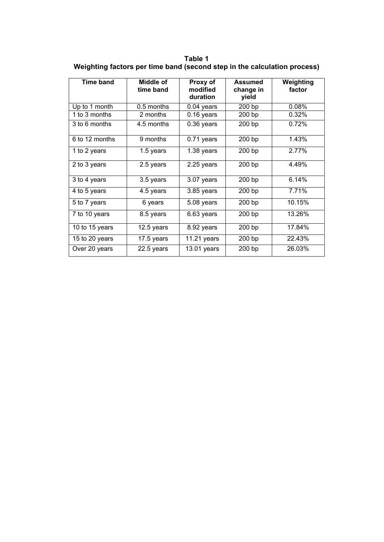**Table 1 Weighting factors per time band (second step in the calculation process)** 

| <b>Time band</b> | Middle of<br>time band | Proxy of<br>modified<br>duration | <b>Assumed</b><br>change in<br>yield | Weighting<br>factor |
|------------------|------------------------|----------------------------------|--------------------------------------|---------------------|
| Up to 1 month    | 0.5 months             | 0.04 years                       | 200 bp                               | 0.08%               |
| 1 to 3 months    | 2 months               | $0.16$ years                     | 200 bp                               | 0.32%               |
| 3 to 6 months    | 4.5 months             | $0.36$ years                     | 200 bp                               | 0.72%               |
| 6 to 12 months   | 9 months               | 0.71 years                       | 200 bp                               | 1.43%               |
| 1 to 2 years     | 1.5 years              | 1.38 years                       | 200 bp                               | 2.77%               |
| 2 to 3 years     | 2.5 years              | 2.25 years                       | 200 bp                               | 4.49%               |
| 3 to 4 years     | 3.5 years              | 3.07 years                       | 200 bp                               | 6.14%               |
| 4 to 5 years     | 4.5 years              | 3.85 years                       | 200 bp                               | 7.71%               |
| 5 to 7 years     | 6 years                | 5.08 years                       | 200 bp                               | 10.15%              |
| 7 to 10 years    | 8.5 years              | 6.63 years                       | 200 bp                               | 13.26%              |
| 10 to 15 years   | 12.5 years             | 8.92 years                       | 200 bp                               | 17.84%              |
| 15 to 20 years   | 17.5 years             | 11.21 years                      | 200 bp                               | 22.43%              |
| Over 20 years    | 22.5 years             | 13.01 years                      | 200 bp                               | 26.03%              |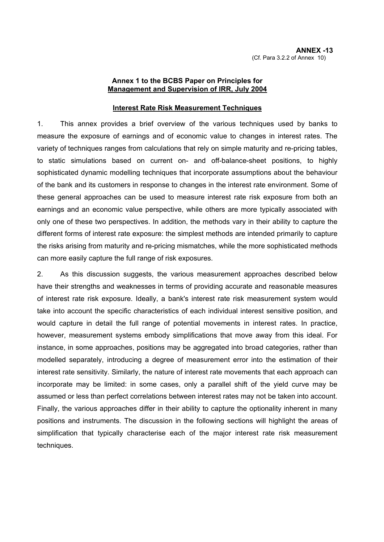#### **Annex 1 to the BCBS Paper on Principles for Management and Supervision of IRR, July 2004**

#### **Interest Rate Risk Measurement Techniques**

1. This annex provides a brief overview of the various techniques used by banks to measure the exposure of earnings and of economic value to changes in interest rates. The variety of techniques ranges from calculations that rely on simple maturity and re-pricing tables, to static simulations based on current on- and off-balance-sheet positions, to highly sophisticated dynamic modelling techniques that incorporate assumptions about the behaviour of the bank and its customers in response to changes in the interest rate environment. Some of these general approaches can be used to measure interest rate risk exposure from both an earnings and an economic value perspective, while others are more typically associated with only one of these two perspectives. In addition, the methods vary in their ability to capture the different forms of interest rate exposure: the simplest methods are intended primarily to capture the risks arising from maturity and re-pricing mismatches, while the more sophisticated methods can more easily capture the full range of risk exposures.

2. As this discussion suggests, the various measurement approaches described below have their strengths and weaknesses in terms of providing accurate and reasonable measures of interest rate risk exposure. Ideally, a bank's interest rate risk measurement system would take into account the specific characteristics of each individual interest sensitive position, and would capture in detail the full range of potential movements in interest rates. In practice, however, measurement systems embody simplifications that move away from this ideal. For instance, in some approaches, positions may be aggregated into broad categories, rather than modelled separately, introducing a degree of measurement error into the estimation of their interest rate sensitivity. Similarly, the nature of interest rate movements that each approach can incorporate may be limited: in some cases, only a parallel shift of the yield curve may be assumed or less than perfect correlations between interest rates may not be taken into account. Finally, the various approaches differ in their ability to capture the optionality inherent in many positions and instruments. The discussion in the following sections will highlight the areas of simplification that typically characterise each of the major interest rate risk measurement techniques.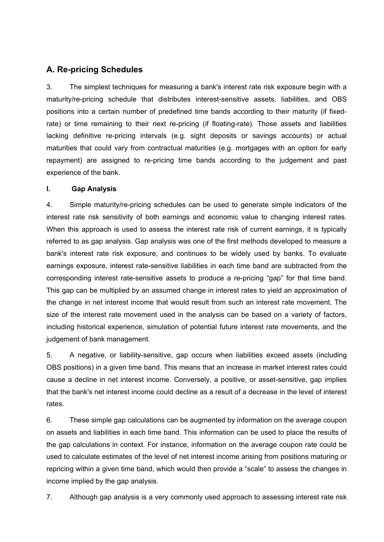# **A. Re-pricing Schedules**

3. The simplest techniques for measuring a bank's interest rate risk exposure begin with a maturity/re-pricing schedule that distributes interest-sensitive assets, liabilities, and OBS positions into a certain number of predefined time bands according to their maturity (if fixedrate) or time remaining to their next re-pricing (if floating-rate). Those assets and liabilities lacking definitive re-pricing intervals (e.g. sight deposits or savings accounts) or actual maturities that could vary from contractual maturities (e.g. mortgages with an option for early repayment) are assigned to re-pricing time bands according to the judgement and past experience of the bank.

### **I. Gap Analysis**

4. Simple maturity/re-pricing schedules can be used to generate simple indicators of the interest rate risk sensitivity of both earnings and economic value to changing interest rates. When this approach is used to assess the interest rate risk of current earnings, it is typically referred to as gap analysis. Gap analysis was one of the first methods developed to measure a bank's interest rate risk exposure, and continues to be widely used by banks. To evaluate earnings exposure, interest rate-sensitive liabilities in each time band are subtracted from the corresponding interest rate-sensitive assets to produce a re-pricing "gap" for that time band. This gap can be multiplied by an assumed change in interest rates to yield an approximation of the change in net interest income that would result from such an interest rate movement. The size of the interest rate movement used in the analysis can be based on a variety of factors, including historical experience, simulation of potential future interest rate movements, and the judgement of bank management.

5. A negative, or liability-sensitive, gap occurs when liabilities exceed assets (including OBS positions) in a given time band. This means that an increase in market interest rates could cause a decline in net interest income. Conversely, a positive, or asset-sensitive, gap implies that the bank's net interest income could decline as a result of a decrease in the level of interest rates.

6. These simple gap calculations can be augmented by information on the average coupon on assets and liabilities in each time band. This information can be used to place the results of the gap calculations in context. For instance, information on the average coupon rate could be used to calculate estimates of the level of net interest income arising from positions maturing or repricing within a given time band, which would then provide a "scale" to assess the changes in income implied by the gap analysis.

7. Although gap analysis is a very commonly used approach to assessing interest rate risk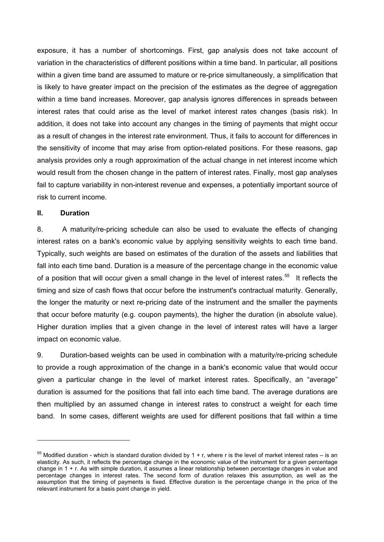exposure, it has a number of shortcomings. First, gap analysis does not take account of variation in the characteristics of different positions within a time band. In particular, all positions within a given time band are assumed to mature or re-price simultaneously, a simplification that is likely to have greater impact on the precision of the estimates as the degree of aggregation within a time band increases. Moreover, gap analysis ignores differences in spreads between interest rates that could arise as the level of market interest rates changes (basis risk). In addition, it does not take into account any changes in the timing of payments that might occur as a result of changes in the interest rate environment. Thus, it fails to account for differences in the sensitivity of income that may arise from option-related positions. For these reasons, gap analysis provides only a rough approximation of the actual change in net interest income which would result from the chosen change in the pattern of interest rates. Finally, most gap analyses fail to capture variability in non-interest revenue and expenses, a potentially important source of risk to current income.

#### **II. Duration**

l

8. A maturity/re-pricing schedule can also be used to evaluate the effects of changing interest rates on a bank's economic value by applying sensitivity weights to each time band. Typically, such weights are based on estimates of the duration of the assets and liabilities that fall into each time band. Duration is a measure of the percentage change in the economic value of a position that will occur given a small change in the level of interest rates.<sup>[5](#page-196-0)5</sup> It reflects the timing and size of cash flows that occur before the instrument's contractual maturity. Generally, the longer the maturity or next re-pricing date of the instrument and the smaller the payments that occur before maturity (e.g. coupon payments), the higher the duration (in absolute value). Higher duration implies that a given change in the level of interest rates will have a larger impact on economic value.

9. Duration-based weights can be used in combination with a maturity/re-pricing schedule to provide a rough approximation of the change in a bank's economic value that would occur given a particular change in the level of market interest rates. Specifically, an "average" duration is assumed for the positions that fall into each time band. The average durations are then multiplied by an assumed change in interest rates to construct a weight for each time band. In some cases, different weights are used for different positions that fall within a time

<span id="page-196-0"></span> $55$  Modified duration - which is standard duration divided by 1 + r, where r is the level of market interest rates – is an elasticity. As such, it reflects the percentage change in the economic value of the instrument for a given percentage change in 1 + r. As with simple duration, it assumes a linear relationship between percentage changes in value and percentage changes in interest rates. The second form of duration relaxes this assumption, as well as the assumption that the timing of payments is fixed. Effective duration is the percentage change in the price of the relevant instrument for a basis point change in yield.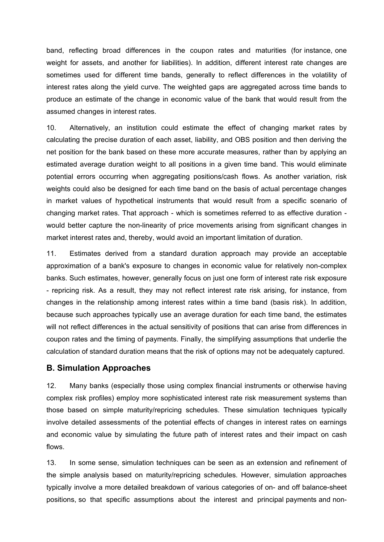band, reflecting broad differences in the coupon rates and maturities (for instance, one weight for assets, and another for liabilities). In addition, different interest rate changes are sometimes used for different time bands, generally to reflect differences in the volatility of interest rates along the yield curve. The weighted gaps are aggregated across time bands to produce an estimate of the change in economic value of the bank that would result from the assumed changes in interest rates.

10. Alternatively, an institution could estimate the effect of changing market rates by calculating the precise duration of each asset, liability, and OBS position and then deriving the net position for the bank based on these more accurate measures, rather than by applying an estimated average duration weight to all positions in a given time band. This would eliminate potential errors occurring when aggregating positions/cash flows. As another variation, risk weights could also be designed for each time band on the basis of actual percentage changes in market values of hypothetical instruments that would result from a specific scenario of changing market rates. That approach - which is sometimes referred to as effective duration would better capture the non-linearity of price movements arising from significant changes in market interest rates and, thereby, would avoid an important limitation of duration.

11. Estimates derived from a standard duration approach may provide an acceptable approximation of a bank's exposure to changes in economic value for relatively non-complex banks. Such estimates, however, generally focus on just one form of interest rate risk exposure - repricing risk. As a result, they may not reflect interest rate risk arising, for instance, from changes in the relationship among interest rates within a time band (basis risk). In addition, because such approaches typically use an average duration for each time band, the estimates will not reflect differences in the actual sensitivity of positions that can arise from differences in coupon rates and the timing of payments. Finally, the simplifying assumptions that underlie the calculation of standard duration means that the risk of options may not be adequately captured.

#### **B. Simulation Approaches**

12. Many banks (especially those using complex financial instruments or otherwise having complex risk profiles) employ more sophisticated interest rate risk measurement systems than those based on simple maturity/repricing schedules. These simulation techniques typically involve detailed assessments of the potential effects of changes in interest rates on earnings and economic value by simulating the future path of interest rates and their impact on cash flows.

13. In some sense, simulation techniques can be seen as an extension and refinement of the simple analysis based on maturity/repricing schedules. However, simulation approaches typically involve a more detailed breakdown of various categories of on- and off balance-sheet positions, so that specific assumptions about the interest and principal payments and non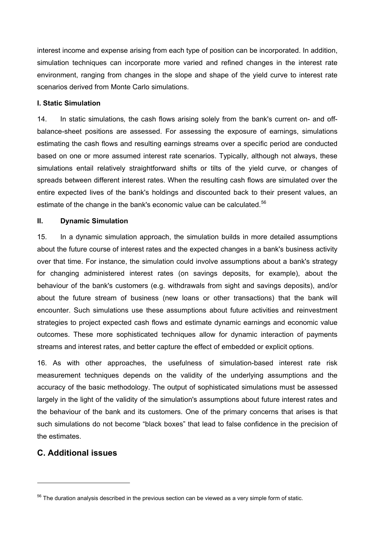interest income and expense arising from each type of position can be incorporated. In addition, simulation techniques can incorporate more varied and refined changes in the interest rate environment, ranging from changes in the slope and shape of the yield curve to interest rate scenarios derived from Monte Carlo simulations.

#### **I. Static Simulation**

14. In static simulations*,* the cash flows arising solely from the bank's current on- and offbalance-sheet positions are assessed. For assessing the exposure of earnings, simulations estimating the cash flows and resulting earnings streams over a specific period are conducted based on one or more assumed interest rate scenarios. Typically, although not always, these simulations entail relatively straightforward shifts or tilts of the yield curve, or changes of spreads between different interest rates. When the resulting cash flows are simulated over the entire expected lives of the bank's holdings and discounted back to their present values, an estimate of the change in the bank's economic value can be calculated.<sup>[5](#page-198-0)6</sup>

#### **II. Dynamic Simulation**

15. In a dynamic simulation approach, the simulation builds in more detailed assumptions about the future course of interest rates and the expected changes in a bank's business activity over that time. For instance, the simulation could involve assumptions about a bank's strategy for changing administered interest rates (on savings deposits, for example), about the behaviour of the bank's customers (e.g. withdrawals from sight and savings deposits), and/or about the future stream of business (new loans or other transactions) that the bank will encounter. Such simulations use these assumptions about future activities and reinvestment strategies to project expected cash flows and estimate dynamic earnings and economic value outcomes. These more sophisticated techniques allow for dynamic interaction of payments streams and interest rates, and better capture the effect of embedded or explicit options.

16. As with other approaches, the usefulness of simulation-based interest rate risk measurement techniques depends on the validity of the underlying assumptions and the accuracy of the basic methodology. The output of sophisticated simulations must be assessed largely in the light of the validity of the simulation's assumptions about future interest rates and the behaviour of the bank and its customers. One of the primary concerns that arises is that such simulations do not become "black boxes" that lead to false confidence in the precision of the estimates.

# **C. Additional issues**

l

<span id="page-198-0"></span> $56$  The duration analysis described in the previous section can be viewed as a very simple form of static.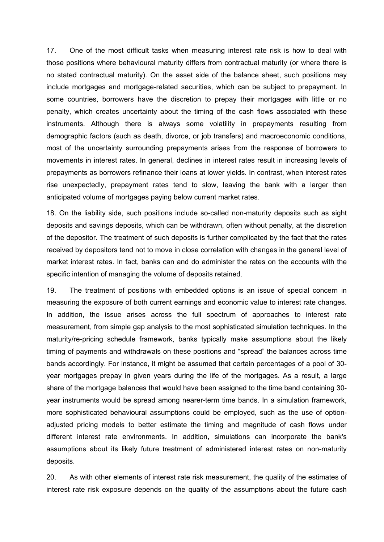17. One of the most difficult tasks when measuring interest rate risk is how to deal with those positions where behavioural maturity differs from contractual maturity (or where there is no stated contractual maturity). On the asset side of the balance sheet, such positions may include mortgages and mortgage-related securities, which can be subject to prepayment. In some countries, borrowers have the discretion to prepay their mortgages with little or no penalty, which creates uncertainty about the timing of the cash flows associated with these instruments. Although there is always some volatility in prepayments resulting from demographic factors (such as death, divorce, or job transfers) and macroeconomic conditions, most of the uncertainty surrounding prepayments arises from the response of borrowers to movements in interest rates. In general, declines in interest rates result in increasing levels of prepayments as borrowers refinance their loans at lower yields. In contrast, when interest rates rise unexpectedly, prepayment rates tend to slow, leaving the bank with a larger than anticipated volume of mortgages paying below current market rates.

18. On the liability side, such positions include so-called non-maturity deposits such as sight deposits and savings deposits, which can be withdrawn, often without penalty, at the discretion of the depositor. The treatment of such deposits is further complicated by the fact that the rates received by depositors tend not to move in close correlation with changes in the general level of market interest rates. In fact, banks can and do administer the rates on the accounts with the specific intention of managing the volume of deposits retained.

19. The treatment of positions with embedded options is an issue of special concern in measuring the exposure of both current earnings and economic value to interest rate changes. In addition, the issue arises across the full spectrum of approaches to interest rate measurement, from simple gap analysis to the most sophisticated simulation techniques. In the maturity/re-pricing schedule framework, banks typically make assumptions about the likely timing of payments and withdrawals on these positions and "spread" the balances across time bands accordingly. For instance, it might be assumed that certain percentages of a pool of 30 year mortgages prepay in given years during the life of the mortgages. As a result, a large share of the mortgage balances that would have been assigned to the time band containing 30 year instruments would be spread among nearer-term time bands. In a simulation framework, more sophisticated behavioural assumptions could be employed, such as the use of optionadjusted pricing models to better estimate the timing and magnitude of cash flows under different interest rate environments. In addition, simulations can incorporate the bank's assumptions about its likely future treatment of administered interest rates on non-maturity deposits.

20. As with other elements of interest rate risk measurement, the quality of the estimates of interest rate risk exposure depends on the quality of the assumptions about the future cash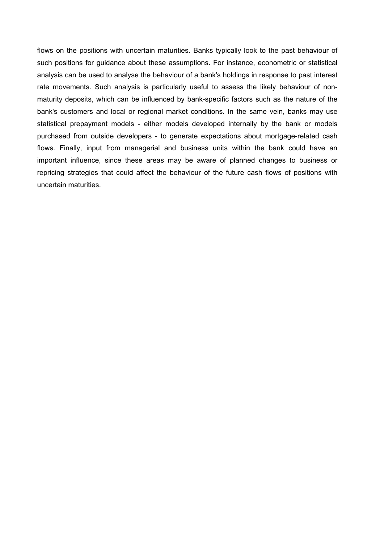flows on the positions with uncertain maturities. Banks typically look to the past behaviour of such positions for guidance about these assumptions. For instance, econometric or statistical analysis can be used to analyse the behaviour of a bank's holdings in response to past interest rate movements. Such analysis is particularly useful to assess the likely behaviour of nonmaturity deposits, which can be influenced by bank-specific factors such as the nature of the bank's customers and local or regional market conditions. In the same vein, banks may use statistical prepayment models - either models developed internally by the bank or models purchased from outside developers - to generate expectations about mortgage-related cash flows. Finally, input from managerial and business units within the bank could have an important influence, since these areas may be aware of planned changes to business or repricing strategies that could affect the behaviour of the future cash flows of positions with uncertain maturities.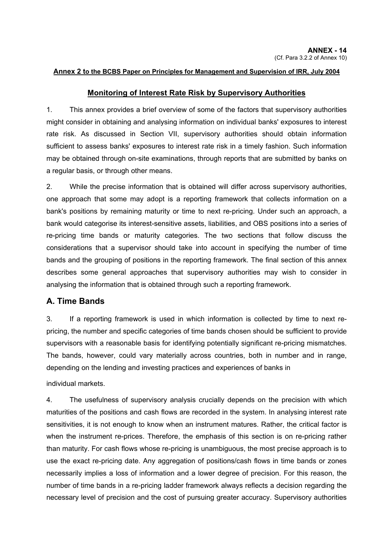### **Annex 2 to the BCBS Paper on Principles for Management and Supervision of IRR, July 2004**

### **Monitoring of Interest Rate Risk by Supervisory Authorities**

1. This annex provides a brief overview of some of the factors that supervisory authorities might consider in obtaining and analysing information on individual banks' exposures to interest rate risk. As discussed in Section VII, supervisory authorities should obtain information sufficient to assess banks' exposures to interest rate risk in a timely fashion. Such information may be obtained through on-site examinations, through reports that are submitted by banks on a regular basis, or through other means.

2. While the precise information that is obtained will differ across supervisory authorities, one approach that some may adopt is a reporting framework that collects information on a bank's positions by remaining maturity or time to next re-pricing. Under such an approach, a bank would categorise its interest-sensitive assets, liabilities, and OBS positions into a series of re-pricing time bands or maturity categories. The two sections that follow discuss the considerations that a supervisor should take into account in specifying the number of time bands and the grouping of positions in the reporting framework. The final section of this annex describes some general approaches that supervisory authorities may wish to consider in analysing the information that is obtained through such a reporting framework.

# **A. Time Bands**

3. If a reporting framework is used in which information is collected by time to next repricing, the number and specific categories of time bands chosen should be sufficient to provide supervisors with a reasonable basis for identifying potentially significant re-pricing mismatches. The bands, however, could vary materially across countries, both in number and in range, depending on the lending and investing practices and experiences of banks in

#### individual markets.

4. The usefulness of supervisory analysis crucially depends on the precision with which maturities of the positions and cash flows are recorded in the system. In analysing interest rate sensitivities, it is not enough to know when an instrument matures. Rather, the critical factor is when the instrument re-prices. Therefore, the emphasis of this section is on re-pricing rather than maturity. For cash flows whose re-pricing is unambiguous, the most precise approach is to use the exact re-pricing date. Any aggregation of positions/cash flows in time bands or zones necessarily implies a loss of information and a lower degree of precision. For this reason, the number of time bands in a re-pricing ladder framework always reflects a decision regarding the necessary level of precision and the cost of pursuing greater accuracy. Supervisory authorities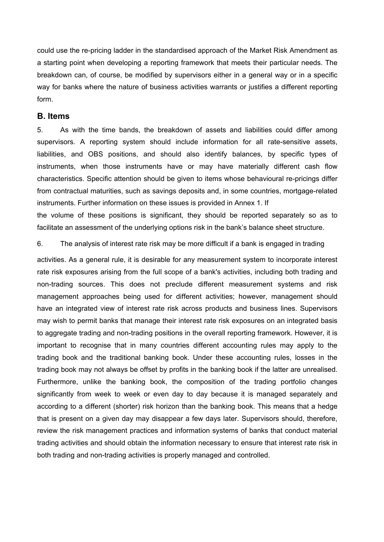could use the re-pricing ladder in the standardised approach of the Market Risk Amendment as a starting point when developing a reporting framework that meets their particular needs. The breakdown can, of course, be modified by supervisors either in a general way or in a specific way for banks where the nature of business activities warrants or justifies a different reporting form.

### **B. Items**

5. As with the time bands, the breakdown of assets and liabilities could differ among supervisors. A reporting system should include information for all rate-sensitive assets, liabilities, and OBS positions, and should also identify balances, by specific types of instruments, when those instruments have or may have materially different cash flow characteristics. Specific attention should be given to items whose behavioural re-pricings differ from contractual maturities, such as savings deposits and, in some countries, mortgage-related instruments. Further information on these issues is provided in Annex 1. If

the volume of these positions is significant, they should be reported separately so as to facilitate an assessment of the underlying options risk in the bank's balance sheet structure.

6. The analysis of interest rate risk may be more difficult if a bank is engaged in trading

activities. As a general rule, it is desirable for any measurement system to incorporate interest rate risk exposures arising from the full scope of a bank's activities, including both trading and non-trading sources. This does not preclude different measurement systems and risk management approaches being used for different activities; however, management should have an integrated view of interest rate risk across products and business lines. Supervisors may wish to permit banks that manage their interest rate risk exposures on an integrated basis to aggregate trading and non-trading positions in the overall reporting framework. However, it is important to recognise that in many countries different accounting rules may apply to the trading book and the traditional banking book. Under these accounting rules, losses in the trading book may not always be offset by profits in the banking book if the latter are unrealised. Furthermore, unlike the banking book, the composition of the trading portfolio changes significantly from week to week or even day to day because it is managed separately and according to a different (shorter) risk horizon than the banking book. This means that a hedge that is present on a given day may disappear a few days later. Supervisors should, therefore, review the risk management practices and information systems of banks that conduct material trading activities and should obtain the information necessary to ensure that interest rate risk in both trading and non-trading activities is properly managed and controlled.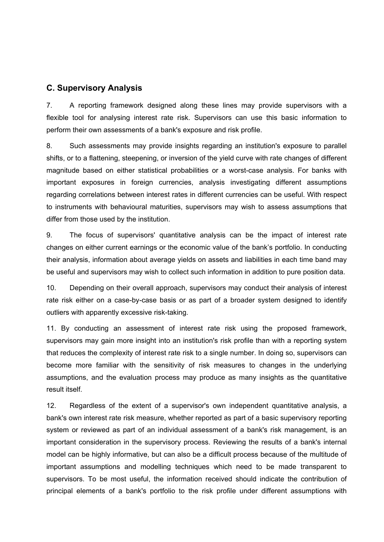### **C. Supervisory Analysis**

7. A reporting framework designed along these lines may provide supervisors with a flexible tool for analysing interest rate risk. Supervisors can use this basic information to perform their own assessments of a bank's exposure and risk profile.

8. Such assessments may provide insights regarding an institution's exposure to parallel shifts, or to a flattening, steepening, or inversion of the yield curve with rate changes of different magnitude based on either statistical probabilities or a worst-case analysis. For banks with important exposures in foreign currencies, analysis investigating different assumptions regarding correlations between interest rates in different currencies can be useful. With respect to instruments with behavioural maturities, supervisors may wish to assess assumptions that differ from those used by the institution.

9. The focus of supervisors' quantitative analysis can be the impact of interest rate changes on either current earnings or the economic value of the bank's portfolio. In conducting their analysis, information about average yields on assets and liabilities in each time band may be useful and supervisors may wish to collect such information in addition to pure position data.

10. Depending on their overall approach, supervisors may conduct their analysis of interest rate risk either on a case-by-case basis or as part of a broader system designed to identify outliers with apparently excessive risk-taking.

11. By conducting an assessment of interest rate risk using the proposed framework, supervisors may gain more insight into an institution's risk profile than with a reporting system that reduces the complexity of interest rate risk to a single number. In doing so, supervisors can become more familiar with the sensitivity of risk measures to changes in the underlying assumptions, and the evaluation process may produce as many insights as the quantitative result itself.

12. Regardless of the extent of a supervisor's own independent quantitative analysis, a bank's own interest rate risk measure, whether reported as part of a basic supervisory reporting system or reviewed as part of an individual assessment of a bank's risk management, is an important consideration in the supervisory process. Reviewing the results of a bank's internal model can be highly informative, but can also be a difficult process because of the multitude of important assumptions and modelling techniques which need to be made transparent to supervisors. To be most useful, the information received should indicate the contribution of principal elements of a bank's portfolio to the risk profile under different assumptions with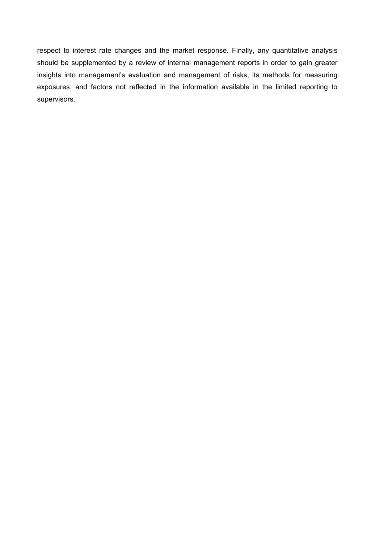respect to interest rate changes and the market response. Finally, any quantitative analysis should be supplemented by a review of internal management reports in order to gain greater insights into management's evaluation and management of risks, its methods for measuring exposures, and factors not reflected in the information available in the limited reporting to supervisors.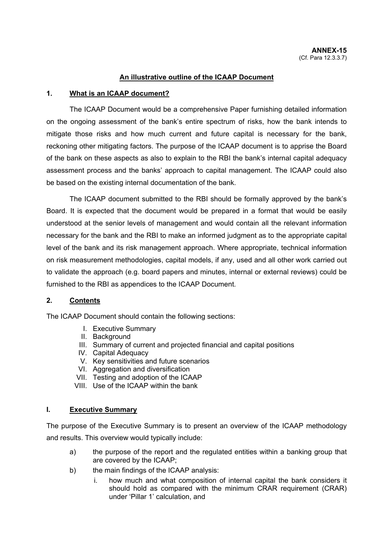#### **An illustrative outline of the ICAAP Document**

#### **1. What is an ICAAP document?**

The ICAAP Document would be a comprehensive Paper furnishing detailed information on the ongoing assessment of the bank's entire spectrum of risks, how the bank intends to mitigate those risks and how much current and future capital is necessary for the bank, reckoning other mitigating factors. The purpose of the ICAAP document is to apprise the Board of the bank on these aspects as also to explain to the RBI the bank's internal capital adequacy assessment process and the banks' approach to capital management. The ICAAP could also be based on the existing internal documentation of the bank.

The ICAAP document submitted to the RBI should be formally approved by the bank's Board. It is expected that the document would be prepared in a format that would be easily understood at the senior levels of management and would contain all the relevant information necessary for the bank and the RBI to make an informed judgment as to the appropriate capital level of the bank and its risk management approach. Where appropriate, technical information on risk measurement methodologies, capital models, if any, used and all other work carried out to validate the approach (e.g. board papers and minutes, internal or external reviews) could be furnished to the RBI as appendices to the ICAAP Document.

#### **2. Contents**

The ICAAP Document should contain the following sections:

- I. Executive Summary
- II. Background
- III. Summary of current and projected financial and capital positions
- IV. Capital Adequacy
- V. Key sensitivities and future scenarios
- VI. Aggregation and diversification
- VII. Testing and adoption of the ICAAP
- VIII. Use of the ICAAP within the bank

#### **I. Executive Summary**

The purpose of the Executive Summary is to present an overview of the ICAAP methodology and results. This overview would typically include:

- a) the purpose of the report and the regulated entities within a banking group that are covered by the ICAAP;
- b) the main findings of the ICAAP analysis:
	- i. how much and what composition of internal capital the bank considers it should hold as compared with the minimum CRAR requirement (CRAR) under 'Pillar 1' calculation, and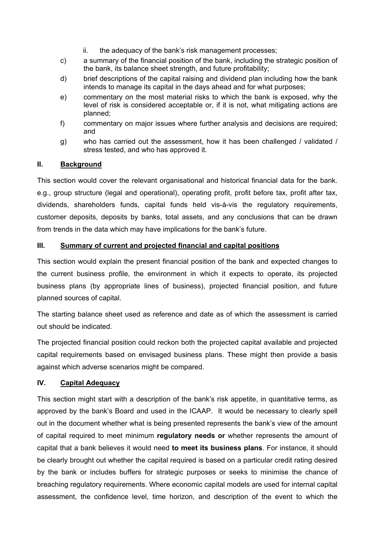- ii. the adequacy of the bank's risk management processes;
- c) a summary of the financial position of the bank, including the strategic position of the bank, its balance sheet strength, and future profitability;
- d) brief descriptions of the capital raising and dividend plan including how the bank intends to manage its capital in the days ahead and for what purposes;
- e) commentary on the most material risks to which the bank is exposed, why the level of risk is considered acceptable or, if it is not, what mitigating actions are planned;
- f) commentary on major issues where further analysis and decisions are required; and
- g) who has carried out the assessment, how it has been challenged / validated / stress tested, and who has approved it.

### **II. Background**

This section would cover the relevant organisational and historical financial data for the bank. e.g., group structure (legal and operational), operating profit, profit before tax, profit after tax, dividends, shareholders funds, capital funds held vis-à-vis the regulatory requirements, customer deposits, deposits by banks, total assets, and any conclusions that can be drawn from trends in the data which may have implications for the bank's future.

### **III. Summary of current and projected financial and capital positions**

This section would explain the present financial position of the bank and expected changes to the current business profile, the environment in which it expects to operate, its projected business plans (by appropriate lines of business), projected financial position, and future planned sources of capital.

The starting balance sheet used as reference and date as of which the assessment is carried out should be indicated.

The projected financial position could reckon both the projected capital available and projected capital requirements based on envisaged business plans. These might then provide a basis against which adverse scenarios might be compared.

#### **IV. Capital Adequacy**

This section might start with a description of the bank's risk appetite, in quantitative terms, as approved by the bank's Board and used in the ICAAP. It would be necessary to clearly spell out in the document whether what is being presented represents the bank's view of the amount of capital required to meet minimum **regulatory needs or** whether represents the amount of capital that a bank believes it would need **to meet its business plans**. For instance, it should be clearly brought out whether the capital required is based on a particular credit rating desired by the bank or includes buffers for strategic purposes or seeks to minimise the chance of breaching regulatory requirements. Where economic capital models are used for internal capital assessment, the confidence level, time horizon, and description of the event to which the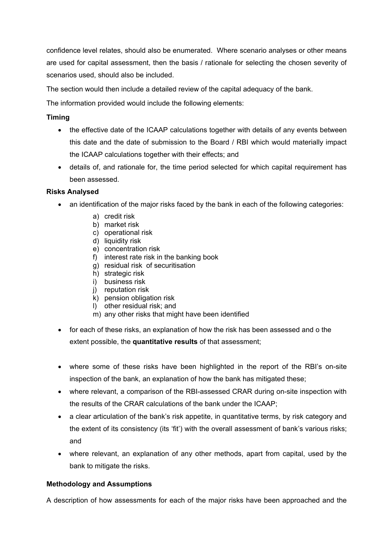confidence level relates, should also be enumerated. Where scenario analyses or other means are used for capital assessment, then the basis / rationale for selecting the chosen severity of scenarios used, should also be included.

The section would then include a detailed review of the capital adequacy of the bank.

The information provided would include the following elements:

# **Timing**

- the effective date of the ICAAP calculations together with details of any events between this date and the date of submission to the Board / RBI which would materially impact the ICAAP calculations together with their effects; and
- details of, and rationale for, the time period selected for which capital requirement has been assessed.

# **Risks Analysed**

- an identification of the major risks faced by the bank in each of the following categories:
	- a) credit risk
	- b) market risk
	- c) operational risk
	- d) liquidity risk
	- e) concentration risk
	- f) interest rate risk in the banking book
	- g) residual risk of securitisation
	- h) strategic risk
	- i) business risk
	- j) reputation risk
	- k) pension obligation risk
	- l) other residual risk; and
	- m) any other risks that might have been identified
- for each of these risks, an explanation of how the risk has been assessed and o the extent possible, the **quantitative results** of that assessment;
- where some of these risks have been highlighted in the report of the RBI's on-site inspection of the bank, an explanation of how the bank has mitigated these;
- where relevant, a comparison of the RBI-assessed CRAR during on-site inspection with the results of the CRAR calculations of the bank under the ICAAP;
- a clear articulation of the bank's risk appetite, in quantitative terms, by risk category and the extent of its consistency (its 'fit') with the overall assessment of bank's various risks; and
- where relevant, an explanation of any other methods, apart from capital, used by the bank to mitigate the risks.

# **Methodology and Assumptions**

A description of how assessments for each of the major risks have been approached and the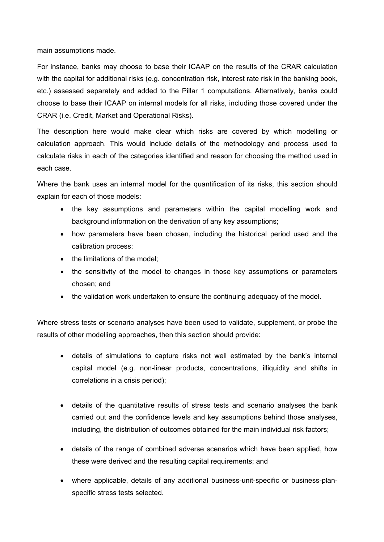main assumptions made.

For instance, banks may choose to base their ICAAP on the results of the CRAR calculation with the capital for additional risks (e.g. concentration risk, interest rate risk in the banking book, etc.) assessed separately and added to the Pillar 1 computations. Alternatively, banks could choose to base their ICAAP on internal models for all risks, including those covered under the CRAR (i.e. Credit, Market and Operational Risks).

The description here would make clear which risks are covered by which modelling or calculation approach. This would include details of the methodology and process used to calculate risks in each of the categories identified and reason for choosing the method used in each case.

Where the bank uses an internal model for the quantification of its risks, this section should explain for each of those models:

- the key assumptions and parameters within the capital modelling work and background information on the derivation of any key assumptions;
- how parameters have been chosen, including the historical period used and the calibration process;
- the limitations of the model:
- the sensitivity of the model to changes in those key assumptions or parameters chosen; and
- the validation work undertaken to ensure the continuing adequacy of the model.

Where stress tests or scenario analyses have been used to validate, supplement, or probe the results of other modelling approaches, then this section should provide:

- details of simulations to capture risks not well estimated by the bank's internal capital model (e.g. non-linear products, concentrations, illiquidity and shifts in correlations in a crisis period);
- details of the quantitative results of stress tests and scenario analyses the bank carried out and the confidence levels and key assumptions behind those analyses, including, the distribution of outcomes obtained for the main individual risk factors;
- details of the range of combined adverse scenarios which have been applied, how these were derived and the resulting capital requirements; and
- where applicable, details of any additional business-unit-specific or business-planspecific stress tests selected.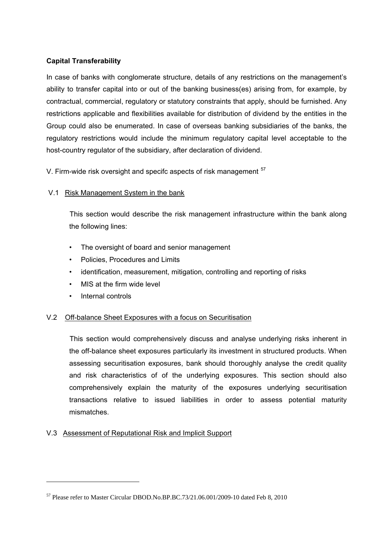### **Capital Transferability**

In case of banks with conglomerate structure, details of any restrictions on the management's ability to transfer capital into or out of the banking business(es) arising from, for example, by contractual, commercial, regulatory or statutory constraints that apply, should be furnished. Any restrictions applicable and flexibilities available for distribution of dividend by the entities in the Group could also be enumerated. In case of overseas banking subsidiaries of the banks, the regulatory restrictions would include the minimum regulatory capital level acceptable to the host-country regulator of the subsidiary, after declaration of dividend.

V. Firm-wide risk oversight and specifc aspects of risk management <sup>[5](#page-209-0)7</sup>

# V.1 Risk Management System in the bank

 This section would describe the risk management infrastructure within the bank along the following lines:

- The oversight of board and senior management
- Policies, Procedures and Limits
- identification, measurement, mitigation, controlling and reporting of risks
- MIS at the firm wide level
- Internal controls

 $\overline{a}$ 

# V.2 Off-balance Sheet Exposures with a focus on Securitisation

This section would comprehensively discuss and analyse underlying risks inherent in the off-balance sheet exposures particularly its investment in structured products. When assessing securitisation exposures, bank should thoroughly analyse the credit quality and risk characteristics of of the underlying exposures. This section should also comprehensively explain the maturity of the exposures underlying securitisation transactions relative to issued liabilities in order to assess potential maturity mismatches.

# V.3 Assessment of Reputational Risk and Implicit Support

<span id="page-209-0"></span><sup>57</sup> Please refer to Master Circular DBOD.No.BP.BC.73/21.06.001/2009-10 dated Feb 8, 2010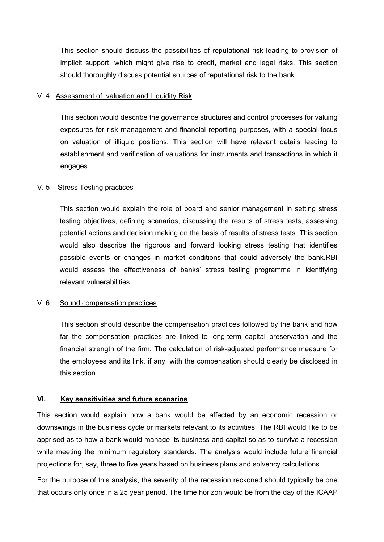This section should discuss the possibilities of reputational risk leading to provision of implicit support, which might give rise to credit, market and legal risks. This section should thoroughly discuss potential sources of reputational risk to the bank.

#### V. 4 Assessment of valuation and Liquidity Risk

This section would describe the governance structures and control processes for valuing exposures for risk management and financial reporting purposes, with a special focus on valuation of illiquid positions. This section will have relevant details leading to establishment and verification of valuations for instruments and transactions in which it engages.

### V. 5 Stress Testing practices

This section would explain the role of board and senior management in setting stress testing objectives, defining scenarios, discussing the results of stress tests, assessing potential actions and decision making on the basis of results of stress tests. This section would also describe the rigorous and forward looking stress testing that identifies possible events or changes in market conditions that could adversely the bank.RBI would assess the effectiveness of banks' stress testing programme in identifying relevant vulnerabilities.

### V. 6 Sound compensation practices

This section should describe the compensation practices followed by the bank and how far the compensation practices are linked to long-term capital preservation and the financial strength of the firm. The calculation of risk-adjusted performance measure for the employees and its link, if any, with the compensation should clearly be disclosed in this section

# **VI. Key sensitivities and future scenarios**

This section would explain how a bank would be affected by an economic recession or downswings in the business cycle or markets relevant to its activities. The RBI would like to be apprised as to how a bank would manage its business and capital so as to survive a recession while meeting the minimum regulatory standards. The analysis would include future financial projections for, say, three to five years based on business plans and solvency calculations.

For the purpose of this analysis, the severity of the recession reckoned should typically be one that occurs only once in a 25 year period. The time horizon would be from the day of the ICAAP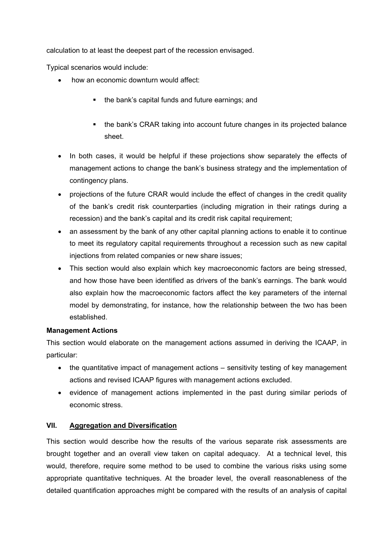calculation to at least the deepest part of the recession envisaged.

Typical scenarios would include:

- how an economic downturn would affect:
	- the bank's capital funds and future earnings; and
	- the bank's CRAR taking into account future changes in its projected balance sheet.
- In both cases, it would be helpful if these projections show separately the effects of management actions to change the bank's business strategy and the implementation of contingency plans.
- projections of the future CRAR would include the effect of changes in the credit quality of the bank's credit risk counterparties (including migration in their ratings during a recession) and the bank's capital and its credit risk capital requirement;
- an assessment by the bank of any other capital planning actions to enable it to continue to meet its regulatory capital requirements throughout a recession such as new capital injections from related companies or new share issues;
- This section would also explain which key macroeconomic factors are being stressed, and how those have been identified as drivers of the bank's earnings. The bank would also explain how the macroeconomic factors affect the key parameters of the internal model by demonstrating, for instance, how the relationship between the two has been established.

# **Management Actions**

This section would elaborate on the management actions assumed in deriving the ICAAP, in particular:

- the quantitative impact of management actions sensitivity testing of key management actions and revised ICAAP figures with management actions excluded.
- evidence of management actions implemented in the past during similar periods of economic stress.

# **VII. Aggregation and Diversification**

This section would describe how the results of the various separate risk assessments are brought together and an overall view taken on capital adequacy. At a technical level, this would, therefore, require some method to be used to combine the various risks using some appropriate quantitative techniques. At the broader level, the overall reasonableness of the detailed quantification approaches might be compared with the results of an analysis of capital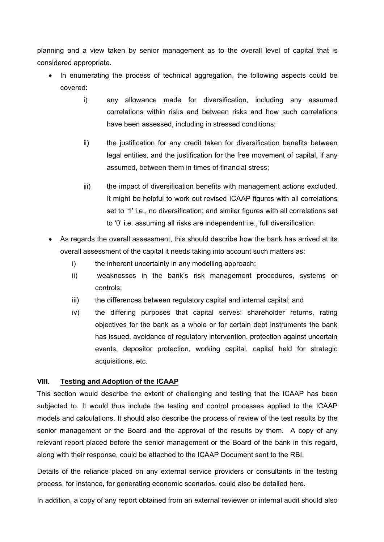planning and a view taken by senior management as to the overall level of capital that is considered appropriate.

- In enumerating the process of technical aggregation, the following aspects could be covered:
	- i) any allowance made for diversification, including any assumed correlations within risks and between risks and how such correlations have been assessed, including in stressed conditions;
	- ii) the justification for any credit taken for diversification benefits between legal entities, and the justification for the free movement of capital, if any assumed, between them in times of financial stress;
	- iii) the impact of diversification benefits with management actions excluded. It might be helpful to work out revised ICAAP figures with all correlations set to '1' i.e., no diversification; and similar figures with all correlations set to '0' i.e. assuming all risks are independent i.e., full diversification.
- As regards the overall assessment, this should describe how the bank has arrived at its overall assessment of the capital it needs taking into account such matters as:
	- i) the inherent uncertainty in any modelling approach;
	- ii) weaknesses in the bank's risk management procedures, systems or controls;
	- iii) the differences between regulatory capital and internal capital; and
	- iv) the differing purposes that capital serves: shareholder returns, rating objectives for the bank as a whole or for certain debt instruments the bank has issued, avoidance of regulatory intervention, protection against uncertain events, depositor protection, working capital, capital held for strategic acquisitions, etc.

#### **VIII. Testing and Adoption of the ICAAP**

This section would describe the extent of challenging and testing that the ICAAP has been subjected to. It would thus include the testing and control processes applied to the ICAAP models and calculations. It should also describe the process of review of the test results by the senior management or the Board and the approval of the results by them. A copy of any relevant report placed before the senior management or the Board of the bank in this regard, along with their response, could be attached to the ICAAP Document sent to the RBI.

Details of the reliance placed on any external service providers or consultants in the testing process, for instance, for generating economic scenarios, could also be detailed here.

In addition, a copy of any report obtained from an external reviewer or internal audit should also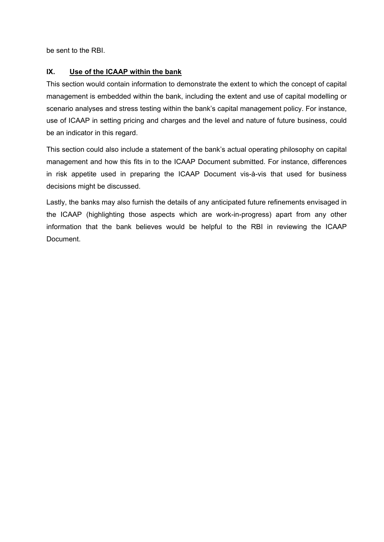be sent to the RBI.

## **IX. Use of the ICAAP within the bank**

This section would contain information to demonstrate the extent to which the concept of capital management is embedded within the bank, including the extent and use of capital modelling or scenario analyses and stress testing within the bank's capital management policy. For instance, use of ICAAP in setting pricing and charges and the level and nature of future business, could be an indicator in this regard.

This section could also include a statement of the bank's actual operating philosophy on capital management and how this fits in to the ICAAP Document submitted. For instance, differences in risk appetite used in preparing the ICAAP Document vis-à-vis that used for business decisions might be discussed.

Lastly, the banks may also furnish the details of any anticipated future refinements envisaged in the ICAAP (highlighting those aspects which are work-in-progress) apart from any other information that the bank believes would be helpful to the RBI in reviewing the ICAAP Document.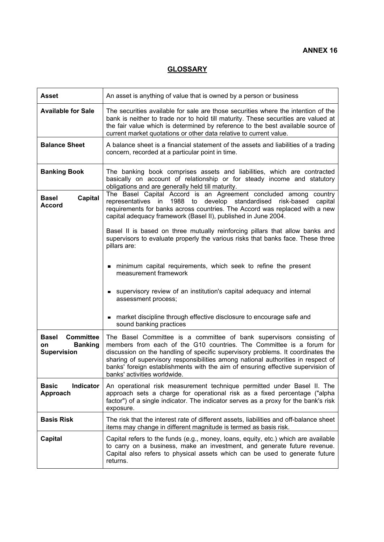# **GLOSSARY**

| <b>Asset</b>                                                                   | An asset is anything of value that is owned by a person or business                                                                                                                                                                                                                                                                                                                                                                    |
|--------------------------------------------------------------------------------|----------------------------------------------------------------------------------------------------------------------------------------------------------------------------------------------------------------------------------------------------------------------------------------------------------------------------------------------------------------------------------------------------------------------------------------|
| <b>Available for Sale</b>                                                      | The securities available for sale are those securities where the intention of the<br>bank is neither to trade nor to hold till maturity. These securities are valued at<br>the fair value which is determined by reference to the best available source of<br>current market quotations or other data relative to current value.                                                                                                       |
| <b>Balance Sheet</b>                                                           | A balance sheet is a financial statement of the assets and liabilities of a trading<br>concern, recorded at a particular point in time.                                                                                                                                                                                                                                                                                                |
| <b>Banking Book</b>                                                            | The banking book comprises assets and liabilities, which are contracted<br>basically on account of relationship or for steady income and statutory<br>obligations and are generally held till maturity.                                                                                                                                                                                                                                |
| <b>Capital</b><br><b>Basel</b><br><b>Accord</b>                                | The Basel Capital Accord is an Agreement concluded among<br>country<br>representatives in 1988 to develop standardised risk-based<br>capital<br>requirements for banks across countries. The Accord was replaced with a new<br>capital adequacy framework (Basel II), published in June 2004.                                                                                                                                          |
|                                                                                | Basel II is based on three mutually reinforcing pillars that allow banks and<br>supervisors to evaluate properly the various risks that banks face. These three<br>pillars are:                                                                                                                                                                                                                                                        |
|                                                                                | minimum capital requirements, which seek to refine the present<br>measurement framework                                                                                                                                                                                                                                                                                                                                                |
|                                                                                | supervisory review of an institution's capital adequacy and internal<br>assessment process;                                                                                                                                                                                                                                                                                                                                            |
|                                                                                | market discipline through effective disclosure to encourage safe and<br>sound banking practices                                                                                                                                                                                                                                                                                                                                        |
| <b>Committee</b><br><b>Basel</b><br><b>Banking</b><br>on<br><b>Supervision</b> | The Basel Committee is a committee of bank supervisors consisting of<br>members from each of the G10 countries. The Committee is a forum for<br>discussion on the handling of specific supervisory problems. It coordinates the<br>sharing of supervisory responsibilities among national authorities in respect of<br>banks' foreign establishments with the aim of ensuring effective supervision of<br>banks' activities worldwide. |
| Indicator<br><b>Basic</b><br>Approach                                          | An operational risk measurement technique permitted under Basel II. The<br>approach sets a charge for operational risk as a fixed percentage ("alpha<br>factor") of a single indicator. The indicator serves as a proxy for the bank's risk<br>exposure.                                                                                                                                                                               |
| <b>Basis Risk</b>                                                              | The risk that the interest rate of different assets, liabilities and off-balance sheet<br>items may change in different magnitude is termed as basis risk.                                                                                                                                                                                                                                                                             |
| <b>Capital</b>                                                                 | Capital refers to the funds (e.g., money, loans, equity, etc.) which are available<br>to carry on a business, make an investment, and generate future revenue.<br>Capital also refers to physical assets which can be used to generate future<br>returns.                                                                                                                                                                              |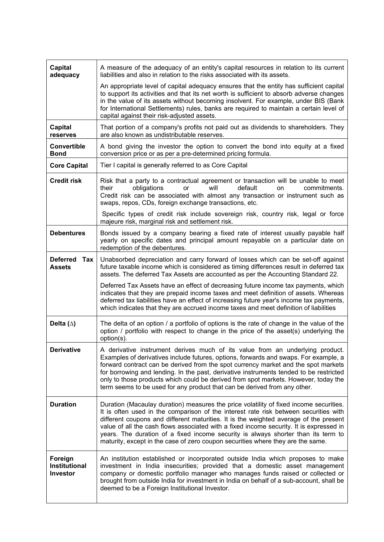| Capital<br>adequacy                                | A measure of the adequacy of an entity's capital resources in relation to its current<br>liabilities and also in relation to the risks associated with its assets.                                                                                                                                                                                                                                                                                                                                                                         |
|----------------------------------------------------|--------------------------------------------------------------------------------------------------------------------------------------------------------------------------------------------------------------------------------------------------------------------------------------------------------------------------------------------------------------------------------------------------------------------------------------------------------------------------------------------------------------------------------------------|
|                                                    | An appropriate level of capital adequacy ensures that the entity has sufficient capital<br>to support its activities and that its net worth is sufficient to absorb adverse changes<br>in the value of its assets without becoming insolvent. For example, under BIS (Bank<br>for International Settlements) rules, banks are required to maintain a certain level of<br>capital against their risk-adjusted assets.                                                                                                                       |
| Capital<br>reserves                                | That portion of a company's profits not paid out as dividends to shareholders. They<br>are also known as undistributable reserves.                                                                                                                                                                                                                                                                                                                                                                                                         |
| <b>Convertible</b><br><b>Bond</b>                  | A bond giving the investor the option to convert the bond into equity at a fixed<br>conversion price or as per a pre-determined pricing formula.                                                                                                                                                                                                                                                                                                                                                                                           |
| <b>Core Capital</b>                                | Tier I capital is generally referred to as Core Capital                                                                                                                                                                                                                                                                                                                                                                                                                                                                                    |
| <b>Credit risk</b>                                 | Risk that a party to a contractual agreement or transaction will be unable to meet<br>default<br>obligations<br>will<br>commitments.<br>their<br><b>or</b><br>on<br>Credit risk can be associated with almost any transaction or instrument such as<br>swaps, repos, CDs, foreign exchange transactions, etc.                                                                                                                                                                                                                              |
|                                                    | Specific types of credit risk include sovereign risk, country risk, legal or force<br>majeure risk, marginal risk and settlement risk.                                                                                                                                                                                                                                                                                                                                                                                                     |
| <b>Debentures</b>                                  | Bonds issued by a company bearing a fixed rate of interest usually payable half<br>yearly on specific dates and principal amount repayable on a particular date on<br>redemption of the debentures.                                                                                                                                                                                                                                                                                                                                        |
| <b>Deferred</b><br>Tax<br><b>Assets</b>            | Unabsorbed depreciation and carry forward of losses which can be set-off against<br>future taxable income which is considered as timing differences result in deferred tax<br>assets. The deferred Tax Assets are accounted as per the Accounting Standard 22.                                                                                                                                                                                                                                                                             |
|                                                    | Deferred Tax Assets have an effect of decreasing future income tax payments, which<br>indicates that they are prepaid income taxes and meet definition of assets. Whereas<br>deferred tax liabilities have an effect of increasing future year's income tax payments,<br>which indicates that they are accrued income taxes and meet definition of liabilities                                                                                                                                                                             |
| Delta $(\triangle)$                                | The delta of an option / a portfolio of options is the rate of change in the value of the<br>option / portfolio with respect to change in the price of the asset(s) underlying the<br>option(s).                                                                                                                                                                                                                                                                                                                                           |
| <b>Derivative</b>                                  | A derivative instrument derives much of its value from an underlying product.<br>Examples of derivatives include futures, options, forwards and swaps. For example, a<br>forward contract can be derived from the spot currency market and the spot markets<br>for borrowing and lending. In the past, derivative instruments tended to be restricted<br>only to those products which could be derived from spot markets. However, today the<br>term seems to be used for any product that can be derived from any other.                  |
| <b>Duration</b>                                    | Duration (Macaulay duration) measures the price volatility of fixed income securities.<br>It is often used in the comparison of the interest rate risk between securities with<br>different coupons and different maturities. It is the weighted average of the present<br>value of all the cash flows associated with a fixed income security. It is expressed in<br>years. The duration of a fixed income security is always shorter than its term to<br>maturity, except in the case of zero coupon securities where they are the same. |
| Foreign<br><b>Institutional</b><br><b>Investor</b> | An institution established or incorporated outside India which proposes to make<br>investment in India insecurities; provided that a domestic asset management<br>company or domestic portfolio manager who manages funds raised or collected or<br>brought from outside India for investment in India on behalf of a sub-account, shall be<br>deemed to be a Foreign Institutional Investor.                                                                                                                                              |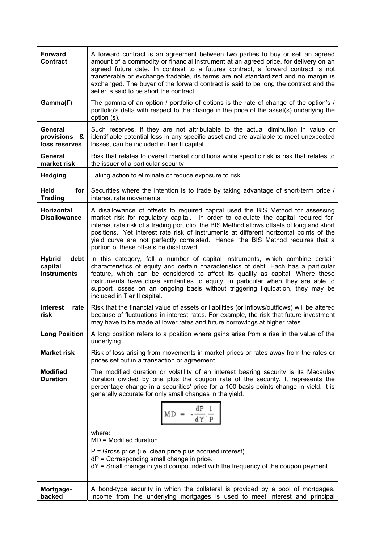| Forward<br><b>Contract</b>                      | A forward contract is an agreement between two parties to buy or sell an agreed<br>amount of a commodity or financial instrument at an agreed price, for delivery on an<br>agreed future date. In contrast to a futures contract, a forward contract is not<br>transferable or exchange tradable, its terms are not standardized and no margin is<br>exchanged. The buyer of the forward contract is said to be long the contract and the<br>seller is said to be short the contract.                                                                                                                              |  |  |
|-------------------------------------------------|--------------------------------------------------------------------------------------------------------------------------------------------------------------------------------------------------------------------------------------------------------------------------------------------------------------------------------------------------------------------------------------------------------------------------------------------------------------------------------------------------------------------------------------------------------------------------------------------------------------------|--|--|
| Gamma(F)                                        | The gamma of an option / portfolio of options is the rate of change of the option's /<br>portfolio's delta with respect to the change in the price of the asset(s) underlying the<br>option (s).                                                                                                                                                                                                                                                                                                                                                                                                                   |  |  |
| General<br>provisions &<br>loss reserves        | Such reserves, if they are not attributable to the actual diminution in value or<br>identifiable potential loss in any specific asset and are available to meet unexpected<br>losses, can be included in Tier II capital.                                                                                                                                                                                                                                                                                                                                                                                          |  |  |
| General<br>market risk                          | Risk that relates to overall market conditions while specific risk is risk that relates to<br>the issuer of a particular security                                                                                                                                                                                                                                                                                                                                                                                                                                                                                  |  |  |
| <b>Hedging</b>                                  | Taking action to eliminate or reduce exposure to risk                                                                                                                                                                                                                                                                                                                                                                                                                                                                                                                                                              |  |  |
| Held<br>for<br><b>Trading</b>                   | Securities where the intention is to trade by taking advantage of short-term price /<br>interest rate movements.                                                                                                                                                                                                                                                                                                                                                                                                                                                                                                   |  |  |
| <b>Horizontal</b><br><b>Disallowance</b>        | A disallowance of offsets to required capital used the BIS Method for assessing<br>market risk for regulatory capital. In order to calculate the capital required for<br>interest rate risk of a trading portfolio, the BIS Method allows offsets of long and short<br>positions. Yet interest rate risk of instruments at different horizontal points of the<br>yield curve are not perfectly correlated. Hence, the BIS Method requires that a<br>portion of these offsets be disallowed.                                                                                                                        |  |  |
| <b>Hybrid</b><br>debt<br>capital<br>instruments | In this category, fall a number of capital instruments, which combine certain<br>characteristics of equity and certain characteristics of debt. Each has a particular<br>feature, which can be considered to affect its quality as capital. Where these<br>instruments have close similarities to equity, in particular when they are able to<br>support losses on an ongoing basis without triggering liquidation, they may be<br>included in Tier II capital.                                                                                                                                                    |  |  |
| <b>Interest</b><br>rate<br>risk                 | Risk that the financial value of assets or liabilities (or inflows/outflows) will be altered<br>because of fluctuations in interest rates. For example, the risk that future investment<br>may have to be made at lower rates and future borrowings at higher rates.                                                                                                                                                                                                                                                                                                                                               |  |  |
| <b>Long Position</b>                            | A long position refers to a position where gains arise from a rise in the value of the<br>underlying.                                                                                                                                                                                                                                                                                                                                                                                                                                                                                                              |  |  |
| <b>Market risk</b>                              | Risk of loss arising from movements in market prices or rates away from the rates or<br>prices set out in a transaction or agreement.                                                                                                                                                                                                                                                                                                                                                                                                                                                                              |  |  |
| <b>Modified</b><br><b>Duration</b>              | The modified duration or volatility of an interest bearing security is its Macaulay<br>duration divided by one plus the coupon rate of the security. It represents the<br>percentage change in a securities' price for a 100 basis points change in yield. It is<br>generally accurate for only small changes in the yield.<br>$-\frac{dP}{dY} \cdot \frac{1}{P}$<br>$MD =$<br>where:<br>$MD =$ Modified duration<br>$P =$ Gross price (i.e. clean price plus accrued interest).<br>$dP =$ Corresponding small change in price.<br>dY = Small change in yield compounded with the frequency of the coupon payment. |  |  |
| Mortgage-<br>backed                             | A bond-type security in which the collateral is provided by a pool of mortgages.<br>Income from the underlying mortgages is used to meet interest and principal                                                                                                                                                                                                                                                                                                                                                                                                                                                    |  |  |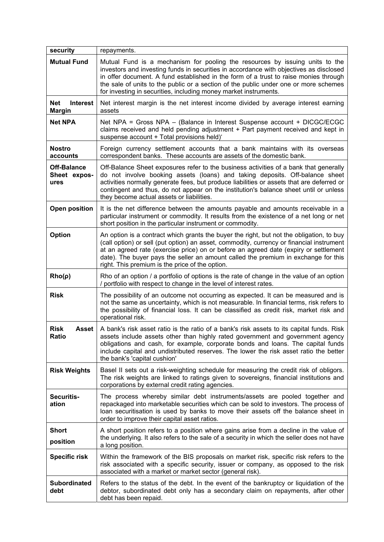| security                                | repayments.                                                                                                                                                                                                                                                                                                                                                                                                                |
|-----------------------------------------|----------------------------------------------------------------------------------------------------------------------------------------------------------------------------------------------------------------------------------------------------------------------------------------------------------------------------------------------------------------------------------------------------------------------------|
| <b>Mutual Fund</b>                      | Mutual Fund is a mechanism for pooling the resources by issuing units to the<br>investors and investing funds in securities in accordance with objectives as disclosed<br>in offer document. A fund established in the form of a trust to raise monies through<br>the sale of units to the public or a section of the public under one or more schemes<br>for investing in securities, including money market instruments. |
| <b>Interest</b><br>Net<br><b>Margin</b> | Net interest margin is the net interest income divided by average interest earning<br>assets                                                                                                                                                                                                                                                                                                                               |
| <b>Net NPA</b>                          | Net NPA = Gross NPA - (Balance in Interest Suspense account + DICGC/ECGC<br>claims received and held pending adjustment + Part payment received and kept in<br>suspense account + Total provisions held)'                                                                                                                                                                                                                  |
| <b>Nostro</b><br>accounts               | Foreign currency settlement accounts that a bank maintains with its overseas<br>correspondent banks. These accounts are assets of the domestic bank.                                                                                                                                                                                                                                                                       |
| Off-Balance<br>Sheet expos-<br>ures     | Off-Balance Sheet exposures refer to the business activities of a bank that generally<br>do not involve booking assets (loans) and taking deposits. Off-balance sheet<br>activities normally generate fees, but produce liabilities or assets that are deferred or<br>contingent and thus, do not appear on the institution's balance sheet until or unless<br>they become actual assets or liabilities.                   |
| <b>Open position</b>                    | It is the net difference between the amounts payable and amounts receivable in a<br>particular instrument or commodity. It results from the existence of a net long or net<br>short position in the particular instrument or commodity.                                                                                                                                                                                    |
| <b>Option</b>                           | An option is a contract which grants the buyer the right, but not the obligation, to buy<br>(call option) or sell (put option) an asset, commodity, currency or financial instrument<br>at an agreed rate (exercise price) on or before an agreed date (expiry or settlement<br>date). The buyer pays the seller an amount called the premium in exchange for this<br>right. This premium is the price of the option.      |
| $Rho(\rho)$                             | Rho of an option / a portfolio of options is the rate of change in the value of an option<br>/ portfolio with respect to change in the level of interest rates.                                                                                                                                                                                                                                                            |
| <b>Risk</b>                             | The possibility of an outcome not occurring as expected. It can be measured and is<br>not the same as uncertainty, which is not measurable. In financial terms, risk refers to<br>the possibility of financial loss. It can be classified as credit risk, market risk and<br>operational risk.                                                                                                                             |
| <b>Risk</b><br><b>Asset</b><br>Ratio    | A bank's risk asset ratio is the ratio of a bank's risk assets to its capital funds. Risk<br>assets include assets other than highly rated government and government agency<br>obligations and cash, for example, corporate bonds and loans. The capital funds<br>include capital and undistributed reserves. The lower the risk asset ratio the better<br>the bank's 'capital cushion'                                    |
| <b>Risk Weights</b>                     | Basel II sets out a risk-weighting schedule for measuring the credit risk of obligors.<br>The risk weights are linked to ratings given to sovereigns, financial institutions and<br>corporations by external credit rating agencies.                                                                                                                                                                                       |
| Securitis-<br>ation                     | The process whereby similar debt instruments/assets are pooled together and<br>repackaged into marketable securities which can be sold to investors. The process of<br>loan securitisation is used by banks to move their assets off the balance sheet in<br>order to improve their capital asset ratios.                                                                                                                  |
| <b>Short</b><br>position                | A short position refers to a position where gains arise from a decline in the value of<br>the underlying. It also refers to the sale of a security in which the seller does not have<br>a long position.                                                                                                                                                                                                                   |
| <b>Specific risk</b>                    | Within the framework of the BIS proposals on market risk, specific risk refers to the<br>risk associated with a specific security, issuer or company, as opposed to the risk<br>associated with a market or market sector (general risk).                                                                                                                                                                                  |
| <b>Subordinated</b><br>debt             | Refers to the status of the debt. In the event of the bankruptcy or liquidation of the<br>debtor, subordinated debt only has a secondary claim on repayments, after other<br>debt has been repaid.                                                                                                                                                                                                                         |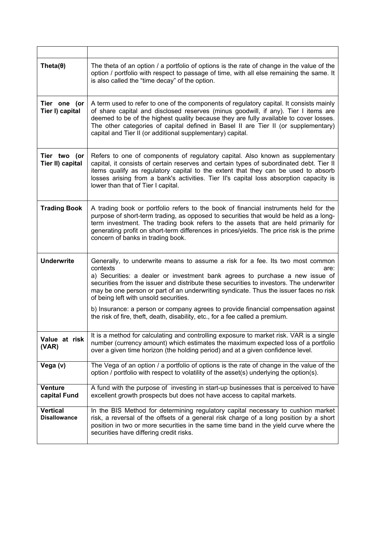| Theta $(\theta)$                       | The theta of an option / a portfolio of options is the rate of change in the value of the<br>option / portfolio with respect to passage of time, with all else remaining the same. It<br>is also called the "time decay" of the option.                                                                                                                                                                                    |
|----------------------------------------|----------------------------------------------------------------------------------------------------------------------------------------------------------------------------------------------------------------------------------------------------------------------------------------------------------------------------------------------------------------------------------------------------------------------------|
| Tier one (or<br>Tier I) capital        | A term used to refer to one of the components of regulatory capital. It consists mainly<br>of share capital and disclosed reserves (minus goodwill, if any). Tier I items are<br>deemed to be of the highest quality because they are fully available to cover losses.<br>The other categories of capital defined in Basel II are Tier II (or supplementary)<br>capital and Tier II (or additional supplementary) capital. |
| Tier two (or<br>Tier II) capital       | Refers to one of components of regulatory capital. Also known as supplementary<br>capital, it consists of certain reserves and certain types of subordinated debt. Tier II<br>items qualify as regulatory capital to the extent that they can be used to absorb<br>losses arising from a bank's activities. Tier II's capital loss absorption capacity is<br>lower than that of Tier I capital.                            |
| <b>Trading Book</b>                    | A trading book or portfolio refers to the book of financial instruments held for the<br>purpose of short-term trading, as opposed to securities that would be held as a long-<br>term investment. The trading book refers to the assets that are held primarily for<br>generating profit on short-term differences in prices/yields. The price risk is the prime<br>concern of banks in trading book.                      |
| <b>Underwrite</b>                      | Generally, to underwrite means to assume a risk for a fee. Its two most common<br>contexts<br>are:<br>a) Securities: a dealer or investment bank agrees to purchase a new issue of<br>securities from the issuer and distribute these securities to investors. The underwriter<br>may be one person or part of an underwriting syndicate. Thus the issuer faces no risk<br>of being left with unsold securities.           |
|                                        | b) Insurance: a person or company agrees to provide financial compensation against<br>the risk of fire, theft, death, disability, etc., for a fee called a premium.                                                                                                                                                                                                                                                        |
| Value at risk<br>(VAR)                 | It is a method for calculating and controlling exposure to market risk. VAR is a single<br>number (currency amount) which estimates the maximum expected loss of a portfolio<br>over a given time horizon (the holding period) and at a given confidence level.                                                                                                                                                            |
| Vega (v)                               | The Vega of an option / a portfolio of options is the rate of change in the value of the<br>option / portfolio with respect to volatility of the asset(s) underlying the option(s).                                                                                                                                                                                                                                        |
| <b>Venture</b><br>capital Fund         | A fund with the purpose of investing in start-up businesses that is perceived to have<br>excellent growth prospects but does not have access to capital markets.                                                                                                                                                                                                                                                           |
| <b>Vertical</b><br><b>Disallowance</b> | In the BIS Method for determining regulatory capital necessary to cushion market<br>risk, a reversal of the offsets of a general risk charge of a long position by a short<br>position in two or more securities in the same time band in the yield curve where the<br>securities have differing credit risks.                                                                                                             |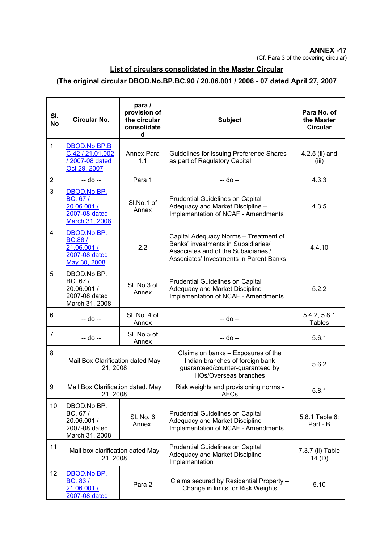## **List of circulars consolidated in the Master Circular**

## **(The original circular DBOD.No.BP.BC.90 / 20.06.001 / 2006 - 07 dated April 27, 2007**

| SI.<br><b>No</b> | Circular No.                                                                 | para /<br>provision of<br>the circular<br>consolidate<br>d | <b>Subject</b>                                                                                                                                                  | Para No. of<br>the Master<br><b>Circular</b> |
|------------------|------------------------------------------------------------------------------|------------------------------------------------------------|-----------------------------------------------------------------------------------------------------------------------------------------------------------------|----------------------------------------------|
| $\mathbf{1}$     | DBOD.No.BP.B<br>C.42 / 21.01.002<br>/ 2007-08 dated<br>Oct 29, 2007          | Annex Para<br>1.1                                          | Guidelines for issuing Preference Shares<br>as part of Regulatory Capital                                                                                       | 4.2.5 (ii) and<br>(iii)                      |
| $\overline{2}$   | -- do --                                                                     | Para 1                                                     | -- do --                                                                                                                                                        | 4.3.3                                        |
| 3                | DBOD.No.BP.<br>BC. 67/<br>20.06.001 /<br>2007-08 dated<br>March 31, 2008     | SI.No.1 of<br>Annex                                        | <b>Prudential Guidelines on Capital</b><br>Adequacy and Market Discipline -<br>Implementation of NCAF - Amendments                                              | 4.3.5                                        |
| 4                | DBOD.No.BP.<br><b>BC.88/</b><br>21.06.001 /<br>2007-08 dated<br>May 30, 2008 | 2.2                                                        | Capital Adequacy Norms - Treatment of<br>Banks' investments in Subsidiaries/<br>Associates and of the Subsidiaries'/<br>Associates' Investments in Parent Banks | 4.4.10                                       |
| 5                | DBOD.No.BP.<br>BC. 67 /<br>20.06.001 /<br>2007-08 dated<br>March 31, 2008    | SI. No.3 of<br>Annex                                       | Prudential Guidelines on Capital<br>Adequacy and Market Discipline -<br>Implementation of NCAF - Amendments                                                     | 5.2.2                                        |
| 6                | -- do --                                                                     | SI, No. 4 of<br>Annex                                      | -- do --                                                                                                                                                        | 5.4.2, 5.8.1<br><b>Tables</b>                |
| $\overline{7}$   | -- do --                                                                     | SI. No 5 of<br>Annex                                       | -- do --                                                                                                                                                        | 5.6.1                                        |
| 8                | Mail Box Clarification dated May<br>21, 2008                                 |                                                            | Claims on banks - Exposures of the<br>Indian branches of foreign bank<br>guaranteed/counter-guaranteed by<br>HOs/Overseas branches                              | 5.6.2                                        |
| 9                | Mail Box Clarification dated. May<br>21, 2008                                |                                                            | Risk weights and provisioning norms -<br><b>AFCs</b>                                                                                                            | 5.8.1                                        |
| 10               | DBOD.No.BP.<br>BC. 67 /<br>20.06.001 /<br>2007-08 dated<br>March 31, 2008    | SI. No. 6<br>Annex.                                        | <b>Prudential Guidelines on Capital</b><br>Adequacy and Market Discipline -<br>Implementation of NCAF - Amendments                                              | 5.8.1 Table 6:<br>Part - B                   |
| 11               | Mail box clarification dated May<br>21, 2008                                 |                                                            | Prudential Guidelines on Capital<br>Adequacy and Market Discipline -<br>Implementation                                                                          | 7.3.7 (ii) Table<br>14 $(D)$                 |
| 12               | DBOD.No.BP.<br>BC. 83/<br>21.06.001 /<br>2007-08 dated                       | Para 2                                                     | Claims secured by Residential Property -<br>Change in limits for Risk Weights                                                                                   | 5.10                                         |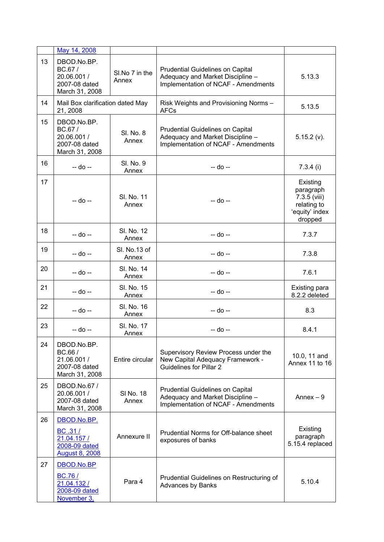|    | May 14, 2008                                                                     |                         |                                                                                                                    |                                                                                   |
|----|----------------------------------------------------------------------------------|-------------------------|--------------------------------------------------------------------------------------------------------------------|-----------------------------------------------------------------------------------|
| 13 | DBOD.No.BP.<br>BC.67 /<br>20.06.001 /<br>2007-08 dated<br>March 31, 2008         | SI.No 7 in the<br>Annex | Prudential Guidelines on Capital<br>Adequacy and Market Discipline -<br>Implementation of NCAF - Amendments        | 5.13.3                                                                            |
| 14 | Mail Box clarification dated May<br>21, 2008                                     |                         | Risk Weights and Provisioning Norms -<br><b>AFCs</b>                                                               | 5.13.5                                                                            |
| 15 | DBOD.No.BP.<br>BC.67 /<br>20.06.001 /<br>2007-08 dated<br>March 31, 2008         | SI. No. 8<br>Annex      | <b>Prudential Guidelines on Capital</b><br>Adequacy and Market Discipline -<br>Implementation of NCAF - Amendments | $5.15.2$ (v).                                                                     |
| 16 | -- do --                                                                         | SI. No. 9<br>Annex      | -- do --                                                                                                           | 7.3.4(i)                                                                          |
| 17 | -- do --                                                                         | SI. No. 11<br>Annex     | -- do --                                                                                                           | Existing<br>paragraph<br>7.3.5 (viii)<br>relating to<br>'equity' index<br>dropped |
| 18 | -- do --                                                                         | SI. No. 12<br>Annex     | -- do --                                                                                                           | 7.3.7                                                                             |
| 19 | -- do --                                                                         | SI. No.13 of<br>Annex   | -- do --                                                                                                           | 7.3.8                                                                             |
| 20 | -- do --                                                                         | SI. No. 14<br>Annex     | -- do --                                                                                                           | 7.6.1                                                                             |
| 21 | -- do --                                                                         | SI. No. 15<br>Annex     | -- do --                                                                                                           | <b>Existing para</b><br>8.2.2 deleted                                             |
| 22 | -- do --                                                                         | SI. No. 16<br>Annex     | -- do --                                                                                                           | 8.3                                                                               |
| 23 | $-$ do $-$                                                                       | SI. No. 17<br>Annex     | -- do --                                                                                                           | 8.4.1                                                                             |
| 24 | DBOD.No.BP.<br>BC.66 /<br>21.06.001 /<br>2007-08 dated<br>March 31, 2008         | Entire circular         | Supervisory Review Process under the<br>New Capital Adequacy Framework -<br><b>Guidelines for Pillar 2</b>         | 10.0, 11 and<br>Annex 11 to 16                                                    |
| 25 | DBOD.No.67 /<br>20.06.001 /<br>2007-08 dated<br>March 31, 2008                   | SI No. 18<br>Annex      | Prudential Guidelines on Capital<br>Adequacy and Market Discipline -<br>Implementation of NCAF - Amendments        | Annex $-9$                                                                        |
| 26 | DBOD.No.BP.<br>BC .31 /<br>21.04.157 /<br>2008-09 dated<br><b>August 8, 2008</b> | Annexure II             | Prudential Norms for Off-balance sheet<br>exposures of banks                                                       | Existing<br>paragraph<br>5.15.4 replaced                                          |
| 27 | DBOD.No.BP<br><b>BC.76/</b><br>21.04.132/<br>2008-09 dated<br>November 3,        | Para 4                  | Prudential Guidelines on Restructuring of<br><b>Advances by Banks</b>                                              | 5.10.4                                                                            |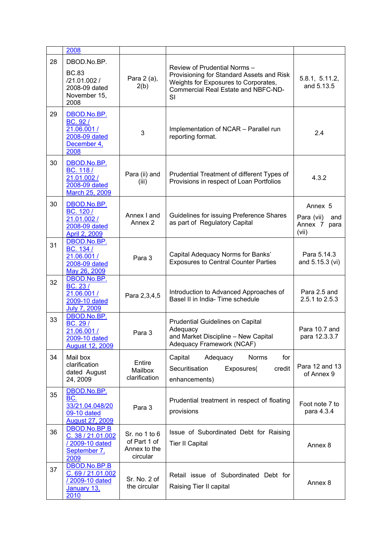|    | 2008                                                                                 |                                                           |                                                                                                                                                                       |                                                          |
|----|--------------------------------------------------------------------------------------|-----------------------------------------------------------|-----------------------------------------------------------------------------------------------------------------------------------------------------------------------|----------------------------------------------------------|
| 28 | DBOD.No.BP.<br><b>BC.83</b><br>/21.01.002 /<br>2008-09 dated<br>November 15,<br>2008 | Para 2 (a),<br>2(b)                                       | Review of Prudential Norms -<br>Provisioning for Standard Assets and Risk<br>Weights for Exposures to Corporates,<br><b>Commercial Real Estate and NBFC-ND-</b><br>SI | 5.8.1, 5.11.2,<br>and 5.13.5                             |
| 29 | DBOD.No.BP.<br>BC. 92/<br>21.06.001/<br>2008-09 dated<br>December 4,<br>2008         | 3                                                         | Implementation of NCAR - Parallel run<br>reporting format.                                                                                                            | 2.4                                                      |
| 30 | DBOD.No.BP.<br>BC. 118/<br>21.01.002 /<br>2008-09 dated<br>March 25, 2009            | Para (ii) and<br>(iii)                                    | Prudential Treatment of different Types of<br>Provisions in respect of Loan Portfolios                                                                                | 4.3.2                                                    |
| 30 | DBOD.No.BP.<br><b>BC.</b> 120 /<br>21.01.002 /<br>2008-09 dated<br>April 2, 2009     | Annex I and<br>Annex 2                                    | Guidelines for issuing Preference Shares<br>as part of Regulatory Capital                                                                                             | Annex 5<br>Para (vii)<br>and<br>Annex 7<br>para<br>(vii) |
| 31 | DBOD.No.BP.<br>BC. 134 /<br>21.06.001/<br>2008-09 dated<br>May 26, 2009              | Para 3                                                    | Capital Adequacy Norms for Banks'<br><b>Exposures to Central Counter Parties</b>                                                                                      | Para 5.14.3<br>and 5.15.3 (vi)                           |
| 32 | DBOD.No.BP.<br>BC. 23/<br>21.06.001/<br>2009-10 dated<br><b>July 7, 2009</b>         | Para 2,3,4,5                                              | Introduction to Advanced Approaches of<br>Basel II in India-Time schedule                                                                                             | Para 2.5 and<br>2.5.1 to 2.5.3                           |
| 33 | DBOD.No.BP.<br>BC. 29/<br>21.06.001 /<br>2009-10 dated<br><b>August 12, 2009</b>     | Para 3                                                    | Prudential Guidelines on Capital<br>Adequacy<br>and Market Discipline - New Capital<br>Adequacy Framework (NCAF)                                                      | Para 10.7 and<br>para 12.3.3.7                           |
| 34 | Mail box<br>clarification<br>dated August<br>24, 2009                                | Entire<br>Mailbox<br>clarification                        | <b>Norms</b><br>for<br>Capital<br>Adequacy<br>Securitisation<br>Exposures(<br>credit<br>enhancements)                                                                 | Para 12 and 13<br>of Annex 9                             |
| 35 | DBOD.No.BP.<br>BC.<br>33/21.04.048/20<br>09-10 dated<br><b>August 27, 2009</b>       | Para 3                                                    | Prudential treatment in respect of floating<br>provisions                                                                                                             | Foot note 7 to<br>para 4.3.4                             |
| 36 | DBOD.No.BP.B<br>C. 38 / 21.01.002<br>/2009-10 dated<br>September 7,<br>2009          | Sr. no 1 to 6<br>of Part 1 of<br>Annex to the<br>circular | Issue of Subordinated Debt for Raising<br><b>Tier II Capital</b>                                                                                                      | Annex 8                                                  |
| 37 | DBOD.No.BP.B<br>C. 69 / 21.01.002<br>/ 2009-10 dated<br>January 13,<br>2010          | Sr. No. 2 of<br>the circular                              | Retail issue of Subordinated Debt for<br>Raising Tier II capital                                                                                                      | Annex 8                                                  |